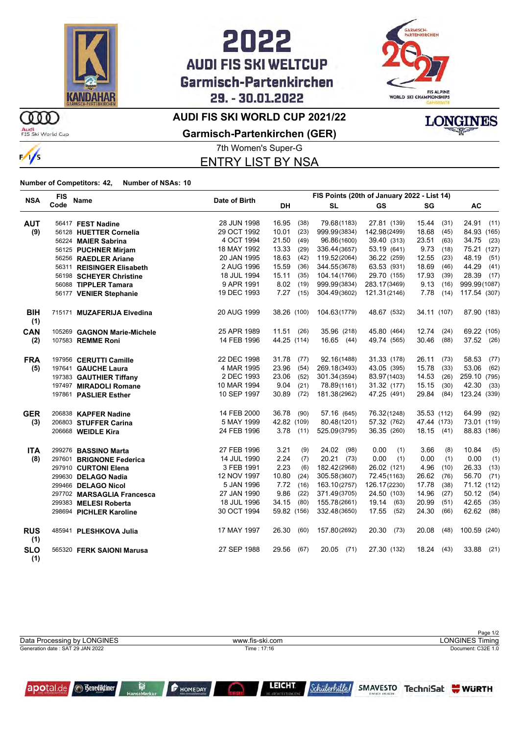



**LONGINES** 

Page 1/2

### **AUDI FIS SKI WORLD CUP 2021/22**

Audi<br>FIS Ski World Cup

 $\infty$ 



**Garmisch-Partenkirchen (GER)**

7th Women's Super-G ENTRY LIST BY NSA

#### **Number of Competitors: 42, Number of NSAs: 10**

| <b>NSA</b>        | <b>FIS</b><br>Name |                             | Date of Birth | FIS Points (20th of January 2022 - List 14) |      |               |               |              |      |               |
|-------------------|--------------------|-----------------------------|---------------|---------------------------------------------|------|---------------|---------------|--------------|------|---------------|
|                   | Code               |                             |               | DH                                          |      | <b>SL</b>     | <b>GS</b>     | SG           |      | AC            |
| <b>AUT</b>        |                    | 56417 FEST Nadine           | 28 JUN 1998   | 16.95                                       | (38) | 79.68(1183)   | 27.81 (139)   | 15.44        | (31) | 24.91 (11)    |
| (9)               |                    | 56128 HUETTER Cornelia      | 29 OCT 1992   | 10.01                                       | (23) | 999.99(3834)  | 142.98(2499)  | 18.68        | (45) | 84.93 (165)   |
|                   |                    | 56224 MAIER Sabrina         | 4 OCT 1994    | 21.50                                       | (49) | 96.86(1600)   | 39.40 (313)   | 23.51        | (63) | 34.75 (23)    |
|                   |                    | 56125 PUCHNER Mirjam        | 18 MAY 1992   | 13.33                                       | (29) | 336.44(3657)  | 53.19 (641)   | 9.73         | (18) | 75.21 (127)   |
|                   |                    | 56256 RAEDLER Ariane        | 20 JAN 1995   | 18.63                                       | (42) | 119.52(2064)  | 36.22 (259)   | 12.55        | (23) | 48.19<br>(51) |
|                   |                    | 56311 REISINGER Elisabeth   | 2 AUG 1996    | 15.59                                       | (36) | 344.55(3678)  | 63.53 (931)   | 18.69        | (46) | 44.29<br>(41) |
|                   |                    | 56198 SCHEYER Christine     | 18 JUL 1994   | 15.11                                       | (35) | 104.14(1766)  | 29.70 (155)   | 17.93        | (39) | 28.39 (17)    |
|                   |                    | 56088 TIPPLER Tamara        | 9 APR 1991    | 8.02                                        | (19) | 999.99(3834)  | 283.17(3469)  | 9.13         | (16) | 999.99(1087)  |
|                   |                    | 56177 VENIER Stephanie      | 19 DEC 1993   | 7.27                                        | (15) | 304.49(3602)  | 121.31(2146)  | 7.78         | (14) | 117.54 (307)  |
| <b>BIH</b><br>(1) |                    | 715171 MUZAFERIJA Elvedina  | 20 AUG 1999   | 38.26 (100)                                 |      | 104.63(1779)  | 48.67 (532)   | 34.11 (107)  |      | 87.90 (183)   |
| <b>CAN</b>        |                    | 105269 GAGNON Marie-Michele | 25 APR 1989   | 11.51(26)                                   |      | 35.96 (218)   | 45.80 (464)   | $12.74$ (24) |      | 69.22 (105)   |
| (2)               | 107583 REMME Roni  |                             | 14 FEB 1996   | 44.25 (114)                                 |      | $16.65$ (44)  | 49.74 (565)   | 30.46        | (88) | 37.52 (26)    |
| <b>FRA</b>        |                    | 197956 CERUTTI Camille      | 22 DEC 1998   | 31.78                                       | (77) | 92.16(1488)   | 31.33 (178)   | 26.11        | (73) | 58.53<br>(77) |
| (5)               |                    | 197641 GAUCHE Laura         | 4 MAR 1995    | 23.96                                       | (54) | 269.18(3493)  | 43.05 (395)   | 15.78        | (33) | 53.06<br>(62) |
|                   |                    | 197383 GAUTHIER Tiffany     | 2 DEC 1993    | 23.06                                       | (52) | 301.34(3594)  | 83.97(1403)   | 14.53        | (26) | 259.10 (795)  |
|                   |                    | 197497 MIRADOLI Romane      | 10 MAR 1994   | 9.04                                        | (21) | 78.89(1161)   | 31.32 (177)   | 15.15        | (30) | 42.30 (33)    |
|                   |                    | 197861 PASLIER Esther       | 10 SEP 1997   | 30.89                                       | (72) | 181.38(2962)  | 47.25 (491)   | 29.84        | (84) | 123.24 (339)  |
| <b>GER</b>        |                    | 206838 KAPFER Nadine        | 14 FEB 2000   | 36.78                                       | (90) | 57.16 (645)   | 76.32(1248)   | 35.53 (112)  |      | 64.99<br>(92) |
| (3)               |                    | 206803 STUFFER Carina       | 5 MAY 1999    | 42.82 (109)                                 |      | 80.48(1201)   | 57.32 (762)   | 47.44 (173)  |      | 73.01 (119)   |
|                   | 206668 WEIDLE Kira |                             | 24 FEB 1996   | 3.78                                        | (11) | 525.09(3795)  | 36.35 (260)   | 18.15(41)    |      | 88.83 (186)   |
| <b>ITA</b>        |                    | 299276 BASSINO Marta        | 27 FEB 1996   | 3.21                                        | (9)  | 24.02 (98)    | 0.00<br>(1)   | 3.66         | (8)  | (5)<br>10.84  |
| (8)               |                    | 297601 BRIGNONE Federica    | 14 JUL 1990   | 2.24                                        | (7)  | $20.21$ (73)  | 0.00<br>(1)   | 0.00         | (1)  | 0.00<br>(1)   |
|                   |                    | 297910 CURTONI Elena        | 3 FEB 1991    | 2.23                                        | (6)  | 182.42(2968)  | 26.02 (121)   | 4.96         | (10) | 26.33<br>(13) |
|                   |                    | 299630 DELAGO Nadia         | 12 NOV 1997   | 10.80                                       | (24) | 305.58(3607)  | 72.45(1163)   | 26.62        | (76) | 56.70<br>(71) |
|                   |                    | 299466 DELAGO Nicol         | 5 JAN 1996    | 7.72                                        | (16) | 163.10(2757)  | 126.17(2230)  | 17.78        | (38) | 71.12 (112)   |
|                   |                    | 297702 MARSAGLIA Francesca  | 27 JAN 1990   | 9.86                                        | (22) | 371.49(3705)  | 24.50 (103)   | 14.96        | (27) | 50.12<br>(54) |
|                   |                    | 299383 MELESI Roberta       | 18 JUL 1996   | 34.15                                       | (80) | 155.78(2661)  | 19.14<br>(63) | 20.99        | (51) | 42.65<br>(35) |
|                   |                    | 298694 PICHLER Karoline     | 30 OCT 1994   | 59.82 (156)                                 |      | 332.48(3650)  | 17.55<br>(52) | 24.30        | (66) | 62.62<br>(88) |
| <b>RUS</b><br>(1) |                    | 485941 PLESHKOVA Julia      | 17 MAY 1997   | 26.30                                       | (60) | 157.80(2692)  | 20.30<br>(73) | 20.08        | (48) | 100.59 (240)  |
| <b>SLO</b><br>(1) |                    | 565320 FERK SAIONI Marusa   | 27 SEP 1988   | 29.56                                       | (67) | 20.05<br>(71) | 27.30 (132)   | 18.24 (43)   |      | 33.88 (21)    |

|                                          |                              |                  |                                                  |  | Page 1/2                 |
|------------------------------------------|------------------------------|------------------|--------------------------------------------------|--|--------------------------|
| Data Processing by LONGINES              |                              |                  | www.fis-ski.com                                  |  | <b>LONGINES Timing</b>   |
| Generation date: SAT 29 JAN 2022         |                              |                  | Time : 17:16                                     |  | Document: C32E 1.0       |
|                                          |                              |                  |                                                  |  |                          |
|                                          |                              |                  |                                                  |  |                          |
| <b>Benediktiner</b><br><b>apo</b> tal.de | Ŗ<br><b>Linux his stress</b> | <b>F</b> HOMEDAY | <b>LEICHT</b><br>CAP A PAGASTER PARTIES IN CHAIN |  | SMAVESTO TechniSat WURTH |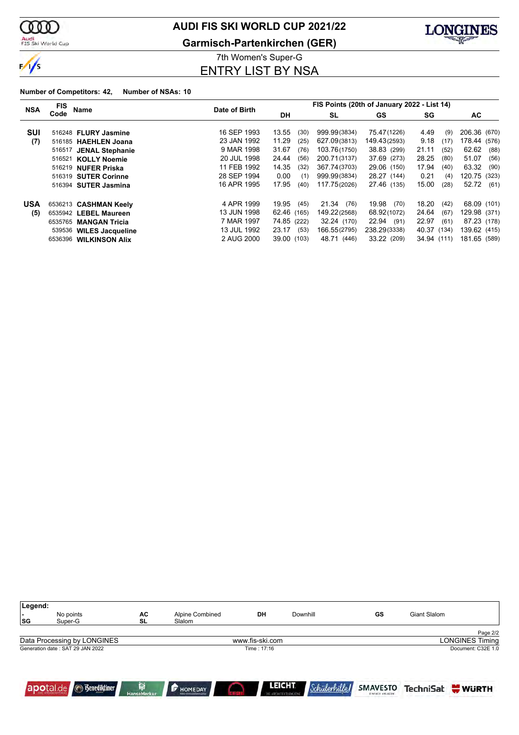ത്ത

 $\frac{1}{\sqrt{2}}$ 

Audi<br>FIS Ski World Cup

**AUDI FIS SKI WORLD CUP 2021/22**



**Garmisch-Partenkirchen (GER)**

7th Women's Super-G ENTRY LIST BY NSA

#### **Number of Competitors: 42, Number of NSAs: 10**

| <b>NSA</b> | <b>FIS</b><br>Name               |             | Date of Birth |                 |               |               | FIS Points (20th of January 2022 - List 14) |          |              |      |  |
|------------|----------------------------------|-------------|---------------|-----------------|---------------|---------------|---------------------------------------------|----------|--------------|------|--|
|            | Code                             |             |               | <b>DH</b><br>SL |               | <b>GS</b>     |                                             | SG<br>AC |              |      |  |
| <b>SUI</b> | 516248 FLURY Jasmine             | 16 SEP 1993 | 13.55         | (30)            | 999.99(3834)  | 75.47(1226)   | 4.49                                        | (9)      | 206.36 (670) |      |  |
|            |                                  | 23 JAN 1992 | 11.29         |                 | 627.09(3813)  | 149.43(2593)  | 9.18                                        |          | 178.44 (576) |      |  |
| (7)        | 516185 HAEHLEN Joana             |             |               | (25)            |               |               |                                             | (17)     |              |      |  |
|            | <b>JENAL Stephanie</b><br>516517 | 9 MAR 1998  | 31.67         | (76)            | 103.76(1750)  | 38.83 (299)   | 21.11                                       | (52)     | 62.62        | (88) |  |
|            | 516521<br><b>KOLLY Noemie</b>    | 20 JUL 1998 | 24.44         | (56)            | 200.71(3137)  | 37.69 (273)   | 28.25                                       | (80)     | 51.07        | (56) |  |
|            | 516219 NUFER Priska              | 11 FEB 1992 | 14.35         | (32)            | 367.74(3703)  | 29.06 (150)   | 17.94                                       | (40)     | 63.32        | (90) |  |
|            | 516319 SUTER Corinne             | 28 SEP 1994 | 0.00          | (1)             | 999.99(3834)  | 28.27 (144)   | 0.21                                        | (4)      | 120.75 (323) |      |  |
|            | 516394 SUTER Jasmina             | 16 APR 1995 | 17.95         | (40)            | 117.75(2026)  | 27.46 (135)   | 15.00                                       | (28)     | 52.72        | (61) |  |
| <b>USA</b> | 6536213 CASHMAN Keely            | 4 APR 1999  | 19.95         | (45)            | 21.34<br>(76) | 19.98<br>(70) | 18.20                                       | (42)     | 68.09 (101)  |      |  |
| (5)        | 6535942 LEBEL Maureen            | 13 JUN 1998 | 62.46 (165)   |                 | 149.22(2568)  | 68.92(1072)   | 24.64                                       | (67)     | 129.98 (371) |      |  |
|            | 6535765<br><b>MANGAN Tricia</b>  | 7 MAR 1997  | 74.85 (222)   |                 | 32.24 (170)   | 22.94 (91)    | 22.97                                       | (61)     | 87.23 (178)  |      |  |
|            | 539536 WILES Jacqueline          | 13 JUL 1992 | 23.17         | (53)            | 166.55(2795)  | 238.29(3338)  | 40.37 (134)                                 |          | 139.62 (415) |      |  |
|            | 6536396 WILKINSON Alix           | 2 AUG 2000  | 39.00 (103)   |                 | 48.71 (446)   | 33.22 (209)   | 34.94 (111)                                 |          | 181.65 (589) |      |  |

| Legend:<br>٠<br>SG | No points<br>Super-G              | AC<br>SL                | Alpine Combined<br>Slalom                 | DH              | Downhill                                                     | GS                                 | Giant Slalom |                    |
|--------------------|-----------------------------------|-------------------------|-------------------------------------------|-----------------|--------------------------------------------------------------|------------------------------------|--------------|--------------------|
|                    |                                   |                         |                                           |                 |                                                              |                                    |              | Page 2/2           |
|                    | Data Processing by LONGINES       |                         |                                           | www.fis-ski.com |                                                              |                                    |              | LONGINES Timing    |
|                    | Generation date: SAT 29 JAN 2022  |                         |                                           | Time : 17:16    |                                                              |                                    |              | Document: C32E 1.0 |
| apotal.de          | <b><i><u>Benediktiner</u></i></b> | 帶<br><b>HanseMerkur</b> | <b>F</b> HOMEDAY<br>Mein Immobilienmakter |                 | <b>LEICHT</b><br><i>Schülerhille</i><br>DIE ARCHITEKTURKUCHE | <b>SMAVESTO</b><br>EINFATH ANLEGEN |              | TechniSat WURTH    |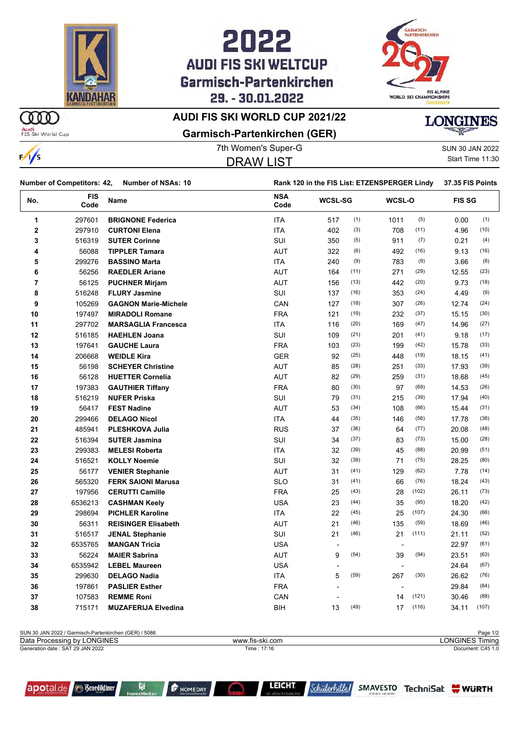



### **AUDI FIS SKI WORLD CUP 2021/22**

m Audi<br>FIS Ski World Cup







|                           | Number of Competitors: 42,<br><b>Number of NSAs: 10</b> |                             | Rank 120 in the FIS List: ETZENSPERGER Lindy |     |                |      |        |       | 37.35 FIS Points |
|---------------------------|---------------------------------------------------------|-----------------------------|----------------------------------------------|-----|----------------|------|--------|-------|------------------|
| <b>FIS</b><br>No.<br>Code |                                                         | <b>Name</b>                 | <b>NSA</b><br>Code                           |     | <b>WCSL-SG</b> |      | WCSL-O |       | <b>FIS SG</b>    |
| 1                         | 297601                                                  | <b>BRIGNONE Federica</b>    | ITA                                          | 517 | (1)            | 1011 | (5)    | 0.00  | (1)              |
| $\mathbf 2$               | 297910                                                  | <b>CURTONI Elena</b>        | <b>ITA</b>                                   | 402 | (3)            | 708  | (11)   | 4.96  | (10)             |
| 3                         | 516319                                                  | <b>SUTER Corinne</b>        | <b>SUI</b>                                   | 350 | (5)            | 911  | (7)    | 0.21  | (4)              |
| 4                         | 56088                                                   | <b>TIPPLER Tamara</b>       | <b>AUT</b>                                   | 322 | (6)            | 492  | (16)   | 9.13  | (16)             |
| 5                         | 299276                                                  | <b>BASSINO Marta</b>        | <b>ITA</b>                                   | 240 | (9)            | 783  | (9)    | 3.66  | (8)              |
| 6                         | 56256                                                   | <b>RAEDLER Ariane</b>       | <b>AUT</b>                                   | 164 | (11)           | 271  | (29)   | 12.55 | (23)             |
| $\overline{\mathbf{r}}$   | 56125                                                   | <b>PUCHNER Mirjam</b>       | <b>AUT</b>                                   | 156 | (13)           | 442  | (20)   | 9.73  | (18)             |
| 8                         | 516248                                                  | <b>FLURY Jasmine</b>        | SUI                                          | 137 | (16)           | 353  | (24)   | 4.49  | (9)              |
| 9                         | 105269                                                  | <b>GAGNON Marie-Michele</b> | CAN                                          | 127 | (18)           | 307  | (26)   | 12.74 | (24)             |
| 10                        | 197497                                                  | <b>MIRADOLI Romane</b>      | <b>FRA</b>                                   | 121 | (19)           | 232  | (37)   | 15.15 | (30)             |
| 11                        | 297702                                                  | <b>MARSAGLIA Francesca</b>  | ITA                                          | 116 | (20)           | 169  | (47)   | 14.96 | (27)             |
| 12                        | 516185                                                  | <b>HAEHLEN Joana</b>        | <b>SUI</b>                                   | 109 | (21)           | 201  | (41)   | 9.18  | (17)             |
| 13                        | 197641                                                  | <b>GAUCHE Laura</b>         | <b>FRA</b>                                   | 103 | (23)           | 199  | (42)   | 15.78 | (33)             |
| 14                        | 206668                                                  | <b>WEIDLE Kira</b>          | <b>GER</b>                                   | 92  | (25)           | 448  | (19)   | 18.15 | (41)             |
| 15                        | 56198                                                   | <b>SCHEYER Christine</b>    | <b>AUT</b>                                   | 85  | (28)           | 251  | (33)   | 17.93 | (39)             |
| 16                        | 56128                                                   | <b>HUETTER Cornelia</b>     | <b>AUT</b>                                   | 82  | (29)           | 259  | (31)   | 18.68 | (45)             |
| 17                        | 197383                                                  | <b>GAUTHIER Tiffany</b>     | <b>FRA</b>                                   | 80  | (30)           | 97   | (69)   | 14.53 | (26)             |
| 18                        | 516219                                                  | <b>NUFER Priska</b>         | <b>SUI</b>                                   | 79  | (31)           | 215  | (39)   | 17.94 | (40)             |
| 19                        | 56417                                                   | <b>FEST Nadine</b>          | <b>AUT</b>                                   | 53  | (34)           | 108  | (66)   | 15.44 | (31)             |
| 20                        | 299466                                                  | <b>DELAGO Nicol</b>         | <b>ITA</b>                                   | 44  | (35)           | 146  | (56)   | 17.78 | (38)             |
| 21                        | 485941                                                  | <b>PLESHKOVA Julia</b>      | <b>RUS</b>                                   | 37  | (36)           | 64   | (77)   | 20.08 | (48)             |
| 22                        | 516394                                                  | <b>SUTER Jasmina</b>        | SUI                                          | 34  | (37)           | 83   | (73)   | 15.00 | (28)             |
| 23                        | 299383                                                  | <b>MELESI Roberta</b>       | <b>ITA</b>                                   | 32  | (39)           | 45   | (88)   | 20.99 | (51)             |
| 24                        | 516521                                                  | <b>KOLLY Noemie</b>         | <b>SUI</b>                                   | 32  | (39)           | 71   | (75)   | 28.25 | (80)             |
| 25                        | 56177                                                   | <b>VENIER Stephanie</b>     | <b>AUT</b>                                   | 31  | (41)           | 129  | (62)   | 7.78  | (14)             |
| 26                        | 565320                                                  | <b>FERK SAIONI Marusa</b>   | <b>SLO</b>                                   | 31  | (41)           | 66   | (76)   | 18.24 | (43)             |
| 27                        | 197956                                                  | <b>CERUTTI Camille</b>      | <b>FRA</b>                                   | 25  | (43)           | 28   | (102)  | 26.11 | (73)             |
| 28                        | 6536213                                                 | <b>CASHMAN Keely</b>        | <b>USA</b>                                   | 23  | (44)           | 35   | (95)   | 18.20 | (42)             |
| 29                        | 298694                                                  | <b>PICHLER Karoline</b>     | <b>ITA</b>                                   | 22  | (45)           | 25   | (107)  | 24.30 | (66)             |
| 30                        | 56311                                                   | <b>REISINGER Elisabeth</b>  | <b>AUT</b>                                   | 21  | (46)           | 135  | (59)   | 18.69 | (46)             |
| 31                        | 516517                                                  | <b>JENAL Stephanie</b>      | SUI                                          | 21  | (46)           | 21   | (111)  | 21.11 | (52)             |
| 32                        | 6535765                                                 | <b>MANGAN Tricia</b>        | <b>USA</b>                                   |     |                |      |        | 22.97 | (61)             |
| 33                        | 56224                                                   | <b>MAIER Sabrina</b>        | AUT                                          | 9   | (54)           | 39   | (94)   | 23.51 | (63)             |
| 34                        | 6535942                                                 | <b>LEBEL Maureen</b>        | <b>USA</b>                                   |     |                |      |        | 24.64 | (67)             |
| 35                        | 299630                                                  | <b>DELAGO Nadia</b>         | <b>ITA</b>                                   | 5   | (59)           | 267  | (30)   | 26.62 | (76)             |
| 36                        | 197861                                                  | <b>PASLIER Esther</b>       | <b>FRA</b>                                   |     |                |      |        | 29.84 | (84)             |
| 37                        | 107583                                                  | <b>REMME Roni</b>           | CAN                                          |     |                | 14   | (121)  | 30.46 | (88)             |
| 38                        | 715171                                                  | <b>MUZAFERIJA Elvedina</b>  | BIH                                          | 13  | (49)           | 17   | (116)  | 34.11 | (107)            |
|                           |                                                         |                             |                                              |     |                |      |        |       |                  |



**F** HOMEDAY



**LONGINES**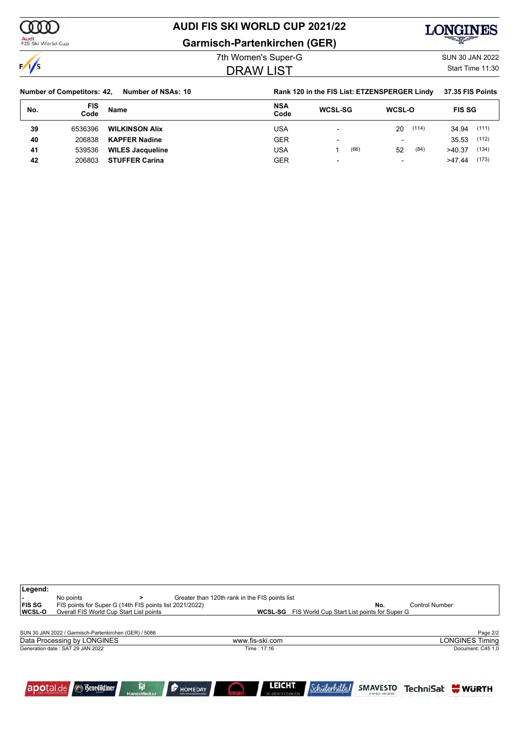**AUDI FIS SKI WORLD CUP 2021/22**

Audi<br>FIS Ski World Cup

ത്ത

 $\frac{1}{\sqrt{2}}$ 

## **Garmisch-Partenkirchen (GER)**



7th Women's Super-G SUN 30 JAN 2022

### DRAW LIST

Start Time 11:30

|     | <b>Number of Competitors: 42,</b> | Number of NSAs: 10      |                    | Rank 120 in the FIS List: ETZENSPERGER Lindy |                          | 37.35 FIS Points |
|-----|-----------------------------------|-------------------------|--------------------|----------------------------------------------|--------------------------|------------------|
| No. | <b>FIS</b><br>Code                | Name                    | <b>NSA</b><br>Code | <b>WCSL-SG</b>                               | <b>WCSL-O</b>            | <b>FIS SG</b>    |
| 39  | 6536396                           | <b>WILKINSON Alix</b>   | USA                | $\overline{\phantom{0}}$                     | (114)<br>20              | (111)<br>34.94   |
| 40  | 206838                            | <b>KAPFER Nadine</b>    | GER                | $\overline{\phantom{0}}$                     | $\overline{\phantom{0}}$ | (112)<br>35.53   |
| 41  | 539536                            | <b>WILES Jacqueline</b> | USA                | (66)                                         | (84)<br>52               | (134)<br>>40.37  |
| 42  | 206803                            | <b>STUFFER Carina</b>   | GER                | $\overline{\phantom{0}}$                     | $\overline{\phantom{0}}$ | (173)<br>>47.44  |

| Legend:                 |                                                                                                                 |                         |                  |                                                |                                                            |                 |                       |                        |
|-------------------------|-----------------------------------------------------------------------------------------------------------------|-------------------------|------------------|------------------------------------------------|------------------------------------------------------------|-----------------|-----------------------|------------------------|
| <b>FIS SG</b><br>WCSL-O | No points<br>FIS points for Super G (14th FIS points list 2021/2022)<br>Overall FIS World Cup Start List points |                         |                  | Greater than 120th rank in the FIS points list | <b>WCSL-SG</b> FIS World Cup Start List points for Super G | No.             | <b>Control Number</b> |                        |
|                         | SUN 30 JAN 2022 / Garmisch-Partenkirchen (GER) / 5086                                                           |                         |                  |                                                |                                                            |                 |                       | Page 2/2               |
|                         | Data Processing by LONGINES                                                                                     |                         |                  | www.fis-ski.com                                |                                                            |                 |                       | <b>LONGINES Timing</b> |
|                         | Generation date: SAT 29 JAN 2022                                                                                |                         |                  | Time: 17:16                                    |                                                            |                 |                       | Document: C45 1.0      |
|                         | apotal.de 6 Benediktiner                                                                                        | Ĥ<br><b>HanseMerkur</b> | <b>F</b> HOMEDAY | <b>LEICHT</b><br>DIE ARCHITEKTURKUCH           | <i>Schülerhille!</i>                                       | <b>SMAVESTO</b> |                       | TechniSat WURTH        |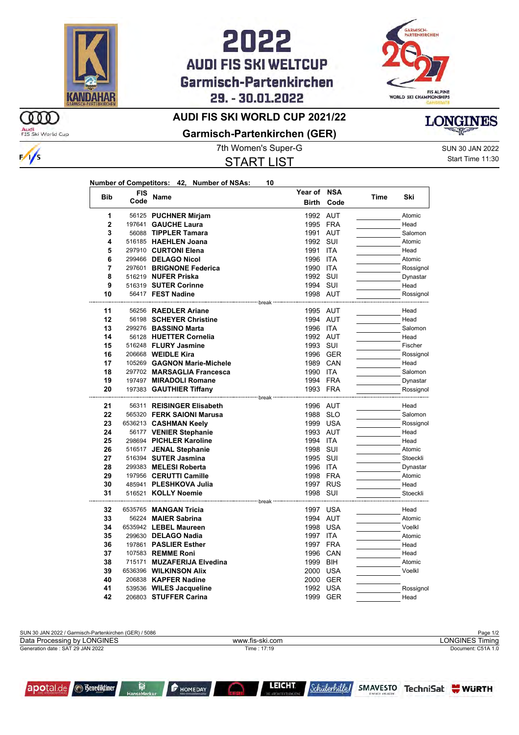

ഞ

Audi<br>FIS Ski World Cup

 $\frac{1}{s}$ 

**Bib FIS**

## **AUDI FIS SKI WELTCUP** Garmisch-Partenkirchen 29. - 30.01.2022



**Time Ski**

### **AUDI FIS SKI WORLD CUP 2021/22**

**Garmisch-Partenkirchen (GER)**

START LIST

**Year of NSA**

**Birth Code**

**Number of Competitors: 42, Number of NSAs: 10**

**Code Name**

7th Women's Super-G Super-G SUN 30 JAN 2022 Start Time 11:30

**LONGINES** 

|                         | ovuu |                             | וווס                  | coue       |           |
|-------------------------|------|-----------------------------|-----------------------|------------|-----------|
| 1                       |      | 56125 PUCHNER Mirjam        | 1992                  | AUT        | Atomic    |
| $\overline{\mathbf{c}}$ |      | 197641 GAUCHE Laura         |                       | 1995 FRA   | Head      |
| 3                       |      | 56088 TIPPLER Tamara        | 1991                  | AUT        | Salomon   |
| 4                       |      | 516185 HAEHLEN Joana        |                       | 1992 SUI   | Atomic    |
| 5                       |      | 297910 CURTONI Elena        | 1991                  | <b>ITA</b> | Head      |
| 6                       |      | 299466 DELAGO Nicol         | 1996                  | <b>ITA</b> | Atomic    |
| $\overline{7}$          |      | 297601 BRIGNONE Federica    | 1990                  | <b>ITA</b> | Rossignol |
| 8                       |      | 516219 NUFER Priska         |                       | 1992 SUI   | Dynastar  |
| 9                       |      | 516319 SUTER Corinne        |                       | 1994 SUI   | Head      |
| 10                      |      | 56417 FEST Nadine           |                       | 1998 AUT   | Rossignol |
|                         |      |                             | break                 |            |           |
| 11                      |      | 56256 RAEDLER Ariane        |                       | 1995 AUT   | Head      |
| 12                      |      | 56198 SCHEYER Christine     |                       | 1994 AUT   | Head      |
| 13                      |      | 299276 BASSINO Marta        | 1996 ITA              |            | Salomon   |
| 14                      |      | 56128 HUETTER Cornelia      |                       | 1992 AUT   | Head      |
| 15                      |      | 516248 FLURY Jasmine        |                       | 1993 SUI   | Fischer   |
| 16                      |      | 206668 <b>WEIDLE Kira</b>   |                       | 1996 GER   | Rossignol |
| 17                      |      | 105269 GAGNON Marie-Michele | 1989                  | CAN        | Head      |
| 18                      |      | 297702 MARSAGLIA Francesca  | 1990                  | ITA        | Salomon   |
| 19                      |      | 197497 MIRADOLI Romane      |                       | 1994 FRA   | Dynastar  |
| 20                      |      | 197383 GAUTHIER Tiffany     |                       | 1993 FRA   | Rossignol |
| 21                      |      | 56311 REISINGER Elisabeth   | break                 | 1996 AUT   | Head      |
| 22                      |      | 565320 FERK SAIONI Marusa   |                       | 1988 SLO   | Salomon   |
| 23                      |      | 6536213 CASHMAN Keely       |                       | 1999 USA   | Rossignol |
| 24                      |      | 56177 VENIER Stephanie      |                       | 1993 AUT   | Head      |
| 25                      |      | 298694 PICHLER Karoline     | 1994 ITA              |            | Head      |
| 26                      |      | 516517 JENAL Stephanie      |                       | 1998 SUI   | Atomic    |
| 27                      |      | 516394 SUTER Jasmina        |                       | 1995 SUI   | Stoeckli  |
| 28                      |      | 299383 MELESI Roberta       | 1996 ITA              |            | Dynastar  |
| 29                      |      | 197956 CERUTTI Camille      |                       | 1998 FRA   | Atomic    |
| 30                      |      | 485941 PLESHKOVA Julia      |                       | 1997 RUS   | Head      |
| 31                      |      | 516521 KOLLY Noemie         |                       | 1998 SUI   | Stoeckli  |
|                         |      |                             | <sup>.---</sup> break |            |           |
| 32                      |      | 6535765 MANGAN Tricia       |                       | 1997 USA   | Head      |
| 33                      |      | 56224 MAIER Sabrina         | 1994                  | AUT        | Atomic    |
| 34                      |      | 6535942 LEBEL Maureen       |                       | 1998 USA   | Voelkl    |
| 35                      |      | 299630 DELAGO Nadia         | 1997 ITA              |            | Atomic    |
| 36                      |      | 197861 PASLIER Esther       | 1997                  | FRA        | Head      |
| 37                      |      | 107583 <b>REMME Roni</b>    | 1996                  | CAN        | Head      |
| 38                      |      | 715171 MUZAFERIJA Elvedina  | 1999                  | BIH        | Atomic    |
| 39                      |      | 6536396 WILKINSON Alix      | 2000                  | USA        | Voelkl    |
| 40                      |      | 206838 KAPFER Nadine        | 2000                  | GER        |           |
| 41                      |      | 539536 WILES Jacqueline     |                       | 1992 USA   | Rossignol |

SUN 30 JAN 2022 / Garmisch-Partenkirchen (GER) / 5086 Page 1/2<br>
Data Processing by LONGINES Timing Page 1/2 Generation date : SAT 29 JAN 2022 Time : 17:19 Document: C51A 1.0 Data Processing by LONGINES www.fis-ski.com

206803 **STUFFER Carina** 1999 GER Head

**41992 USA Analytic School STUFFER Carina**<br>206803 **STUFFER Carina** 1999 GER Head



**F** HOMEDAY



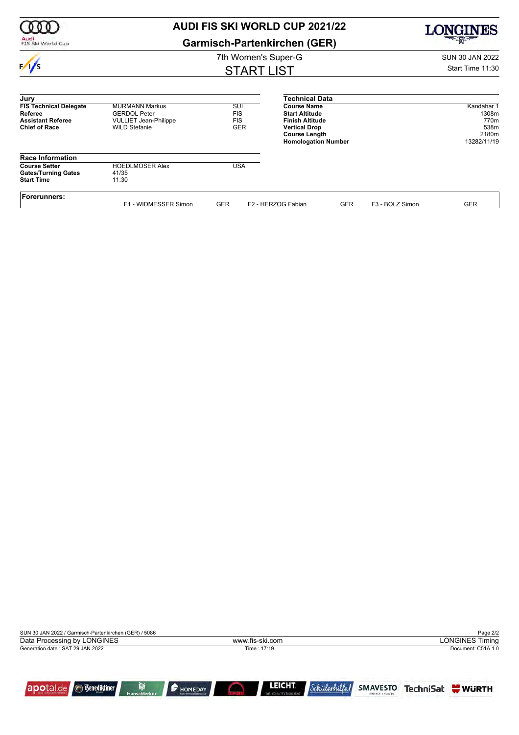|                                                                         |                                                      | <b>AUDI FIS SKI WORLD CUP 2021/22</b> |                                                                                                      |            | ONGINES         |                                      |  |
|-------------------------------------------------------------------------|------------------------------------------------------|---------------------------------------|------------------------------------------------------------------------------------------------------|------------|-----------------|--------------------------------------|--|
| Audi<br>FIS Ski World Cup                                               |                                                      |                                       | <b>Garmisch-Partenkirchen (GER)</b>                                                                  |            | 국민주             |                                      |  |
|                                                                         |                                                      |                                       | 7th Women's Super-G                                                                                  |            |                 | <b>SUN 30 JAN 2022</b>               |  |
| $\overline{\phantom{a}}$                                                |                                                      |                                       | <b>START LIST</b>                                                                                    |            |                 | Start Time 11:30                     |  |
| Jury                                                                    |                                                      |                                       | <b>Technical Data</b>                                                                                |            |                 |                                      |  |
| <b>FIS Technical Delegate</b><br>Referee                                | <b>MURMANN Markus</b><br><b>GERDOL Peter</b>         | SUI<br><b>FIS</b>                     | <b>Course Name</b><br><b>Start Altitude</b>                                                          |            |                 | Kandahar 1<br>1308m                  |  |
| <b>Assistant Referee</b><br><b>Chief of Race</b>                        | <b>VULLIET Jean-Philippe</b><br><b>WILD Stefanie</b> | <b>FIS</b><br><b>GER</b>              | <b>Finish Altitude</b><br><b>Vertical Drop</b><br><b>Course Length</b><br><b>Homologation Number</b> |            |                 | 770m<br>538m<br>2180m<br>13282/11/19 |  |
| <b>Race Information</b>                                                 |                                                      |                                       |                                                                                                      |            |                 |                                      |  |
| <b>Course Setter</b><br><b>Gates/Turning Gates</b><br><b>Start Time</b> | <b>HOEDLMOSER Alex</b><br>41/35<br>11:30             | <b>USA</b>                            |                                                                                                      |            |                 |                                      |  |
| <b>Forerunners:</b>                                                     | F1 - WIDMESSER Simon                                 | <b>GER</b>                            | F2 - HERZOG Fabian                                                                                   | <b>GER</b> | F3 - BOLZ Simon | <b>GER</b>                           |  |

| SUN 30 JAN 2022 / Garmisch-Partenkirchen (GER) / 5086 |                                             |                                       |                                    |                 | Page 2/2               |
|-------------------------------------------------------|---------------------------------------------|---------------------------------------|------------------------------------|-----------------|------------------------|
| Data Processing by LONGINES                           |                                             | www.fis-ski.com                       |                                    |                 | <b>LONGINES Timing</b> |
| Generation date: SAT 29 JAN 2022                      |                                             | Time: 17:19                           |                                    |                 | Document: C51A 1.0     |
| <b>Benediktiner</b>                                   | Ĥ<br><b>F</b> HOMEDAY<br><b>HanseMerkur</b> | <b>LEICHT</b><br>DIE ARCHITEKTURKUCH. | <b>SMAVESTO</b><br>EINFATH ANLEGEN | TechniSat WWRTH |                        |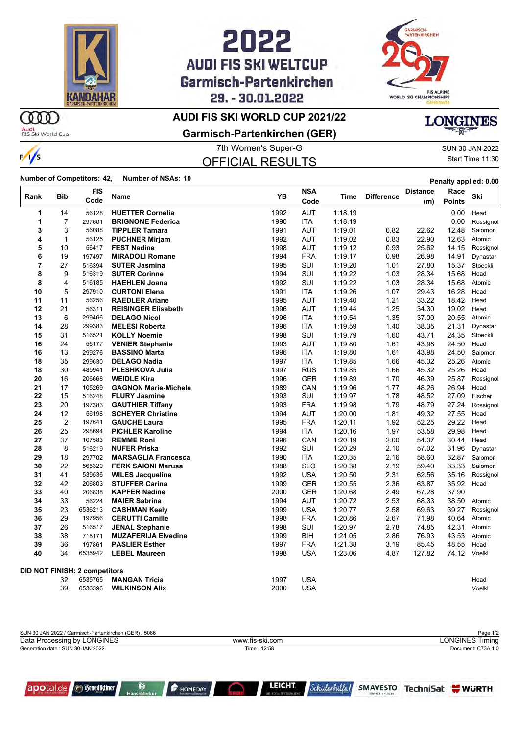



### **AUDI FIS SKI WORLD CUP 2021/22**

Audi<br>FIS Ski World Cup

**OOD** 

 $\frac{1}{s}$ 

**Garmisch-Partenkirchen (GER)**

OFFICIAL RESULTS

7th Women's Super-G Super-G SUN 30 JAN 2022 Start Time 11:30

**Number of Competitors: 42, Number of NSAs: 10 Penalty applied: 0.00**

|                |                | <b>FIS</b>                           |                             |      | <b>NSA</b> |         |                   | <b>Distance</b> | Race          |           |
|----------------|----------------|--------------------------------------|-----------------------------|------|------------|---------|-------------------|-----------------|---------------|-----------|
| Rank           | <b>Bib</b>     | Code                                 | Name                        | YB   | Code       | Time    | <b>Difference</b> | (m)             | <b>Points</b> | Ski       |
| 1              | 14             | 56128                                | <b>HUETTER Cornelia</b>     | 1992 | <b>AUT</b> | 1:18.19 |                   |                 | 0.00          | Head      |
| 1              | $\overline{7}$ | 297601                               | <b>BRIGNONE Federica</b>    | 1990 | <b>ITA</b> | 1:18.19 |                   |                 | 0.00          | Rossignol |
| 3              | 3              | 56088                                | <b>TIPPLER Tamara</b>       | 1991 | <b>AUT</b> | 1:19.01 | 0.82              | 22.62           | 12.48         | Salomon   |
| 4              | $\mathbf{1}$   | 56125                                | <b>PUCHNER Mirjam</b>       | 1992 | <b>AUT</b> | 1:19.02 | 0.83              | 22.90           | 12.63         | Atomic    |
| 5              | 10             | 56417                                | <b>FEST Nadine</b>          | 1998 | <b>AUT</b> | 1:19.12 | 0.93              | 25.62           | 14.15         | Rossignol |
| 6              | 19             | 197497                               | <b>MIRADOLI Romane</b>      | 1994 | <b>FRA</b> | 1:19.17 | 0.98              | 26.98           | 14.91         | Dynastar  |
| $\overline{7}$ | 27             | 516394                               | <b>SUTER Jasmina</b>        | 1995 | SUI        | 1:19.20 | 1.01              | 27.80           | 15.37         | Stoeckli  |
| 8              | 9              | 516319                               | <b>SUTER Corinne</b>        | 1994 | SUI        | 1:19.22 | 1.03              | 28.34           | 15.68         | Head      |
| 8              | 4              | 516185                               | <b>HAEHLEN Joana</b>        | 1992 | SUI        | 1:19.22 | 1.03              | 28.34           | 15.68         | Atomic    |
| 10             | 5              | 297910                               | <b>CURTONI Elena</b>        | 1991 | <b>ITA</b> | 1:19.26 | 1.07              | 29.43           | 16.28         | Head      |
| 11             | 11             | 56256                                | <b>RAEDLER Ariane</b>       | 1995 | <b>AUT</b> | 1:19.40 | 1.21              | 33.22           | 18.42         | Head      |
| 12             | 21             | 56311                                | <b>REISINGER Elisabeth</b>  | 1996 | <b>AUT</b> | 1:19.44 | 1.25              | 34.30           | 19.02         | Head      |
| 13             | 6              | 299466                               | <b>DELAGO Nicol</b>         | 1996 | <b>ITA</b> | 1:19.54 | 1.35              | 37.00           | 20.55         | Atomic    |
| 14             | 28             | 299383                               | <b>MELESI Roberta</b>       | 1996 | <b>ITA</b> | 1:19.59 | 1.40              | 38.35           | 21.31         | Dynastar  |
| 15             | 31             | 516521                               | <b>KOLLY Noemie</b>         | 1998 | SUI        | 1:19.79 | 1.60              | 43.71           | 24.35         | Stoeckli  |
| 16             | 24             | 56177                                | <b>VENIER Stephanie</b>     | 1993 | <b>AUT</b> | 1:19.80 | 1.61              | 43.98           | 24.50         | Head      |
| 16             | 13             | 299276                               | <b>BASSINO Marta</b>        | 1996 | <b>ITA</b> | 1:19.80 | 1.61              | 43.98           | 24.50         | Salomon   |
| 18             | 35             | 299630                               | <b>DELAGO Nadia</b>         | 1997 | <b>ITA</b> | 1:19.85 | 1.66              | 45.32           | 25.26         | Atomic    |
| 18             | 30             | 485941                               | PLESHKOVA Julia             | 1997 | <b>RUS</b> | 1:19.85 | 1.66              | 45.32           | 25.26         | Head      |
| 20             | 16             | 206668                               | <b>WEIDLE Kira</b>          | 1996 | <b>GER</b> | 1:19.89 | 1.70              | 46.39           | 25.87         | Rossignol |
| 21             | 17             | 105269                               | <b>GAGNON Marie-Michele</b> | 1989 | CAN        | 1:19.96 | 1.77              | 48.26           | 26.94         | Head      |
| 22             | 15             | 516248                               | <b>FLURY Jasmine</b>        | 1993 | SUI        | 1:19.97 | 1.78              | 48.52           | 27.09         | Fischer   |
| 23             | 20             | 197383                               | <b>GAUTHIER Tiffany</b>     | 1993 | <b>FRA</b> | 1:19.98 | 1.79              | 48.79           | 27.24         | Rossignol |
| 24             | 12             | 56198                                | <b>SCHEYER Christine</b>    | 1994 | <b>AUT</b> | 1:20.00 | 1.81              | 49.32           | 27.55         | Head      |
| 25             | $\overline{2}$ | 197641                               | <b>GAUCHE Laura</b>         | 1995 | <b>FRA</b> | 1:20.11 | 1.92              | 52.25           | 29.22         | Head      |
| 26             | 25             | 298694                               | <b>PICHLER Karoline</b>     | 1994 | <b>ITA</b> | 1:20.16 | 1.97              | 53.58           | 29.98         | Head      |
| 27             | 37             | 107583                               | <b>REMME Roni</b>           | 1996 | CAN        | 1:20.19 | 2.00              | 54.37           | 30.44         | Head      |
| 28             | 8              | 516219                               | <b>NUFER Priska</b>         | 1992 | SUI        | 1:20.29 | 2.10              | 57.02           | 31.96         | Dynastar  |
| 29             | 18             | 297702                               | <b>MARSAGLIA Francesca</b>  | 1990 | <b>ITA</b> | 1:20.35 | 2.16              | 58.60           | 32.87         | Salomon   |
| 30             | 22             | 565320                               | <b>FERK SAIONI Marusa</b>   | 1988 | <b>SLO</b> | 1:20.38 | 2.19              | 59.40           | 33.33         | Salomon   |
| 31             | 41             | 539536                               | <b>WILES Jacqueline</b>     | 1992 | <b>USA</b> | 1:20.50 | 2.31              | 62.56           | 35.16         | Rossignol |
| 32             | 42             | 206803                               | <b>STUFFER Carina</b>       | 1999 | <b>GER</b> | 1:20.55 | 2.36              | 63.87           | 35.92         | Head      |
| 33             | 40             | 206838                               | <b>KAPFER Nadine</b>        | 2000 | <b>GER</b> | 1:20.68 | 2.49              | 67.28           | 37.90         |           |
| 34             | 33             | 56224                                | <b>MAIER Sabrina</b>        | 1994 | <b>AUT</b> | 1:20.72 | 2.53              | 68.33           | 38.50         | Atomic    |
| 35             | 23             | 6536213                              | <b>CASHMAN Keely</b>        | 1999 | <b>USA</b> | 1:20.77 | 2.58              | 69.63           | 39.27         | Rossignol |
| 36             | 29             | 197956                               | <b>CERUTTI Camille</b>      | 1998 | <b>FRA</b> | 1:20.86 | 2.67              | 71.98           | 40.64         | Atomic    |
| 37             | 26             | 516517                               | <b>JENAL Stephanie</b>      | 1998 | SUI        | 1:20.97 | 2.78              | 74.85           | 42.31         | Atomic    |
| 38             | 38             | 715171                               | <b>MUZAFERIJA Elvedina</b>  | 1999 | BIH        | 1:21.05 | 2.86              | 76.93           | 43.53         | Atomic    |
| 39             | 36             | 197861                               | <b>PASLIER Esther</b>       | 1997 | <b>FRA</b> | 1:21.38 | 3.19              | 85.45           | 48.55         | Head      |
| 40             | 34             | 6535942                              | <b>LEBEL Maureen</b>        | 1998 | <b>USA</b> | 1:23.06 | 4.87              | 127.82          | 74.12         | Voelkl    |
|                |                | <b>DID NOT FINISH: 2 competitors</b> |                             |      |            |         |                   |                 |               |           |
|                | 32             | 6535765                              | <b>MANGAN Tricia</b>        | 1997 | <b>USA</b> |         |                   |                 |               | Head      |
|                | 39             | 6536396                              | <b>WILKINSON Alix</b>       | 2000 | <b>USA</b> |         |                   |                 |               | Voelkl    |

| SUN 30 JAN 2022 / Garmisch-Partenkirchen (GER) / 5086 |                 | Page 1/2           |
|-------------------------------------------------------|-----------------|--------------------|
| Data Processing by LONGINES                           | www.fis-ski.com | LONGINES Timing    |
| Generation date: SUN 30 JAN 2022                      | Time : 12:58    | Document: C73A 1.0 |
|                                                       |                 |                    |



**F** HOMEDAY



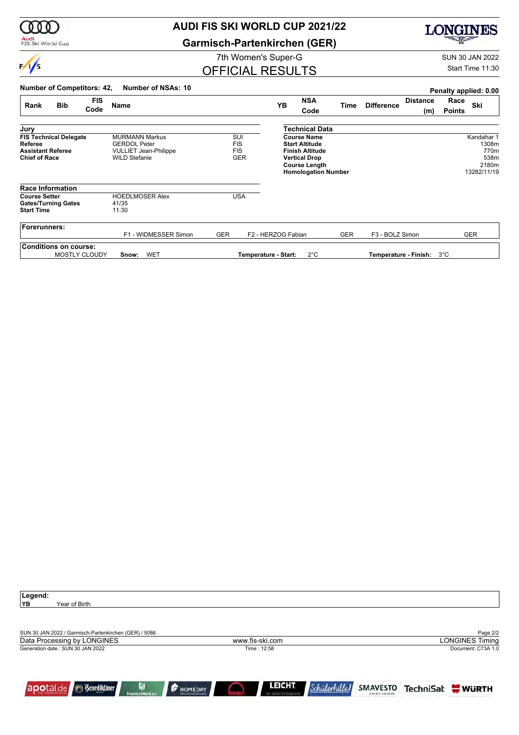

### **AUDI FIS SKI WORLD CUP 2021/22**

**Garmisch-Partenkirchen (GER)**

# **LONGINES**

7th Women's Super-G SUN 30 JAN 2022

### OFFICIAL RESULTS

Start Time 11:30

| Number of Competitors: 42,                                                                   |                    | Number of NSAs: 10                                                                                   |            |                                               |                                |                                                                                                                                                     |            |                   | Penalty applied: 0.00  |                       |                                                             |
|----------------------------------------------------------------------------------------------|--------------------|------------------------------------------------------------------------------------------------------|------------|-----------------------------------------------|--------------------------------|-----------------------------------------------------------------------------------------------------------------------------------------------------|------------|-------------------|------------------------|-----------------------|-------------------------------------------------------------|
| <b>Bib</b><br>Rank                                                                           | <b>FIS</b><br>Code | <b>Name</b>                                                                                          |            |                                               | YB                             | <b>NSA</b><br>Code                                                                                                                                  | Time       | <b>Difference</b> | <b>Distance</b><br>(m) | Race<br><b>Points</b> | Ski                                                         |
| Jury                                                                                         |                    |                                                                                                      |            |                                               |                                | Technical Data                                                                                                                                      |            |                   |                        |                       |                                                             |
| <b>FIS Technical Delegate</b><br>Referee<br><b>Assistant Referee</b><br><b>Chief of Race</b> |                    | <b>MURMANN Markus</b><br><b>GERDOL Peter</b><br><b>VULLIET Jean-Philippe</b><br><b>WILD Stefanie</b> |            | SUI<br><b>FIS</b><br><b>FIS</b><br><b>GER</b> |                                | <b>Course Name</b><br><b>Start Altitude</b><br><b>Finish Altitude</b><br><b>Vertical Drop</b><br><b>Course Length</b><br><b>Homologation Number</b> |            |                   |                        |                       | Kandahar 1<br>1308m<br>770m<br>538m<br>2180m<br>13282/11/19 |
| <b>Race Information</b>                                                                      |                    |                                                                                                      |            |                                               |                                |                                                                                                                                                     |            |                   |                        |                       |                                                             |
| <b>Course Setter</b><br><b>Gates/Turning Gates</b><br><b>Start Time</b>                      |                    | <b>HOEDLMOSER Alex</b><br>41/35<br>11:30                                                             |            | <b>USA</b>                                    |                                |                                                                                                                                                     |            |                   |                        |                       |                                                             |
| Forerunners:                                                                                 |                    | F1 - WIDMESSER Simon                                                                                 | <b>GER</b> |                                               | F <sub>2</sub> - HERZOG Fabian |                                                                                                                                                     | <b>GER</b> | F3 - BOLZ Simon   |                        |                       | <b>GER</b>                                                  |
| <b>Conditions on course:</b><br><b>MOSTLY CLOUDY</b>                                         |                    | WET<br>Snow:                                                                                         |            |                                               | Temperature - Start:           | $2^{\circ}$ C                                                                                                                                       |            |                   | Temperature - Finish:  | 3°C                   |                                                             |

| Legend:                                               |                                 |                                       |               |  |  |                          |  |  |
|-------------------------------------------------------|---------------------------------|---------------------------------------|---------------|--|--|--------------------------|--|--|
| YB<br>Year of Birth                                   |                                 |                                       |               |  |  |                          |  |  |
|                                                       |                                 |                                       |               |  |  |                          |  |  |
|                                                       |                                 |                                       |               |  |  |                          |  |  |
| SUN 30 JAN 2022 / Garmisch-Partenkirchen (GER) / 5086 |                                 |                                       |               |  |  | Page 2/2                 |  |  |
| Data Processing by LONGINES                           |                                 | <b>LONGINES Timing</b>                |               |  |  |                          |  |  |
| Generation date: SUN 30 JAN 2022                      |                                 | Time: 12:58                           |               |  |  | Document: C73A 1.0       |  |  |
|                                                       |                                 |                                       |               |  |  |                          |  |  |
|                                                       |                                 |                                       |               |  |  |                          |  |  |
| apotal.de <b>Benediktiner</b>                         | H<br>F HOMEDAY<br>Hancoblocking | <b>LEICHT</b><br>OIL ADOMITTYTUDALITY | Schülerhilfel |  |  | SMAVESTO TechniSat WURTH |  |  |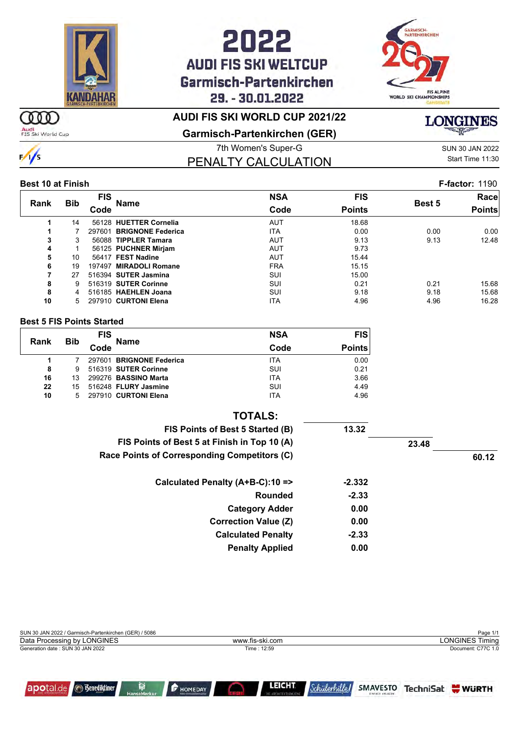



### **AUDI FIS SKI WORLD CUP 2021/22**

m Audi<br>FIS Ski World Cup

**Garmisch-Partenkirchen (GER)**

7th Women's Super-G Super-G SUN 30 JAN 2022

PENALTY CALCULATION

Start Time 11:30

**LONGINES** 

#### **Best 10 at Finish F-factor:** 1190

|      |            | <b>FIS</b> |                          | <b>NSA</b> | <b>FIS</b>    |               | Racel         |
|------|------------|------------|--------------------------|------------|---------------|---------------|---------------|
| Rank | <b>Bib</b> | Code       | Name                     | Code       | <b>Points</b> | <b>Best 5</b> | <b>Points</b> |
|      | 14         |            | 56128 HUETTER Cornelia   | <b>AUT</b> | 18.68         |               |               |
|      |            |            | 297601 BRIGNONE Federica | <b>ITA</b> | 0.00          | 0.00          | 0.00          |
| 3    | 3          |            | 56088 TIPPLER Tamara     | <b>AUT</b> | 9.13          | 9.13          | 12.48         |
| 4    |            |            | 56125 PUCHNER Mirjam     | <b>AUT</b> | 9.73          |               |               |
| 5    | 10         |            | 56417 FEST Nadine        | <b>AUT</b> | 15.44         |               |               |
| 6    | 19         |            | 197497 MIRADOLI Romane   | <b>FRA</b> | 15.15         |               |               |
|      | 27         |            | 516394 SUTER Jasmina     | <b>SUI</b> | 15.00         |               |               |
| 8    | 9          |            | 516319 SUTER Corinne     | SUI        | 0.21          | 0.21          | 15.68         |
| 8    |            |            | 516185 HAEHLEN Joana     | SUI        | 9.18          | 9.18          | 15.68         |
| 10   | $5 -$      |            | 297910 CURTONI Elena     | <b>ITA</b> | 4.96          | 4.96          | 16.28         |

#### **Best 5 FIS Points Started**

| Rank | <b>Bib</b> | <b>FIS</b><br><b>Name</b> | <b>NSA</b> | <b>FIS</b>    |
|------|------------|---------------------------|------------|---------------|
|      |            | Code                      | Code       | <b>Points</b> |
|      |            | 297601 BRIGNONE Federica  | <b>ITA</b> | 0.00          |
| 8    | 9          | 516319 SUTER Corinne      | SUI        | 0.21          |
| 16   | 13         | 299276 BASSINO Marta      | <b>ITA</b> | 3.66          |
| 22   | 15         | 516248 FLURY Jasmine      | SUI        | 4.49          |
| 10   | 5          | 297910 CURTONI Elena      | <b>ITA</b> | 4.96          |

| 13.32    |       |       |
|----------|-------|-------|
|          | 23.48 |       |
|          |       | 60.12 |
| $-2.332$ |       |       |
| $-2.33$  |       |       |
| 0.00     |       |       |
| 0.00     |       |       |
| $-2.33$  |       |       |
| 0.00     |       |       |
|          |       |       |

| SUN 30 JAN 2022 / Garmisch-Partenkirchen (GER) / 5086<br>Data Processing by LONGINES | www.fis-ski.com                                                                | Page 1/1<br><b>LONGINES Timing</b>          |
|--------------------------------------------------------------------------------------|--------------------------------------------------------------------------------|---------------------------------------------|
| Generation date: SUN 30 JAN 2022                                                     | Time: 12:59                                                                    | Document: C77C 1.0                          |
|                                                                                      |                                                                                |                                             |
| apotal.de <b>Benediktiner</b>                                                        | <b>LEICHT</b><br><b>F</b> HOMEDAY<br>DIE ARCHITEKTURKÜCH<br><b>HanseMerkur</b> | SMAVESTO TechniSat WURTH<br>EINTACH ANLEGEN |







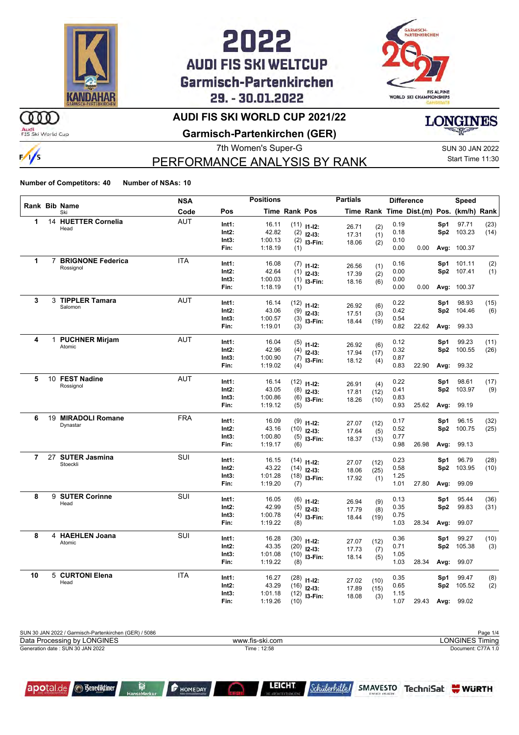



### m

 $\frac{1}{s}$ 

Audi<br>FIS Ski World Cup

### **AUDI FIS SKI WORLD CUP 2021/22**

**Garmisch-Partenkirchen (GER)**

7th Women's Super-G Super-G SUN 30 JAN 2022

PERFORMANCE ANALYSIS BY RANK

Start Time 11:30

**LONGINES** 

**Number of Competitors: 40 Number of NSAs: 10**

|                |              |                           | <b>NSA</b> |                | <b>Positions</b> |               |                  | <b>Partials</b> |              |      | <b>Difference</b>                        |                        | <b>Speed</b> |              |
|----------------|--------------|---------------------------|------------|----------------|------------------|---------------|------------------|-----------------|--------------|------|------------------------------------------|------------------------|--------------|--------------|
|                |              | Rank Bib Name<br>Ski      | Code       | Pos            |                  | Time Rank Pos |                  |                 |              |      | Time Rank Time Dist.(m) Pos. (km/h) Rank |                        |              |              |
| $\mathbf{1}$   |              | 14 HUETTER Cornelia       | <b>AUT</b> | Int1:          | 16.11            |               | $(11)$ $11-12$ : |                 |              | 0.19 |                                          | Sp1                    | 97.71        | (23)         |
|                |              | Head                      |            | $Int2$ :       | 42.82            |               | $(2)$ 12-13:     | 26.71<br>17.31  | (2)<br>(1)   | 0.18 |                                          | Sp <sub>2</sub>        | 103.23       | (14)         |
|                |              |                           |            | Int3:          | 1:00.13          |               | $(2)$ 13-Fin:    | 18.06           | (2)          | 0.10 |                                          |                        |              |              |
|                |              |                           |            | Fin:           | 1:18.19          | (1)           |                  |                 |              | 0.00 | 0.00                                     |                        | Avg: 100.37  |              |
| $\mathbf{1}$   |              | 7 BRIGNONE Federica       | <b>ITA</b> | Int1:          | 16.08            |               |                  |                 |              | 0.16 |                                          | Sp1                    | 101.11       | (2)          |
|                |              | Rossignol                 |            | $Int2$ :       | 42.64            |               | $(7)$ 11-12:     | 26.56           | (1)          | 0.00 |                                          | Sp2                    | 107.41       | (1)          |
|                |              |                           |            | Int3:          | 1:00.03          |               | $(1)$ 12-13:     | 17.39           | (2)          | 0.00 |                                          |                        |              |              |
|                |              |                           |            | Fin:           | 1:18.19          | (1)           | $(1)$ 13-Fin:    | 18.16           | (6)          | 0.00 | 0.00                                     |                        | Avg: 100.37  |              |
| 3              |              | 3 TIPPLER Tamara          | <b>AUT</b> | Int1:          |                  |               |                  |                 |              | 0.22 |                                          |                        | 98.93        |              |
|                |              | Salomon                   |            | Int2:          | 16.14<br>43.06   |               | $(12)$ 11-12:    | 26.92           | (6)          | 0.42 |                                          | Sp1<br>Sp2             | 104.46       | (15)<br>(6)  |
|                |              |                           |            | Int3:          | 1:00.57          |               | $(9)$ 12-13:     | 17.51           | (3)          | 0.54 |                                          |                        |              |              |
|                |              |                           |            | Fin:           | 1:19.01          | (3)           | $(3)$ 13-Fin:    | 18.44           | (19)         | 0.82 | 22.62                                    | Avg:                   | 99.33        |              |
|                |              |                           |            |                |                  |               |                  |                 |              |      |                                          |                        |              |              |
| 4              | $\mathbf{1}$ | <b>PUCHNER Mirjam</b>     | <b>AUT</b> | Int1:          | 16.04            |               | $(5)$ 11-12:     | 26.92           | (6)          | 0.12 |                                          | Sp1                    | 99.23        | (11)         |
|                |              | Atomic                    |            | $Int2$ :       | 42.96            |               | $(4)$ 12-13:     | 17.94           | (17)         | 0.32 |                                          | Sp2                    | 100.55       | (26)         |
|                |              |                           |            | Int3:          | 1:00.90          |               | $(7)$ 13-Fin:    | 18.12           | (4)          | 0.87 |                                          |                        |              |              |
|                |              |                           |            | Fin:           | 1:19.02          | (4)           |                  |                 |              | 0.83 | 22.90                                    | Avg:                   | 99.32        |              |
| 5              |              | 10 FEST Nadine            | <b>AUT</b> | Int1:          | 16.14            |               | $(12)$ 11-12:    |                 |              | 0.22 |                                          | Sp1                    | 98.61        | (17)         |
|                |              | Rossignol                 |            | Int2:          | 43.05            | (8)           | $12-13:$         | 26.91           | (4)          | 0.41 |                                          | Sp2                    | 103.97       | (9)          |
|                |              |                           |            | Int3:          | 1:00.86          |               | $(6)$ 13-Fin:    | 17.81<br>18.26  | (12)<br>(10) | 0.83 |                                          |                        |              |              |
|                |              |                           |            | Fin:           | 1:19.12          | (5)           |                  |                 |              | 0.93 | 25.62                                    | Avg:                   | 99.19        |              |
| 6              |              | 19 MIRADOLI Romane        | <b>FRA</b> | Int1:          | 16.09            |               |                  |                 |              | 0.17 |                                          | Sp1                    | 96.15        | (32)         |
|                |              | Dynastar                  |            | $Int2$ :       | 43.16            |               | $(9)$ 11-12:     | 27.07           | (12)         | 0.52 |                                          | Sp2                    | 100.75       | (25)         |
|                |              |                           |            | Int3:          | 1:00.80          |               | $(10)$ 12-13:    | 17.64           | (5)          | 0.77 |                                          |                        |              |              |
|                |              |                           |            | Fin:           | 1:19.17          | (6)           | $(5)$ 13-Fin:    | 18.37           | (13)         | 0.98 | 26.98                                    | Avg:                   | 99.13        |              |
| $\overline{7}$ | 27           | <b>SUTER Jasmina</b>      | SUI        | Int1:          | 16.15            |               |                  |                 |              | 0.23 |                                          |                        | 96.79        |              |
|                |              | Stoeckli                  |            | $Int2$ :       | 43.22            |               | $(14)$ 11-12:    | 27.07           | (12)         | 0.58 |                                          | Sp1<br>Sp2             | 103.95       | (28)<br>(10) |
|                |              |                           |            | Int3:          | 1:01.28          |               | $(14)$ 12-13:    | 18.06           | (25)         | 1.25 |                                          |                        |              |              |
|                |              |                           |            | Fin:           | 1:19.20          | (7)           | $(18)$ 13-Fin:   | 17.92           | (1)          | 1.01 | 27.80                                    | Avg:                   | 99.09        |              |
| 8              |              | 9 SUTER Corinne           | <b>SUI</b> |                |                  |               |                  |                 |              | 0.13 |                                          |                        | 95.44        |              |
|                |              | Head                      |            | Int1:<br>Int2: | 16.05<br>42.99   |               | $(6)$ 11-12:     | 26.94           | (9)          | 0.35 |                                          | Sp1<br>Sp <sub>2</sub> | 99.83        | (36)         |
|                |              |                           |            | Int3:          | 1:00.78          |               | $(5)$ 12-13:     | 17.79           | (8)          | 0.75 |                                          |                        |              | (31)         |
|                |              |                           |            | Fin:           | 1:19.22          | (4)<br>(8)    | I3-Fin:          | 18.44           | (19)         | 1.03 | 28.34                                    | Avg:                   | 99.07        |              |
|                |              |                           |            |                |                  |               |                  |                 |              |      |                                          |                        |              |              |
| 8              |              | 4 HAEHLEN Joana<br>Atomic | <b>SUI</b> | Int1:          | 16.28            |               | $(30)$ 11-12:    | 27.07           | (12)         | 0.36 |                                          | Sp1                    | 99.27        | (10)         |
|                |              |                           |            | $Int2$ :       | 43.35            |               | $(20)$ 12-13:    | 17.73           | (7)          | 0.71 |                                          | Sp2                    | 105.38       | (3)          |
|                |              |                           |            | Int3:          | 1:01.08          |               | $(10)$ 13-Fin:   | 18.14           | (5)          | 1.05 |                                          |                        |              |              |
|                |              |                           |            | Fin:           | 1:19.22          | (8)           |                  |                 |              | 1.03 | 28.34                                    | Avg:                   | 99.07        |              |
| 10             |              | 5 CURTONI Elena           | <b>ITA</b> | Int1:          | 16.27            |               | $(28)$ 11-12:    | 27.02           | (10)         | 0.35 |                                          | Sp1                    | 99.47        | (8)          |
|                |              | Head                      |            | $Int2$ :       | 43.29            |               | $(16)$ 12-13:    | 17.89           | (15)         | 0.65 |                                          | Sp2                    | 105.52       | (2)          |
|                |              |                           |            | Int3:          | 1:01.18          |               | $(12)$ 13-Fin:   | 18.08           | (3)          | 1.15 |                                          |                        |              |              |
|                |              |                           |            | Fin:           | 1:19.26          | (10)          |                  |                 |              | 1.07 | 29.43                                    |                        | Avg: 99.02   |              |

| SUN 30 JAN 2022 / Garmisch-Partenkirchen (GER) / 5086 |                 | Page 1/4           |
|-------------------------------------------------------|-----------------|--------------------|
| Data Processing by LONGINES                           | www.fis-ski.com | _ONGINES Timina    |
| Generation date: SUN 30 JAN 2022                      | Time: 12:58     | Document: C77A 1.0 |
|                                                       |                 |                    |



**F** HOMEDAY

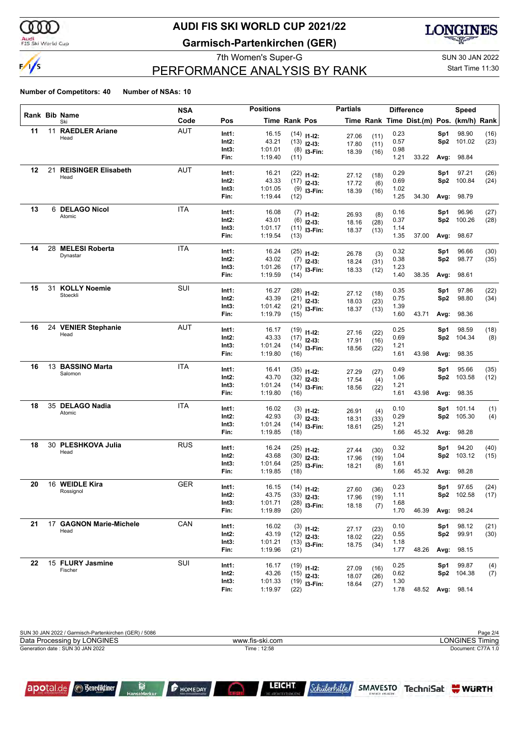000

 $\frac{1}{s}$ 

### Audi<br>FIS Ski World Cup

## **AUDI FIS SKI WORLD CUP 2021/22**

**Garmisch-Partenkirchen (GER)**



### 7th Women's Super-G Super-G SUN 30 JAN 2022 PERFORMANCE ANALYSIS BY RANK

Start Time 11:30

#### **Number of Competitors: 40 Number of NSAs: 10**

|    |    |                            | <b>NSA</b> |       | <b>Positions</b> |                      |                | <b>Partials</b> |              |      | <b>Difference</b>                        |                 | <b>Speed</b>     |      |
|----|----|----------------------------|------------|-------|------------------|----------------------|----------------|-----------------|--------------|------|------------------------------------------|-----------------|------------------|------|
|    |    | Rank Bib Name<br>Ski       | Code       | Pos   |                  | <b>Time Rank Pos</b> |                |                 |              |      | Time Rank Time Dist.(m) Pos. (km/h) Rank |                 |                  |      |
| 11 |    | 11 RAEDLER Ariane          | <b>AUT</b> | Int1: | 16.15            |                      | $(14)$ 11-12:  | 27.06           | (11)         | 0.23 |                                          | Sp1             | 98.90            | (16) |
|    |    | Head                       |            | Int2: | 43.21            |                      | $(13)$ 12-13:  | 17.80           | (11)         | 0.57 |                                          | Sp <sub>2</sub> | 101.02           | (23) |
|    |    |                            |            | Int3: | 1:01.01          |                      | $(8)$ 13-Fin:  | 18.39           | (16)         | 0.98 |                                          |                 |                  |      |
|    |    |                            |            | Fin:  | 1:19.40          | (11)                 |                |                 |              | 1.21 | 33.22                                    | Avg:            | 98.84            |      |
| 12 | 21 | <b>REISINGER Elisabeth</b> | AUT        | Int1: | 16.21            |                      | $(22)$ 11-12:  |                 |              | 0.29 |                                          | Sp1             | 97.21            | (26) |
|    |    | Head                       |            | Int2: | 43.33            |                      | $(17)$ 12-13:  | 27.12<br>17.72  | (18)<br>(6)  | 0.69 |                                          | Sp <sub>2</sub> | 100.84           | (24) |
|    |    |                            |            | Int3: | 1:01.05          |                      | $(9)$ 13-Fin:  | 18.39           | (16)         | 1.02 |                                          |                 |                  |      |
|    |    |                            |            | Fin:  | 1:19.44          | (12)                 |                |                 |              | 1.25 | 34.30                                    | Avg:            | 98.79            |      |
| 13 |    | 6 DELAGO Nicol             | <b>ITA</b> | Int1: | 16.08            |                      | $(7)$ 11-12:   | 26.93           | (8)          | 0.16 |                                          | Sp1             | 96.96            | (27) |
|    |    | Atomic                     |            | Int2: | 43.01            |                      | $(6)$ 12-13:   | 18.16           | (28)         | 0.37 |                                          | Sp <sub>2</sub> | 100.26           | (28) |
|    |    |                            |            | Int3: | 1:01.17          |                      | $(11)$ 13-Fin: | 18.37           | (13)         | 1.14 |                                          |                 |                  |      |
|    |    |                            |            | Fin:  | 1:19.54          | (13)                 |                |                 |              | 1.35 | 37.00                                    | Avg:            | 98.67            |      |
| 14 | 28 | <b>MELESI Roberta</b>      | <b>ITA</b> | Int1: | 16.24            |                      | $(25)$ 11-12:  | 26.78           |              | 0.32 |                                          | Sp1             | 96.66            | (30) |
|    |    | Dynastar                   |            | Int2: | 43.02            |                      | $(7)$ 12-13:   | 18.24           | (3)<br>(31)  | 0.38 |                                          | Sp <sub>2</sub> | 98.77            | (35) |
|    |    |                            |            | Int3: | 1:01.26          |                      | $(17)$ 13-Fin: | 18.33           | (12)         | 1.23 |                                          |                 |                  |      |
|    |    |                            |            | Fin:  | 1:19.59          | (14)                 |                |                 |              | 1.40 | 38.35                                    | Avg:            | 98.61            |      |
| 15 |    | 31 KOLLY Noemie            | SUI        | Int1: | 16.27            |                      | $(28)$ 11-12:  |                 |              | 0.35 |                                          | Sp1             | 97.86            | (22) |
|    |    | Stoeckli                   |            | Int2: | 43.39            |                      | $(21)$ 12-13:  | 27.12<br>18.03  | (18)<br>(23) | 0.75 |                                          | Sp <sub>2</sub> | 98.80            | (34) |
|    |    |                            |            | Int3: | 1:01.42          |                      | $(21)$ 13-Fin: | 18.37           | (13)         | 1.39 |                                          |                 |                  |      |
|    |    |                            |            | Fin:  | 1:19.79          | (15)                 |                |                 |              | 1.60 | 43.71                                    | Avg:            | 98.36            |      |
| 16 | 24 | <b>VENIER Stephanie</b>    | AUT        | Int1: | 16.17            |                      | $(19)$ 11-12:  |                 |              | 0.25 |                                          | Sp1             | 98.59            | (18) |
|    |    | Head                       |            | Int2: | 43.33            |                      | $(17)$ 12-13:  | 27.16<br>17.91  | (22)<br>(16) | 0.69 |                                          | Sp <sub>2</sub> | 104.34           | (8)  |
|    |    |                            |            | Int3: | 1:01.24          |                      | $(14)$ 13-Fin: | 18.56           | (22)         | 1.21 |                                          |                 |                  |      |
|    |    |                            |            | Fin:  | 1:19.80          | (16)                 |                |                 |              | 1.61 | 43.98                                    | Avg:            | 98.35            |      |
| 16 |    | 13 BASSINO Marta           | ITA        | Int1: | 16.41            |                      | $(35)$ 11-12:  |                 |              | 0.49 |                                          | Sp1             | 95.66            | (35) |
|    |    | Salomon                    |            | Int2: | 43.70            |                      | $(32)$ 12-13:  | 27.29<br>17.54  | (27)<br>(4)  | 1.06 |                                          | Sp <sub>2</sub> | 103.58           | (12) |
|    |    |                            |            | Int3: | 1:01.24          |                      | $(14)$ 13-Fin: | 18.56           | (22)         | 1.21 |                                          |                 |                  |      |
|    |    |                            |            | Fin:  | 1:19.80          | (16)                 |                |                 |              | 1.61 | 43.98                                    |                 | Avg: 98.35       |      |
| 18 |    | 35 DELAGO Nadia            | <b>ITA</b> | Int1: | 16.02            |                      | $(3)$ 11-12:   |                 |              | 0.10 |                                          | Sp1             | 101.14           | (1)  |
|    |    | Atomic                     |            | Int2: | 42.93            |                      | $(3)$ 12-13:   | 26.91<br>18.31  | (4)<br>(33)  | 0.29 |                                          | Sp <sub>2</sub> | 105.30           | (4)  |
|    |    |                            |            | Int3: | 1:01.24          |                      | $(14)$ 13-Fin: | 18.61           | (25)         | 1.21 |                                          |                 |                  |      |
|    |    |                            |            | Fin:  | 1:19.85          | (18)                 |                |                 |              | 1.66 | 45.32                                    | Avg:            | 98.28            |      |
| 18 |    | 30 PLESHKOVA Julia         | <b>RUS</b> | Int1: | 16.24            |                      | $(25)$ 11-12:  |                 |              | 0.32 |                                          | Sp1             | 94.20            | (40) |
|    |    | Head                       |            | Int2: | 43.68            |                      | $(30)$ 12-13:  | 27.44<br>17.96  | (30)<br>(19) | 1.04 |                                          | Sp <sub>2</sub> | 103.12           | (15) |
|    |    |                            |            | Int3: | 1:01.64          |                      | $(25)$ 13-Fin: | 18.21           | (8)          | 1.61 |                                          |                 |                  |      |
|    |    |                            |            | Fin:  | 1:19.85          | (18)                 |                |                 |              | 1.66 | 45.32                                    | Avg:            | 98.28            |      |
| 20 |    | 16 WEIDLE Kira             | <b>GER</b> | Int1: | 16.15            |                      | $(14)$ 11-12:  | 27.60           | (36)         | 0.23 |                                          | Sp1             | 97.65            | (24) |
|    |    | Rossignol                  |            | Int2: | 43.75            |                      | $(33)$ 12-13:  | 17.96           | (19)         | 1.11 |                                          |                 | Sp2 102.58       | (17) |
|    |    |                            |            | Int3: | 1:01.71          |                      | $(28)$ 13-Fin: | 18.18           | (7)          | 1.68 |                                          |                 |                  |      |
|    |    |                            |            | Fin:  | 1:19.89          | (20)                 |                |                 |              | 1.70 | 46.39                                    |                 | Avg: 98.24       |      |
| 21 |    | 17 GAGNON Marie-Michele    | CAN        | Int1: | 16.02            |                      | $(3)$ 11-12:   | 27.17           | (23)         | 0.10 |                                          | Sp1             | 98.12            | (21) |
|    |    | Head                       |            | Int2: | 43.19            |                      | $(12)$ 12-13:  | 18.02           | (22)         | 0.55 |                                          | Sp2             | 99.91            | (30) |
|    |    |                            |            | Int3: | 1:01.21          |                      | $(13)$ 13-Fin: | 18.75           | (34)         | 1.18 |                                          |                 |                  |      |
|    |    |                            |            | Fin:  | 1:19.96          | (21)                 |                |                 |              | 1.77 | 48.26                                    |                 | Avg: 98.15       |      |
| 22 |    | 15 FLURY Jasmine           | SUI        | Int1: | 16.17            |                      | $(19)$ 11-12:  |                 |              | 0.25 |                                          | Sp1             | 99.87            | (4)  |
|    |    | Fischer                    |            | Int2: | 43.26            |                      | $(15)$ 12-13:  | 27.09<br>18.07  | (16)<br>(26) | 0.62 |                                          | Sp2             | 104.38           | (7)  |
|    |    |                            |            | Int3: | 1:01.33          |                      | $(19)$ 13-Fin: | 18.64           | (27)         | 1.30 |                                          |                 |                  |      |
|    |    |                            |            | Fin:  | 1:19.97          | (22)                 |                |                 |              | 1.78 |                                          |                 | 48.52 Avg: 98.14 |      |

| SUN 30 JAN 2022 / Garmisch-Partenkirchen (GER) / 5086 |                 | Page 2/4           |
|-------------------------------------------------------|-----------------|--------------------|
| Data Processing by LONGINES                           | www.fis-ski.com | LONGINES Timina    |
| Generation date : SUN 30 JAN 2022                     | Time: 12:58     | Document: C77A 1.0 |
|                                                       |                 |                    |

**P** HOMEDAY

L

LEICHT *Schülerhille1* 

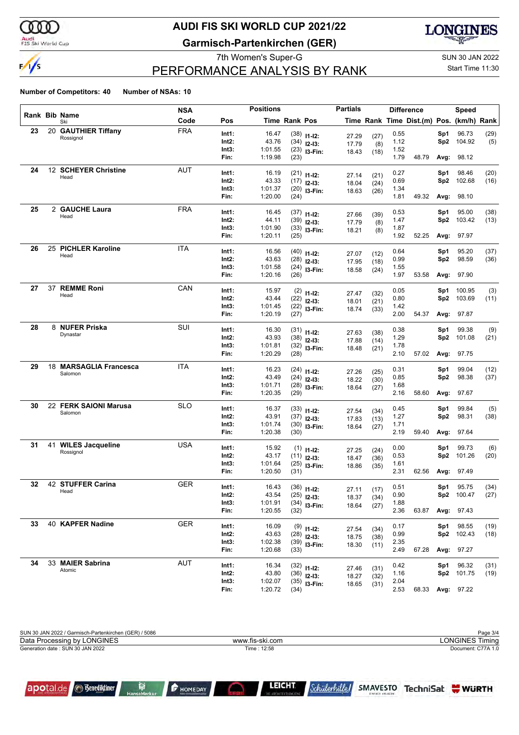000

 $\frac{1}{s}$ 

### Audi<br>FIS Ski World Cup

## **AUDI FIS SKI WORLD CUP 2021/22**

**Garmisch-Partenkirchen (GER)**



### 7th Women's Super-G Super-G SUN 30 JAN 2022 PERFORMANCE ANALYSIS BY RANK

Start Time 11:30

#### **Number of Competitors: 40 Number of NSAs: 10**

|    |    |                            | <b>NSA</b> |       | <b>Positions</b> |                      |                | <b>Partials</b> |              | <b>Difference</b> |                                          |                 | Speed             |      |
|----|----|----------------------------|------------|-------|------------------|----------------------|----------------|-----------------|--------------|-------------------|------------------------------------------|-----------------|-------------------|------|
|    |    | Rank Bib Name<br>Ski       | Code       | Pos   |                  | <b>Time Rank Pos</b> |                |                 |              |                   | Time Rank Time Dist.(m) Pos. (km/h) Rank |                 |                   |      |
| 23 |    | 20 GAUTHIER Tiffany        | <b>FRA</b> | Int1: | 16.47            |                      | $(38)$ 11-12:  | 27.29           | (27)         | 0.55              |                                          | Sp1             | 96.73             | (29) |
|    |    | Rossignol                  |            | Int2: | 43.76            |                      | $(34)$ 12-13:  | 17.79           | (8)          | 1.12              |                                          | Sp2             | 104.92            | (5)  |
|    |    |                            |            | Int3: | 1:01.55          |                      | $(23)$ 13-Fin: | 18.43           | (18)         | 1.52              |                                          |                 |                   |      |
|    |    |                            |            | Fin:  | 1:19.98          | (23)                 |                |                 |              | 1.79              | 48.79                                    | Avg:            | 98.12             |      |
| 24 |    | 12 SCHEYER Christine       | <b>AUT</b> | Int1: | 16.19            |                      | $(21)$ 11-12:  | 27.14           | (21)         | 0.27              |                                          | Sp1             | 98.46             | (20) |
|    |    | Head                       |            | Int2: | 43.33            |                      | $(17)$ 12-13:  | 18.04           | (24)         | 0.69              |                                          | Sp2             | 102.68            | (16) |
|    |    |                            |            | Int3: | 1:01.37          |                      | $(20)$ 13-Fin: | 18.63           | (26)         | 1.34              |                                          |                 |                   |      |
|    |    |                            |            | Fin:  | 1:20.00          | (24)                 |                |                 |              | 1.81              | 49.32                                    |                 | Avg: 98.10        |      |
| 25 |    | 2 GAUCHE Laura             | <b>FRA</b> | Int1: | 16.45            |                      | $(37)$ 11-12:  | 27.66           | (39)         | 0.53              |                                          | Sp1             | 95.00             | (38) |
|    |    | Head                       |            | Int2: | 44.11            |                      | $(39)$ 12-13:  | 17.79           | (8)          | 1.47              |                                          | Sp <sub>2</sub> | 103.42            | (13) |
|    |    |                            |            | Int3: | 1:01.90          |                      | $(33)$ 13-Fin: | 18.21           | (8)          | 1.87              |                                          |                 |                   |      |
|    |    |                            |            | Fin:  | 1:20.11          | (25)                 |                |                 |              | 1.92              | 52.25                                    | Avg:            | 97.97             |      |
| 26 |    | 25 PICHLER Karoline        | <b>ITA</b> | Int1: | 16.56            |                      | $(40)$ 11-12:  | 27.07           | (12)         | 0.64              |                                          | Sp1             | 95.20             | (37) |
|    |    | Head                       |            | Int2: | 43.63            |                      | $(28)$ 12-13:  | 17.95           | (18)         | 0.99              |                                          | Sp2             | 98.59             | (36) |
|    |    |                            |            | Int3: | 1:01.58          |                      | $(24)$ 13-Fin: | 18.58           | (24)         | 1.55              |                                          |                 |                   |      |
|    |    |                            |            | Fin:  | 1:20.16          | (26)                 |                |                 |              | 1.97              | 53.58                                    |                 | Avg: 97.90        |      |
| 27 |    | 37 REMME Roni              | CAN        | Int1: | 15.97            |                      | $(2)$ 11-12:   | 27.47           | (32)         | 0.05              |                                          | Sp1             | 100.95            | (3)  |
|    |    | Head                       |            | Int2: | 43.44            |                      | $(22)$ 12-13:  | 18.01           | (21)         | 0.80              |                                          | Sp <sub>2</sub> | 103.69            | (11) |
|    |    |                            |            | Int3: | 1:01.45          |                      | $(22)$ 13-Fin: | 18.74           | (33)         | 1.42              |                                          |                 |                   |      |
|    |    |                            |            | Fin:  | 1:20.19          | (27)                 |                |                 |              | 2.00              | 54.37                                    | Avg:            | 97.87             |      |
| 28 |    | 8 NUFER Priska             | SUI        | Int1: | 16.30            |                      | $(31)$ 11-12:  |                 |              | 0.38              |                                          | Sp1             | 99.38             | (9)  |
|    |    | Dynastar                   |            | Int2: | 43.93            |                      | $(38)$ 12-13:  | 27.63<br>17.88  | (38)<br>(14) | 1.29              |                                          | Sp2             | 101.08            | (21) |
|    |    |                            |            | Int3: | 1:01.81          |                      | $(32)$ 13-Fin: | 18.48           | (21)         | 1.78              |                                          |                 |                   |      |
|    |    |                            |            | Fin:  | 1:20.29          | (28)                 |                |                 |              | 2.10              | 57.02                                    |                 | Avg: 97.75        |      |
| 29 | 18 | <b>MARSAGLIA Francesca</b> | <b>ITA</b> | Int1: | 16.23            |                      | $(24)$ 11-12:  | 27.26           |              | 0.31              |                                          | Sp1             | 99.04             | (12) |
|    |    | Salomon                    |            | Int2: | 43.49            |                      | $(24)$ 12-13:  | 18.22           | (25)<br>(30) | 0.85              |                                          | Sp <sub>2</sub> | 98.38             | (37) |
|    |    |                            |            | Int3: | 1:01.71          |                      | $(28)$ 13-Fin: | 18.64           | (27)         | 1.68              |                                          |                 |                   |      |
|    |    |                            |            | Fin:  | 1:20.35          | (29)                 |                |                 |              | 2.16              | 58.60                                    | Avg:            | 97.67             |      |
| 30 |    | 22 FERK SAIONI Marusa      | <b>SLO</b> | Int1: | 16.37            |                      | $(33)$ 11-12:  |                 |              | 0.45              |                                          | Sp1             | 99.84             | (5)  |
|    |    | Salomon                    |            | Int2: | 43.91            |                      | $(37)$ 12-13:  | 27.54<br>17.83  | (34)<br>(13) | 1.27              |                                          | Sp2             | 98.31             | (38) |
|    |    |                            |            | Int3: | 1:01.74          |                      | $(30)$ 13-Fin: | 18.64           | (27)         | 1.71              |                                          |                 |                   |      |
|    |    |                            |            | Fin:  | 1:20.38          | (30)                 |                |                 |              | 2.19              | 59.40                                    | Avg:            | 97.64             |      |
| 31 | 41 | <b>WILES Jacqueline</b>    | <b>USA</b> | Int1: | 15.92            |                      | $(1)$ 11-12:   |                 |              | 0.00              |                                          | Sp1             | 99.73             | (6)  |
|    |    | Rossignol                  |            | Int2: | 43.17            |                      | $(11)$ 12-13:  | 27.25<br>18.47  | (24)<br>(36) | 0.53              |                                          | Sp2             | 101.26            | (20) |
|    |    |                            |            | Int3: | 1:01.64          |                      | $(25)$ 13-Fin: | 18.86           | (35)         | 1.61              |                                          |                 |                   |      |
|    |    |                            |            | Fin:  | 1:20.50          | (31)                 |                |                 |              | 2.31              | 62.56                                    | Avg:            | 97.49             |      |
| 32 |    | 42 STUFFER Carina          | <b>GER</b> | Int1: | 16.43            |                      | $(36)$ 11-12:  |                 |              | 0.51              |                                          | Sp1             | 95.75             | (34) |
|    |    | Head                       |            | Int2: | 43.54            |                      | $(25)$ 12-13:  | 27.11<br>18.37  | (17)<br>(34) | 0.90              |                                          |                 | <b>Sp2</b> 100.47 | (27) |
|    |    |                            |            | Int3: | 1:01.91          |                      | $(34)$ 13-Fin: | 18.64           | (27)         | 1.88              |                                          |                 |                   |      |
|    |    |                            |            | Fin:  | 1:20.55          | (32)                 |                |                 |              | 2.36              | 63.87                                    |                 | <b>Avg: 97.43</b> |      |
| 33 |    | 40 KAPFER Nadine           | <b>GER</b> | Int1: | 16.09            |                      | $(9)$ 11-12:   |                 |              | 0.17              |                                          | Sp1             | 98.55             | (19) |
|    |    |                            |            | Int2: | 43.63            |                      | $(28)$ 12-13:  | 27.54<br>18.75  | (34)<br>(38) | 0.99              |                                          |                 | Sp2 102.43        | (18) |
|    |    |                            |            | Int3: | 1:02.38          |                      | $(39)$ 13-Fin: | 18.30           | (11)         | 2.35              |                                          |                 |                   |      |
|    |    |                            |            | Fin:  | 1:20.68          | (33)                 |                |                 |              | 2.49              | 67.28                                    |                 | Avg: 97.27        |      |
| 34 |    | 33 MAIER Sabrina           | <b>AUT</b> | Int1: | 16.34            |                      | $(32)$ 11-12:  |                 |              | 0.42              |                                          | Sp1             | 96.32             | (31) |
|    |    | Atomic                     |            | Int2: | 43.80            |                      | $(36)$ 12-13:  | 27.46           | (31)         | 1.16              |                                          |                 | Sp2 101.75        | (19) |
|    |    |                            |            | Int3: | 1:02.07          |                      | $(35)$ 13-Fin: | 18.27<br>18.65  | (32)<br>(31) | 2.04              |                                          |                 |                   |      |
|    |    |                            |            | Fin:  | 1:20.72          | (34)                 |                |                 |              | 2.53              |                                          |                 | 68.33 Avg: 97.22  |      |

| SUN 30 JAN 2022 / Garmisch-Partenkirchen (GER) / 5086 |                 | Page 3/4           |
|-------------------------------------------------------|-----------------|--------------------|
| Data Processing by LONGINES                           | www.fis-ski.com | LONGINES Timina    |
| Generation date: SUN 30 JAN 2022                      | Time: 12:58     | Document: C77A 1.0 |
|                                                       |                 |                    |

**P** HOMEDAY L LEICHT Schülerhilfe !

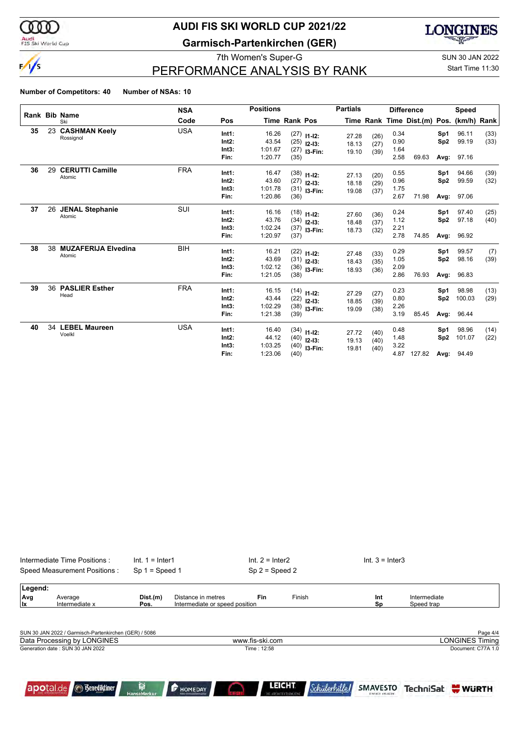w

 $\frac{1}{\sqrt{2}}$ 

### Audi<br>FIS Ski World Cup

## **AUDI FIS SKI WORLD CUP 2021/22**

**Garmisch-Partenkirchen (GER)**



### 7th Women's Super-G SUN 30 JAN 2022 PERFORMANCE ANALYSIS BY RANK

Start Time 11:30

#### **Number of Competitors: 40 Number of NSAs: 10**

| <b>Rank Bib Name</b> |    |                            | <b>NSA</b> |       |         | <b>Positions</b>     |                                 |       |      | <b>Difference</b> |                                          |                 |        |      |
|----------------------|----|----------------------------|------------|-------|---------|----------------------|---------------------------------|-------|------|-------------------|------------------------------------------|-----------------|--------|------|
|                      |    | Ski                        | Code       | Pos   |         | <b>Time Rank Pos</b> |                                 |       |      |                   | Time Rank Time Dist.(m) Pos. (km/h) Rank |                 |        |      |
| 35                   |    | 23 CASHMAN Keely           | <b>USA</b> | Int1: | 16.26   |                      | $(27)$ 11-12:                   |       |      | 0.34              |                                          | Sp1             | 96.11  | (33) |
|                      |    | Rossignol                  |            | Int2: | 43.54   |                      | $(25)$ 12-13:                   | 27.28 | (26) | 0.90              |                                          | Sp <sub>2</sub> | 99.19  | (33) |
|                      |    |                            |            | Int3: | 1:01.67 |                      |                                 | 18.13 | (27) | 1.64              |                                          |                 |        |      |
|                      |    |                            |            | Fin:  | 1:20.77 | (35)                 | $(27)$ 13-Fin:                  | 19.10 | (39) | 2.58              | 69.63                                    | Avg:            | 97.16  |      |
| 36                   | 29 | <b>CERUTTI Camille</b>     | <b>FRA</b> | Int1: | 16.47   |                      |                                 |       |      | 0.55              |                                          | Sp1             | 94.66  | (39) |
|                      |    | Atomic                     |            | Int2: | 43.60   |                      | $(38)$ 11-12:                   | 27.13 | (20) | 0.96              |                                          | Sp <sub>2</sub> | 99.59  | (32) |
|                      |    |                            |            | Int3: | 1:01.78 |                      | $(27)$ 12-13:                   | 18.18 | (29) | 1.75              |                                          |                 |        |      |
|                      |    |                            |            | Fin:  | 1:20.86 | (36)                 | $(31)$ 13-Fin:                  | 19.08 | (37) | 2.67              | 71.98                                    | Avg:            | 97.06  |      |
|                      |    |                            |            |       |         |                      |                                 |       |      |                   |                                          |                 |        |      |
| 37                   | 26 | <b>JENAL Stephanie</b>     | SUI        | Int1: | 16.16   |                      | $(18)$ 11-12:                   |       |      | 0.24              |                                          | Sp1             | 97.40  | (25) |
|                      |    | Atomic                     |            | Int2: | 43.76   |                      |                                 | 27.60 | (36) | 1.12              |                                          | Sp <sub>2</sub> | 97.18  | (40) |
|                      |    |                            |            | Int3: | 1:02.24 |                      | $(34)$ 12-13:<br>$(37)$ 13-Fin: | 18.48 | (37) | 2.21              |                                          |                 |        |      |
|                      |    |                            |            | Fin:  | 1:20.97 | (37)                 |                                 | 18.73 | (32) | 2.78              | 74.85                                    | Avg:            | 96.92  |      |
|                      |    |                            |            |       |         |                      |                                 |       |      |                   |                                          |                 |        |      |
| 38                   | 38 | <b>MUZAFERIJA Elvedina</b> | <b>BIH</b> | Int1: | 16.21   |                      | $(22)$ 11-12:                   | 27.48 | (33) | 0.29              |                                          | Sp1             | 99.57  | (7)  |
|                      |    | Atomic                     |            | Int2: | 43.69   |                      | $(31)$ 12-13:                   | 18.43 | (35) | 1.05              |                                          | Sp <sub>2</sub> | 98.16  | (39) |
|                      |    |                            |            | Int3: | 1:02.12 |                      | $(36)$ 13-Fin:                  | 18.93 | (36) | 2.09              |                                          |                 |        |      |
|                      |    |                            |            | Fin:  | 1:21.05 | (38)                 |                                 |       |      | 2.86              | 76.93                                    | Avg:            | 96.83  |      |
| 39                   | 36 | <b>PASLIER Esther</b>      | <b>FRA</b> | Int1: | 16.15   |                      | $(14)$ 11-12:                   |       |      | 0.23              |                                          | Sp1             | 98.98  | (13) |
|                      |    | Head                       |            | Int2: | 43.44   |                      | $(22)$ 12-13:                   | 27.29 | (27) | 0.80              |                                          | Sp <sub>2</sub> | 100.03 | (29) |
|                      |    |                            |            | Int3: | 1:02.29 |                      | $(38)$ 13-Fin:                  | 18.85 | (39) | 2.26              |                                          |                 |        |      |
|                      |    |                            |            | Fin:  | 1:21.38 | (39)                 |                                 | 19.09 | (38) | 3.19              | 85.45                                    | Avg:            | 96.44  |      |
| 40                   | 34 | <b>LEBEL Maureen</b>       | <b>USA</b> | Int1: | 16.40   |                      |                                 |       |      | 0.48              |                                          | Sp1             | 98.96  | (14) |
|                      |    | Voelkl                     |            | Int2: | 44.12   |                      | $(34)$ 11-12:                   | 27.72 | (40) | 1.48              |                                          | Sp <sub>2</sub> | 101.07 | (22) |
|                      |    |                            |            | Int3: | 1:03.25 |                      | $(40)$ 12-13:                   | 19.13 | (40) | 3.22              |                                          |                 |        |      |
|                      |    |                            |            | Fin:  | 1:23.06 | (40)                 | $(40)$ 13-Fin:                  | 19.81 | (40) | 4.87              | 127.82                                   | Avg:            | 94.49  |      |

|            | Intermediate Time Positions:                          | $Int. 1 = Inter1$ |                    | $Int. 2 = Inter2$                                      |  |  | $Int. 3 = Inter3$                       |                        |  |  |  |
|------------|-------------------------------------------------------|-------------------|--------------------|--------------------------------------------------------|--|--|-----------------------------------------|------------------------|--|--|--|
|            | Speed Measurement Positions:                          | $Sp 1 = Speed 1$  |                    | $Sp 2 = Speed 2$                                       |  |  |                                         |                        |  |  |  |
| Legend:    |                                                       |                   |                    |                                                        |  |  |                                         |                        |  |  |  |
| Avg<br>llx | Average<br>Intermediate x                             | Dist.(m)<br>Pos.  | Distance in metres | <b>Fin</b><br>Finish<br>Intermediate or speed position |  |  | Int<br>Intermediate<br>Sp<br>Speed trap |                        |  |  |  |
|            | SUN 30 JAN 2022 / Garmisch-Partenkirchen (GER) / 5086 |                   |                    |                                                        |  |  |                                         | Page 4/4               |  |  |  |
|            | Data Processing by LONGINES                           |                   |                    | www.fis-ski.com                                        |  |  |                                         | <b>LONGINES Timing</b> |  |  |  |
|            | Generation date: SUN 30 JAN 2022                      |                   |                    | Time: 12:58                                            |  |  | Document: C77A 1.0                      |                        |  |  |  |
|            |                                                       |                   |                    | <b>LEICHT</b>                                          |  |  |                                         |                        |  |  |  |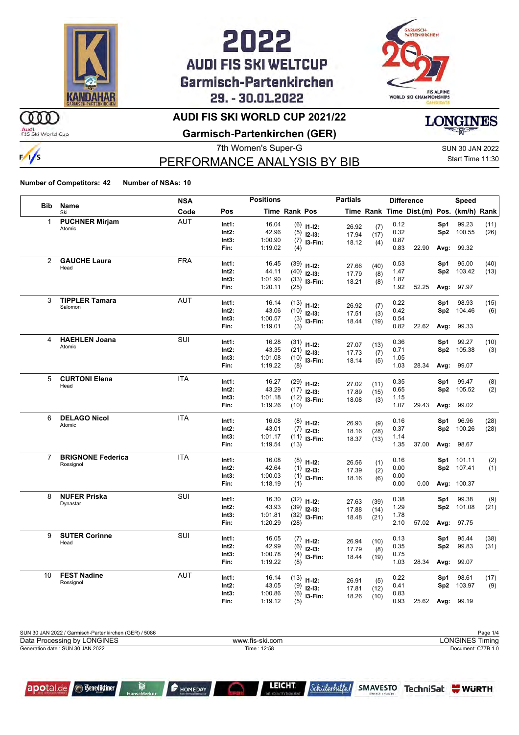



### **AUDI FIS SKI WORLD CUP 2021/22**

Audi<br>FIS Ski World Cup

 $\frac{1}{s}$ 

m

**Garmisch-Partenkirchen (GER)**

7th Women's Super-G Super-G SUN 30 JAN 2022

### PERFORMANCE ANALYSIS BY BIB

Start Time 11:30

**LONGINES** 

**Number of Competitors: 42 Number of NSAs: 10**

|                |                                 | <b>NSA</b> |               | <b>Positions</b>   |               |                                | <b>Partials</b> |             |              | <b>Difference</b>                        |                 | <b>Speed</b>     |      |
|----------------|---------------------------------|------------|---------------|--------------------|---------------|--------------------------------|-----------------|-------------|--------------|------------------------------------------|-----------------|------------------|------|
| <b>Bib</b>     | <b>Name</b><br>Ski              | Code       | Pos           |                    | Time Rank Pos |                                |                 |             |              | Time Rank Time Dist.(m) Pos. (km/h) Rank |                 |                  |      |
| 1              | <b>PUCHNER Mirjam</b>           | <b>AUT</b> | Int1:         | 16.04              |               | $(6)$ 11-12:                   |                 |             | 0.12         |                                          | Sp1             | 99.23            | (11) |
|                | Atomic                          |            | Int2:         | 42.96              |               | $(5)$ 12-13:                   | 26.92<br>17.94  | (7)<br>(17) | 0.32         |                                          | Sp2             | 100.55           | (26) |
|                |                                 |            | Int3:         | 1:00.90            |               | $(7)$ 13-Fin:                  | 18.12           | (4)         | 0.87         |                                          |                 |                  |      |
|                |                                 |            | Fin:          | 1:19.02            | (4)           |                                |                 |             | 0.83         | 22.90                                    | Avg:            | 99.32            |      |
| $\overline{2}$ | <b>GAUCHE Laura</b>             | <b>FRA</b> | Int1:         | 16.45              |               |                                |                 |             | 0.53         |                                          | Sp1             | 95.00            | (40) |
|                | Head                            |            | Int2:         | 44.11              |               | $(39)$ 11-12:                  | 27.66           | (40)        | 1.47         |                                          | Sp2             | 103.42           | (13) |
|                |                                 |            | Int3:         | 1:01.90            |               | $(40)$ 12-13:                  | 17.79           | (8)         | 1.87         |                                          |                 |                  |      |
|                |                                 |            | Fin:          | 1:20.11            | (25)          | $(33)$ 13-Fin:                 | 18.21           | (8)         | 1.92         | 52.25                                    | Avg:            | 97.97            |      |
| 3              | <b>TIPPLER Tamara</b>           | <b>AUT</b> |               |                    |               |                                |                 |             |              |                                          |                 |                  |      |
|                | Salomon                         |            | Int1:         | 16.14              |               | $(13)$ 11-12:                  | 26.92           | (7)         | 0.22         |                                          | Sp1             | 98.93            | (15) |
|                |                                 |            | Int2:         | 43.06              |               | $(10)$ 12-13:                  | 17.51           | (3)         | 0.42         |                                          | Sp2             | 104.46           | (6)  |
|                |                                 |            | Int3:<br>Fin: | 1:00.57            |               | $(3)$ 13-Fin:                  | 18.44           | (19)        | 0.54<br>0.82 |                                          |                 |                  |      |
|                |                                 |            |               | 1:19.01            | (3)           |                                |                 |             |              | 22.62                                    | Avg:            | 99.33            |      |
| 4              | <b>HAEHLEN Joana</b>            | SUI        | Int1:         | 16.28              |               | $(31)$ 11-12:                  | 27.07           | (13)        | 0.36         |                                          | Sp1             | 99.27            | (10) |
|                | Atomic                          |            | Int2:         | 43.35              |               | $(21)$ 12-13:                  | 17.73           | (7)         | 0.71         |                                          | Sp2             | 105.38           | (3)  |
|                |                                 |            | Int3:         | 1:01.08            |               | $(10)$ 13-Fin:                 | 18.14           | (5)         | 1.05         |                                          |                 |                  |      |
|                |                                 |            | Fin:          | 1:19.22            | (8)           |                                |                 |             | 1.03         | 28.34                                    | Avg:            | 99.07            |      |
| 5              | <b>CURTONI Elena</b>            | <b>ITA</b> | Int1:         | 16.27              |               |                                |                 |             | 0.35         |                                          | Sp1             | 99.47            | (8)  |
|                | Head                            |            | Int2:         | 43.29              |               | $(29)$ 11-12:<br>$(17)$ 12-13: | 27.02           | (11)        | 0.65         |                                          |                 | Sp2 105.52       | (2)  |
|                |                                 |            | Int3:         | 1:01.18            |               | $(12)$ 13-Fin:                 | 17.89           | (15)        | 1.15         |                                          |                 |                  |      |
|                |                                 |            | Fin:          | 1:19.26            | (10)          |                                | 18.08           | (3)         | 1.07         | 29.43                                    | Avg:            | 99.02            |      |
| 6              | <b>DELAGO Nicol</b>             | <b>ITA</b> |               |                    |               |                                |                 |             |              |                                          |                 |                  |      |
|                | Atomic                          |            | Int1:         | 16.08              |               | $(8)$ 11-12:                   | 26.93           | (9)         | 0.16         |                                          | Sp1             | 96.96            | (28) |
|                |                                 |            | Int2:         | 43.01              |               | $(7)$ 12-13:                   | 18.16           | (28)        | 0.37         |                                          | Sp2             | 100.26           | (28) |
|                |                                 |            | Int3:         | 1:01.17            |               | $(11)$ 13-Fin:                 | 18.37           | (13)        | 1.14         |                                          |                 |                  |      |
|                |                                 |            | Fin:          | 1:19.54            | (13)          |                                |                 |             | 1.35         | 37.00                                    | Avg:            | 98.67            |      |
| $\overline{7}$ | <b>BRIGNONE Federica</b>        | <b>ITA</b> | Int1:         | 16.08              |               | $(8)$ 11-12:                   | 26.56           | (1)         | 0.16         |                                          | Sp1             | 101.11           | (2)  |
|                | Rossignol                       |            | Int2:         | 42.64              |               | $(1)$ 12-13:                   | 17.39           | (2)         | 0.00         |                                          |                 | Sp2 107.41       | (1)  |
|                |                                 |            | Int3:         | 1:00.03            |               | $(1)$ 13-Fin:                  | 18.16           | (6)         | 0.00         |                                          |                 |                  |      |
|                |                                 |            | Fin:          | 1:18.19            | (1)           |                                |                 |             | 0.00         | 0.00                                     |                 | Avg: 100.37      |      |
| 8              | <b>NUFER Priska</b>             | SUI        | Int1:         | 16.30              |               |                                |                 |             | 0.38         |                                          | Sp1             | 99.38            | (9)  |
|                | Dynastar                        |            | Int2:         | 43.93              |               | $(32)$ 11-12:<br>$(39)$ 12-13: | 27.63           | (39)        | 1.29         |                                          | Sp2             | 101.08           | (21) |
|                |                                 |            | Int3:         | 1:01.81            |               | $(32)$ 13-Fin:                 | 17.88           | (14)        | 1.78         |                                          |                 |                  |      |
|                |                                 |            | Fin:          | 1:20.29            | (28)          |                                | 18.48           | (21)        | 2.10         | 57.02                                    | Avg:            | 97.75            |      |
| 9              | <b>SUTER Corinne</b>            | SUI        |               |                    |               |                                |                 |             |              |                                          |                 |                  |      |
|                | Head                            |            | Int1:         | 16.05              |               | $(7)$ 11-12:                   | 26.94           | (10)        | 0.13         |                                          | Sp1             | 95.44            | (38) |
|                |                                 |            | Int2:         | 42.99              | (6)           | $12-13:$                       | 17.79           | (8)         | 0.35         |                                          | Sp <sub>2</sub> | 99.83            | (31) |
|                |                                 |            | Int3:<br>Fin: | 1:00.78<br>1:19.22 | (8)           | $(4)$ 13-Fin:                  | 18.44           | (19)        | 0.75<br>1.03 | 28.34                                    | Avg:            | 99.07            |      |
|                |                                 |            |               |                    |               |                                |                 |             |              |                                          |                 |                  |      |
| 10             | <b>FEST Nadine</b><br>Rossignol | <b>AUT</b> | Int1:         | 16.14              |               | $(13)$ 11-12:                  | 26.91           | (5)         | 0.22         |                                          | Sp1             | 98.61            | (17) |
|                |                                 |            | Int2:         | 43.05              | (9)           | $12 - 13:$                     | 17.81           | (12)        | 0.41         |                                          | Sp2             | 103.97           | (9)  |
|                |                                 |            | Int3:         | 1:00.86            | (6)           | I3-Fin:                        | 18.26           | (10)        | 0.83         |                                          |                 |                  |      |
|                |                                 |            | Fin:          | 1:19.12            | (5)           |                                |                 |             | 0.93         |                                          |                 | 25.62 Avg: 99.19 |      |

| SUN 30 JAN 2022 / Garmisch-Partenkirchen (GER) / 5086 |                 | Page 1/4           |
|-------------------------------------------------------|-----------------|--------------------|
| Data Processing by LONGINES                           | www.fis-ski.com | _ONGINES<br>Fimina |
| Generation date : SUN 30 JAN 2022                     | Time : 12:58    | Document: C77B 1.0 |





**P** HOMEDAY

**LEICHT** 

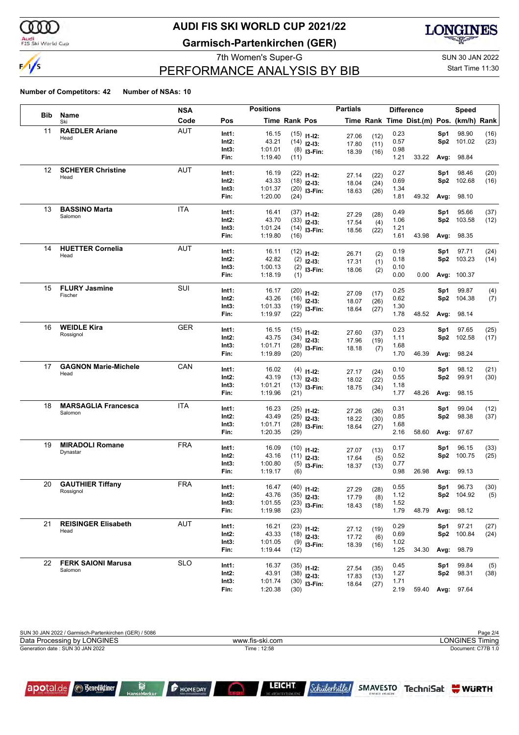

### Audi<br>FIS Ski World Cup

## **AUDI FIS SKI WORLD CUP 2021/22**

**Garmisch-Partenkirchen (GER)**



## PERFORMANCE ANALYSIS BY BIB

7th Women's Super-G Super-G SUN 30 JAN 2022

### Start Time 11:30

#### **Number of Competitors: 42 Number of NSAs: 10**

|                   |                             | <b>NSA</b> |          | <b>Positions</b> |                      |                | <b>Partials</b> |              |      | <b>Difference</b>                        |                 | <b>Speed</b>      |      |
|-------------------|-----------------------------|------------|----------|------------------|----------------------|----------------|-----------------|--------------|------|------------------------------------------|-----------------|-------------------|------|
| <b>Bib</b>        | Name<br>Ski                 | Code       | Pos      |                  | <b>Time Rank Pos</b> |                |                 |              |      | Time Rank Time Dist.(m) Pos. (km/h) Rank |                 |                   |      |
| 11                | <b>RAEDLER Ariane</b>       | <b>AUT</b> | Int1:    | 16.15            |                      | $(15)$ 11-12:  |                 |              | 0.23 |                                          | Sp1             | 98.90             | (16) |
|                   | Head                        |            | Int2:    | 43.21            |                      | $(14)$ 12-13:  | 27.06<br>17.80  | (12)<br>(11) | 0.57 |                                          | Sp2             | 101.02            | (23) |
|                   |                             |            | Int3:    | 1:01.01          |                      | $(8)$ 13-Fin:  | 18.39           | (16)         | 0.98 |                                          |                 |                   |      |
|                   |                             |            | Fin:     | 1:19.40          | (11)                 |                |                 |              | 1.21 | 33.22                                    | Avg:            | 98.84             |      |
| $12 \overline{ }$ | <b>SCHEYER Christine</b>    | AUT        | Int1:    | 16.19            |                      | $(22)$ 11-12:  |                 |              | 0.27 |                                          | Sp1             | 98.46             | (20) |
|                   | Head                        |            | Int2:    | 43.33            |                      | $(18)$ 12-13:  | 27.14<br>18.04  | (22)<br>(24) | 0.69 |                                          | Sp <sub>2</sub> | 102.68            | (16) |
|                   |                             |            | Int3:    | 1:01.37          |                      | $(20)$ 13-Fin: | 18.63           | (26)         | 1.34 |                                          |                 |                   |      |
|                   |                             |            | Fin:     | 1:20.00          | (24)                 |                |                 |              | 1.81 | 49.32                                    | Avg:            | 98.10             |      |
| 13                | <b>BASSINO Marta</b>        | ITA        | Int1:    | 16.41            |                      | $(37)$ 11-12:  | 27.29           | (28)         | 0.49 |                                          | Sp1             | 95.66             | (37) |
|                   | Salomon                     |            | Int2:    | 43.70            |                      | $(33)$ 12-13:  | 17.54           | (4)          | 1.06 |                                          | Sp <sub>2</sub> | 103.58            | (12) |
|                   |                             |            | Int3:    | 1:01.24          |                      | $(14)$ 13-Fin: | 18.56           | (22)         | 1.21 |                                          |                 |                   |      |
|                   |                             |            | Fin:     | 1:19.80          | (16)                 |                |                 |              | 1.61 | 43.98                                    | Avg:            | 98.35             |      |
| 14                | <b>HUETTER Cornelia</b>     | AUT        | Int1:    | 16.11            |                      | $(12)$ 11-12:  | 26.71           |              | 0.19 |                                          | Sp1             | 97.71             | (24) |
|                   | Head                        |            | Int2:    | 42.82            |                      | $(2)$ 12-13:   | 17.31           | (2)<br>(1)   | 0.18 |                                          | Sp <sub>2</sub> | 103.23            | (14) |
|                   |                             |            | Int3:    | 1:00.13          |                      | $(2)$ 13-Fin:  | 18.06           | (2)          | 0.10 |                                          |                 |                   |      |
|                   |                             |            | Fin:     | 1:18.19          | (1)                  |                |                 |              | 0.00 | 0.00                                     |                 | Avg: 100.37       |      |
| 15                | <b>FLURY Jasmine</b>        | SUI        | Int1:    | 16.17            |                      | $(20)$ 11-12:  |                 |              | 0.25 |                                          | Sp1             | 99.87             | (4)  |
|                   | Fischer                     |            | Int2:    | 43.26            |                      | $(16)$ 12-13:  | 27.09           | (17)         | 0.62 |                                          | Sp2             | 104.38            | (7)  |
|                   |                             |            | Int3:    | 1:01.33          |                      | $(19)$ 13-Fin: | 18.07<br>18.64  | (26)<br>(27) | 1.30 |                                          |                 |                   |      |
|                   |                             |            | Fin:     | 1:19.97          | (22)                 |                |                 |              | 1.78 | 48.52                                    | Avg:            | 98.14             |      |
| 16                | <b>WEIDLE Kira</b>          | <b>GER</b> | Int1:    | 16.15            |                      | $(15)$ 11-12:  |                 |              | 0.23 |                                          | Sp1             | 97.65             | (25) |
|                   | Rossignol                   |            | Int2:    | 43.75            |                      | $(34)$ 12-13:  | 27.60           | (37)         | 1.11 |                                          | Sp <sub>2</sub> | 102.58            | (17) |
|                   |                             |            | Int3:    | 1:01.71          |                      | $(28)$ 13-Fin: | 17.96<br>18.18  | (19)<br>(7)  | 1.68 |                                          |                 |                   |      |
|                   |                             |            | Fin:     | 1:19.89          | (20)                 |                |                 |              | 1.70 | 46.39                                    | Avg:            | 98.24             |      |
| 17                | <b>GAGNON Marie-Michele</b> | CAN        | Int1:    | 16.02            |                      | $(4)$ 11-12:   |                 |              | 0.10 |                                          | Sp1             | 98.12             | (21) |
|                   | Head                        |            | Int2:    | 43.19            |                      | $(13)$ 12-13:  | 27.17<br>18.02  | (24)         | 0.55 |                                          | Sp <sub>2</sub> | 99.91             | (30) |
|                   |                             |            | Int3:    | 1:01.21          |                      | $(13)$ 13-Fin: | 18.75           | (22)<br>(34) | 1.18 |                                          |                 |                   |      |
|                   |                             |            | Fin:     | 1:19.96          | (21)                 |                |                 |              | 1.77 | 48.26                                    | Avg:            | 98.15             |      |
| 18                | <b>MARSAGLIA Francesca</b>  | <b>ITA</b> | Int1:    | 16.23            |                      | $(25)$ 11-12:  |                 |              | 0.31 |                                          | Sp1             | 99.04             | (12) |
|                   | Salomon                     |            | Int2:    | 43.49            |                      | $(25)$ 12-13:  | 27.26           | (26)         | 0.85 |                                          | Sp <sub>2</sub> | 98.38             | (37) |
|                   |                             |            | Int3:    | 1:01.71          |                      | $(28)$ 13-Fin: | 18.22<br>18.64  | (30)<br>(27) | 1.68 |                                          |                 |                   |      |
|                   |                             |            | Fin:     | 1:20.35          | (29)                 |                |                 |              | 2.16 | 58.60                                    | Avg:            | 97.67             |      |
| 19                | <b>MIRADOLI Romane</b>      | <b>FRA</b> | Int1:    | 16.09            |                      | $(10)$ 11-12:  |                 |              | 0.17 |                                          | Sp1             | 96.15             | (33) |
|                   | Dynastar                    |            | Int2:    | 43.16            |                      | $(11)$ 12-13:  | 27.07<br>17.64  | (13)<br>(5)  | 0.52 |                                          | Sp2             | 100.75            | (25) |
|                   |                             |            | Int3:    | 1:00.80          |                      | $(5)$ 13-Fin:  | 18.37           | (13)         | 0.77 |                                          |                 |                   |      |
|                   |                             |            | Fin:     | 1:19.17          | (6)                  |                |                 |              | 0.98 | 26.98                                    | Avg:            | 99.13             |      |
| 20                | <b>GAUTHIER Tiffany</b>     | <b>FRA</b> | Int1:    | 16.47            |                      | $(40)$ 11-12:  |                 |              | 0.55 |                                          | Sp1             | 96.73             | (30) |
|                   | Rossignol                   |            | $Int2$ : | 43.76            |                      | $(35)$ 12-13:  | 27.29<br>17.79  | (28)<br>(8)  | 1.12 |                                          |                 | Sp2 104.92        | (5)  |
|                   |                             |            | Int3:    | 1:01.55          |                      | $(23)$ 13-Fin: | 18.43           | (18)         | 1.52 |                                          |                 |                   |      |
|                   |                             |            | Fin:     | 1:19.98          | (23)                 |                |                 |              |      | 1.79 48.79                               |                 | Avg: 98.12        |      |
| 21                | <b>REISINGER Elisabeth</b>  | AUT        | Int1:    | 16.21            |                      | $(23)$ 11-12:  | 27.12           | (19)         | 0.29 |                                          | Sp1             | 97.21             | (27) |
|                   | Head                        |            | Int2:    | 43.33            |                      | $(18)$ 12-13:  | 17.72           | (6)          | 0.69 |                                          |                 | Sp2 100.84        | (24) |
|                   |                             |            | Int3:    | 1:01.05          |                      | $(9)$ 13-Fin:  | 18.39           | (16)         | 1.02 |                                          |                 |                   |      |
|                   |                             |            | Fin:     | 1:19.44          | (12)                 |                |                 |              | 1.25 | 34.30                                    |                 | Avg: 98.79        |      |
| 22                | <b>FERK SAIONI Marusa</b>   | <b>SLO</b> | Int1:    | 16.37            |                      | $(35)$ 11-12:  |                 |              | 0.45 |                                          | Sp1             | 99.84             | (5)  |
|                   | Salomon                     |            | Int2:    | 43.91            |                      | $(38)$ 12-13:  | 27.54<br>17.83  | (35)<br>(13) | 1.27 |                                          | Sp2             | 98.31             | (38) |
|                   |                             |            | Int3:    | 1:01.74          |                      | $(30)$ 13-Fin: | 18.64           | (27)         | 1.71 |                                          |                 |                   |      |
|                   |                             |            | Fin:     | 1:20.38          | (30)                 |                |                 |              | 2.19 | 59.40                                    |                 | <b>Avg: 97.64</b> |      |

| SUN 30 JAN 2022 / Garmisch-Partenkirchen (GER) / 5086 |                 | Page 2/4           |
|-------------------------------------------------------|-----------------|--------------------|
| Data Processing by LONGINES                           | www.fis-ski.com | LONGINES Timina    |
| Generation date : SUN 30 JAN 2022                     | Time: 12:58     | Document: C77B 1.0 |
|                                                       |                 |                    |

r.



**P** HOMEDAY

LEICHT

*Schülerhilfel* 

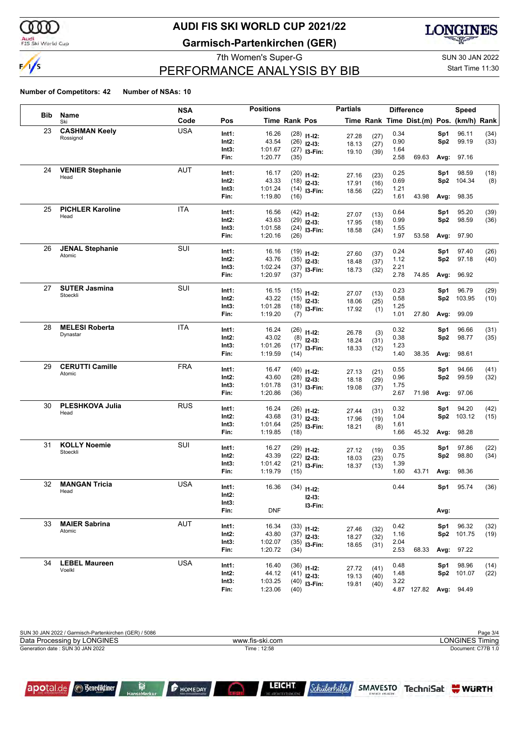

#### Audi<br>FIS Ski World Cup

## **AUDI FIS SKI WORLD CUP 2021/22**

**Garmisch-Partenkirchen (GER)**



## PERFORMANCE ANALYSIS BY BIB

7th Women's Super-G Super-G SUN 30 JAN 2022

### Start Time 11:30

#### **Number of Competitors: 42 Number of NSAs: 10**

|            |                         | <b>NSA</b> |          | <b>Positions</b> |               |                                | <b>Partials</b> |              |      | <b>Difference</b>                        |                 | <b>Speed</b> |      |
|------------|-------------------------|------------|----------|------------------|---------------|--------------------------------|-----------------|--------------|------|------------------------------------------|-----------------|--------------|------|
| <b>Bib</b> | Name<br>Ski             | Code       | Pos      |                  | Time Rank Pos |                                |                 |              |      | Time Rank Time Dist.(m) Pos. (km/h) Rank |                 |              |      |
| 23         | <b>CASHMAN Keely</b>    | <b>USA</b> | Int1:    | 16.26            |               | $(28)$ 11-12:                  | 27.28           | (27)         | 0.34 |                                          | Sp1             | 96.11        | (34) |
|            | Rossignol               |            | Int2:    | 43.54            |               | $(26)$ 12-13:                  | 18.13           | (27)         | 0.90 |                                          | Sp <sub>2</sub> | 99.19        | (33) |
|            |                         |            | Int3:    | 1:01.67          |               | $(27)$ 13-Fin:                 | 19.10           | (39)         | 1.64 |                                          |                 |              |      |
|            |                         |            | Fin:     | 1:20.77          | (35)          |                                |                 |              | 2.58 | 69.63                                    |                 | Avg: 97.16   |      |
| 24         | <b>VENIER Stephanie</b> | <b>AUT</b> | Int1:    | 16.17            |               | $(20)$ 11-12:                  | 27.16           |              | 0.25 |                                          | Sp1             | 98.59        | (18) |
|            | Head                    |            | Int2:    | 43.33            |               | $(18)$ 12-13:                  | 17.91           | (23)<br>(16) | 0.69 |                                          | Sp <sub>2</sub> | 104.34       | (8)  |
|            |                         |            | Int3:    | 1:01.24          |               | $(14)$ 13-Fin:                 | 18.56           | (22)         | 1.21 |                                          |                 |              |      |
|            |                         |            | Fin:     | 1:19.80          | (16)          |                                |                 |              | 1.61 | 43.98                                    | Avg:            | 98.35        |      |
| 25         | <b>PICHLER Karoline</b> | <b>ITA</b> | Int1:    | 16.56            |               | $(42)$ 11-12:                  | 27.07           | (13)         | 0.64 |                                          | Sp1             | 95.20        | (39) |
|            | Head                    |            | Int2:    | 43.63            |               | $(29)$ 12-13:                  | 17.95           | (18)         | 0.99 |                                          | Sp <sub>2</sub> | 98.59        | (36) |
|            |                         |            | Int3:    | 1:01.58          |               | $(24)$ 13-Fin:                 | 18.58           | (24)         | 1.55 |                                          |                 |              |      |
|            |                         |            | Fin:     | 1:20.16          | (26)          |                                |                 |              | 1.97 | 53.58                                    |                 | Avg: 97.90   |      |
| 26         | <b>JENAL Stephanie</b>  | SUI        | Int1:    | 16.16            |               | $(19)$ 11-12:                  | 27.60           | (37)         | 0.24 |                                          | Sp1             | 97.40        | (26) |
|            | Atomic                  |            | Int2:    | 43.76            |               | $(35)$ 12-13:                  | 18.48           | (37)         | 1.12 |                                          | Sp <sub>2</sub> | 97.18        | (40) |
|            |                         |            | Int3:    | 1:02.24          |               | $(37)$ 13-Fin:                 | 18.73           | (32)         | 2.21 |                                          |                 |              |      |
|            |                         |            | Fin:     | 1:20.97          | (37)          |                                |                 |              | 2.78 | 74.85                                    | Avg:            | 96.92        |      |
| 27         | <b>SUTER Jasmina</b>    | SUI        | Int1:    | 16.15            |               | $(15)$ 11-12:                  |                 |              | 0.23 |                                          | Sp1             | 96.79        | (29) |
|            | Stoeckli                |            | Int2:    | 43.22            |               | $(15)$ 12-13:                  | 27.07           | (13)         | 0.58 |                                          | Sp <sub>2</sub> | 103.95       | (10) |
|            |                         |            | Int3:    | 1:01.28          |               | $(18)$ 13-Fin:                 | 18.06           | (25)         | 1.25 |                                          |                 |              |      |
|            |                         |            | Fin:     | 1:19.20          | (7)           |                                | 17.92           | (1)          | 1.01 | 27.80                                    | Avg:            | 99.09        |      |
| 28         | <b>MELESI Roberta</b>   | <b>ITA</b> | Int1:    | 16.24            |               |                                |                 |              | 0.32 |                                          | Sp1             | 96.66        | (31) |
|            | Dynastar                |            | Int2:    | 43.02            |               | $(26)$ 11-12:                  | 26.78           | (3)          | 0.38 |                                          | Sp <sub>2</sub> | 98.77        | (35) |
|            |                         |            | Int3:    | 1:01.26          |               | $(8)$ 12-13:<br>$(17)$ 13-Fin: | 18.24           | (31)         | 1.23 |                                          |                 |              |      |
|            |                         |            | Fin:     | 1:19.59          | (14)          |                                | 18.33           | (12)         | 1.40 | 38.35                                    | Avg:            | 98.61        |      |
| 29         | <b>CERUTTI Camille</b>  | <b>FRA</b> | Int1:    | 16.47            |               |                                |                 |              | 0.55 |                                          | Sp1             | 94.66        | (41) |
|            | Atomic                  |            | Int2:    | 43.60            |               | $(40)$ 11-12:<br>$(28)$ 12-13: | 27.13           | (21)         | 0.96 |                                          | Sp <sub>2</sub> | 99.59        | (32) |
|            |                         |            | Int3:    | 1:01.78          |               | $(31)$ 13-Fin:                 | 18.18           | (29)         | 1.75 |                                          |                 |              |      |
|            |                         |            | Fin:     | 1:20.86          | (36)          |                                | 19.08           | (37)         | 2.67 | 71.98                                    |                 | Avg: 97.06   |      |
| 30         | <b>PLESHKOVA Julia</b>  | <b>RUS</b> | Int1:    | 16.24            |               | $(26)$ 11-12:                  |                 |              | 0.32 |                                          | Sp1             | 94.20        | (42) |
|            | Head                    |            | Int2:    | 43.68            |               | $(31)$ 12-13:                  | 27.44           | (31)         | 1.04 |                                          | Sp <sub>2</sub> | 103.12       | (15) |
|            |                         |            | Int3:    | 1:01.64          |               | $(25)$ 13-Fin:                 | 17.96<br>18.21  | (19)         | 1.61 |                                          |                 |              |      |
|            |                         |            | Fin:     | 1:19.85          | (18)          |                                |                 | (8)          | 1.66 | 45.32                                    | Avg:            | 98.28        |      |
| 31         | <b>KOLLY Noemie</b>     | SUI        | Int1:    | 16.27            |               | $(29)$ 11-12:                  |                 |              | 0.35 |                                          | Sp1             | 97.86        | (22) |
|            | Stoeckli                |            | Int2:    | 43.39            |               | $(22)$ 12-13:                  | 27.12<br>18.03  | (19)<br>(23) | 0.75 |                                          | Sp <sub>2</sub> | 98.80        | (34) |
|            |                         |            | Int3:    | 1:01.42          |               | $(21)$ 13-Fin:                 | 18.37           | (13)         | 1.39 |                                          |                 |              |      |
|            |                         |            | Fin:     | 1:19.79          | (15)          |                                |                 |              | 1.60 | 43.71                                    | Avg:            | 98.36        |      |
| 32         | <b>MANGAN Tricia</b>    | <b>USA</b> | Int1:    | 16.36            |               | $(34)$ 11-12:                  |                 |              | 0.44 |                                          | Sp1             | 95.74        | (36) |
|            | Head                    |            | $Int2$ : |                  |               | $12-13:$                       |                 |              |      |                                          |                 |              |      |
|            |                         |            | Int3:    |                  |               | I3-Fin:                        |                 |              |      |                                          |                 |              |      |
|            |                         |            | Fin:     | <b>DNF</b>       |               |                                |                 |              |      |                                          | Avg:            |              |      |
| 33         | <b>MAIER Sabrina</b>    | AUT        | Int1:    | 16.34            |               | $(33)$ 11-12:                  | 27.46           | (32)         | 0.42 |                                          |                 | Sp1 96.32    | (32) |
|            | Atomic                  |            | Int2:    | 43.80            |               | $(37)$ 12-13:                  | 18.27           | (32)         | 1.16 |                                          |                 | Sp2 101.75   | (19) |
|            |                         |            | Int3:    | 1:02.07          |               | $(35)$ 13-Fin:                 | 18.65           | (31)         | 2.04 |                                          |                 |              |      |
|            |                         |            | Fin:     | 1:20.72          | (34)          |                                |                 |              | 2.53 | 68.33                                    |                 | Avg: 97.22   |      |
| 34         | <b>LEBEL Maureen</b>    | <b>USA</b> | Int1:    | 16.40            |               | $(36)$ 11-12:                  | 27.72           |              | 0.48 |                                          | Sp1             | 98.96        | (14) |
|            | Voelkl                  |            | Int2:    | 44.12            |               | $(41)$ 12-13:                  | 19.13           | (41)<br>(40) | 1.48 |                                          |                 | Sp2 101.07   | (22) |
|            |                         |            | Int3:    | 1:03.25          |               | $(40)$ 13-Fin:                 | 19.81           | (40)         | 3.22 |                                          |                 |              |      |
|            |                         |            | Fin:     | 1:23.06          | (40)          |                                |                 |              |      | 4.87 127.82 Avg: 94.49                   |                 |              |      |

| SUN 30 JAN 2022 / Garmisch-Partenkirchen (GER) / 5086 |                 | Page 3/4           |
|-------------------------------------------------------|-----------------|--------------------|
| Data Processing by LONGINES                           | www.fis-ski.com | LONGINES Timina    |
| Generation date : SUN 30 JAN 2022                     | Time: 12:58     | Document: C77B 1.0 |
|                                                       |                 |                    |

**P** HOMEDAY

r.

R

**LEICHT** Schülerhilfe !

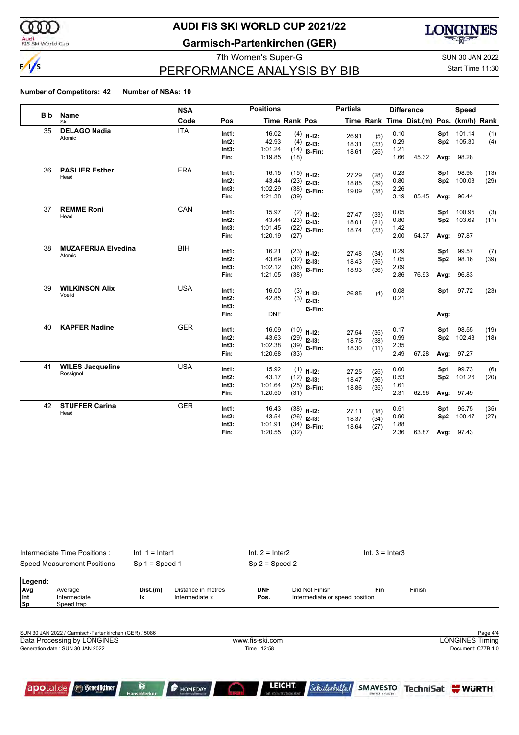

### Audi<br>FIS Ski World Cup

apotal.de

**Benediktiner** 

ß

## **AUDI FIS SKI WORLD CUP 2021/22**

**Garmisch-Partenkirchen (GER)**



## PERFORMANCE ANALYSIS BY BIB

7th Women's Super-G Super-G SUN 30 JAN 2022

### Start Time 11:30

#### **Number of Competitors: 42 Number of NSAs: 10**

| <b>Bib</b> | <b>Name</b>                | <b>NSA</b> |               | <b>Positions</b>   |               |                               | <b>Partials</b> |              |              | <b>Difference</b>                        |                 | <b>Speed</b> |      |
|------------|----------------------------|------------|---------------|--------------------|---------------|-------------------------------|-----------------|--------------|--------------|------------------------------------------|-----------------|--------------|------|
|            | Ski                        | Code       | Pos           |                    | Time Rank Pos |                               |                 |              |              | Time Rank Time Dist.(m) Pos. (km/h) Rank |                 |              |      |
| 35         | <b>DELAGO Nadia</b>        | <b>ITA</b> | Int1:         | 16.02              |               | $(4)$ 11-12:                  | 26.91           |              | 0.10         |                                          |                 | Sp1 101.14   | (1)  |
|            | Atomic                     |            | Int2:         | 42.93              |               | $(4)$ 12-13:                  | 18.31           | (5)<br>(33)  | 0.29         |                                          | Sp <sub>2</sub> | 105.30       | (4)  |
|            |                            |            | Int3:         | 1:01.24            |               | $(14)$ 13-Fin:                | 18.61           | (25)         | 1.21         |                                          |                 |              |      |
|            |                            |            | Fin:          | 1:19.85            | (18)          |                               |                 |              | 1.66         | 45.32                                    |                 | Avg: 98.28   |      |
| 36         | <b>PASLIER Esther</b>      | <b>FRA</b> | Int1:         | 16.15              |               | $(15)$ 11-12:                 |                 |              | 0.23         |                                          | Sp1             | 98.98        | (13) |
|            | Head                       |            | Int2:         | 43.44              |               | $(23)$ 12-13:                 | 27.29           | (28)         | 0.80         |                                          | Sp <sub>2</sub> | 100.03       | (29) |
|            |                            |            | Int3:         | 1:02.29            |               | $(38)$ 13-Fin:                | 18.85<br>19.09  | (39)<br>(38) | 2.26         |                                          |                 |              |      |
|            |                            |            | Fin:          | 1:21.38            | (39)          |                               |                 |              | 3.19         | 85.45                                    |                 | Avg: 96.44   |      |
| 37         | <b>REMME Roni</b>          | CAN        | Int1:         | 15.97              |               |                               |                 |              | 0.05         |                                          | Sp1             | 100.95       | (3)  |
|            | Head                       |            | Int2:         | 43.44              |               | $(2)$ 11-12:                  | 27.47           | (33)         | 0.80         |                                          | Sp2             | 103.69       | (11) |
|            |                            |            | Int3:         | 1:01.45            |               | $(23)$ 12-13:                 | 18.01           | (21)         | 1.42         |                                          |                 |              |      |
|            |                            |            | Fin:          | 1:20.19            | (27)          | $(22)$ 13-Fin:                | 18.74           | (33)         | 2.00         | 54.37                                    |                 | Avg: 97.87   |      |
| 38         | <b>MUZAFERIJA Elvedina</b> | <b>BIH</b> |               |                    |               |                               |                 |              |              |                                          |                 |              |      |
|            | Atomic                     |            | Int1:         | 16.21              |               | $(23)$ 11-12:                 | 27.48           | (34)         | 0.29         |                                          | Sp1             | 99.57        | (7)  |
|            |                            |            | Int2:         | 43.69              |               | $(32)$ 12-13:                 | 18.43           | (35)         | 1.05         |                                          | Sp <sub>2</sub> | 98.16        | (39) |
|            |                            |            | Int3:<br>Fin: | 1:02.12<br>1:21.05 |               | $(36)$ 13-Fin:                | 18.93           | (36)         | 2.09<br>2.86 |                                          |                 |              |      |
|            |                            |            |               |                    | (38)          |                               |                 |              |              | 76.93                                    | Avg:            | 96.83        |      |
| 39         | <b>WILKINSON Alix</b>      | <b>USA</b> | Int1:         | 16.00              |               | $(3)$ 11-12:                  | 26.85           | (4)          | 0.08         |                                          |                 | Sp1 97.72    | (23) |
|            | Voelkl                     |            | Int2:         | 42.85              |               | $(3)$ 12-13:                  |                 |              | 0.21         |                                          |                 |              |      |
|            |                            |            | Int3:         |                    |               | I3-Fin:                       |                 |              |              |                                          |                 |              |      |
|            |                            |            | Fin:          | <b>DNF</b>         |               |                               |                 |              |              |                                          | Avg:            |              |      |
| 40         | <b>KAPFER Nadine</b>       | <b>GER</b> | Int1:         | 16.09              |               | $(10)$ 11-12:                 |                 |              | 0.17         |                                          | Sp1             | 98.55        | (19) |
|            |                            |            | Int2:         | 43.63              |               | $(29)$ 12-13:                 | 27.54<br>18.75  | (35)<br>(38) | 0.99         |                                          | Sp2             | 102.43       | (18) |
|            |                            |            | Int3:         | 1:02.38            |               | $(39)$ 13-Fin:                | 18.30           | (11)         | 2.35         |                                          |                 |              |      |
|            |                            |            | Fin:          | 1:20.68            | (33)          |                               |                 |              | 2.49         | 67.28                                    |                 | Avg: 97.27   |      |
| 41         | <b>WILES Jacqueline</b>    | <b>USA</b> | Int1:         | 15.92              |               |                               |                 |              | 0.00         |                                          | Sp1             | 99.73        | (6)  |
|            | Rossignol                  |            | Int2:         | 43.17              |               | $(1)$ 11-12:<br>$(12)$ 12-13: | 27.25           | (25)         | 0.53         |                                          | Sp2             | 101.26       | (20) |
|            |                            |            | Int3:         | 1:01.64            |               | $(25)$ 13-Fin:                | 18.47           | (36)         | 1.61         |                                          |                 |              |      |
|            |                            |            | Fin:          | 1:20.50            | (31)          |                               | 18.86           | (35)         | 2.31         | 62.56                                    |                 | Avg: 97.49   |      |
| 42         | <b>STUFFER Carina</b>      | <b>GER</b> | Int1:         | 16.43              |               |                               |                 |              | 0.51         |                                          | Sp1             | 95.75        | (35) |
|            | Head                       |            | Int2:         | 43.54              |               | $(38)$ 11-12:                 | 27.11           | (18)         | 0.90         |                                          | Sp2             | 100.47       | (27) |
|            |                            |            | Int3:         | 1:01.91            |               | $(26)$ 12-13:                 | 18.37           | (34)         | 1.88         |                                          |                 |              |      |
|            |                            |            | Fin:          | 1:20.55            | (32)          | $(34)$ 13-Fin:                | 18.64           | (27)         | 2.36         | 63.87                                    |                 | Avg: 97.43   |      |

|                                 | Intermediate Time Positions:<br>Speed Measurement Positions:                         |                | $Int. 1 = Inter1$<br>$Sp 1 = Speed 1$ |                    | Int. $2 =$ Inter2<br>$Sp 2 = Speed 2$            | $Int. 3 = Inter3$ |        |                                    |  |
|---------------------------------|--------------------------------------------------------------------------------------|----------------|---------------------------------------|--------------------|--------------------------------------------------|-------------------|--------|------------------------------------|--|
| Legend:<br>Avg<br>  Int<br>  Sp | Average<br>Intermediate<br>Speed trap                                                | Dist.(m)<br>Ιx | Distance in metres<br>Intermediate x  | <b>DNF</b><br>Pos. | Did Not Finish<br>Intermediate or speed position | Fin               | Finish |                                    |  |
|                                 | SUN 30 JAN 2022 / Garmisch-Partenkirchen (GER) / 5086<br>Data Processing by LONGINES |                |                                       | www.fis-ski.com    |                                                  |                   |        | Page 4/4<br><b>LONGINES Timing</b> |  |
|                                 | Generation date: SUN 30 JAN 2022                                                     |                |                                       | Time: 12:58        |                                                  |                   |        | Document: C77B 1.0                 |  |

**P** HOMEDAY

r.

LEICHT

*Schülerhilfel* 

SMAVESTO TechniSat WURTH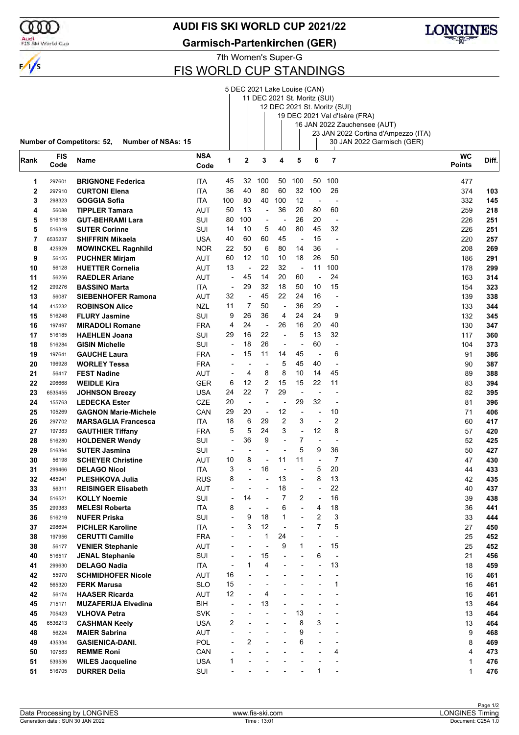### **AUDI FIS SKI WORLD CUP 2021/22**

**Garmisch-Partenkirchen (GER)**



7th Women's Super-G

### FIS WORLD CUP STANDINGS

|      |         |                                                                |            |                          |                |                          |                          |                          | 5 DEC 2021 Lake Louise (CAN) |                              |                                     |           |       |
|------|---------|----------------------------------------------------------------|------------|--------------------------|----------------|--------------------------|--------------------------|--------------------------|------------------------------|------------------------------|-------------------------------------|-----------|-------|
|      |         |                                                                |            |                          |                |                          |                          |                          | 11 DEC 2021 St. Moritz (SUI) |                              |                                     |           |       |
|      |         |                                                                |            |                          |                |                          |                          |                          |                              | 12 DEC 2021 St. Moritz (SUI) |                                     |           |       |
|      |         |                                                                |            |                          |                |                          |                          |                          |                              |                              | 19 DEC 2021 Val d'Isère (FRA)       |           |       |
|      |         |                                                                |            |                          |                |                          |                          |                          |                              |                              | 16 JAN 2022 Zauchensee (AUT)        |           |       |
|      |         |                                                                |            |                          |                |                          |                          |                          |                              |                              | 23 JAN 2022 Cortina d'Ampezzo (ITA) |           |       |
|      |         | <b>Number of Competitors: 52,</b><br><b>Number of NSAs: 15</b> |            |                          |                |                          |                          |                          |                              |                              | 30 JAN 2022 Garmisch (GER)          |           |       |
| Rank | FIS     | Name                                                           | <b>NSA</b> | 1                        | $\mathbf 2$    | 3                        | 4                        | 5                        | 6                            | 7                            |                                     | <b>WC</b> | Diff. |
|      | Code    |                                                                | Code       |                          |                |                          |                          |                          |                              |                              |                                     | Points    |       |
| 1    | 297601  | <b>BRIGNONE Federica</b>                                       | <b>ITA</b> | 45                       | 32             | 100                      | 50                       | 100                      | 50                           | 100                          |                                     | 477       |       |
| 2    | 297910  | <b>CURTONI Elena</b>                                           | <b>ITA</b> | 36                       | 40             | 80                       | 60                       | 32                       | 100                          | 26                           |                                     | 374       | 103   |
| 3    | 298323  | <b>GOGGIA Sofia</b>                                            | ITA        | 100                      | 80             | 40                       | 100                      | 12                       | $\overline{\phantom{a}}$     | ÷,                           |                                     | 332       | 145   |
| 4    | 56088   | <b>TIPPLER Tamara</b>                                          | AUT        | 50                       | 13             | $\overline{\phantom{a}}$ | 36                       | 20                       | 80                           | 60                           |                                     | 259       | 218   |
| 5    | 516138  | <b>GUT-BEHRAMI Lara</b>                                        | SUI        | 80                       | 100            | $\overline{\phantom{a}}$ | $\overline{\phantom{a}}$ | 26                       | 20                           | $\overline{\phantom{a}}$     |                                     | 226       | 251   |
| 5    | 516319  | <b>SUTER Corinne</b>                                           | SUI        | 14                       | 10             | 5                        | 40                       | 80                       | 45                           | 32                           |                                     | 226       | 251   |
| 7    | 6535237 | <b>SHIFFRIN Mikaela</b>                                        | USA        | 40                       | 60             | 60                       | 45                       | $\overline{a}$           | 15                           | $\blacksquare$               |                                     | 220       | 257   |
| 8    | 425929  | <b>MOWINCKEL Ragnhild</b>                                      | <b>NOR</b> | 22                       | 50             | 6                        | 80                       | 14                       | 36                           | $\overline{a}$               |                                     | 208       | 269   |
| 9    | 56125   | <b>PUCHNER Mirjam</b>                                          | AUT        | 60                       | 12             | 10                       | 10                       | 18                       | 26                           | 50                           |                                     | 186       | 291   |
| 10   | 56128   | <b>HUETTER Cornelia</b>                                        | AUT        | 13                       | L,             | 22                       | 32                       | $\centerdot$             | 11                           | 100                          |                                     | 178       | 299   |
| 11   | 56256   | <b>RAEDLER Ariane</b>                                          | AUT        | ÷,                       | 45             | 14                       | 20                       | 60                       | $\overline{a}$               | 24                           |                                     | 163       | 314   |
| 12   | 299276  | <b>BASSINO Marta</b>                                           | ITA        | $\overline{\phantom{a}}$ | 29             | 32                       | 18                       | 50                       | 10                           | 15                           |                                     | 154       | 323   |
| 13   | 56087   | <b>SIEBENHOFER Ramona</b>                                      | AUT        | 32                       | ÷,             | 45                       | 22                       | 24                       | 16                           | $\blacksquare$               |                                     | 139       | 338   |
| 14   | 415232  | <b>ROBINSON Alice</b>                                          | NZL        | 11                       | 7              | 50                       | $\overline{a}$           | 36                       | 29                           | ÷,                           |                                     | 133       | 344   |
| 15   | 516248  | <b>FLURY Jasmine</b>                                           | SUI        | 9                        | 26             | 36                       | 4                        | 24                       | 24                           | 9                            |                                     | 132       | 345   |
| 16   | 197497  | <b>MIRADOLI Romane</b>                                         | <b>FRA</b> | 4                        | 24             | $\overline{\phantom{a}}$ | 26                       | 16                       | 20                           | 40                           |                                     | 130       | 347   |
| 17   | 516185  | <b>HAEHLEN Joana</b>                                           | SUI        | 29                       | 16             | 22                       | $\overline{a}$           | 5                        | 13                           | 32                           |                                     | 117       | 360   |
|      |         |                                                                | SUI        |                          | 18             | 26                       |                          |                          | 60                           | ÷,                           |                                     |           |       |
| 18   | 516284  | <b>GISIN Michelle</b>                                          |            |                          |                | 11                       | 14                       | ÷<br>45                  |                              |                              |                                     | 104       | 373   |
| 19   | 197641  | <b>GAUCHE Laura</b>                                            | <b>FRA</b> | $\overline{a}$           | 15             |                          |                          |                          | $\overline{\phantom{a}}$     | 6                            |                                     | 91        | 386   |
| 20   | 196928  | <b>WORLEY Tessa</b>                                            | FRA        |                          |                | $\overline{a}$           | 5                        | 45                       | 40                           | $\overline{a}$               |                                     | 90        | 387   |
| 21   | 56417   | <b>FEST Nadine</b>                                             | AUT        |                          | 4              | 8                        | 8                        | 10                       | 14                           | 45                           |                                     | 89        | 388   |
| 22   | 206668  | <b>WEIDLE Kira</b>                                             | <b>GER</b> | 6                        | 12             | 2                        | 15                       | 15                       | 22                           | 11                           |                                     | 83        | 394   |
| 23   | 6535455 | <b>JOHNSON Breezy</b>                                          | USA        | 24                       | 22             | 7                        | 29                       | $\overline{\phantom{a}}$ | $\overline{\phantom{a}}$     | $\overline{a}$               |                                     | 82        | 395   |
| 24   | 155763  | <b>LEDECKA Ester</b>                                           | CZE        | 20                       | ÷,             | Ĭ.                       |                          | 29                       | 32                           | ÷,                           |                                     | 81        | 396   |
| 25   | 105269  | <b>GAGNON Marie-Michele</b>                                    | CAN        | 29                       | 20             | ÷,                       | 12                       |                          | $\overline{\phantom{a}}$     | 10                           |                                     | 71        | 406   |
| 26   | 297702  | <b>MARSAGLIA Francesca</b>                                     | ITA        | 18                       | 6              | 29                       | $\overline{2}$           | 3                        | $\blacksquare$               | 2                            |                                     | 60        | 417   |
| 27   | 197383  | <b>GAUTHIER Tiffany</b>                                        | <b>FRA</b> | 5                        | 5              | 24                       | 3                        | ÷,                       | 12                           | 8                            |                                     | 57        | 420   |
| 28   | 516280  | <b>HOLDENER Wendy</b>                                          | SUI        | $\overline{\phantom{a}}$ | 36             | 9                        | $\overline{a}$           | 7                        | $\overline{\phantom{a}}$     | $\overline{\phantom{a}}$     |                                     | 52        | 425   |
| 29   | 516394  | <b>SUTER Jasmina</b>                                           | SUI        | $\overline{a}$           | ÷              |                          | $\overline{a}$           | 5                        | 9                            | 36                           |                                     | 50        | 427   |
| 30   | 56198   | <b>SCHEYER Christine</b>                                       | AUT        | 10                       | 8              |                          | 11                       | 11                       |                              | 7                            |                                     | 47        | 430   |
| 31   | 299466  | <b>DELAGO Nicol</b>                                            | <b>ITA</b> | 3                        | $\overline{a}$ | 16                       |                          | $\overline{a}$           | 5                            | 20                           |                                     | 44        | 433   |
| 32   | 485941  | PLESHKOVA Julia                                                | <b>RUS</b> | 8                        |                |                          | 13                       |                          | 8                            | 13                           |                                     | 42        | 435   |
| 33   | 56311   | <b>REISINGER Elisabeth</b>                                     | AUT        |                          | $\overline{a}$ |                          | 18                       | $\overline{\phantom{a}}$ |                              | 22                           |                                     | 40        | 437   |
| 34   | 516521  | <b>KOLLY Noemie</b>                                            | SUI        | $\overline{\phantom{a}}$ | 14             | $\overline{\phantom{a}}$ | $\overline{7}$           | 2                        | $\overline{a}$               | 16                           |                                     | 39        | 438   |
| 35   | 299383  | <b>MELESI Roberta</b>                                          | ITA        | 8                        | ÷,             | $\overline{a}$           | 6                        | $\blacksquare$           | 4                            | 18                           |                                     | 36        | 441   |
| 36   | 516219  | <b>NUFER Priska</b>                                            | SUI        |                          | 9              | 18                       | $\mathbf{1}$             | $\overline{a}$           | 2                            | 3                            |                                     | 33        | 444   |
| 37   | 298694  | <b>PICHLER Karoline</b>                                        | <b>ITA</b> |                          | 3              | 12                       |                          |                          | $\overline{7}$               | 5                            |                                     | 27        | 450   |
| 38   | 197956  | <b>CERUTTI Camille</b>                                         | <b>FRA</b> |                          | $\overline{a}$ | 1                        | 24                       |                          | $\overline{a}$               | $\overline{a}$               |                                     | 25        | 452   |
| 38   | 56177   | <b>VENIER Stephanie</b>                                        | <b>AUT</b> |                          | $\overline{a}$ |                          | 9                        | 1                        | ÷,                           | 15                           |                                     | 25        | 452   |
| 40   | 516517  | <b>JENAL Stephanie</b>                                         | SUI        |                          |                | 15                       | ÷,                       |                          | 6                            | $\overline{a}$               |                                     | 21        | 456   |
| 41   | 299630  | <b>DELAGO Nadia</b>                                            | ITA        |                          | 1              | 4                        |                          |                          |                              | 13                           |                                     | 18        | 459   |
| 42   | 55970   | <b>SCHMIDHOFER Nicole</b>                                      | AUT        | 16                       |                |                          |                          |                          |                              |                              |                                     | 16        | 461   |
| 42   |         |                                                                |            | 15                       |                |                          |                          |                          |                              | 1                            |                                     |           | 461   |
| 42   | 565320  | <b>FERK Marusa</b>                                             | SLO        | 12                       |                | 4                        |                          |                          |                              |                              |                                     | 16        |       |
|      | 56174   | <b>HAASER Ricarda</b>                                          | <b>AUT</b> |                          |                |                          |                          |                          |                              |                              |                                     | 16        | 461   |
| 45   | 715171  | <b>MUZAFERIJA Elvedina</b>                                     | <b>BIH</b> |                          |                | 13                       |                          |                          |                              |                              |                                     | 13        | 464   |
| 45   | 705423  | <b>VLHOVA Petra</b>                                            | SVK        |                          |                | $\overline{a}$           |                          | 13                       |                              | $\blacksquare$               |                                     | 13        | 464   |
| 45   | 6536213 | <b>CASHMAN Keely</b>                                           | USA        | 2                        |                |                          |                          | 8                        | 3                            | $\overline{\phantom{0}}$     |                                     | 13        | 464   |
| 48   | 56224   | <b>MAIER Sabrina</b>                                           | <b>AUT</b> |                          |                |                          |                          | 9                        |                              |                              |                                     | 9         | 468   |
| 49   | 435334  | <b>GASIENICA-DANI.</b>                                         | <b>POL</b> |                          | 2              |                          |                          | 6                        |                              |                              |                                     | 8         | 469   |
| 50   | 107583  | <b>REMME Roni</b>                                              | CAN        |                          | $\overline{a}$ |                          |                          | $\overline{a}$           |                              | 4                            |                                     | 4         | 473   |
| 51   | 539536  | <b>WILES Jacqueline</b>                                        | <b>USA</b> | 1                        |                |                          |                          |                          |                              |                              |                                     | 1         | 476   |
| 51   | 516705  | <b>DURRER Delia</b>                                            | SUI        |                          |                |                          |                          |                          | 1                            |                              |                                     | 1         | 476   |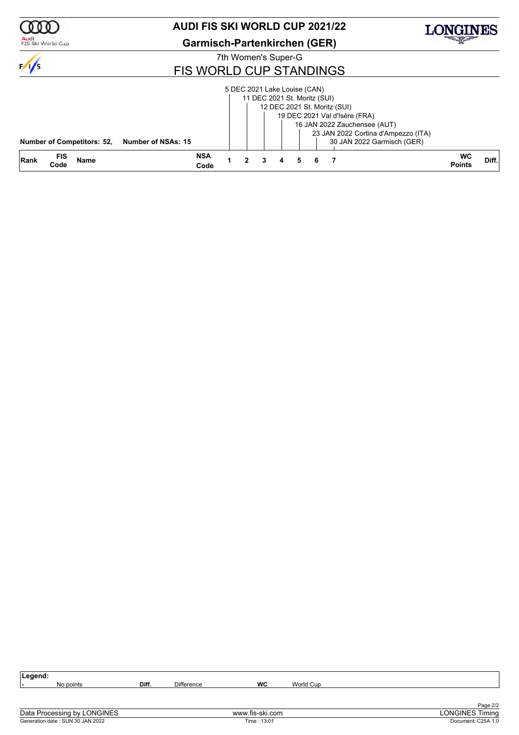

### Audi<br>FIS Ski World Cup

### **AUDI FIS SKI WORLD CUP 2021/22**

**Garmisch-Partenkirchen (GER)**



7th Women's Super-G

### FIS WORLD CUP STANDINGS

| 12 DEC 2021 St. Moritz (SUI)<br>19 DEC 2021 Val d'Isère (FRA)<br>16 JAN 2022 Zauchensee (AUT)<br>23 JAN 2022 Cortina d'Ampezzo (ITA)<br>30 JAN 2022 Garmisch (GER)<br><b>Number of Competitors: 52,</b><br>Number of NSAs: 15 | <b>FIS</b><br><b>Rank</b><br>Name<br>Code | <b>NSA</b><br>Code | $\mathcal{P}$ | З. | $\overline{\mathbf{4}}$ | 56 | <b>WC</b><br><b>Points</b> | Diff. |
|-------------------------------------------------------------------------------------------------------------------------------------------------------------------------------------------------------------------------------|-------------------------------------------|--------------------|---------------|----|-------------------------|----|----------------------------|-------|
| 5 DEC 2021 Lake Louise (CAN)<br>11 DEC 2021 St. Moritz (SUI)                                                                                                                                                                  |                                           |                    |               |    |                         |    |                            |       |

| Legend:          |       |                   |           |           |          |
|------------------|-------|-------------------|-----------|-----------|----------|
| No points<br>. . | Diff. | <b>Difference</b> | <b>WC</b> | World Cup |          |
|                  |       |                   |           |           |          |
|                  |       |                   |           |           |          |
|                  |       |                   |           |           | Page 2/2 |

 $\overline{\mathsf{I}}$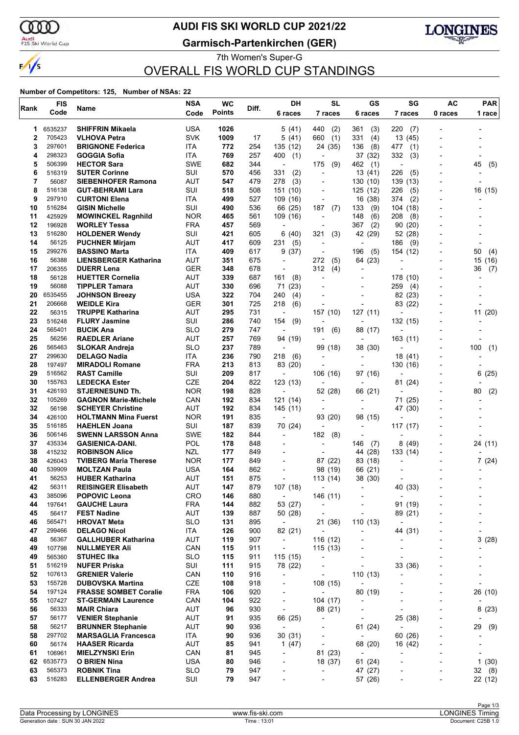ԾԾ

 $\frac{1}{\sqrt{2}}$ 

### Audi<br>FIS Ski World Cup

### **AUDI FIS SKI WORLD CUP 2021/22**

**Garmisch-Partenkirchen (GER)**



### 7th Women's Super-G OVERALL FIS WORLD CUP STANDINGS

#### **Number of Competitors: 125, Number of NSAs: 22**

| Code<br>7 races<br>7 races<br>6 races<br>6 races<br>0 races<br><b>SHIFFRIN Mikaela</b><br><b>USA</b><br>1026<br>6535237<br>5 (41)<br>440<br>(2)<br>361<br>(3)<br>220<br>(7)<br>1<br><b>SVK</b><br>2<br>705423<br>1009<br>13 (45)<br><b>VLHOVA Petra</b><br>17<br>5(41)<br>660<br>(1)<br>331<br>(4)<br>772<br>254<br>3<br>297601<br><b>BRIGNONE Federica</b><br>ITA<br>135 (12)<br>24 (35)<br>136<br>(8)<br>477<br>(1)<br>298323<br><b>GOGGIA Sofia</b><br><b>ITA</b><br>769<br>257<br>400<br>332<br>4<br>(1)<br>37 (32)<br>(3)<br>5<br><b>SWE</b><br>682<br>506399<br><b>HECTOR Sara</b><br>344<br>175<br>(9)<br>462<br>(1)<br>45<br>$\centerdot$<br>$\overline{a}$<br>6<br>SUI<br>516319<br><b>SUTER Corinne</b><br>570<br>456<br>331<br>(2)<br>13 (41)<br>226<br>(5)<br>$\overline{a}$<br>$\blacksquare$<br>56087<br>AUT<br>(3)<br>139 (13)<br>7<br><b>SIEBENHOFER Ramona</b><br>547<br>479<br>278<br>130 (10)<br>8<br>SUI<br>516138<br><b>GUT-BEHRAMI Lara</b><br>518<br>508<br>151 (10)<br>226<br>(5)<br>16 (15)<br>125 (12)<br>$\overline{a}$<br>$\overline{\phantom{0}}$<br>9<br>527<br>297910<br><b>CURTONI Elena</b><br>ITA<br>499<br>109(16)<br>16 (38)<br>374<br>(2)<br>$\overline{\phantom{a}}$<br>$\overline{\phantom{0}}$<br>10<br>516284<br>SUI<br>490<br>536<br>187<br>(7)<br>(9)<br><b>GISIN Michelle</b><br>66 (25)<br>133<br>104 (18)<br><b>NOR</b><br>11<br>425929<br><b>MOWINCKEL Ragnhild</b><br>465<br>561<br>109(16)<br>148<br>(6)<br>208<br>(8)<br>$\overline{\phantom{a}}$<br>12<br>196928<br><b>FRA</b><br>(2)<br><b>WORLEY Tessa</b><br>457<br>569<br>367<br>90<br>(20)<br>$\overline{\phantom{a}}$<br>$\overline{a}$<br>13<br>516280<br>SUI<br>421<br>605<br>321<br>(3)<br>42 (29)<br>52 (28)<br><b>HOLDENER Wendy</b><br>6 (40)<br>14<br>AUT<br>56125<br><b>PUCHNER Mirjam</b><br>417<br>609<br>(9)<br>231<br>(5)<br>186<br>$\overline{\phantom{a}}$<br>$\overline{\phantom{a}}$<br>15<br>299276<br>ITA<br><b>BASSINO Marta</b><br>409<br>617<br>9 (37)<br>196<br>(5)<br>154 (12)<br>50<br>$\centerdot$<br>16<br>56388<br><b>AUT</b><br>351<br>272<br>64 (23)<br><b>LIENSBERGER Katharina</b><br>675<br>(5)<br>$\overline{a}$<br>17<br><b>GER</b><br>312<br>36<br>206355<br><b>DUERR Lena</b><br>348<br>678<br>(4)<br>$\overline{a}$<br>$\overline{a}$<br>18<br>AUT<br>339<br>56128<br><b>HUETTER Cornelia</b><br>687<br>161<br>(8)<br>178 (10)<br>$\overline{a}$<br>$\overline{\phantom{a}}$<br>$\blacksquare$<br>19<br>56088<br>AUT<br>330<br><b>TIPPLER Tamara</b><br>696<br>71 (23)<br>259<br>(4)<br>USA<br>20<br>6535455<br><b>JOHNSON Breezy</b><br>322<br>704<br>240<br>82 (23)<br>(4)<br>$\overline{a}$<br>21<br>206668<br>301<br><b>WEIDLE Kira</b><br>GER<br>725<br>218<br>(6)<br>83 (22)<br>22<br>56315<br><b>TRUPPE Katharina</b><br>AUT<br>295<br>731<br>127(11)<br>11(20)<br>157 (10)<br>$\overline{a}$<br>23<br>SUI<br>516248<br><b>FLURY Jasmine</b><br>286<br>740<br>154<br>(9)<br>132 (15)<br>$\overline{\phantom{a}}$<br>$\overline{\phantom{0}}$<br>24<br><b>BUCIK Ana</b><br><b>SLO</b><br>279<br>565401<br>747<br>191<br>88 (17)<br>(6)<br>$\overline{\phantom{a}}$<br>$\overline{a}$<br>25<br>56256<br>AUT<br>257<br>769<br>163 (11)<br><b>RAEDLER Ariane</b><br>94 (19)<br>$\overline{\phantom{a}}$<br>26<br><b>SLO</b><br>565463<br><b>SLOKAR Andreja</b><br>237<br>789<br>99 (18)<br>38 (30)<br>100<br>(1)<br>$\overline{\phantom{a}}$<br>$\overline{\phantom{0}}$<br>27<br>299630<br>ITA<br>236<br>790<br><b>DELAGO Nadia</b><br>218<br>18 (41)<br>(6)<br>$\overline{\phantom{a}}$<br>$\overline{a}$<br>28<br>197497<br><b>FRA</b><br>213<br>813<br><b>MIRADOLI Romane</b><br>83 (20)<br>130 (16)<br>٠<br>29<br>SUI<br>516562<br><b>RAST Camille</b><br>209<br>817<br>106 (16)<br>97 (16)<br>$\overline{\phantom{a}}$<br>$\overline{\phantom{a}}$<br>$\overline{a}$<br>30<br>155763<br>CZE<br>204<br>822<br>123 (13)<br><b>LEDECKA Ester</b><br>81 (24)<br>$\overline{\phantom{a}}$<br>$\blacksquare$<br>$\overline{\phantom{0}}$<br>31<br>426193<br><b>STJERNESUND Th.</b><br><b>NOR</b><br>198<br>828<br>52 (28)<br>80<br>66 (21)<br>$\overline{\phantom{a}}$<br>$\overline{a}$<br>32<br>CAN<br>105269<br><b>GAGNON Marie-Michele</b><br>192<br>834<br>121 (14)<br>71 (25)<br>$\overline{\phantom{a}}$<br>$\overline{\phantom{a}}$<br>$\overline{\phantom{0}}$<br>32<br>AUT<br>192<br>56198<br><b>SCHEYER Christine</b><br>834<br>145 (11)<br>47 (30)<br>$\blacksquare$<br>$\overline{\phantom{a}}$<br>34<br>426100<br><b>NOR</b><br>191<br>835<br>93 (20)<br><b>HOLTMANN Mina Fuerst</b><br>98 (15)<br>÷<br>35<br>SUI<br>516185<br><b>HAEHLEN Joana</b><br>187<br>839<br>70 (24)<br>117 (17)<br>$\qquad \qquad \blacksquare$<br>36<br><b>SWE</b><br>182<br>506146<br><b>SWENN LARSSON Anna</b><br>844<br>182<br>(8)<br>$\overline{\phantom{a}}$<br>$\overline{\phantom{a}}$<br>$\blacksquare$<br>POL<br>37<br>435334<br>178<br>8<br>24 (11)<br><b>GASIENICA-DANI.</b><br>848<br>146<br>(49)<br>(7)<br><b>NZL</b><br>38<br>415232<br><b>ROBINSON Alice</b><br>177<br>849<br>44 (28)<br>133 (14)<br>$\blacksquare$<br>$\blacksquare$<br>38<br><b>NOR</b><br>177<br>426043<br><b>TVIBERG Maria Therese</b><br>849<br>87 (22)<br>83 (18)<br>7(24)<br>$\blacksquare$<br>40<br>539909<br><b>USA</b><br><b>MOLTZAN Paula</b><br>164<br>862<br>98 (19)<br>66 (21)<br>41<br>56253<br>AUT<br>151<br>875<br><b>HUBER Katharina</b><br>113(14)<br>38 (30)<br>L,<br>42<br>AUT<br>879<br>107 (18)<br>40 (33)<br>56311<br><b>REISINGER Elisabeth</b><br>147<br>$\overline{\phantom{a}}$<br>CRO<br>43<br>385096<br><b>POPOVIC Leona</b><br>146<br>880<br>146 (11)<br>$\overline{\phantom{a}}$<br>$\overline{\phantom{a}}$<br>-<br>-<br>44<br>197641<br><b>GAUCHE Laura</b><br><b>FRA</b><br>144<br>882<br>53 (27)<br>91 (19)<br>$\overline{\phantom{a}}$<br>٠<br>45<br>AUT<br>89 (21)<br>56417<br><b>FEST Nadine</b><br>139<br>887<br>50 (28)<br>$\overline{\phantom{a}}$<br>÷,<br>$\overline{a}$<br>$\overline{\phantom{0}}$<br>46<br><b>SLO</b><br>131<br>21 (36)<br>110(13)<br>565471<br><b>HROVAT Meta</b><br>895<br>$\blacksquare$<br>$\overline{\phantom{a}}$<br>47<br>ITA<br>126<br>900<br>44 (31)<br>299466<br><b>DELAGO Nicol</b><br>82 (21)<br>$\overline{\phantom{a}}$<br>3(28)<br>48<br><b>AUT</b><br>116 (12)<br>56367<br><b>GALLHUBER Katharina</b><br>119<br>907<br>$\overline{\phantom{a}}$<br>$\overline{\phantom{0}}$<br>-<br>49<br>107798<br>CAN<br>115<br><b>NULLMEYER Ali</b><br>911<br>115(13)<br>$\overline{\phantom{a}}$<br>49<br>565360<br><b>STUHEC IIka</b><br><b>SLO</b><br>115<br>911<br>115(15)<br>$\overline{\phantom{a}}$<br>-<br>51<br>SUI<br>33 (36)<br>516219<br><b>NUFER Priska</b><br>111<br>915<br>78 (22)<br>$\overline{\phantom{a}}$<br>$\overline{a}$<br>-<br>52<br>CAN<br>110<br>110(13)<br>107613<br><b>GRENIER Valerie</b><br>916<br>$\overline{\phantom{a}}$<br>$\overline{\phantom{a}}$<br>CZE<br>53<br>155728<br>108<br>918<br><b>DUBOVSKA Martina</b><br>108 (15)<br>$\overline{\phantom{a}}$<br>$\overline{\phantom{a}}$<br>54<br><b>FRA</b><br>80 (19)<br>197124<br><b>FRASSE SOMBET Coralie</b><br>106<br>920<br>$\overline{\phantom{a}}$<br>$\overline{\phantom{a}}$<br>$\overline{a}$<br>$\overline{a}$<br>55<br>CAN<br>922<br>107427<br><b>ST-GERMAIN Laurence</b><br>104<br>104 (17)<br>$\overline{\phantom{a}}$<br>$\overline{\phantom{a}}$<br>$\overline{a}$<br>56<br>56333<br><b>MAIR Chiara</b><br>AUT<br>96<br>930<br>88 (21)<br>$\overline{\phantom{a}}$<br>÷,<br>$\overline{\phantom{0}}$<br>٠<br>57<br><b>AUT</b><br>25 (38)<br>56177<br><b>VENIER Stephanie</b><br>91<br>935<br>66 (25)<br>$\overline{\phantom{a}}$<br>$\overline{\phantom{a}}$<br>-<br>58<br>56217<br><b>AUT</b><br>90<br>936<br>61 (24)<br>29<br><b>BRUNNER Stephanie</b><br>$\overline{\phantom{a}}$<br>$\centerdot$<br>-<br>58<br>ITA<br>936<br>30(31)<br>60 (26)<br>297702<br><b>MARSAGLIA Francesca</b><br>90<br>$\overline{\phantom{a}}$<br>$\overline{\phantom{a}}$<br>٠<br>60<br><b>AUT</b><br>68 (20)<br>56174<br><b>HAASER Ricarda</b><br>85<br>941<br>1 $(47)$<br>16 (42)<br>$\overline{\phantom{a}}$<br>$\overline{\phantom{a}}$<br>$\overline{\phantom{a}}$<br>61<br>106961<br>CAN<br>81 (23)<br><b>MIELZYNSKI Erin</b><br>81<br>945<br>$\overline{\phantom{a}}$<br>$\overline{\phantom{a}}$<br>$\overline{a}$<br><b>O BRIEN Nina</b><br><b>USA</b><br>80<br>946<br>61 (24)<br>1(30)<br>62<br>6535773<br>18 (37)<br>$\overline{\phantom{a}}$<br>$\overline{a}$<br>٠<br>63<br><b>ROBNIK Tina</b><br><b>SLO</b><br>565373<br>79<br>947<br>47 (27)<br>32 (8)<br>$\overline{a}$<br>$\overline{\phantom{a}}$<br>$\overline{a}$<br>$\overline{a}$<br>63<br>516283<br>SUI<br>79<br>947<br><b>ELLENBERGER Andrea</b><br>57 (26)<br>22 (12) | Rank | FIS  | Name | <b>NSA</b> | <b>WC</b>     | Diff. | DH | <b>SL</b> | GS | SG | <b>AC</b> | <b>PAR</b> |
|-----------------------------------------------------------------------------------------------------------------------------------------------------------------------------------------------------------------------------------------------------------------------------------------------------------------------------------------------------------------------------------------------------------------------------------------------------------------------------------------------------------------------------------------------------------------------------------------------------------------------------------------------------------------------------------------------------------------------------------------------------------------------------------------------------------------------------------------------------------------------------------------------------------------------------------------------------------------------------------------------------------------------------------------------------------------------------------------------------------------------------------------------------------------------------------------------------------------------------------------------------------------------------------------------------------------------------------------------------------------------------------------------------------------------------------------------------------------------------------------------------------------------------------------------------------------------------------------------------------------------------------------------------------------------------------------------------------------------------------------------------------------------------------------------------------------------------------------------------------------------------------------------------------------------------------------------------------------------------------------------------------------------------------------------------------------------------------------------------------------------------------------------------------------------------------------------------------------------------------------------------------------------------------------------------------------------------------------------------------------------------------------------------------------------------------------------------------------------------------------------------------------------------------------------------------------------------------------------------------------------------------------------------------------------------------------------------------------------------------------------------------------------------------------------------------------------------------------------------------------------------------------------------------------------------------------------------------------------------------------------------------------------------------------------------------------------------------------------------------------------------------------------------------------------------------------------------------------------------------------------------------------------------------------------------------------------------------------------------------------------------------------------------------------------------------------------------------------------------------------------------------------------------------------------------------------------------------------------------------------------------------------------------------------------------------------------------------------------------------------------------------------------------------------------------------------------------------------------------------------------------------------------------------------------------------------------------------------------------------------------------------------------------------------------------------------------------------------------------------------------------------------------------------------------------------------------------------------------------------------------------------------------------------------------------------------------------------------------------------------------------------------------------------------------------------------------------------------------------------------------------------------------------------------------------------------------------------------------------------------------------------------------------------------------------------------------------------------------------------------------------------------------------------------------------------------------------------------------------------------------------------------------------------------------------------------------------------------------------------------------------------------------------------------------------------------------------------------------------------------------------------------------------------------------------------------------------------------------------------------------------------------------------------------------------------------------------------------------------------------------------------------------------------------------------------------------------------------------------------------------------------------------------------------------------------------------------------------------------------------------------------------------------------------------------------------------------------------------------------------------------------------------------------------------------------------------------------------------------------------------------------------------------------------------------------------------------------------------------------------------------------------------------------------------------------------------------------------------------------------------------------------------------------------------------------------------------------------------------------------------------------------------------------------------------------------------------------------------------------------------------------------------------------------------------------------------------------------------------------------------------------------------------------------------------------------------------------------------------------------------------------------------------------------------------------------------------------------------------------------------------------------------------------------------------------------------------------------------------------------------------------------------------------------------------------------------------------------------------------------------------------------------------------------------------------------------------------------------------------------------------------------------------------------------------------------------------------------------------------------------------------------------------------------------------------------------------------------------------------------------------------------------------------------------------------------------------------------------------------------------------------------------------------------------------------------------------------------------------------------------------------------------------------------------------------------------------------------------------------------------------------------------------------------------------------------------------------------------------------------------------------------------------------------------------------------------------------------------------------------------------------------------------------------------------------------------------------------------------------------------------------------------------------------------------------------------------------------------------------------------------------------------------------------------------------------------------------------------------------------------------------------------------------------------------------------------------------------------------------------------------------------------------------------------------------------------------------------------------------------------------------------------------------------------------------------------------------------------------|------|------|------|------------|---------------|-------|----|-----------|----|----|-----------|------------|
|                                                                                                                                                                                                                                                                                                                                                                                                                                                                                                                                                                                                                                                                                                                                                                                                                                                                                                                                                                                                                                                                                                                                                                                                                                                                                                                                                                                                                                                                                                                                                                                                                                                                                                                                                                                                                                                                                                                                                                                                                                                                                                                                                                                                                                                                                                                                                                                                                                                                                                                                                                                                                                                                                                                                                                                                                                                                                                                                                                                                                                                                                                                                                                                                                                                                                                                                                                                                                                                                                                                                                                                                                                                                                                                                                                                                                                                                                                                                                                                                                                                                                                                                                                                                                                                                                                                                                                                                                                                                                                                                                                                                                                                                                                                                                                                                                                                                                                                                                                                                                                                                                                                                                                                                                                                                                                                                                                                                                                                                                                                                                                                                                                                                                                                                                                                                                                                                                                                                                                                                                                                                                                                                                                                                                                                                                                                                                                                                                                                                                                                                                                                                                                                                                                                                                                                                                                                                                                                                                                                                                                                                                                                                                                                                                                                                                                                                                                                                                                                                                                                                                                                                                                                                                                                                                                                                                                                                                                                                                                                                                                                                                                                                                                                                                                                                                                                                                                                                                                                                                                                                                                                                                                                                                                                             |      | Code |      |            | <b>Points</b> |       |    |           |    |    |           | 1 race     |
|                                                                                                                                                                                                                                                                                                                                                                                                                                                                                                                                                                                                                                                                                                                                                                                                                                                                                                                                                                                                                                                                                                                                                                                                                                                                                                                                                                                                                                                                                                                                                                                                                                                                                                                                                                                                                                                                                                                                                                                                                                                                                                                                                                                                                                                                                                                                                                                                                                                                                                                                                                                                                                                                                                                                                                                                                                                                                                                                                                                                                                                                                                                                                                                                                                                                                                                                                                                                                                                                                                                                                                                                                                                                                                                                                                                                                                                                                                                                                                                                                                                                                                                                                                                                                                                                                                                                                                                                                                                                                                                                                                                                                                                                                                                                                                                                                                                                                                                                                                                                                                                                                                                                                                                                                                                                                                                                                                                                                                                                                                                                                                                                                                                                                                                                                                                                                                                                                                                                                                                                                                                                                                                                                                                                                                                                                                                                                                                                                                                                                                                                                                                                                                                                                                                                                                                                                                                                                                                                                                                                                                                                                                                                                                                                                                                                                                                                                                                                                                                                                                                                                                                                                                                                                                                                                                                                                                                                                                                                                                                                                                                                                                                                                                                                                                                                                                                                                                                                                                                                                                                                                                                                                                                                                                                             |      |      |      |            |               |       |    |           |    |    |           |            |
|                                                                                                                                                                                                                                                                                                                                                                                                                                                                                                                                                                                                                                                                                                                                                                                                                                                                                                                                                                                                                                                                                                                                                                                                                                                                                                                                                                                                                                                                                                                                                                                                                                                                                                                                                                                                                                                                                                                                                                                                                                                                                                                                                                                                                                                                                                                                                                                                                                                                                                                                                                                                                                                                                                                                                                                                                                                                                                                                                                                                                                                                                                                                                                                                                                                                                                                                                                                                                                                                                                                                                                                                                                                                                                                                                                                                                                                                                                                                                                                                                                                                                                                                                                                                                                                                                                                                                                                                                                                                                                                                                                                                                                                                                                                                                                                                                                                                                                                                                                                                                                                                                                                                                                                                                                                                                                                                                                                                                                                                                                                                                                                                                                                                                                                                                                                                                                                                                                                                                                                                                                                                                                                                                                                                                                                                                                                                                                                                                                                                                                                                                                                                                                                                                                                                                                                                                                                                                                                                                                                                                                                                                                                                                                                                                                                                                                                                                                                                                                                                                                                                                                                                                                                                                                                                                                                                                                                                                                                                                                                                                                                                                                                                                                                                                                                                                                                                                                                                                                                                                                                                                                                                                                                                                                                             |      |      |      |            |               |       |    |           |    |    |           |            |
|                                                                                                                                                                                                                                                                                                                                                                                                                                                                                                                                                                                                                                                                                                                                                                                                                                                                                                                                                                                                                                                                                                                                                                                                                                                                                                                                                                                                                                                                                                                                                                                                                                                                                                                                                                                                                                                                                                                                                                                                                                                                                                                                                                                                                                                                                                                                                                                                                                                                                                                                                                                                                                                                                                                                                                                                                                                                                                                                                                                                                                                                                                                                                                                                                                                                                                                                                                                                                                                                                                                                                                                                                                                                                                                                                                                                                                                                                                                                                                                                                                                                                                                                                                                                                                                                                                                                                                                                                                                                                                                                                                                                                                                                                                                                                                                                                                                                                                                                                                                                                                                                                                                                                                                                                                                                                                                                                                                                                                                                                                                                                                                                                                                                                                                                                                                                                                                                                                                                                                                                                                                                                                                                                                                                                                                                                                                                                                                                                                                                                                                                                                                                                                                                                                                                                                                                                                                                                                                                                                                                                                                                                                                                                                                                                                                                                                                                                                                                                                                                                                                                                                                                                                                                                                                                                                                                                                                                                                                                                                                                                                                                                                                                                                                                                                                                                                                                                                                                                                                                                                                                                                                                                                                                                                                             |      |      |      |            |               |       |    |           |    |    |           |            |
|                                                                                                                                                                                                                                                                                                                                                                                                                                                                                                                                                                                                                                                                                                                                                                                                                                                                                                                                                                                                                                                                                                                                                                                                                                                                                                                                                                                                                                                                                                                                                                                                                                                                                                                                                                                                                                                                                                                                                                                                                                                                                                                                                                                                                                                                                                                                                                                                                                                                                                                                                                                                                                                                                                                                                                                                                                                                                                                                                                                                                                                                                                                                                                                                                                                                                                                                                                                                                                                                                                                                                                                                                                                                                                                                                                                                                                                                                                                                                                                                                                                                                                                                                                                                                                                                                                                                                                                                                                                                                                                                                                                                                                                                                                                                                                                                                                                                                                                                                                                                                                                                                                                                                                                                                                                                                                                                                                                                                                                                                                                                                                                                                                                                                                                                                                                                                                                                                                                                                                                                                                                                                                                                                                                                                                                                                                                                                                                                                                                                                                                                                                                                                                                                                                                                                                                                                                                                                                                                                                                                                                                                                                                                                                                                                                                                                                                                                                                                                                                                                                                                                                                                                                                                                                                                                                                                                                                                                                                                                                                                                                                                                                                                                                                                                                                                                                                                                                                                                                                                                                                                                                                                                                                                                                                             |      |      |      |            |               |       |    |           |    |    |           |            |
|                                                                                                                                                                                                                                                                                                                                                                                                                                                                                                                                                                                                                                                                                                                                                                                                                                                                                                                                                                                                                                                                                                                                                                                                                                                                                                                                                                                                                                                                                                                                                                                                                                                                                                                                                                                                                                                                                                                                                                                                                                                                                                                                                                                                                                                                                                                                                                                                                                                                                                                                                                                                                                                                                                                                                                                                                                                                                                                                                                                                                                                                                                                                                                                                                                                                                                                                                                                                                                                                                                                                                                                                                                                                                                                                                                                                                                                                                                                                                                                                                                                                                                                                                                                                                                                                                                                                                                                                                                                                                                                                                                                                                                                                                                                                                                                                                                                                                                                                                                                                                                                                                                                                                                                                                                                                                                                                                                                                                                                                                                                                                                                                                                                                                                                                                                                                                                                                                                                                                                                                                                                                                                                                                                                                                                                                                                                                                                                                                                                                                                                                                                                                                                                                                                                                                                                                                                                                                                                                                                                                                                                                                                                                                                                                                                                                                                                                                                                                                                                                                                                                                                                                                                                                                                                                                                                                                                                                                                                                                                                                                                                                                                                                                                                                                                                                                                                                                                                                                                                                                                                                                                                                                                                                                                                             |      |      |      |            |               |       |    |           |    |    |           | (5)        |
|                                                                                                                                                                                                                                                                                                                                                                                                                                                                                                                                                                                                                                                                                                                                                                                                                                                                                                                                                                                                                                                                                                                                                                                                                                                                                                                                                                                                                                                                                                                                                                                                                                                                                                                                                                                                                                                                                                                                                                                                                                                                                                                                                                                                                                                                                                                                                                                                                                                                                                                                                                                                                                                                                                                                                                                                                                                                                                                                                                                                                                                                                                                                                                                                                                                                                                                                                                                                                                                                                                                                                                                                                                                                                                                                                                                                                                                                                                                                                                                                                                                                                                                                                                                                                                                                                                                                                                                                                                                                                                                                                                                                                                                                                                                                                                                                                                                                                                                                                                                                                                                                                                                                                                                                                                                                                                                                                                                                                                                                                                                                                                                                                                                                                                                                                                                                                                                                                                                                                                                                                                                                                                                                                                                                                                                                                                                                                                                                                                                                                                                                                                                                                                                                                                                                                                                                                                                                                                                                                                                                                                                                                                                                                                                                                                                                                                                                                                                                                                                                                                                                                                                                                                                                                                                                                                                                                                                                                                                                                                                                                                                                                                                                                                                                                                                                                                                                                                                                                                                                                                                                                                                                                                                                                                                             |      |      |      |            |               |       |    |           |    |    |           |            |
|                                                                                                                                                                                                                                                                                                                                                                                                                                                                                                                                                                                                                                                                                                                                                                                                                                                                                                                                                                                                                                                                                                                                                                                                                                                                                                                                                                                                                                                                                                                                                                                                                                                                                                                                                                                                                                                                                                                                                                                                                                                                                                                                                                                                                                                                                                                                                                                                                                                                                                                                                                                                                                                                                                                                                                                                                                                                                                                                                                                                                                                                                                                                                                                                                                                                                                                                                                                                                                                                                                                                                                                                                                                                                                                                                                                                                                                                                                                                                                                                                                                                                                                                                                                                                                                                                                                                                                                                                                                                                                                                                                                                                                                                                                                                                                                                                                                                                                                                                                                                                                                                                                                                                                                                                                                                                                                                                                                                                                                                                                                                                                                                                                                                                                                                                                                                                                                                                                                                                                                                                                                                                                                                                                                                                                                                                                                                                                                                                                                                                                                                                                                                                                                                                                                                                                                                                                                                                                                                                                                                                                                                                                                                                                                                                                                                                                                                                                                                                                                                                                                                                                                                                                                                                                                                                                                                                                                                                                                                                                                                                                                                                                                                                                                                                                                                                                                                                                                                                                                                                                                                                                                                                                                                                                                             |      |      |      |            |               |       |    |           |    |    |           |            |
|                                                                                                                                                                                                                                                                                                                                                                                                                                                                                                                                                                                                                                                                                                                                                                                                                                                                                                                                                                                                                                                                                                                                                                                                                                                                                                                                                                                                                                                                                                                                                                                                                                                                                                                                                                                                                                                                                                                                                                                                                                                                                                                                                                                                                                                                                                                                                                                                                                                                                                                                                                                                                                                                                                                                                                                                                                                                                                                                                                                                                                                                                                                                                                                                                                                                                                                                                                                                                                                                                                                                                                                                                                                                                                                                                                                                                                                                                                                                                                                                                                                                                                                                                                                                                                                                                                                                                                                                                                                                                                                                                                                                                                                                                                                                                                                                                                                                                                                                                                                                                                                                                                                                                                                                                                                                                                                                                                                                                                                                                                                                                                                                                                                                                                                                                                                                                                                                                                                                                                                                                                                                                                                                                                                                                                                                                                                                                                                                                                                                                                                                                                                                                                                                                                                                                                                                                                                                                                                                                                                                                                                                                                                                                                                                                                                                                                                                                                                                                                                                                                                                                                                                                                                                                                                                                                                                                                                                                                                                                                                                                                                                                                                                                                                                                                                                                                                                                                                                                                                                                                                                                                                                                                                                                                                             |      |      |      |            |               |       |    |           |    |    |           |            |
|                                                                                                                                                                                                                                                                                                                                                                                                                                                                                                                                                                                                                                                                                                                                                                                                                                                                                                                                                                                                                                                                                                                                                                                                                                                                                                                                                                                                                                                                                                                                                                                                                                                                                                                                                                                                                                                                                                                                                                                                                                                                                                                                                                                                                                                                                                                                                                                                                                                                                                                                                                                                                                                                                                                                                                                                                                                                                                                                                                                                                                                                                                                                                                                                                                                                                                                                                                                                                                                                                                                                                                                                                                                                                                                                                                                                                                                                                                                                                                                                                                                                                                                                                                                                                                                                                                                                                                                                                                                                                                                                                                                                                                                                                                                                                                                                                                                                                                                                                                                                                                                                                                                                                                                                                                                                                                                                                                                                                                                                                                                                                                                                                                                                                                                                                                                                                                                                                                                                                                                                                                                                                                                                                                                                                                                                                                                                                                                                                                                                                                                                                                                                                                                                                                                                                                                                                                                                                                                                                                                                                                                                                                                                                                                                                                                                                                                                                                                                                                                                                                                                                                                                                                                                                                                                                                                                                                                                                                                                                                                                                                                                                                                                                                                                                                                                                                                                                                                                                                                                                                                                                                                                                                                                                                                             |      |      |      |            |               |       |    |           |    |    |           |            |
|                                                                                                                                                                                                                                                                                                                                                                                                                                                                                                                                                                                                                                                                                                                                                                                                                                                                                                                                                                                                                                                                                                                                                                                                                                                                                                                                                                                                                                                                                                                                                                                                                                                                                                                                                                                                                                                                                                                                                                                                                                                                                                                                                                                                                                                                                                                                                                                                                                                                                                                                                                                                                                                                                                                                                                                                                                                                                                                                                                                                                                                                                                                                                                                                                                                                                                                                                                                                                                                                                                                                                                                                                                                                                                                                                                                                                                                                                                                                                                                                                                                                                                                                                                                                                                                                                                                                                                                                                                                                                                                                                                                                                                                                                                                                                                                                                                                                                                                                                                                                                                                                                                                                                                                                                                                                                                                                                                                                                                                                                                                                                                                                                                                                                                                                                                                                                                                                                                                                                                                                                                                                                                                                                                                                                                                                                                                                                                                                                                                                                                                                                                                                                                                                                                                                                                                                                                                                                                                                                                                                                                                                                                                                                                                                                                                                                                                                                                                                                                                                                                                                                                                                                                                                                                                                                                                                                                                                                                                                                                                                                                                                                                                                                                                                                                                                                                                                                                                                                                                                                                                                                                                                                                                                                                                             |      |      |      |            |               |       |    |           |    |    |           |            |
|                                                                                                                                                                                                                                                                                                                                                                                                                                                                                                                                                                                                                                                                                                                                                                                                                                                                                                                                                                                                                                                                                                                                                                                                                                                                                                                                                                                                                                                                                                                                                                                                                                                                                                                                                                                                                                                                                                                                                                                                                                                                                                                                                                                                                                                                                                                                                                                                                                                                                                                                                                                                                                                                                                                                                                                                                                                                                                                                                                                                                                                                                                                                                                                                                                                                                                                                                                                                                                                                                                                                                                                                                                                                                                                                                                                                                                                                                                                                                                                                                                                                                                                                                                                                                                                                                                                                                                                                                                                                                                                                                                                                                                                                                                                                                                                                                                                                                                                                                                                                                                                                                                                                                                                                                                                                                                                                                                                                                                                                                                                                                                                                                                                                                                                                                                                                                                                                                                                                                                                                                                                                                                                                                                                                                                                                                                                                                                                                                                                                                                                                                                                                                                                                                                                                                                                                                                                                                                                                                                                                                                                                                                                                                                                                                                                                                                                                                                                                                                                                                                                                                                                                                                                                                                                                                                                                                                                                                                                                                                                                                                                                                                                                                                                                                                                                                                                                                                                                                                                                                                                                                                                                                                                                                                                             |      |      |      |            |               |       |    |           |    |    |           |            |
|                                                                                                                                                                                                                                                                                                                                                                                                                                                                                                                                                                                                                                                                                                                                                                                                                                                                                                                                                                                                                                                                                                                                                                                                                                                                                                                                                                                                                                                                                                                                                                                                                                                                                                                                                                                                                                                                                                                                                                                                                                                                                                                                                                                                                                                                                                                                                                                                                                                                                                                                                                                                                                                                                                                                                                                                                                                                                                                                                                                                                                                                                                                                                                                                                                                                                                                                                                                                                                                                                                                                                                                                                                                                                                                                                                                                                                                                                                                                                                                                                                                                                                                                                                                                                                                                                                                                                                                                                                                                                                                                                                                                                                                                                                                                                                                                                                                                                                                                                                                                                                                                                                                                                                                                                                                                                                                                                                                                                                                                                                                                                                                                                                                                                                                                                                                                                                                                                                                                                                                                                                                                                                                                                                                                                                                                                                                                                                                                                                                                                                                                                                                                                                                                                                                                                                                                                                                                                                                                                                                                                                                                                                                                                                                                                                                                                                                                                                                                                                                                                                                                                                                                                                                                                                                                                                                                                                                                                                                                                                                                                                                                                                                                                                                                                                                                                                                                                                                                                                                                                                                                                                                                                                                                                                                             |      |      |      |            |               |       |    |           |    |    |           |            |
|                                                                                                                                                                                                                                                                                                                                                                                                                                                                                                                                                                                                                                                                                                                                                                                                                                                                                                                                                                                                                                                                                                                                                                                                                                                                                                                                                                                                                                                                                                                                                                                                                                                                                                                                                                                                                                                                                                                                                                                                                                                                                                                                                                                                                                                                                                                                                                                                                                                                                                                                                                                                                                                                                                                                                                                                                                                                                                                                                                                                                                                                                                                                                                                                                                                                                                                                                                                                                                                                                                                                                                                                                                                                                                                                                                                                                                                                                                                                                                                                                                                                                                                                                                                                                                                                                                                                                                                                                                                                                                                                                                                                                                                                                                                                                                                                                                                                                                                                                                                                                                                                                                                                                                                                                                                                                                                                                                                                                                                                                                                                                                                                                                                                                                                                                                                                                                                                                                                                                                                                                                                                                                                                                                                                                                                                                                                                                                                                                                                                                                                                                                                                                                                                                                                                                                                                                                                                                                                                                                                                                                                                                                                                                                                                                                                                                                                                                                                                                                                                                                                                                                                                                                                                                                                                                                                                                                                                                                                                                                                                                                                                                                                                                                                                                                                                                                                                                                                                                                                                                                                                                                                                                                                                                                                             |      |      |      |            |               |       |    |           |    |    |           |            |
|                                                                                                                                                                                                                                                                                                                                                                                                                                                                                                                                                                                                                                                                                                                                                                                                                                                                                                                                                                                                                                                                                                                                                                                                                                                                                                                                                                                                                                                                                                                                                                                                                                                                                                                                                                                                                                                                                                                                                                                                                                                                                                                                                                                                                                                                                                                                                                                                                                                                                                                                                                                                                                                                                                                                                                                                                                                                                                                                                                                                                                                                                                                                                                                                                                                                                                                                                                                                                                                                                                                                                                                                                                                                                                                                                                                                                                                                                                                                                                                                                                                                                                                                                                                                                                                                                                                                                                                                                                                                                                                                                                                                                                                                                                                                                                                                                                                                                                                                                                                                                                                                                                                                                                                                                                                                                                                                                                                                                                                                                                                                                                                                                                                                                                                                                                                                                                                                                                                                                                                                                                                                                                                                                                                                                                                                                                                                                                                                                                                                                                                                                                                                                                                                                                                                                                                                                                                                                                                                                                                                                                                                                                                                                                                                                                                                                                                                                                                                                                                                                                                                                                                                                                                                                                                                                                                                                                                                                                                                                                                                                                                                                                                                                                                                                                                                                                                                                                                                                                                                                                                                                                                                                                                                                                                             |      |      |      |            |               |       |    |           |    |    |           | (4)        |
|                                                                                                                                                                                                                                                                                                                                                                                                                                                                                                                                                                                                                                                                                                                                                                                                                                                                                                                                                                                                                                                                                                                                                                                                                                                                                                                                                                                                                                                                                                                                                                                                                                                                                                                                                                                                                                                                                                                                                                                                                                                                                                                                                                                                                                                                                                                                                                                                                                                                                                                                                                                                                                                                                                                                                                                                                                                                                                                                                                                                                                                                                                                                                                                                                                                                                                                                                                                                                                                                                                                                                                                                                                                                                                                                                                                                                                                                                                                                                                                                                                                                                                                                                                                                                                                                                                                                                                                                                                                                                                                                                                                                                                                                                                                                                                                                                                                                                                                                                                                                                                                                                                                                                                                                                                                                                                                                                                                                                                                                                                                                                                                                                                                                                                                                                                                                                                                                                                                                                                                                                                                                                                                                                                                                                                                                                                                                                                                                                                                                                                                                                                                                                                                                                                                                                                                                                                                                                                                                                                                                                                                                                                                                                                                                                                                                                                                                                                                                                                                                                                                                                                                                                                                                                                                                                                                                                                                                                                                                                                                                                                                                                                                                                                                                                                                                                                                                                                                                                                                                                                                                                                                                                                                                                                                             |      |      |      |            |               |       |    |           |    |    |           | 15 (16)    |
|                                                                                                                                                                                                                                                                                                                                                                                                                                                                                                                                                                                                                                                                                                                                                                                                                                                                                                                                                                                                                                                                                                                                                                                                                                                                                                                                                                                                                                                                                                                                                                                                                                                                                                                                                                                                                                                                                                                                                                                                                                                                                                                                                                                                                                                                                                                                                                                                                                                                                                                                                                                                                                                                                                                                                                                                                                                                                                                                                                                                                                                                                                                                                                                                                                                                                                                                                                                                                                                                                                                                                                                                                                                                                                                                                                                                                                                                                                                                                                                                                                                                                                                                                                                                                                                                                                                                                                                                                                                                                                                                                                                                                                                                                                                                                                                                                                                                                                                                                                                                                                                                                                                                                                                                                                                                                                                                                                                                                                                                                                                                                                                                                                                                                                                                                                                                                                                                                                                                                                                                                                                                                                                                                                                                                                                                                                                                                                                                                                                                                                                                                                                                                                                                                                                                                                                                                                                                                                                                                                                                                                                                                                                                                                                                                                                                                                                                                                                                                                                                                                                                                                                                                                                                                                                                                                                                                                                                                                                                                                                                                                                                                                                                                                                                                                                                                                                                                                                                                                                                                                                                                                                                                                                                                                                             |      |      |      |            |               |       |    |           |    |    |           | (7)        |
|                                                                                                                                                                                                                                                                                                                                                                                                                                                                                                                                                                                                                                                                                                                                                                                                                                                                                                                                                                                                                                                                                                                                                                                                                                                                                                                                                                                                                                                                                                                                                                                                                                                                                                                                                                                                                                                                                                                                                                                                                                                                                                                                                                                                                                                                                                                                                                                                                                                                                                                                                                                                                                                                                                                                                                                                                                                                                                                                                                                                                                                                                                                                                                                                                                                                                                                                                                                                                                                                                                                                                                                                                                                                                                                                                                                                                                                                                                                                                                                                                                                                                                                                                                                                                                                                                                                                                                                                                                                                                                                                                                                                                                                                                                                                                                                                                                                                                                                                                                                                                                                                                                                                                                                                                                                                                                                                                                                                                                                                                                                                                                                                                                                                                                                                                                                                                                                                                                                                                                                                                                                                                                                                                                                                                                                                                                                                                                                                                                                                                                                                                                                                                                                                                                                                                                                                                                                                                                                                                                                                                                                                                                                                                                                                                                                                                                                                                                                                                                                                                                                                                                                                                                                                                                                                                                                                                                                                                                                                                                                                                                                                                                                                                                                                                                                                                                                                                                                                                                                                                                                                                                                                                                                                                                                             |      |      |      |            |               |       |    |           |    |    |           |            |
|                                                                                                                                                                                                                                                                                                                                                                                                                                                                                                                                                                                                                                                                                                                                                                                                                                                                                                                                                                                                                                                                                                                                                                                                                                                                                                                                                                                                                                                                                                                                                                                                                                                                                                                                                                                                                                                                                                                                                                                                                                                                                                                                                                                                                                                                                                                                                                                                                                                                                                                                                                                                                                                                                                                                                                                                                                                                                                                                                                                                                                                                                                                                                                                                                                                                                                                                                                                                                                                                                                                                                                                                                                                                                                                                                                                                                                                                                                                                                                                                                                                                                                                                                                                                                                                                                                                                                                                                                                                                                                                                                                                                                                                                                                                                                                                                                                                                                                                                                                                                                                                                                                                                                                                                                                                                                                                                                                                                                                                                                                                                                                                                                                                                                                                                                                                                                                                                                                                                                                                                                                                                                                                                                                                                                                                                                                                                                                                                                                                                                                                                                                                                                                                                                                                                                                                                                                                                                                                                                                                                                                                                                                                                                                                                                                                                                                                                                                                                                                                                                                                                                                                                                                                                                                                                                                                                                                                                                                                                                                                                                                                                                                                                                                                                                                                                                                                                                                                                                                                                                                                                                                                                                                                                                                                             |      |      |      |            |               |       |    |           |    |    |           |            |
|                                                                                                                                                                                                                                                                                                                                                                                                                                                                                                                                                                                                                                                                                                                                                                                                                                                                                                                                                                                                                                                                                                                                                                                                                                                                                                                                                                                                                                                                                                                                                                                                                                                                                                                                                                                                                                                                                                                                                                                                                                                                                                                                                                                                                                                                                                                                                                                                                                                                                                                                                                                                                                                                                                                                                                                                                                                                                                                                                                                                                                                                                                                                                                                                                                                                                                                                                                                                                                                                                                                                                                                                                                                                                                                                                                                                                                                                                                                                                                                                                                                                                                                                                                                                                                                                                                                                                                                                                                                                                                                                                                                                                                                                                                                                                                                                                                                                                                                                                                                                                                                                                                                                                                                                                                                                                                                                                                                                                                                                                                                                                                                                                                                                                                                                                                                                                                                                                                                                                                                                                                                                                                                                                                                                                                                                                                                                                                                                                                                                                                                                                                                                                                                                                                                                                                                                                                                                                                                                                                                                                                                                                                                                                                                                                                                                                                                                                                                                                                                                                                                                                                                                                                                                                                                                                                                                                                                                                                                                                                                                                                                                                                                                                                                                                                                                                                                                                                                                                                                                                                                                                                                                                                                                                                                             |      |      |      |            |               |       |    |           |    |    |           |            |
|                                                                                                                                                                                                                                                                                                                                                                                                                                                                                                                                                                                                                                                                                                                                                                                                                                                                                                                                                                                                                                                                                                                                                                                                                                                                                                                                                                                                                                                                                                                                                                                                                                                                                                                                                                                                                                                                                                                                                                                                                                                                                                                                                                                                                                                                                                                                                                                                                                                                                                                                                                                                                                                                                                                                                                                                                                                                                                                                                                                                                                                                                                                                                                                                                                                                                                                                                                                                                                                                                                                                                                                                                                                                                                                                                                                                                                                                                                                                                                                                                                                                                                                                                                                                                                                                                                                                                                                                                                                                                                                                                                                                                                                                                                                                                                                                                                                                                                                                                                                                                                                                                                                                                                                                                                                                                                                                                                                                                                                                                                                                                                                                                                                                                                                                                                                                                                                                                                                                                                                                                                                                                                                                                                                                                                                                                                                                                                                                                                                                                                                                                                                                                                                                                                                                                                                                                                                                                                                                                                                                                                                                                                                                                                                                                                                                                                                                                                                                                                                                                                                                                                                                                                                                                                                                                                                                                                                                                                                                                                                                                                                                                                                                                                                                                                                                                                                                                                                                                                                                                                                                                                                                                                                                                                                             |      |      |      |            |               |       |    |           |    |    |           |            |
|                                                                                                                                                                                                                                                                                                                                                                                                                                                                                                                                                                                                                                                                                                                                                                                                                                                                                                                                                                                                                                                                                                                                                                                                                                                                                                                                                                                                                                                                                                                                                                                                                                                                                                                                                                                                                                                                                                                                                                                                                                                                                                                                                                                                                                                                                                                                                                                                                                                                                                                                                                                                                                                                                                                                                                                                                                                                                                                                                                                                                                                                                                                                                                                                                                                                                                                                                                                                                                                                                                                                                                                                                                                                                                                                                                                                                                                                                                                                                                                                                                                                                                                                                                                                                                                                                                                                                                                                                                                                                                                                                                                                                                                                                                                                                                                                                                                                                                                                                                                                                                                                                                                                                                                                                                                                                                                                                                                                                                                                                                                                                                                                                                                                                                                                                                                                                                                                                                                                                                                                                                                                                                                                                                                                                                                                                                                                                                                                                                                                                                                                                                                                                                                                                                                                                                                                                                                                                                                                                                                                                                                                                                                                                                                                                                                                                                                                                                                                                                                                                                                                                                                                                                                                                                                                                                                                                                                                                                                                                                                                                                                                                                                                                                                                                                                                                                                                                                                                                                                                                                                                                                                                                                                                                                                             |      |      |      |            |               |       |    |           |    |    |           |            |
|                                                                                                                                                                                                                                                                                                                                                                                                                                                                                                                                                                                                                                                                                                                                                                                                                                                                                                                                                                                                                                                                                                                                                                                                                                                                                                                                                                                                                                                                                                                                                                                                                                                                                                                                                                                                                                                                                                                                                                                                                                                                                                                                                                                                                                                                                                                                                                                                                                                                                                                                                                                                                                                                                                                                                                                                                                                                                                                                                                                                                                                                                                                                                                                                                                                                                                                                                                                                                                                                                                                                                                                                                                                                                                                                                                                                                                                                                                                                                                                                                                                                                                                                                                                                                                                                                                                                                                                                                                                                                                                                                                                                                                                                                                                                                                                                                                                                                                                                                                                                                                                                                                                                                                                                                                                                                                                                                                                                                                                                                                                                                                                                                                                                                                                                                                                                                                                                                                                                                                                                                                                                                                                                                                                                                                                                                                                                                                                                                                                                                                                                                                                                                                                                                                                                                                                                                                                                                                                                                                                                                                                                                                                                                                                                                                                                                                                                                                                                                                                                                                                                                                                                                                                                                                                                                                                                                                                                                                                                                                                                                                                                                                                                                                                                                                                                                                                                                                                                                                                                                                                                                                                                                                                                                                                             |      |      |      |            |               |       |    |           |    |    |           |            |
|                                                                                                                                                                                                                                                                                                                                                                                                                                                                                                                                                                                                                                                                                                                                                                                                                                                                                                                                                                                                                                                                                                                                                                                                                                                                                                                                                                                                                                                                                                                                                                                                                                                                                                                                                                                                                                                                                                                                                                                                                                                                                                                                                                                                                                                                                                                                                                                                                                                                                                                                                                                                                                                                                                                                                                                                                                                                                                                                                                                                                                                                                                                                                                                                                                                                                                                                                                                                                                                                                                                                                                                                                                                                                                                                                                                                                                                                                                                                                                                                                                                                                                                                                                                                                                                                                                                                                                                                                                                                                                                                                                                                                                                                                                                                                                                                                                                                                                                                                                                                                                                                                                                                                                                                                                                                                                                                                                                                                                                                                                                                                                                                                                                                                                                                                                                                                                                                                                                                                                                                                                                                                                                                                                                                                                                                                                                                                                                                                                                                                                                                                                                                                                                                                                                                                                                                                                                                                                                                                                                                                                                                                                                                                                                                                                                                                                                                                                                                                                                                                                                                                                                                                                                                                                                                                                                                                                                                                                                                                                                                                                                                                                                                                                                                                                                                                                                                                                                                                                                                                                                                                                                                                                                                                                                             |      |      |      |            |               |       |    |           |    |    |           |            |
|                                                                                                                                                                                                                                                                                                                                                                                                                                                                                                                                                                                                                                                                                                                                                                                                                                                                                                                                                                                                                                                                                                                                                                                                                                                                                                                                                                                                                                                                                                                                                                                                                                                                                                                                                                                                                                                                                                                                                                                                                                                                                                                                                                                                                                                                                                                                                                                                                                                                                                                                                                                                                                                                                                                                                                                                                                                                                                                                                                                                                                                                                                                                                                                                                                                                                                                                                                                                                                                                                                                                                                                                                                                                                                                                                                                                                                                                                                                                                                                                                                                                                                                                                                                                                                                                                                                                                                                                                                                                                                                                                                                                                                                                                                                                                                                                                                                                                                                                                                                                                                                                                                                                                                                                                                                                                                                                                                                                                                                                                                                                                                                                                                                                                                                                                                                                                                                                                                                                                                                                                                                                                                                                                                                                                                                                                                                                                                                                                                                                                                                                                                                                                                                                                                                                                                                                                                                                                                                                                                                                                                                                                                                                                                                                                                                                                                                                                                                                                                                                                                                                                                                                                                                                                                                                                                                                                                                                                                                                                                                                                                                                                                                                                                                                                                                                                                                                                                                                                                                                                                                                                                                                                                                                                                                             |      |      |      |            |               |       |    |           |    |    |           |            |
|                                                                                                                                                                                                                                                                                                                                                                                                                                                                                                                                                                                                                                                                                                                                                                                                                                                                                                                                                                                                                                                                                                                                                                                                                                                                                                                                                                                                                                                                                                                                                                                                                                                                                                                                                                                                                                                                                                                                                                                                                                                                                                                                                                                                                                                                                                                                                                                                                                                                                                                                                                                                                                                                                                                                                                                                                                                                                                                                                                                                                                                                                                                                                                                                                                                                                                                                                                                                                                                                                                                                                                                                                                                                                                                                                                                                                                                                                                                                                                                                                                                                                                                                                                                                                                                                                                                                                                                                                                                                                                                                                                                                                                                                                                                                                                                                                                                                                                                                                                                                                                                                                                                                                                                                                                                                                                                                                                                                                                                                                                                                                                                                                                                                                                                                                                                                                                                                                                                                                                                                                                                                                                                                                                                                                                                                                                                                                                                                                                                                                                                                                                                                                                                                                                                                                                                                                                                                                                                                                                                                                                                                                                                                                                                                                                                                                                                                                                                                                                                                                                                                                                                                                                                                                                                                                                                                                                                                                                                                                                                                                                                                                                                                                                                                                                                                                                                                                                                                                                                                                                                                                                                                                                                                                                                             |      |      |      |            |               |       |    |           |    |    |           |            |
|                                                                                                                                                                                                                                                                                                                                                                                                                                                                                                                                                                                                                                                                                                                                                                                                                                                                                                                                                                                                                                                                                                                                                                                                                                                                                                                                                                                                                                                                                                                                                                                                                                                                                                                                                                                                                                                                                                                                                                                                                                                                                                                                                                                                                                                                                                                                                                                                                                                                                                                                                                                                                                                                                                                                                                                                                                                                                                                                                                                                                                                                                                                                                                                                                                                                                                                                                                                                                                                                                                                                                                                                                                                                                                                                                                                                                                                                                                                                                                                                                                                                                                                                                                                                                                                                                                                                                                                                                                                                                                                                                                                                                                                                                                                                                                                                                                                                                                                                                                                                                                                                                                                                                                                                                                                                                                                                                                                                                                                                                                                                                                                                                                                                                                                                                                                                                                                                                                                                                                                                                                                                                                                                                                                                                                                                                                                                                                                                                                                                                                                                                                                                                                                                                                                                                                                                                                                                                                                                                                                                                                                                                                                                                                                                                                                                                                                                                                                                                                                                                                                                                                                                                                                                                                                                                                                                                                                                                                                                                                                                                                                                                                                                                                                                                                                                                                                                                                                                                                                                                                                                                                                                                                                                                                                             |      |      |      |            |               |       |    |           |    |    |           |            |
|                                                                                                                                                                                                                                                                                                                                                                                                                                                                                                                                                                                                                                                                                                                                                                                                                                                                                                                                                                                                                                                                                                                                                                                                                                                                                                                                                                                                                                                                                                                                                                                                                                                                                                                                                                                                                                                                                                                                                                                                                                                                                                                                                                                                                                                                                                                                                                                                                                                                                                                                                                                                                                                                                                                                                                                                                                                                                                                                                                                                                                                                                                                                                                                                                                                                                                                                                                                                                                                                                                                                                                                                                                                                                                                                                                                                                                                                                                                                                                                                                                                                                                                                                                                                                                                                                                                                                                                                                                                                                                                                                                                                                                                                                                                                                                                                                                                                                                                                                                                                                                                                                                                                                                                                                                                                                                                                                                                                                                                                                                                                                                                                                                                                                                                                                                                                                                                                                                                                                                                                                                                                                                                                                                                                                                                                                                                                                                                                                                                                                                                                                                                                                                                                                                                                                                                                                                                                                                                                                                                                                                                                                                                                                                                                                                                                                                                                                                                                                                                                                                                                                                                                                                                                                                                                                                                                                                                                                                                                                                                                                                                                                                                                                                                                                                                                                                                                                                                                                                                                                                                                                                                                                                                                                                                             |      |      |      |            |               |       |    |           |    |    |           | 6(25)      |
|                                                                                                                                                                                                                                                                                                                                                                                                                                                                                                                                                                                                                                                                                                                                                                                                                                                                                                                                                                                                                                                                                                                                                                                                                                                                                                                                                                                                                                                                                                                                                                                                                                                                                                                                                                                                                                                                                                                                                                                                                                                                                                                                                                                                                                                                                                                                                                                                                                                                                                                                                                                                                                                                                                                                                                                                                                                                                                                                                                                                                                                                                                                                                                                                                                                                                                                                                                                                                                                                                                                                                                                                                                                                                                                                                                                                                                                                                                                                                                                                                                                                                                                                                                                                                                                                                                                                                                                                                                                                                                                                                                                                                                                                                                                                                                                                                                                                                                                                                                                                                                                                                                                                                                                                                                                                                                                                                                                                                                                                                                                                                                                                                                                                                                                                                                                                                                                                                                                                                                                                                                                                                                                                                                                                                                                                                                                                                                                                                                                                                                                                                                                                                                                                                                                                                                                                                                                                                                                                                                                                                                                                                                                                                                                                                                                                                                                                                                                                                                                                                                                                                                                                                                                                                                                                                                                                                                                                                                                                                                                                                                                                                                                                                                                                                                                                                                                                                                                                                                                                                                                                                                                                                                                                                                                             |      |      |      |            |               |       |    |           |    |    |           |            |
|                                                                                                                                                                                                                                                                                                                                                                                                                                                                                                                                                                                                                                                                                                                                                                                                                                                                                                                                                                                                                                                                                                                                                                                                                                                                                                                                                                                                                                                                                                                                                                                                                                                                                                                                                                                                                                                                                                                                                                                                                                                                                                                                                                                                                                                                                                                                                                                                                                                                                                                                                                                                                                                                                                                                                                                                                                                                                                                                                                                                                                                                                                                                                                                                                                                                                                                                                                                                                                                                                                                                                                                                                                                                                                                                                                                                                                                                                                                                                                                                                                                                                                                                                                                                                                                                                                                                                                                                                                                                                                                                                                                                                                                                                                                                                                                                                                                                                                                                                                                                                                                                                                                                                                                                                                                                                                                                                                                                                                                                                                                                                                                                                                                                                                                                                                                                                                                                                                                                                                                                                                                                                                                                                                                                                                                                                                                                                                                                                                                                                                                                                                                                                                                                                                                                                                                                                                                                                                                                                                                                                                                                                                                                                                                                                                                                                                                                                                                                                                                                                                                                                                                                                                                                                                                                                                                                                                                                                                                                                                                                                                                                                                                                                                                                                                                                                                                                                                                                                                                                                                                                                                                                                                                                                                                             |      |      |      |            |               |       |    |           |    |    |           | (2)        |
|                                                                                                                                                                                                                                                                                                                                                                                                                                                                                                                                                                                                                                                                                                                                                                                                                                                                                                                                                                                                                                                                                                                                                                                                                                                                                                                                                                                                                                                                                                                                                                                                                                                                                                                                                                                                                                                                                                                                                                                                                                                                                                                                                                                                                                                                                                                                                                                                                                                                                                                                                                                                                                                                                                                                                                                                                                                                                                                                                                                                                                                                                                                                                                                                                                                                                                                                                                                                                                                                                                                                                                                                                                                                                                                                                                                                                                                                                                                                                                                                                                                                                                                                                                                                                                                                                                                                                                                                                                                                                                                                                                                                                                                                                                                                                                                                                                                                                                                                                                                                                                                                                                                                                                                                                                                                                                                                                                                                                                                                                                                                                                                                                                                                                                                                                                                                                                                                                                                                                                                                                                                                                                                                                                                                                                                                                                                                                                                                                                                                                                                                                                                                                                                                                                                                                                                                                                                                                                                                                                                                                                                                                                                                                                                                                                                                                                                                                                                                                                                                                                                                                                                                                                                                                                                                                                                                                                                                                                                                                                                                                                                                                                                                                                                                                                                                                                                                                                                                                                                                                                                                                                                                                                                                                                                             |      |      |      |            |               |       |    |           |    |    |           |            |
|                                                                                                                                                                                                                                                                                                                                                                                                                                                                                                                                                                                                                                                                                                                                                                                                                                                                                                                                                                                                                                                                                                                                                                                                                                                                                                                                                                                                                                                                                                                                                                                                                                                                                                                                                                                                                                                                                                                                                                                                                                                                                                                                                                                                                                                                                                                                                                                                                                                                                                                                                                                                                                                                                                                                                                                                                                                                                                                                                                                                                                                                                                                                                                                                                                                                                                                                                                                                                                                                                                                                                                                                                                                                                                                                                                                                                                                                                                                                                                                                                                                                                                                                                                                                                                                                                                                                                                                                                                                                                                                                                                                                                                                                                                                                                                                                                                                                                                                                                                                                                                                                                                                                                                                                                                                                                                                                                                                                                                                                                                                                                                                                                                                                                                                                                                                                                                                                                                                                                                                                                                                                                                                                                                                                                                                                                                                                                                                                                                                                                                                                                                                                                                                                                                                                                                                                                                                                                                                                                                                                                                                                                                                                                                                                                                                                                                                                                                                                                                                                                                                                                                                                                                                                                                                                                                                                                                                                                                                                                                                                                                                                                                                                                                                                                                                                                                                                                                                                                                                                                                                                                                                                                                                                                                                             |      |      |      |            |               |       |    |           |    |    |           |            |
|                                                                                                                                                                                                                                                                                                                                                                                                                                                                                                                                                                                                                                                                                                                                                                                                                                                                                                                                                                                                                                                                                                                                                                                                                                                                                                                                                                                                                                                                                                                                                                                                                                                                                                                                                                                                                                                                                                                                                                                                                                                                                                                                                                                                                                                                                                                                                                                                                                                                                                                                                                                                                                                                                                                                                                                                                                                                                                                                                                                                                                                                                                                                                                                                                                                                                                                                                                                                                                                                                                                                                                                                                                                                                                                                                                                                                                                                                                                                                                                                                                                                                                                                                                                                                                                                                                                                                                                                                                                                                                                                                                                                                                                                                                                                                                                                                                                                                                                                                                                                                                                                                                                                                                                                                                                                                                                                                                                                                                                                                                                                                                                                                                                                                                                                                                                                                                                                                                                                                                                                                                                                                                                                                                                                                                                                                                                                                                                                                                                                                                                                                                                                                                                                                                                                                                                                                                                                                                                                                                                                                                                                                                                                                                                                                                                                                                                                                                                                                                                                                                                                                                                                                                                                                                                                                                                                                                                                                                                                                                                                                                                                                                                                                                                                                                                                                                                                                                                                                                                                                                                                                                                                                                                                                                                             |      |      |      |            |               |       |    |           |    |    |           |            |
|                                                                                                                                                                                                                                                                                                                                                                                                                                                                                                                                                                                                                                                                                                                                                                                                                                                                                                                                                                                                                                                                                                                                                                                                                                                                                                                                                                                                                                                                                                                                                                                                                                                                                                                                                                                                                                                                                                                                                                                                                                                                                                                                                                                                                                                                                                                                                                                                                                                                                                                                                                                                                                                                                                                                                                                                                                                                                                                                                                                                                                                                                                                                                                                                                                                                                                                                                                                                                                                                                                                                                                                                                                                                                                                                                                                                                                                                                                                                                                                                                                                                                                                                                                                                                                                                                                                                                                                                                                                                                                                                                                                                                                                                                                                                                                                                                                                                                                                                                                                                                                                                                                                                                                                                                                                                                                                                                                                                                                                                                                                                                                                                                                                                                                                                                                                                                                                                                                                                                                                                                                                                                                                                                                                                                                                                                                                                                                                                                                                                                                                                                                                                                                                                                                                                                                                                                                                                                                                                                                                                                                                                                                                                                                                                                                                                                                                                                                                                                                                                                                                                                                                                                                                                                                                                                                                                                                                                                                                                                                                                                                                                                                                                                                                                                                                                                                                                                                                                                                                                                                                                                                                                                                                                                                                             |      |      |      |            |               |       |    |           |    |    |           |            |
|                                                                                                                                                                                                                                                                                                                                                                                                                                                                                                                                                                                                                                                                                                                                                                                                                                                                                                                                                                                                                                                                                                                                                                                                                                                                                                                                                                                                                                                                                                                                                                                                                                                                                                                                                                                                                                                                                                                                                                                                                                                                                                                                                                                                                                                                                                                                                                                                                                                                                                                                                                                                                                                                                                                                                                                                                                                                                                                                                                                                                                                                                                                                                                                                                                                                                                                                                                                                                                                                                                                                                                                                                                                                                                                                                                                                                                                                                                                                                                                                                                                                                                                                                                                                                                                                                                                                                                                                                                                                                                                                                                                                                                                                                                                                                                                                                                                                                                                                                                                                                                                                                                                                                                                                                                                                                                                                                                                                                                                                                                                                                                                                                                                                                                                                                                                                                                                                                                                                                                                                                                                                                                                                                                                                                                                                                                                                                                                                                                                                                                                                                                                                                                                                                                                                                                                                                                                                                                                                                                                                                                                                                                                                                                                                                                                                                                                                                                                                                                                                                                                                                                                                                                                                                                                                                                                                                                                                                                                                                                                                                                                                                                                                                                                                                                                                                                                                                                                                                                                                                                                                                                                                                                                                                                                             |      |      |      |            |               |       |    |           |    |    |           |            |
|                                                                                                                                                                                                                                                                                                                                                                                                                                                                                                                                                                                                                                                                                                                                                                                                                                                                                                                                                                                                                                                                                                                                                                                                                                                                                                                                                                                                                                                                                                                                                                                                                                                                                                                                                                                                                                                                                                                                                                                                                                                                                                                                                                                                                                                                                                                                                                                                                                                                                                                                                                                                                                                                                                                                                                                                                                                                                                                                                                                                                                                                                                                                                                                                                                                                                                                                                                                                                                                                                                                                                                                                                                                                                                                                                                                                                                                                                                                                                                                                                                                                                                                                                                                                                                                                                                                                                                                                                                                                                                                                                                                                                                                                                                                                                                                                                                                                                                                                                                                                                                                                                                                                                                                                                                                                                                                                                                                                                                                                                                                                                                                                                                                                                                                                                                                                                                                                                                                                                                                                                                                                                                                                                                                                                                                                                                                                                                                                                                                                                                                                                                                                                                                                                                                                                                                                                                                                                                                                                                                                                                                                                                                                                                                                                                                                                                                                                                                                                                                                                                                                                                                                                                                                                                                                                                                                                                                                                                                                                                                                                                                                                                                                                                                                                                                                                                                                                                                                                                                                                                                                                                                                                                                                                                                             |      |      |      |            |               |       |    |           |    |    |           |            |
|                                                                                                                                                                                                                                                                                                                                                                                                                                                                                                                                                                                                                                                                                                                                                                                                                                                                                                                                                                                                                                                                                                                                                                                                                                                                                                                                                                                                                                                                                                                                                                                                                                                                                                                                                                                                                                                                                                                                                                                                                                                                                                                                                                                                                                                                                                                                                                                                                                                                                                                                                                                                                                                                                                                                                                                                                                                                                                                                                                                                                                                                                                                                                                                                                                                                                                                                                                                                                                                                                                                                                                                                                                                                                                                                                                                                                                                                                                                                                                                                                                                                                                                                                                                                                                                                                                                                                                                                                                                                                                                                                                                                                                                                                                                                                                                                                                                                                                                                                                                                                                                                                                                                                                                                                                                                                                                                                                                                                                                                                                                                                                                                                                                                                                                                                                                                                                                                                                                                                                                                                                                                                                                                                                                                                                                                                                                                                                                                                                                                                                                                                                                                                                                                                                                                                                                                                                                                                                                                                                                                                                                                                                                                                                                                                                                                                                                                                                                                                                                                                                                                                                                                                                                                                                                                                                                                                                                                                                                                                                                                                                                                                                                                                                                                                                                                                                                                                                                                                                                                                                                                                                                                                                                                                                                             |      |      |      |            |               |       |    |           |    |    |           |            |
|                                                                                                                                                                                                                                                                                                                                                                                                                                                                                                                                                                                                                                                                                                                                                                                                                                                                                                                                                                                                                                                                                                                                                                                                                                                                                                                                                                                                                                                                                                                                                                                                                                                                                                                                                                                                                                                                                                                                                                                                                                                                                                                                                                                                                                                                                                                                                                                                                                                                                                                                                                                                                                                                                                                                                                                                                                                                                                                                                                                                                                                                                                                                                                                                                                                                                                                                                                                                                                                                                                                                                                                                                                                                                                                                                                                                                                                                                                                                                                                                                                                                                                                                                                                                                                                                                                                                                                                                                                                                                                                                                                                                                                                                                                                                                                                                                                                                                                                                                                                                                                                                                                                                                                                                                                                                                                                                                                                                                                                                                                                                                                                                                                                                                                                                                                                                                                                                                                                                                                                                                                                                                                                                                                                                                                                                                                                                                                                                                                                                                                                                                                                                                                                                                                                                                                                                                                                                                                                                                                                                                                                                                                                                                                                                                                                                                                                                                                                                                                                                                                                                                                                                                                                                                                                                                                                                                                                                                                                                                                                                                                                                                                                                                                                                                                                                                                                                                                                                                                                                                                                                                                                                                                                                                                                             |      |      |      |            |               |       |    |           |    |    |           |            |
|                                                                                                                                                                                                                                                                                                                                                                                                                                                                                                                                                                                                                                                                                                                                                                                                                                                                                                                                                                                                                                                                                                                                                                                                                                                                                                                                                                                                                                                                                                                                                                                                                                                                                                                                                                                                                                                                                                                                                                                                                                                                                                                                                                                                                                                                                                                                                                                                                                                                                                                                                                                                                                                                                                                                                                                                                                                                                                                                                                                                                                                                                                                                                                                                                                                                                                                                                                                                                                                                                                                                                                                                                                                                                                                                                                                                                                                                                                                                                                                                                                                                                                                                                                                                                                                                                                                                                                                                                                                                                                                                                                                                                                                                                                                                                                                                                                                                                                                                                                                                                                                                                                                                                                                                                                                                                                                                                                                                                                                                                                                                                                                                                                                                                                                                                                                                                                                                                                                                                                                                                                                                                                                                                                                                                                                                                                                                                                                                                                                                                                                                                                                                                                                                                                                                                                                                                                                                                                                                                                                                                                                                                                                                                                                                                                                                                                                                                                                                                                                                                                                                                                                                                                                                                                                                                                                                                                                                                                                                                                                                                                                                                                                                                                                                                                                                                                                                                                                                                                                                                                                                                                                                                                                                                                                             |      |      |      |            |               |       |    |           |    |    |           |            |
|                                                                                                                                                                                                                                                                                                                                                                                                                                                                                                                                                                                                                                                                                                                                                                                                                                                                                                                                                                                                                                                                                                                                                                                                                                                                                                                                                                                                                                                                                                                                                                                                                                                                                                                                                                                                                                                                                                                                                                                                                                                                                                                                                                                                                                                                                                                                                                                                                                                                                                                                                                                                                                                                                                                                                                                                                                                                                                                                                                                                                                                                                                                                                                                                                                                                                                                                                                                                                                                                                                                                                                                                                                                                                                                                                                                                                                                                                                                                                                                                                                                                                                                                                                                                                                                                                                                                                                                                                                                                                                                                                                                                                                                                                                                                                                                                                                                                                                                                                                                                                                                                                                                                                                                                                                                                                                                                                                                                                                                                                                                                                                                                                                                                                                                                                                                                                                                                                                                                                                                                                                                                                                                                                                                                                                                                                                                                                                                                                                                                                                                                                                                                                                                                                                                                                                                                                                                                                                                                                                                                                                                                                                                                                                                                                                                                                                                                                                                                                                                                                                                                                                                                                                                                                                                                                                                                                                                                                                                                                                                                                                                                                                                                                                                                                                                                                                                                                                                                                                                                                                                                                                                                                                                                                                                             |      |      |      |            |               |       |    |           |    |    |           |            |
|                                                                                                                                                                                                                                                                                                                                                                                                                                                                                                                                                                                                                                                                                                                                                                                                                                                                                                                                                                                                                                                                                                                                                                                                                                                                                                                                                                                                                                                                                                                                                                                                                                                                                                                                                                                                                                                                                                                                                                                                                                                                                                                                                                                                                                                                                                                                                                                                                                                                                                                                                                                                                                                                                                                                                                                                                                                                                                                                                                                                                                                                                                                                                                                                                                                                                                                                                                                                                                                                                                                                                                                                                                                                                                                                                                                                                                                                                                                                                                                                                                                                                                                                                                                                                                                                                                                                                                                                                                                                                                                                                                                                                                                                                                                                                                                                                                                                                                                                                                                                                                                                                                                                                                                                                                                                                                                                                                                                                                                                                                                                                                                                                                                                                                                                                                                                                                                                                                                                                                                                                                                                                                                                                                                                                                                                                                                                                                                                                                                                                                                                                                                                                                                                                                                                                                                                                                                                                                                                                                                                                                                                                                                                                                                                                                                                                                                                                                                                                                                                                                                                                                                                                                                                                                                                                                                                                                                                                                                                                                                                                                                                                                                                                                                                                                                                                                                                                                                                                                                                                                                                                                                                                                                                                                                             |      |      |      |            |               |       |    |           |    |    |           |            |
|                                                                                                                                                                                                                                                                                                                                                                                                                                                                                                                                                                                                                                                                                                                                                                                                                                                                                                                                                                                                                                                                                                                                                                                                                                                                                                                                                                                                                                                                                                                                                                                                                                                                                                                                                                                                                                                                                                                                                                                                                                                                                                                                                                                                                                                                                                                                                                                                                                                                                                                                                                                                                                                                                                                                                                                                                                                                                                                                                                                                                                                                                                                                                                                                                                                                                                                                                                                                                                                                                                                                                                                                                                                                                                                                                                                                                                                                                                                                                                                                                                                                                                                                                                                                                                                                                                                                                                                                                                                                                                                                                                                                                                                                                                                                                                                                                                                                                                                                                                                                                                                                                                                                                                                                                                                                                                                                                                                                                                                                                                                                                                                                                                                                                                                                                                                                                                                                                                                                                                                                                                                                                                                                                                                                                                                                                                                                                                                                                                                                                                                                                                                                                                                                                                                                                                                                                                                                                                                                                                                                                                                                                                                                                                                                                                                                                                                                                                                                                                                                                                                                                                                                                                                                                                                                                                                                                                                                                                                                                                                                                                                                                                                                                                                                                                                                                                                                                                                                                                                                                                                                                                                                                                                                                                                             |      |      |      |            |               |       |    |           |    |    |           |            |
|                                                                                                                                                                                                                                                                                                                                                                                                                                                                                                                                                                                                                                                                                                                                                                                                                                                                                                                                                                                                                                                                                                                                                                                                                                                                                                                                                                                                                                                                                                                                                                                                                                                                                                                                                                                                                                                                                                                                                                                                                                                                                                                                                                                                                                                                                                                                                                                                                                                                                                                                                                                                                                                                                                                                                                                                                                                                                                                                                                                                                                                                                                                                                                                                                                                                                                                                                                                                                                                                                                                                                                                                                                                                                                                                                                                                                                                                                                                                                                                                                                                                                                                                                                                                                                                                                                                                                                                                                                                                                                                                                                                                                                                                                                                                                                                                                                                                                                                                                                                                                                                                                                                                                                                                                                                                                                                                                                                                                                                                                                                                                                                                                                                                                                                                                                                                                                                                                                                                                                                                                                                                                                                                                                                                                                                                                                                                                                                                                                                                                                                                                                                                                                                                                                                                                                                                                                                                                                                                                                                                                                                                                                                                                                                                                                                                                                                                                                                                                                                                                                                                                                                                                                                                                                                                                                                                                                                                                                                                                                                                                                                                                                                                                                                                                                                                                                                                                                                                                                                                                                                                                                                                                                                                                                                             |      |      |      |            |               |       |    |           |    |    |           |            |
|                                                                                                                                                                                                                                                                                                                                                                                                                                                                                                                                                                                                                                                                                                                                                                                                                                                                                                                                                                                                                                                                                                                                                                                                                                                                                                                                                                                                                                                                                                                                                                                                                                                                                                                                                                                                                                                                                                                                                                                                                                                                                                                                                                                                                                                                                                                                                                                                                                                                                                                                                                                                                                                                                                                                                                                                                                                                                                                                                                                                                                                                                                                                                                                                                                                                                                                                                                                                                                                                                                                                                                                                                                                                                                                                                                                                                                                                                                                                                                                                                                                                                                                                                                                                                                                                                                                                                                                                                                                                                                                                                                                                                                                                                                                                                                                                                                                                                                                                                                                                                                                                                                                                                                                                                                                                                                                                                                                                                                                                                                                                                                                                                                                                                                                                                                                                                                                                                                                                                                                                                                                                                                                                                                                                                                                                                                                                                                                                                                                                                                                                                                                                                                                                                                                                                                                                                                                                                                                                                                                                                                                                                                                                                                                                                                                                                                                                                                                                                                                                                                                                                                                                                                                                                                                                                                                                                                                                                                                                                                                                                                                                                                                                                                                                                                                                                                                                                                                                                                                                                                                                                                                                                                                                                                                             |      |      |      |            |               |       |    |           |    |    |           |            |
|                                                                                                                                                                                                                                                                                                                                                                                                                                                                                                                                                                                                                                                                                                                                                                                                                                                                                                                                                                                                                                                                                                                                                                                                                                                                                                                                                                                                                                                                                                                                                                                                                                                                                                                                                                                                                                                                                                                                                                                                                                                                                                                                                                                                                                                                                                                                                                                                                                                                                                                                                                                                                                                                                                                                                                                                                                                                                                                                                                                                                                                                                                                                                                                                                                                                                                                                                                                                                                                                                                                                                                                                                                                                                                                                                                                                                                                                                                                                                                                                                                                                                                                                                                                                                                                                                                                                                                                                                                                                                                                                                                                                                                                                                                                                                                                                                                                                                                                                                                                                                                                                                                                                                                                                                                                                                                                                                                                                                                                                                                                                                                                                                                                                                                                                                                                                                                                                                                                                                                                                                                                                                                                                                                                                                                                                                                                                                                                                                                                                                                                                                                                                                                                                                                                                                                                                                                                                                                                                                                                                                                                                                                                                                                                                                                                                                                                                                                                                                                                                                                                                                                                                                                                                                                                                                                                                                                                                                                                                                                                                                                                                                                                                                                                                                                                                                                                                                                                                                                                                                                                                                                                                                                                                                                                             |      |      |      |            |               |       |    |           |    |    |           |            |
|                                                                                                                                                                                                                                                                                                                                                                                                                                                                                                                                                                                                                                                                                                                                                                                                                                                                                                                                                                                                                                                                                                                                                                                                                                                                                                                                                                                                                                                                                                                                                                                                                                                                                                                                                                                                                                                                                                                                                                                                                                                                                                                                                                                                                                                                                                                                                                                                                                                                                                                                                                                                                                                                                                                                                                                                                                                                                                                                                                                                                                                                                                                                                                                                                                                                                                                                                                                                                                                                                                                                                                                                                                                                                                                                                                                                                                                                                                                                                                                                                                                                                                                                                                                                                                                                                                                                                                                                                                                                                                                                                                                                                                                                                                                                                                                                                                                                                                                                                                                                                                                                                                                                                                                                                                                                                                                                                                                                                                                                                                                                                                                                                                                                                                                                                                                                                                                                                                                                                                                                                                                                                                                                                                                                                                                                                                                                                                                                                                                                                                                                                                                                                                                                                                                                                                                                                                                                                                                                                                                                                                                                                                                                                                                                                                                                                                                                                                                                                                                                                                                                                                                                                                                                                                                                                                                                                                                                                                                                                                                                                                                                                                                                                                                                                                                                                                                                                                                                                                                                                                                                                                                                                                                                                                                             |      |      |      |            |               |       |    |           |    |    |           |            |
|                                                                                                                                                                                                                                                                                                                                                                                                                                                                                                                                                                                                                                                                                                                                                                                                                                                                                                                                                                                                                                                                                                                                                                                                                                                                                                                                                                                                                                                                                                                                                                                                                                                                                                                                                                                                                                                                                                                                                                                                                                                                                                                                                                                                                                                                                                                                                                                                                                                                                                                                                                                                                                                                                                                                                                                                                                                                                                                                                                                                                                                                                                                                                                                                                                                                                                                                                                                                                                                                                                                                                                                                                                                                                                                                                                                                                                                                                                                                                                                                                                                                                                                                                                                                                                                                                                                                                                                                                                                                                                                                                                                                                                                                                                                                                                                                                                                                                                                                                                                                                                                                                                                                                                                                                                                                                                                                                                                                                                                                                                                                                                                                                                                                                                                                                                                                                                                                                                                                                                                                                                                                                                                                                                                                                                                                                                                                                                                                                                                                                                                                                                                                                                                                                                                                                                                                                                                                                                                                                                                                                                                                                                                                                                                                                                                                                                                                                                                                                                                                                                                                                                                                                                                                                                                                                                                                                                                                                                                                                                                                                                                                                                                                                                                                                                                                                                                                                                                                                                                                                                                                                                                                                                                                                                                             |      |      |      |            |               |       |    |           |    |    |           |            |
|                                                                                                                                                                                                                                                                                                                                                                                                                                                                                                                                                                                                                                                                                                                                                                                                                                                                                                                                                                                                                                                                                                                                                                                                                                                                                                                                                                                                                                                                                                                                                                                                                                                                                                                                                                                                                                                                                                                                                                                                                                                                                                                                                                                                                                                                                                                                                                                                                                                                                                                                                                                                                                                                                                                                                                                                                                                                                                                                                                                                                                                                                                                                                                                                                                                                                                                                                                                                                                                                                                                                                                                                                                                                                                                                                                                                                                                                                                                                                                                                                                                                                                                                                                                                                                                                                                                                                                                                                                                                                                                                                                                                                                                                                                                                                                                                                                                                                                                                                                                                                                                                                                                                                                                                                                                                                                                                                                                                                                                                                                                                                                                                                                                                                                                                                                                                                                                                                                                                                                                                                                                                                                                                                                                                                                                                                                                                                                                                                                                                                                                                                                                                                                                                                                                                                                                                                                                                                                                                                                                                                                                                                                                                                                                                                                                                                                                                                                                                                                                                                                                                                                                                                                                                                                                                                                                                                                                                                                                                                                                                                                                                                                                                                                                                                                                                                                                                                                                                                                                                                                                                                                                                                                                                                                                             |      |      |      |            |               |       |    |           |    |    |           |            |
|                                                                                                                                                                                                                                                                                                                                                                                                                                                                                                                                                                                                                                                                                                                                                                                                                                                                                                                                                                                                                                                                                                                                                                                                                                                                                                                                                                                                                                                                                                                                                                                                                                                                                                                                                                                                                                                                                                                                                                                                                                                                                                                                                                                                                                                                                                                                                                                                                                                                                                                                                                                                                                                                                                                                                                                                                                                                                                                                                                                                                                                                                                                                                                                                                                                                                                                                                                                                                                                                                                                                                                                                                                                                                                                                                                                                                                                                                                                                                                                                                                                                                                                                                                                                                                                                                                                                                                                                                                                                                                                                                                                                                                                                                                                                                                                                                                                                                                                                                                                                                                                                                                                                                                                                                                                                                                                                                                                                                                                                                                                                                                                                                                                                                                                                                                                                                                                                                                                                                                                                                                                                                                                                                                                                                                                                                                                                                                                                                                                                                                                                                                                                                                                                                                                                                                                                                                                                                                                                                                                                                                                                                                                                                                                                                                                                                                                                                                                                                                                                                                                                                                                                                                                                                                                                                                                                                                                                                                                                                                                                                                                                                                                                                                                                                                                                                                                                                                                                                                                                                                                                                                                                                                                                                                                             |      |      |      |            |               |       |    |           |    |    |           |            |
|                                                                                                                                                                                                                                                                                                                                                                                                                                                                                                                                                                                                                                                                                                                                                                                                                                                                                                                                                                                                                                                                                                                                                                                                                                                                                                                                                                                                                                                                                                                                                                                                                                                                                                                                                                                                                                                                                                                                                                                                                                                                                                                                                                                                                                                                                                                                                                                                                                                                                                                                                                                                                                                                                                                                                                                                                                                                                                                                                                                                                                                                                                                                                                                                                                                                                                                                                                                                                                                                                                                                                                                                                                                                                                                                                                                                                                                                                                                                                                                                                                                                                                                                                                                                                                                                                                                                                                                                                                                                                                                                                                                                                                                                                                                                                                                                                                                                                                                                                                                                                                                                                                                                                                                                                                                                                                                                                                                                                                                                                                                                                                                                                                                                                                                                                                                                                                                                                                                                                                                                                                                                                                                                                                                                                                                                                                                                                                                                                                                                                                                                                                                                                                                                                                                                                                                                                                                                                                                                                                                                                                                                                                                                                                                                                                                                                                                                                                                                                                                                                                                                                                                                                                                                                                                                                                                                                                                                                                                                                                                                                                                                                                                                                                                                                                                                                                                                                                                                                                                                                                                                                                                                                                                                                                                             |      |      |      |            |               |       |    |           |    |    |           |            |
|                                                                                                                                                                                                                                                                                                                                                                                                                                                                                                                                                                                                                                                                                                                                                                                                                                                                                                                                                                                                                                                                                                                                                                                                                                                                                                                                                                                                                                                                                                                                                                                                                                                                                                                                                                                                                                                                                                                                                                                                                                                                                                                                                                                                                                                                                                                                                                                                                                                                                                                                                                                                                                                                                                                                                                                                                                                                                                                                                                                                                                                                                                                                                                                                                                                                                                                                                                                                                                                                                                                                                                                                                                                                                                                                                                                                                                                                                                                                                                                                                                                                                                                                                                                                                                                                                                                                                                                                                                                                                                                                                                                                                                                                                                                                                                                                                                                                                                                                                                                                                                                                                                                                                                                                                                                                                                                                                                                                                                                                                                                                                                                                                                                                                                                                                                                                                                                                                                                                                                                                                                                                                                                                                                                                                                                                                                                                                                                                                                                                                                                                                                                                                                                                                                                                                                                                                                                                                                                                                                                                                                                                                                                                                                                                                                                                                                                                                                                                                                                                                                                                                                                                                                                                                                                                                                                                                                                                                                                                                                                                                                                                                                                                                                                                                                                                                                                                                                                                                                                                                                                                                                                                                                                                                                                             |      |      |      |            |               |       |    |           |    |    |           | 26 (10)    |
|                                                                                                                                                                                                                                                                                                                                                                                                                                                                                                                                                                                                                                                                                                                                                                                                                                                                                                                                                                                                                                                                                                                                                                                                                                                                                                                                                                                                                                                                                                                                                                                                                                                                                                                                                                                                                                                                                                                                                                                                                                                                                                                                                                                                                                                                                                                                                                                                                                                                                                                                                                                                                                                                                                                                                                                                                                                                                                                                                                                                                                                                                                                                                                                                                                                                                                                                                                                                                                                                                                                                                                                                                                                                                                                                                                                                                                                                                                                                                                                                                                                                                                                                                                                                                                                                                                                                                                                                                                                                                                                                                                                                                                                                                                                                                                                                                                                                                                                                                                                                                                                                                                                                                                                                                                                                                                                                                                                                                                                                                                                                                                                                                                                                                                                                                                                                                                                                                                                                                                                                                                                                                                                                                                                                                                                                                                                                                                                                                                                                                                                                                                                                                                                                                                                                                                                                                                                                                                                                                                                                                                                                                                                                                                                                                                                                                                                                                                                                                                                                                                                                                                                                                                                                                                                                                                                                                                                                                                                                                                                                                                                                                                                                                                                                                                                                                                                                                                                                                                                                                                                                                                                                                                                                                                                             |      |      |      |            |               |       |    |           |    |    |           |            |
|                                                                                                                                                                                                                                                                                                                                                                                                                                                                                                                                                                                                                                                                                                                                                                                                                                                                                                                                                                                                                                                                                                                                                                                                                                                                                                                                                                                                                                                                                                                                                                                                                                                                                                                                                                                                                                                                                                                                                                                                                                                                                                                                                                                                                                                                                                                                                                                                                                                                                                                                                                                                                                                                                                                                                                                                                                                                                                                                                                                                                                                                                                                                                                                                                                                                                                                                                                                                                                                                                                                                                                                                                                                                                                                                                                                                                                                                                                                                                                                                                                                                                                                                                                                                                                                                                                                                                                                                                                                                                                                                                                                                                                                                                                                                                                                                                                                                                                                                                                                                                                                                                                                                                                                                                                                                                                                                                                                                                                                                                                                                                                                                                                                                                                                                                                                                                                                                                                                                                                                                                                                                                                                                                                                                                                                                                                                                                                                                                                                                                                                                                                                                                                                                                                                                                                                                                                                                                                                                                                                                                                                                                                                                                                                                                                                                                                                                                                                                                                                                                                                                                                                                                                                                                                                                                                                                                                                                                                                                                                                                                                                                                                                                                                                                                                                                                                                                                                                                                                                                                                                                                                                                                                                                                                                             |      |      |      |            |               |       |    |           |    |    |           | 8(23)      |
|                                                                                                                                                                                                                                                                                                                                                                                                                                                                                                                                                                                                                                                                                                                                                                                                                                                                                                                                                                                                                                                                                                                                                                                                                                                                                                                                                                                                                                                                                                                                                                                                                                                                                                                                                                                                                                                                                                                                                                                                                                                                                                                                                                                                                                                                                                                                                                                                                                                                                                                                                                                                                                                                                                                                                                                                                                                                                                                                                                                                                                                                                                                                                                                                                                                                                                                                                                                                                                                                                                                                                                                                                                                                                                                                                                                                                                                                                                                                                                                                                                                                                                                                                                                                                                                                                                                                                                                                                                                                                                                                                                                                                                                                                                                                                                                                                                                                                                                                                                                                                                                                                                                                                                                                                                                                                                                                                                                                                                                                                                                                                                                                                                                                                                                                                                                                                                                                                                                                                                                                                                                                                                                                                                                                                                                                                                                                                                                                                                                                                                                                                                                                                                                                                                                                                                                                                                                                                                                                                                                                                                                                                                                                                                                                                                                                                                                                                                                                                                                                                                                                                                                                                                                                                                                                                                                                                                                                                                                                                                                                                                                                                                                                                                                                                                                                                                                                                                                                                                                                                                                                                                                                                                                                                                                             |      |      |      |            |               |       |    |           |    |    |           |            |
|                                                                                                                                                                                                                                                                                                                                                                                                                                                                                                                                                                                                                                                                                                                                                                                                                                                                                                                                                                                                                                                                                                                                                                                                                                                                                                                                                                                                                                                                                                                                                                                                                                                                                                                                                                                                                                                                                                                                                                                                                                                                                                                                                                                                                                                                                                                                                                                                                                                                                                                                                                                                                                                                                                                                                                                                                                                                                                                                                                                                                                                                                                                                                                                                                                                                                                                                                                                                                                                                                                                                                                                                                                                                                                                                                                                                                                                                                                                                                                                                                                                                                                                                                                                                                                                                                                                                                                                                                                                                                                                                                                                                                                                                                                                                                                                                                                                                                                                                                                                                                                                                                                                                                                                                                                                                                                                                                                                                                                                                                                                                                                                                                                                                                                                                                                                                                                                                                                                                                                                                                                                                                                                                                                                                                                                                                                                                                                                                                                                                                                                                                                                                                                                                                                                                                                                                                                                                                                                                                                                                                                                                                                                                                                                                                                                                                                                                                                                                                                                                                                                                                                                                                                                                                                                                                                                                                                                                                                                                                                                                                                                                                                                                                                                                                                                                                                                                                                                                                                                                                                                                                                                                                                                                                                                             |      |      |      |            |               |       |    |           |    |    |           | (9)        |
|                                                                                                                                                                                                                                                                                                                                                                                                                                                                                                                                                                                                                                                                                                                                                                                                                                                                                                                                                                                                                                                                                                                                                                                                                                                                                                                                                                                                                                                                                                                                                                                                                                                                                                                                                                                                                                                                                                                                                                                                                                                                                                                                                                                                                                                                                                                                                                                                                                                                                                                                                                                                                                                                                                                                                                                                                                                                                                                                                                                                                                                                                                                                                                                                                                                                                                                                                                                                                                                                                                                                                                                                                                                                                                                                                                                                                                                                                                                                                                                                                                                                                                                                                                                                                                                                                                                                                                                                                                                                                                                                                                                                                                                                                                                                                                                                                                                                                                                                                                                                                                                                                                                                                                                                                                                                                                                                                                                                                                                                                                                                                                                                                                                                                                                                                                                                                                                                                                                                                                                                                                                                                                                                                                                                                                                                                                                                                                                                                                                                                                                                                                                                                                                                                                                                                                                                                                                                                                                                                                                                                                                                                                                                                                                                                                                                                                                                                                                                                                                                                                                                                                                                                                                                                                                                                                                                                                                                                                                                                                                                                                                                                                                                                                                                                                                                                                                                                                                                                                                                                                                                                                                                                                                                                                                             |      |      |      |            |               |       |    |           |    |    |           |            |
|                                                                                                                                                                                                                                                                                                                                                                                                                                                                                                                                                                                                                                                                                                                                                                                                                                                                                                                                                                                                                                                                                                                                                                                                                                                                                                                                                                                                                                                                                                                                                                                                                                                                                                                                                                                                                                                                                                                                                                                                                                                                                                                                                                                                                                                                                                                                                                                                                                                                                                                                                                                                                                                                                                                                                                                                                                                                                                                                                                                                                                                                                                                                                                                                                                                                                                                                                                                                                                                                                                                                                                                                                                                                                                                                                                                                                                                                                                                                                                                                                                                                                                                                                                                                                                                                                                                                                                                                                                                                                                                                                                                                                                                                                                                                                                                                                                                                                                                                                                                                                                                                                                                                                                                                                                                                                                                                                                                                                                                                                                                                                                                                                                                                                                                                                                                                                                                                                                                                                                                                                                                                                                                                                                                                                                                                                                                                                                                                                                                                                                                                                                                                                                                                                                                                                                                                                                                                                                                                                                                                                                                                                                                                                                                                                                                                                                                                                                                                                                                                                                                                                                                                                                                                                                                                                                                                                                                                                                                                                                                                                                                                                                                                                                                                                                                                                                                                                                                                                                                                                                                                                                                                                                                                                                                             |      |      |      |            |               |       |    |           |    |    |           |            |
|                                                                                                                                                                                                                                                                                                                                                                                                                                                                                                                                                                                                                                                                                                                                                                                                                                                                                                                                                                                                                                                                                                                                                                                                                                                                                                                                                                                                                                                                                                                                                                                                                                                                                                                                                                                                                                                                                                                                                                                                                                                                                                                                                                                                                                                                                                                                                                                                                                                                                                                                                                                                                                                                                                                                                                                                                                                                                                                                                                                                                                                                                                                                                                                                                                                                                                                                                                                                                                                                                                                                                                                                                                                                                                                                                                                                                                                                                                                                                                                                                                                                                                                                                                                                                                                                                                                                                                                                                                                                                                                                                                                                                                                                                                                                                                                                                                                                                                                                                                                                                                                                                                                                                                                                                                                                                                                                                                                                                                                                                                                                                                                                                                                                                                                                                                                                                                                                                                                                                                                                                                                                                                                                                                                                                                                                                                                                                                                                                                                                                                                                                                                                                                                                                                                                                                                                                                                                                                                                                                                                                                                                                                                                                                                                                                                                                                                                                                                                                                                                                                                                                                                                                                                                                                                                                                                                                                                                                                                                                                                                                                                                                                                                                                                                                                                                                                                                                                                                                                                                                                                                                                                                                                                                                                                             |      |      |      |            |               |       |    |           |    |    |           |            |
|                                                                                                                                                                                                                                                                                                                                                                                                                                                                                                                                                                                                                                                                                                                                                                                                                                                                                                                                                                                                                                                                                                                                                                                                                                                                                                                                                                                                                                                                                                                                                                                                                                                                                                                                                                                                                                                                                                                                                                                                                                                                                                                                                                                                                                                                                                                                                                                                                                                                                                                                                                                                                                                                                                                                                                                                                                                                                                                                                                                                                                                                                                                                                                                                                                                                                                                                                                                                                                                                                                                                                                                                                                                                                                                                                                                                                                                                                                                                                                                                                                                                                                                                                                                                                                                                                                                                                                                                                                                                                                                                                                                                                                                                                                                                                                                                                                                                                                                                                                                                                                                                                                                                                                                                                                                                                                                                                                                                                                                                                                                                                                                                                                                                                                                                                                                                                                                                                                                                                                                                                                                                                                                                                                                                                                                                                                                                                                                                                                                                                                                                                                                                                                                                                                                                                                                                                                                                                                                                                                                                                                                                                                                                                                                                                                                                                                                                                                                                                                                                                                                                                                                                                                                                                                                                                                                                                                                                                                                                                                                                                                                                                                                                                                                                                                                                                                                                                                                                                                                                                                                                                                                                                                                                                                                             |      |      |      |            |               |       |    |           |    |    |           |            |
|                                                                                                                                                                                                                                                                                                                                                                                                                                                                                                                                                                                                                                                                                                                                                                                                                                                                                                                                                                                                                                                                                                                                                                                                                                                                                                                                                                                                                                                                                                                                                                                                                                                                                                                                                                                                                                                                                                                                                                                                                                                                                                                                                                                                                                                                                                                                                                                                                                                                                                                                                                                                                                                                                                                                                                                                                                                                                                                                                                                                                                                                                                                                                                                                                                                                                                                                                                                                                                                                                                                                                                                                                                                                                                                                                                                                                                                                                                                                                                                                                                                                                                                                                                                                                                                                                                                                                                                                                                                                                                                                                                                                                                                                                                                                                                                                                                                                                                                                                                                                                                                                                                                                                                                                                                                                                                                                                                                                                                                                                                                                                                                                                                                                                                                                                                                                                                                                                                                                                                                                                                                                                                                                                                                                                                                                                                                                                                                                                                                                                                                                                                                                                                                                                                                                                                                                                                                                                                                                                                                                                                                                                                                                                                                                                                                                                                                                                                                                                                                                                                                                                                                                                                                                                                                                                                                                                                                                                                                                                                                                                                                                                                                                                                                                                                                                                                                                                                                                                                                                                                                                                                                                                                                                                                                             |      |      |      |            |               |       |    |           |    |    |           |            |
|                                                                                                                                                                                                                                                                                                                                                                                                                                                                                                                                                                                                                                                                                                                                                                                                                                                                                                                                                                                                                                                                                                                                                                                                                                                                                                                                                                                                                                                                                                                                                                                                                                                                                                                                                                                                                                                                                                                                                                                                                                                                                                                                                                                                                                                                                                                                                                                                                                                                                                                                                                                                                                                                                                                                                                                                                                                                                                                                                                                                                                                                                                                                                                                                                                                                                                                                                                                                                                                                                                                                                                                                                                                                                                                                                                                                                                                                                                                                                                                                                                                                                                                                                                                                                                                                                                                                                                                                                                                                                                                                                                                                                                                                                                                                                                                                                                                                                                                                                                                                                                                                                                                                                                                                                                                                                                                                                                                                                                                                                                                                                                                                                                                                                                                                                                                                                                                                                                                                                                                                                                                                                                                                                                                                                                                                                                                                                                                                                                                                                                                                                                                                                                                                                                                                                                                                                                                                                                                                                                                                                                                                                                                                                                                                                                                                                                                                                                                                                                                                                                                                                                                                                                                                                                                                                                                                                                                                                                                                                                                                                                                                                                                                                                                                                                                                                                                                                                                                                                                                                                                                                                                                                                                                                                                             |      |      |      |            |               |       |    |           |    |    |           |            |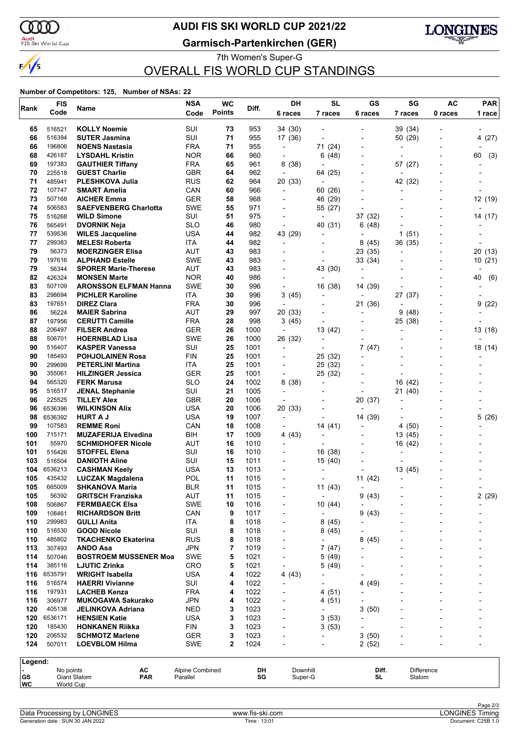ണ

 $\frac{1}{\sqrt{2}}$ 

### Audi<br>FIS Ski World Cup

### **AUDI FIS SKI WORLD CUP 2021/22**

**Garmisch-Partenkirchen (GER)**



7th Women's Super-G OVERALL FIS WORLD CUP STANDINGS

#### **Number of Competitors: 125, Number of NSAs: 22**

| Code<br><b>Points</b><br>Code<br>7 races<br>7 races<br>6 races<br>6 races<br>0 races<br><b>KOLLY Noemie</b><br>SUI<br>34 (30)<br>65<br>516521<br>73<br>953<br>39 (34)<br>71<br>66<br>516394<br><b>SUTER Jasmina</b><br>SUI<br>955<br>4(27)<br>17 (36)<br>50 (29)<br>$\blacksquare$<br>$\overline{\phantom{0}}$<br>66<br>71<br>196806<br><b>NOENS Nastasia</b><br>FRA<br>955<br>71 (24)<br>$\overline{\phantom{a}}$<br>$\overline{\phantom{0}}$<br>$\overline{\phantom{a}}$<br>68<br>426187<br><b>NOR</b><br>66<br>960<br>(48)<br>60<br><b>LYSDAHL Kristin</b><br>6<br>(3)<br>$\overline{\phantom{0}}$<br><b>FRA</b><br>65<br>69<br>197383<br><b>GAUTHIER Tiffany</b><br>961<br>8(38)<br>57 (27)<br>$\overline{\phantom{a}}$<br>$\overline{\phantom{0}}$<br>70<br>225518<br><b>GUEST Charlie</b><br><b>GBR</b><br>64<br>962<br>64 (25)<br>$\overline{\phantom{a}}$<br>$\overline{a}$<br><b>RUS</b><br>71<br>485941<br>PLESHKOVA Julia<br>62<br>964<br>20 (33)<br>42 (32)<br>$\overline{\phantom{a}}$<br>72<br>CAN<br>60<br>107747<br><b>SMART Amelia</b><br>966<br>60 (26)<br>$\overline{\phantom{a}}$<br>$\overline{\phantom{0}}$<br>73<br><b>GER</b><br>58<br>12 (19)<br>507168<br><b>AICHER Emma</b><br>968<br>46 (29)<br>$\overline{\phantom{a}}$<br>$\overline{\phantom{a}}$<br><b>SWE</b><br>74<br>506583<br><b>SAEFVENBERG Charlotta</b><br>55<br>971<br>55 (27)<br>75<br>SUI<br>51<br>516268<br><b>WILD Simone</b><br>975<br>37 (32)<br>14 (17)<br>$\overline{\phantom{a}}$<br>$\blacksquare$<br>$\overline{a}$<br>76<br>565491<br><b>SLO</b><br>980<br><b>DVORNIK Neja</b><br>46<br>40 (31)<br>(48)<br>6<br>$\overline{\phantom{a}}$<br>$\overline{\phantom{0}}$<br>77<br>539536<br><b>USA</b><br>982<br>43 (29)<br>(51)<br><b>WILES Jacqueline</b><br>44<br>1<br>٠<br>$\overline{\phantom{a}}$<br>77<br>ITA<br>299383<br><b>MELESI Roberta</b><br>44<br>982<br>8(45)<br>36 (35)<br>$\overline{\phantom{a}}$<br>79<br>56373<br><b>AUT</b><br>983<br><b>MOERZINGER Elisa</b><br>43<br>23 (35)<br>20 (13)<br>$\overline{\phantom{0}}$<br>٠<br>79<br><b>SWE</b><br>197616<br>43<br>983<br>33 (34)<br>10(21)<br><b>ALPHAND Estelle</b><br>79<br><b>AUT</b><br>43 (30)<br>56344<br><b>SPORER Marie-Therese</b><br>43<br>983<br>$\overline{\phantom{0}}$<br>$\qquad \qquad \blacksquare$<br>$\overline{a}$<br>82<br>426324<br><b>NOR</b><br>40<br><b>MONSEN Marte</b><br>40<br>986<br>(6)<br>$\overline{\phantom{0}}$<br>$\overline{\phantom{a}}$<br>$\overline{\phantom{a}}$<br>$\overline{\phantom{0}}$<br><b>SWE</b><br>83<br>507109<br>30<br>996<br>16 (38)<br><b>ARONSSON ELFMAN Hanna</b><br>14 (39)<br>83<br>30<br>298694<br><b>PICHLER Karoline</b><br>ITA<br>996<br>3(45)<br>27 (37)<br>۰<br>83<br><b>DIREZ Clara</b><br><b>FRA</b><br>30<br>9<br>(22)<br>197651<br>996<br>21 (36)<br>$\overline{\phantom{a}}$<br>$\overline{\phantom{a}}$<br>86<br>56224<br><b>MAIER Sabrina</b><br><b>AUT</b><br>29<br>997<br>20 (33)<br>9<br>(48)<br>$\overline{a}$<br>87<br><b>FRA</b><br>28<br>197956<br><b>CERUTTI Camille</b><br>998<br>3(45)<br>25 (38)<br>$\overline{\phantom{a}}$<br>88<br>206497<br><b>FILSER Andrea</b><br>26<br>GER<br>1000<br>13 (42)<br>$\overline{\phantom{a}}$<br>$\overline{a}$<br>$\overline{\phantom{a}}$<br>٠<br><b>SWE</b><br>88<br>506701<br>26<br>1000<br>26 (32)<br><b>HOERNBLAD Lisa</b><br>$\overline{\phantom{a}}$<br>$\overline{a}$<br>SUI<br>25<br>(47)<br>90<br>516407<br><b>KASPER Vanessa</b><br>1001<br>7<br>$\overline{\phantom{a}}$<br>$\blacksquare$<br>٠<br>90<br><b>FIN</b><br>25<br>185493<br><b>POHJOLAINEN Rosa</b><br>1001<br>25 (32)<br>$\overline{\phantom{a}}$<br>$\overline{\phantom{0}}$<br>90<br>299699<br><b>ITA</b><br>25<br>1001<br><b>PETERLINI Martina</b><br>25 (32)<br><b>GER</b><br>25<br>90<br>355061<br><b>HILZINGER Jessica</b><br>1001<br>25 (32)<br>$\blacksquare$<br>94<br>565320<br><b>FERK Marusa</b><br><b>SLO</b><br>24<br>1002<br>8 (38)<br>16<br>(42)<br>95<br>SUI<br>21<br>1005<br>21(40)<br>516517<br><b>JENAL Stephanie</b><br>٠<br>٠<br><b>GBR</b><br>20<br>96<br>225525<br><b>TILLEY Alex</b><br>1006<br>20 (37)<br>$\overline{\phantom{a}}$<br>96<br>6536396<br>USA<br>20<br><b>WILKINSON Alix</b><br>1006<br>20 (33)<br>98<br>6536392<br><b>USA</b><br>19<br>1007<br>14 (39)<br>5(26)<br><b>HURT A J</b><br>٠<br>CAN<br>99<br>107583<br><b>REMME Roni</b><br>18<br>1008<br>14 (41)<br>4(50)<br>$\overline{\phantom{a}}$<br>100<br>715171<br>BIH<br><b>MUZAFERIJA Elvedina</b><br>17<br>1009<br>4 (43)<br>13 (45)<br>$\overline{\phantom{a}}$<br>$\overline{\phantom{0}}$<br>101<br>55970<br><b>AUT</b><br>16<br>1010<br><b>SCHMIDHOFER Nicole</b><br>16 (42)<br>$\blacksquare$<br>SUI<br>101<br><b>STOFFEL Elena</b><br>16<br>1010<br>16 (38)<br>516426<br>$\blacksquare$<br>103<br>SUI<br>516504<br><b>DANIOTH Aline</b><br>15<br>1011<br>15 (40)<br>$\overline{\phantom{a}}$<br>$\overline{\phantom{a}}$<br>104<br>6536213<br><b>USA</b><br>13<br>1013<br><b>CASHMAN Keely</b><br>13 (45)<br>105<br>435432<br>POL<br>11<br>1015<br><b>LUCZAK Magdalena</b><br>11 (42)<br>$\overline{a}$<br>105<br>665009<br><b>BLR</b><br>11 (43)<br><b>SHKANOVA Maria</b><br>11<br>1015<br>$\overline{\phantom{a}}$<br>2(29)<br>105<br>56392<br><b>GRITSCH Franziska</b><br>AUT<br>11<br>1015<br>9(43)<br>$\overline{\phantom{a}}$<br><b>SWE</b><br>108<br>506867<br><b>FERMBAECK Elsa</b><br>10<br>1016<br>10(44)<br>109<br>9<br>1017<br>9<br>(43)<br>108461<br><b>RICHARDSON Britt</b><br>CAN<br>$\overline{\phantom{a}}$<br>$\overline{\phantom{a}}$<br>٠<br>110<br>299983<br>ITA<br>8<br>1018<br><b>GULLI Anita</b><br>8(45)<br>٠<br>$\overline{a}$<br>110<br>516530<br><b>GOOD Nicole</b><br>SUI<br>8<br>1018<br>8(45)<br>٠<br>110<br><b>RUS</b><br>8<br>485802<br><b>TKACHENKO Ekaterina</b><br>1018<br>8<br>(45)<br>$\overline{\phantom{a}}$<br>$\overline{\phantom{0}}$<br>7<br>113<br>307493<br><b>JPN</b><br>1019<br>ANDO Asa<br>7(47)<br>$\overline{a}$<br>114<br>5<br>507046<br><b>BOSTROEM MUSSENER Moa</b><br><b>SWE</b><br>1021<br>5(49)<br>٠<br>114<br>385116<br><b>CRO</b><br>5<br>1021<br><b>LJUTIC Zrinka</b><br>5 (49)<br>$\overline{\phantom{a}}$<br>116<br>6535791<br><b>WRIGHT Isabella</b><br><b>USA</b><br>4<br>1022<br>4(43)<br>$\overline{\phantom{a}}$<br>116<br>516574<br>SUI<br>4<br>1022<br>(49)<br><b>HAERRI Vivianne</b><br>4<br>$\overline{\phantom{0}}$<br>116<br>1022<br>197931<br><b>LACHEB Kenza</b><br><b>FRA</b><br>4<br>4 (51)<br>$\overline{\phantom{0}}$<br>116<br>306977<br><b>JPN</b><br>4<br>1022<br><b>MUKOGAWA Sakurako</b><br>4 (51)<br>-<br>120<br>405138<br><b>NED</b><br>3<br>1023<br>JELINKOVA Adriana<br>3<br>(50)<br>٠<br>120<br>3<br>1023<br>3(53)<br>6536171<br><b>HENSIEN Katie</b><br><b>USA</b><br>$\overline{\phantom{0}}$<br>٠<br>120<br>185430<br>3<br>1023<br>3(53)<br><b>HONKANEN Riikka</b><br><b>FIN</b><br>-<br>3<br>120<br><b>GER</b><br>1023<br>3<br>(50)<br>206532<br><b>SCHMOTZ Marlene</b><br>124<br>507011<br><b>SWE</b><br>2<br>1024<br>2(52)<br><b>LOEVBLOM Hilma</b><br>٠<br>$\overline{a}$<br>Legend:<br>АC<br>Downhill<br>Diff.<br>$\blacksquare$<br>No points<br>Alpine Combined<br>DH<br>Difference<br>GS<br><b>Giant Slalom</b><br><b>PAR</b><br>SG<br>SL<br>Parallel<br>Super-G<br>Slalom<br><b>WC</b><br>World Cup |      | <b>FIS</b> |      | <b>NSA</b> | <b>WC</b> |       | DH | <b>SL</b> | GS | SG | AC | <b>PAR</b> |
|----------------------------------------------------------------------------------------------------------------------------------------------------------------------------------------------------------------------------------------------------------------------------------------------------------------------------------------------------------------------------------------------------------------------------------------------------------------------------------------------------------------------------------------------------------------------------------------------------------------------------------------------------------------------------------------------------------------------------------------------------------------------------------------------------------------------------------------------------------------------------------------------------------------------------------------------------------------------------------------------------------------------------------------------------------------------------------------------------------------------------------------------------------------------------------------------------------------------------------------------------------------------------------------------------------------------------------------------------------------------------------------------------------------------------------------------------------------------------------------------------------------------------------------------------------------------------------------------------------------------------------------------------------------------------------------------------------------------------------------------------------------------------------------------------------------------------------------------------------------------------------------------------------------------------------------------------------------------------------------------------------------------------------------------------------------------------------------------------------------------------------------------------------------------------------------------------------------------------------------------------------------------------------------------------------------------------------------------------------------------------------------------------------------------------------------------------------------------------------------------------------------------------------------------------------------------------------------------------------------------------------------------------------------------------------------------------------------------------------------------------------------------------------------------------------------------------------------------------------------------------------------------------------------------------------------------------------------------------------------------------------------------------------------------------------------------------------------------------------------------------------------------------------------------------------------------------------------------------------------------------------------------------------------------------------------------------------------------------------------------------------------------------------------------------------------------------------------------------------------------------------------------------------------------------------------------------------------------------------------------------------------------------------------------------------------------------------------------------------------------------------------------------------------------------------------------------------------------------------------------------------------------------------------------------------------------------------------------------------------------------------------------------------------------------------------------------------------------------------------------------------------------------------------------------------------------------------------------------------------------------------------------------------------------------------------------------------------------------------------------------------------------------------------------------------------------------------------------------------------------------------------------------------------------------------------------------------------------------------------------------------------------------------------------------------------------------------------------------------------------------------------------------------------------------------------------------------------------------------------------------------------------------------------------------------------------------------------------------------------------------------------------------------------------------------------------------------------------------------------------------------------------------------------------------------------------------------------------------------------------------------------------------------------------------------------------------------------------------------------------------------------------------------------------------------------------------------------------------------------------------------------------------------------------------------------------------------------------------------------------------------------------------------------------------------------------------------------------------------------------------------------------------------------------------------------------------------------------------------------------------------------------------------------------------------------------------------------------------------------------------------------------------------------------------------------------------------------------------------------------------------------------------------------------------------------------------------------------------------------------------------------------------------------------------------------------------------------------------------------------------------------------------------------------------------------------------------------------------------------------------------------------------------------------------------------------------------------------------------------------------------------------------------------------------------------------------------------------------------------------------------------------------------------------------------------------------------------------------------------------------------------------------------------------------------------------------------------------------------------------------------------------------------------------------------------------------------------------------------------------------------------------------------------------------------------------------------------------------------------------------------------------------------|------|------------|------|------------|-----------|-------|----|-----------|----|----|----|------------|
|                                                                                                                                                                                                                                                                                                                                                                                                                                                                                                                                                                                                                                                                                                                                                                                                                                                                                                                                                                                                                                                                                                                                                                                                                                                                                                                                                                                                                                                                                                                                                                                                                                                                                                                                                                                                                                                                                                                                                                                                                                                                                                                                                                                                                                                                                                                                                                                                                                                                                                                                                                                                                                                                                                                                                                                                                                                                                                                                                                                                                                                                                                                                                                                                                                                                                                                                                                                                                                                                                                                                                                                                                                                                                                                                                                                                                                                                                                                                                                                                                                                                                                                                                                                                                                                                                                                                                                                                                                                                                                                                                                                                                                                                                                                                                                                                                                                                                                                                                                                                                                                                                                                                                                                                                                                                                                                                                                                                                                                                                                                                                                                                                                                                                                                                                                                                                                                                                                                                                                                                                                                                                                                                                                                                                                                                                                                                                                                                                                                                                                                                                                                                                                                                                                                                                                                                                                                                                                                                                                                                                                                                                                                                                                                                                                                                                  | Rank |            | Name |            |           | Diff. |    |           |    |    |    | 1 race     |
|                                                                                                                                                                                                                                                                                                                                                                                                                                                                                                                                                                                                                                                                                                                                                                                                                                                                                                                                                                                                                                                                                                                                                                                                                                                                                                                                                                                                                                                                                                                                                                                                                                                                                                                                                                                                                                                                                                                                                                                                                                                                                                                                                                                                                                                                                                                                                                                                                                                                                                                                                                                                                                                                                                                                                                                                                                                                                                                                                                                                                                                                                                                                                                                                                                                                                                                                                                                                                                                                                                                                                                                                                                                                                                                                                                                                                                                                                                                                                                                                                                                                                                                                                                                                                                                                                                                                                                                                                                                                                                                                                                                                                                                                                                                                                                                                                                                                                                                                                                                                                                                                                                                                                                                                                                                                                                                                                                                                                                                                                                                                                                                                                                                                                                                                                                                                                                                                                                                                                                                                                                                                                                                                                                                                                                                                                                                                                                                                                                                                                                                                                                                                                                                                                                                                                                                                                                                                                                                                                                                                                                                                                                                                                                                                                                                                                  |      |            |      |            |           |       |    |           |    |    |    |            |
|                                                                                                                                                                                                                                                                                                                                                                                                                                                                                                                                                                                                                                                                                                                                                                                                                                                                                                                                                                                                                                                                                                                                                                                                                                                                                                                                                                                                                                                                                                                                                                                                                                                                                                                                                                                                                                                                                                                                                                                                                                                                                                                                                                                                                                                                                                                                                                                                                                                                                                                                                                                                                                                                                                                                                                                                                                                                                                                                                                                                                                                                                                                                                                                                                                                                                                                                                                                                                                                                                                                                                                                                                                                                                                                                                                                                                                                                                                                                                                                                                                                                                                                                                                                                                                                                                                                                                                                                                                                                                                                                                                                                                                                                                                                                                                                                                                                                                                                                                                                                                                                                                                                                                                                                                                                                                                                                                                                                                                                                                                                                                                                                                                                                                                                                                                                                                                                                                                                                                                                                                                                                                                                                                                                                                                                                                                                                                                                                                                                                                                                                                                                                                                                                                                                                                                                                                                                                                                                                                                                                                                                                                                                                                                                                                                                                                  |      |            |      |            |           |       |    |           |    |    |    |            |
|                                                                                                                                                                                                                                                                                                                                                                                                                                                                                                                                                                                                                                                                                                                                                                                                                                                                                                                                                                                                                                                                                                                                                                                                                                                                                                                                                                                                                                                                                                                                                                                                                                                                                                                                                                                                                                                                                                                                                                                                                                                                                                                                                                                                                                                                                                                                                                                                                                                                                                                                                                                                                                                                                                                                                                                                                                                                                                                                                                                                                                                                                                                                                                                                                                                                                                                                                                                                                                                                                                                                                                                                                                                                                                                                                                                                                                                                                                                                                                                                                                                                                                                                                                                                                                                                                                                                                                                                                                                                                                                                                                                                                                                                                                                                                                                                                                                                                                                                                                                                                                                                                                                                                                                                                                                                                                                                                                                                                                                                                                                                                                                                                                                                                                                                                                                                                                                                                                                                                                                                                                                                                                                                                                                                                                                                                                                                                                                                                                                                                                                                                                                                                                                                                                                                                                                                                                                                                                                                                                                                                                                                                                                                                                                                                                                                                  |      |            |      |            |           |       |    |           |    |    |    |            |
|                                                                                                                                                                                                                                                                                                                                                                                                                                                                                                                                                                                                                                                                                                                                                                                                                                                                                                                                                                                                                                                                                                                                                                                                                                                                                                                                                                                                                                                                                                                                                                                                                                                                                                                                                                                                                                                                                                                                                                                                                                                                                                                                                                                                                                                                                                                                                                                                                                                                                                                                                                                                                                                                                                                                                                                                                                                                                                                                                                                                                                                                                                                                                                                                                                                                                                                                                                                                                                                                                                                                                                                                                                                                                                                                                                                                                                                                                                                                                                                                                                                                                                                                                                                                                                                                                                                                                                                                                                                                                                                                                                                                                                                                                                                                                                                                                                                                                                                                                                                                                                                                                                                                                                                                                                                                                                                                                                                                                                                                                                                                                                                                                                                                                                                                                                                                                                                                                                                                                                                                                                                                                                                                                                                                                                                                                                                                                                                                                                                                                                                                                                                                                                                                                                                                                                                                                                                                                                                                                                                                                                                                                                                                                                                                                                                                                  |      |            |      |            |           |       |    |           |    |    |    |            |
|                                                                                                                                                                                                                                                                                                                                                                                                                                                                                                                                                                                                                                                                                                                                                                                                                                                                                                                                                                                                                                                                                                                                                                                                                                                                                                                                                                                                                                                                                                                                                                                                                                                                                                                                                                                                                                                                                                                                                                                                                                                                                                                                                                                                                                                                                                                                                                                                                                                                                                                                                                                                                                                                                                                                                                                                                                                                                                                                                                                                                                                                                                                                                                                                                                                                                                                                                                                                                                                                                                                                                                                                                                                                                                                                                                                                                                                                                                                                                                                                                                                                                                                                                                                                                                                                                                                                                                                                                                                                                                                                                                                                                                                                                                                                                                                                                                                                                                                                                                                                                                                                                                                                                                                                                                                                                                                                                                                                                                                                                                                                                                                                                                                                                                                                                                                                                                                                                                                                                                                                                                                                                                                                                                                                                                                                                                                                                                                                                                                                                                                                                                                                                                                                                                                                                                                                                                                                                                                                                                                                                                                                                                                                                                                                                                                                                  |      |            |      |            |           |       |    |           |    |    |    |            |
|                                                                                                                                                                                                                                                                                                                                                                                                                                                                                                                                                                                                                                                                                                                                                                                                                                                                                                                                                                                                                                                                                                                                                                                                                                                                                                                                                                                                                                                                                                                                                                                                                                                                                                                                                                                                                                                                                                                                                                                                                                                                                                                                                                                                                                                                                                                                                                                                                                                                                                                                                                                                                                                                                                                                                                                                                                                                                                                                                                                                                                                                                                                                                                                                                                                                                                                                                                                                                                                                                                                                                                                                                                                                                                                                                                                                                                                                                                                                                                                                                                                                                                                                                                                                                                                                                                                                                                                                                                                                                                                                                                                                                                                                                                                                                                                                                                                                                                                                                                                                                                                                                                                                                                                                                                                                                                                                                                                                                                                                                                                                                                                                                                                                                                                                                                                                                                                                                                                                                                                                                                                                                                                                                                                                                                                                                                                                                                                                                                                                                                                                                                                                                                                                                                                                                                                                                                                                                                                                                                                                                                                                                                                                                                                                                                                                                  |      |            |      |            |           |       |    |           |    |    |    |            |
|                                                                                                                                                                                                                                                                                                                                                                                                                                                                                                                                                                                                                                                                                                                                                                                                                                                                                                                                                                                                                                                                                                                                                                                                                                                                                                                                                                                                                                                                                                                                                                                                                                                                                                                                                                                                                                                                                                                                                                                                                                                                                                                                                                                                                                                                                                                                                                                                                                                                                                                                                                                                                                                                                                                                                                                                                                                                                                                                                                                                                                                                                                                                                                                                                                                                                                                                                                                                                                                                                                                                                                                                                                                                                                                                                                                                                                                                                                                                                                                                                                                                                                                                                                                                                                                                                                                                                                                                                                                                                                                                                                                                                                                                                                                                                                                                                                                                                                                                                                                                                                                                                                                                                                                                                                                                                                                                                                                                                                                                                                                                                                                                                                                                                                                                                                                                                                                                                                                                                                                                                                                                                                                                                                                                                                                                                                                                                                                                                                                                                                                                                                                                                                                                                                                                                                                                                                                                                                                                                                                                                                                                                                                                                                                                                                                                                  |      |            |      |            |           |       |    |           |    |    |    |            |
|                                                                                                                                                                                                                                                                                                                                                                                                                                                                                                                                                                                                                                                                                                                                                                                                                                                                                                                                                                                                                                                                                                                                                                                                                                                                                                                                                                                                                                                                                                                                                                                                                                                                                                                                                                                                                                                                                                                                                                                                                                                                                                                                                                                                                                                                                                                                                                                                                                                                                                                                                                                                                                                                                                                                                                                                                                                                                                                                                                                                                                                                                                                                                                                                                                                                                                                                                                                                                                                                                                                                                                                                                                                                                                                                                                                                                                                                                                                                                                                                                                                                                                                                                                                                                                                                                                                                                                                                                                                                                                                                                                                                                                                                                                                                                                                                                                                                                                                                                                                                                                                                                                                                                                                                                                                                                                                                                                                                                                                                                                                                                                                                                                                                                                                                                                                                                                                                                                                                                                                                                                                                                                                                                                                                                                                                                                                                                                                                                                                                                                                                                                                                                                                                                                                                                                                                                                                                                                                                                                                                                                                                                                                                                                                                                                                                                  |      |            |      |            |           |       |    |           |    |    |    |            |
|                                                                                                                                                                                                                                                                                                                                                                                                                                                                                                                                                                                                                                                                                                                                                                                                                                                                                                                                                                                                                                                                                                                                                                                                                                                                                                                                                                                                                                                                                                                                                                                                                                                                                                                                                                                                                                                                                                                                                                                                                                                                                                                                                                                                                                                                                                                                                                                                                                                                                                                                                                                                                                                                                                                                                                                                                                                                                                                                                                                                                                                                                                                                                                                                                                                                                                                                                                                                                                                                                                                                                                                                                                                                                                                                                                                                                                                                                                                                                                                                                                                                                                                                                                                                                                                                                                                                                                                                                                                                                                                                                                                                                                                                                                                                                                                                                                                                                                                                                                                                                                                                                                                                                                                                                                                                                                                                                                                                                                                                                                                                                                                                                                                                                                                                                                                                                                                                                                                                                                                                                                                                                                                                                                                                                                                                                                                                                                                                                                                                                                                                                                                                                                                                                                                                                                                                                                                                                                                                                                                                                                                                                                                                                                                                                                                                                  |      |            |      |            |           |       |    |           |    |    |    |            |
|                                                                                                                                                                                                                                                                                                                                                                                                                                                                                                                                                                                                                                                                                                                                                                                                                                                                                                                                                                                                                                                                                                                                                                                                                                                                                                                                                                                                                                                                                                                                                                                                                                                                                                                                                                                                                                                                                                                                                                                                                                                                                                                                                                                                                                                                                                                                                                                                                                                                                                                                                                                                                                                                                                                                                                                                                                                                                                                                                                                                                                                                                                                                                                                                                                                                                                                                                                                                                                                                                                                                                                                                                                                                                                                                                                                                                                                                                                                                                                                                                                                                                                                                                                                                                                                                                                                                                                                                                                                                                                                                                                                                                                                                                                                                                                                                                                                                                                                                                                                                                                                                                                                                                                                                                                                                                                                                                                                                                                                                                                                                                                                                                                                                                                                                                                                                                                                                                                                                                                                                                                                                                                                                                                                                                                                                                                                                                                                                                                                                                                                                                                                                                                                                                                                                                                                                                                                                                                                                                                                                                                                                                                                                                                                                                                                                                  |      |            |      |            |           |       |    |           |    |    |    |            |
|                                                                                                                                                                                                                                                                                                                                                                                                                                                                                                                                                                                                                                                                                                                                                                                                                                                                                                                                                                                                                                                                                                                                                                                                                                                                                                                                                                                                                                                                                                                                                                                                                                                                                                                                                                                                                                                                                                                                                                                                                                                                                                                                                                                                                                                                                                                                                                                                                                                                                                                                                                                                                                                                                                                                                                                                                                                                                                                                                                                                                                                                                                                                                                                                                                                                                                                                                                                                                                                                                                                                                                                                                                                                                                                                                                                                                                                                                                                                                                                                                                                                                                                                                                                                                                                                                                                                                                                                                                                                                                                                                                                                                                                                                                                                                                                                                                                                                                                                                                                                                                                                                                                                                                                                                                                                                                                                                                                                                                                                                                                                                                                                                                                                                                                                                                                                                                                                                                                                                                                                                                                                                                                                                                                                                                                                                                                                                                                                                                                                                                                                                                                                                                                                                                                                                                                                                                                                                                                                                                                                                                                                                                                                                                                                                                                                                  |      |            |      |            |           |       |    |           |    |    |    |            |
|                                                                                                                                                                                                                                                                                                                                                                                                                                                                                                                                                                                                                                                                                                                                                                                                                                                                                                                                                                                                                                                                                                                                                                                                                                                                                                                                                                                                                                                                                                                                                                                                                                                                                                                                                                                                                                                                                                                                                                                                                                                                                                                                                                                                                                                                                                                                                                                                                                                                                                                                                                                                                                                                                                                                                                                                                                                                                                                                                                                                                                                                                                                                                                                                                                                                                                                                                                                                                                                                                                                                                                                                                                                                                                                                                                                                                                                                                                                                                                                                                                                                                                                                                                                                                                                                                                                                                                                                                                                                                                                                                                                                                                                                                                                                                                                                                                                                                                                                                                                                                                                                                                                                                                                                                                                                                                                                                                                                                                                                                                                                                                                                                                                                                                                                                                                                                                                                                                                                                                                                                                                                                                                                                                                                                                                                                                                                                                                                                                                                                                                                                                                                                                                                                                                                                                                                                                                                                                                                                                                                                                                                                                                                                                                                                                                                                  |      |            |      |            |           |       |    |           |    |    |    |            |
|                                                                                                                                                                                                                                                                                                                                                                                                                                                                                                                                                                                                                                                                                                                                                                                                                                                                                                                                                                                                                                                                                                                                                                                                                                                                                                                                                                                                                                                                                                                                                                                                                                                                                                                                                                                                                                                                                                                                                                                                                                                                                                                                                                                                                                                                                                                                                                                                                                                                                                                                                                                                                                                                                                                                                                                                                                                                                                                                                                                                                                                                                                                                                                                                                                                                                                                                                                                                                                                                                                                                                                                                                                                                                                                                                                                                                                                                                                                                                                                                                                                                                                                                                                                                                                                                                                                                                                                                                                                                                                                                                                                                                                                                                                                                                                                                                                                                                                                                                                                                                                                                                                                                                                                                                                                                                                                                                                                                                                                                                                                                                                                                                                                                                                                                                                                                                                                                                                                                                                                                                                                                                                                                                                                                                                                                                                                                                                                                                                                                                                                                                                                                                                                                                                                                                                                                                                                                                                                                                                                                                                                                                                                                                                                                                                                                                  |      |            |      |            |           |       |    |           |    |    |    |            |
|                                                                                                                                                                                                                                                                                                                                                                                                                                                                                                                                                                                                                                                                                                                                                                                                                                                                                                                                                                                                                                                                                                                                                                                                                                                                                                                                                                                                                                                                                                                                                                                                                                                                                                                                                                                                                                                                                                                                                                                                                                                                                                                                                                                                                                                                                                                                                                                                                                                                                                                                                                                                                                                                                                                                                                                                                                                                                                                                                                                                                                                                                                                                                                                                                                                                                                                                                                                                                                                                                                                                                                                                                                                                                                                                                                                                                                                                                                                                                                                                                                                                                                                                                                                                                                                                                                                                                                                                                                                                                                                                                                                                                                                                                                                                                                                                                                                                                                                                                                                                                                                                                                                                                                                                                                                                                                                                                                                                                                                                                                                                                                                                                                                                                                                                                                                                                                                                                                                                                                                                                                                                                                                                                                                                                                                                                                                                                                                                                                                                                                                                                                                                                                                                                                                                                                                                                                                                                                                                                                                                                                                                                                                                                                                                                                                                                  |      |            |      |            |           |       |    |           |    |    |    |            |
|                                                                                                                                                                                                                                                                                                                                                                                                                                                                                                                                                                                                                                                                                                                                                                                                                                                                                                                                                                                                                                                                                                                                                                                                                                                                                                                                                                                                                                                                                                                                                                                                                                                                                                                                                                                                                                                                                                                                                                                                                                                                                                                                                                                                                                                                                                                                                                                                                                                                                                                                                                                                                                                                                                                                                                                                                                                                                                                                                                                                                                                                                                                                                                                                                                                                                                                                                                                                                                                                                                                                                                                                                                                                                                                                                                                                                                                                                                                                                                                                                                                                                                                                                                                                                                                                                                                                                                                                                                                                                                                                                                                                                                                                                                                                                                                                                                                                                                                                                                                                                                                                                                                                                                                                                                                                                                                                                                                                                                                                                                                                                                                                                                                                                                                                                                                                                                                                                                                                                                                                                                                                                                                                                                                                                                                                                                                                                                                                                                                                                                                                                                                                                                                                                                                                                                                                                                                                                                                                                                                                                                                                                                                                                                                                                                                                                  |      |            |      |            |           |       |    |           |    |    |    |            |
|                                                                                                                                                                                                                                                                                                                                                                                                                                                                                                                                                                                                                                                                                                                                                                                                                                                                                                                                                                                                                                                                                                                                                                                                                                                                                                                                                                                                                                                                                                                                                                                                                                                                                                                                                                                                                                                                                                                                                                                                                                                                                                                                                                                                                                                                                                                                                                                                                                                                                                                                                                                                                                                                                                                                                                                                                                                                                                                                                                                                                                                                                                                                                                                                                                                                                                                                                                                                                                                                                                                                                                                                                                                                                                                                                                                                                                                                                                                                                                                                                                                                                                                                                                                                                                                                                                                                                                                                                                                                                                                                                                                                                                                                                                                                                                                                                                                                                                                                                                                                                                                                                                                                                                                                                                                                                                                                                                                                                                                                                                                                                                                                                                                                                                                                                                                                                                                                                                                                                                                                                                                                                                                                                                                                                                                                                                                                                                                                                                                                                                                                                                                                                                                                                                                                                                                                                                                                                                                                                                                                                                                                                                                                                                                                                                                                                  |      |            |      |            |           |       |    |           |    |    |    |            |
|                                                                                                                                                                                                                                                                                                                                                                                                                                                                                                                                                                                                                                                                                                                                                                                                                                                                                                                                                                                                                                                                                                                                                                                                                                                                                                                                                                                                                                                                                                                                                                                                                                                                                                                                                                                                                                                                                                                                                                                                                                                                                                                                                                                                                                                                                                                                                                                                                                                                                                                                                                                                                                                                                                                                                                                                                                                                                                                                                                                                                                                                                                                                                                                                                                                                                                                                                                                                                                                                                                                                                                                                                                                                                                                                                                                                                                                                                                                                                                                                                                                                                                                                                                                                                                                                                                                                                                                                                                                                                                                                                                                                                                                                                                                                                                                                                                                                                                                                                                                                                                                                                                                                                                                                                                                                                                                                                                                                                                                                                                                                                                                                                                                                                                                                                                                                                                                                                                                                                                                                                                                                                                                                                                                                                                                                                                                                                                                                                                                                                                                                                                                                                                                                                                                                                                                                                                                                                                                                                                                                                                                                                                                                                                                                                                                                                  |      |            |      |            |           |       |    |           |    |    |    |            |
|                                                                                                                                                                                                                                                                                                                                                                                                                                                                                                                                                                                                                                                                                                                                                                                                                                                                                                                                                                                                                                                                                                                                                                                                                                                                                                                                                                                                                                                                                                                                                                                                                                                                                                                                                                                                                                                                                                                                                                                                                                                                                                                                                                                                                                                                                                                                                                                                                                                                                                                                                                                                                                                                                                                                                                                                                                                                                                                                                                                                                                                                                                                                                                                                                                                                                                                                                                                                                                                                                                                                                                                                                                                                                                                                                                                                                                                                                                                                                                                                                                                                                                                                                                                                                                                                                                                                                                                                                                                                                                                                                                                                                                                                                                                                                                                                                                                                                                                                                                                                                                                                                                                                                                                                                                                                                                                                                                                                                                                                                                                                                                                                                                                                                                                                                                                                                                                                                                                                                                                                                                                                                                                                                                                                                                                                                                                                                                                                                                                                                                                                                                                                                                                                                                                                                                                                                                                                                                                                                                                                                                                                                                                                                                                                                                                                                  |      |            |      |            |           |       |    |           |    |    |    |            |
|                                                                                                                                                                                                                                                                                                                                                                                                                                                                                                                                                                                                                                                                                                                                                                                                                                                                                                                                                                                                                                                                                                                                                                                                                                                                                                                                                                                                                                                                                                                                                                                                                                                                                                                                                                                                                                                                                                                                                                                                                                                                                                                                                                                                                                                                                                                                                                                                                                                                                                                                                                                                                                                                                                                                                                                                                                                                                                                                                                                                                                                                                                                                                                                                                                                                                                                                                                                                                                                                                                                                                                                                                                                                                                                                                                                                                                                                                                                                                                                                                                                                                                                                                                                                                                                                                                                                                                                                                                                                                                                                                                                                                                                                                                                                                                                                                                                                                                                                                                                                                                                                                                                                                                                                                                                                                                                                                                                                                                                                                                                                                                                                                                                                                                                                                                                                                                                                                                                                                                                                                                                                                                                                                                                                                                                                                                                                                                                                                                                                                                                                                                                                                                                                                                                                                                                                                                                                                                                                                                                                                                                                                                                                                                                                                                                                                  |      |            |      |            |           |       |    |           |    |    |    |            |
|                                                                                                                                                                                                                                                                                                                                                                                                                                                                                                                                                                                                                                                                                                                                                                                                                                                                                                                                                                                                                                                                                                                                                                                                                                                                                                                                                                                                                                                                                                                                                                                                                                                                                                                                                                                                                                                                                                                                                                                                                                                                                                                                                                                                                                                                                                                                                                                                                                                                                                                                                                                                                                                                                                                                                                                                                                                                                                                                                                                                                                                                                                                                                                                                                                                                                                                                                                                                                                                                                                                                                                                                                                                                                                                                                                                                                                                                                                                                                                                                                                                                                                                                                                                                                                                                                                                                                                                                                                                                                                                                                                                                                                                                                                                                                                                                                                                                                                                                                                                                                                                                                                                                                                                                                                                                                                                                                                                                                                                                                                                                                                                                                                                                                                                                                                                                                                                                                                                                                                                                                                                                                                                                                                                                                                                                                                                                                                                                                                                                                                                                                                                                                                                                                                                                                                                                                                                                                                                                                                                                                                                                                                                                                                                                                                                                                  |      |            |      |            |           |       |    |           |    |    |    |            |
|                                                                                                                                                                                                                                                                                                                                                                                                                                                                                                                                                                                                                                                                                                                                                                                                                                                                                                                                                                                                                                                                                                                                                                                                                                                                                                                                                                                                                                                                                                                                                                                                                                                                                                                                                                                                                                                                                                                                                                                                                                                                                                                                                                                                                                                                                                                                                                                                                                                                                                                                                                                                                                                                                                                                                                                                                                                                                                                                                                                                                                                                                                                                                                                                                                                                                                                                                                                                                                                                                                                                                                                                                                                                                                                                                                                                                                                                                                                                                                                                                                                                                                                                                                                                                                                                                                                                                                                                                                                                                                                                                                                                                                                                                                                                                                                                                                                                                                                                                                                                                                                                                                                                                                                                                                                                                                                                                                                                                                                                                                                                                                                                                                                                                                                                                                                                                                                                                                                                                                                                                                                                                                                                                                                                                                                                                                                                                                                                                                                                                                                                                                                                                                                                                                                                                                                                                                                                                                                                                                                                                                                                                                                                                                                                                                                                                  |      |            |      |            |           |       |    |           |    |    |    |            |
|                                                                                                                                                                                                                                                                                                                                                                                                                                                                                                                                                                                                                                                                                                                                                                                                                                                                                                                                                                                                                                                                                                                                                                                                                                                                                                                                                                                                                                                                                                                                                                                                                                                                                                                                                                                                                                                                                                                                                                                                                                                                                                                                                                                                                                                                                                                                                                                                                                                                                                                                                                                                                                                                                                                                                                                                                                                                                                                                                                                                                                                                                                                                                                                                                                                                                                                                                                                                                                                                                                                                                                                                                                                                                                                                                                                                                                                                                                                                                                                                                                                                                                                                                                                                                                                                                                                                                                                                                                                                                                                                                                                                                                                                                                                                                                                                                                                                                                                                                                                                                                                                                                                                                                                                                                                                                                                                                                                                                                                                                                                                                                                                                                                                                                                                                                                                                                                                                                                                                                                                                                                                                                                                                                                                                                                                                                                                                                                                                                                                                                                                                                                                                                                                                                                                                                                                                                                                                                                                                                                                                                                                                                                                                                                                                                                                                  |      |            |      |            |           |       |    |           |    |    |    |            |
|                                                                                                                                                                                                                                                                                                                                                                                                                                                                                                                                                                                                                                                                                                                                                                                                                                                                                                                                                                                                                                                                                                                                                                                                                                                                                                                                                                                                                                                                                                                                                                                                                                                                                                                                                                                                                                                                                                                                                                                                                                                                                                                                                                                                                                                                                                                                                                                                                                                                                                                                                                                                                                                                                                                                                                                                                                                                                                                                                                                                                                                                                                                                                                                                                                                                                                                                                                                                                                                                                                                                                                                                                                                                                                                                                                                                                                                                                                                                                                                                                                                                                                                                                                                                                                                                                                                                                                                                                                                                                                                                                                                                                                                                                                                                                                                                                                                                                                                                                                                                                                                                                                                                                                                                                                                                                                                                                                                                                                                                                                                                                                                                                                                                                                                                                                                                                                                                                                                                                                                                                                                                                                                                                                                                                                                                                                                                                                                                                                                                                                                                                                                                                                                                                                                                                                                                                                                                                                                                                                                                                                                                                                                                                                                                                                                                                  |      |            |      |            |           |       |    |           |    |    |    | 13 (18)    |
|                                                                                                                                                                                                                                                                                                                                                                                                                                                                                                                                                                                                                                                                                                                                                                                                                                                                                                                                                                                                                                                                                                                                                                                                                                                                                                                                                                                                                                                                                                                                                                                                                                                                                                                                                                                                                                                                                                                                                                                                                                                                                                                                                                                                                                                                                                                                                                                                                                                                                                                                                                                                                                                                                                                                                                                                                                                                                                                                                                                                                                                                                                                                                                                                                                                                                                                                                                                                                                                                                                                                                                                                                                                                                                                                                                                                                                                                                                                                                                                                                                                                                                                                                                                                                                                                                                                                                                                                                                                                                                                                                                                                                                                                                                                                                                                                                                                                                                                                                                                                                                                                                                                                                                                                                                                                                                                                                                                                                                                                                                                                                                                                                                                                                                                                                                                                                                                                                                                                                                                                                                                                                                                                                                                                                                                                                                                                                                                                                                                                                                                                                                                                                                                                                                                                                                                                                                                                                                                                                                                                                                                                                                                                                                                                                                                                                  |      |            |      |            |           |       |    |           |    |    |    |            |
|                                                                                                                                                                                                                                                                                                                                                                                                                                                                                                                                                                                                                                                                                                                                                                                                                                                                                                                                                                                                                                                                                                                                                                                                                                                                                                                                                                                                                                                                                                                                                                                                                                                                                                                                                                                                                                                                                                                                                                                                                                                                                                                                                                                                                                                                                                                                                                                                                                                                                                                                                                                                                                                                                                                                                                                                                                                                                                                                                                                                                                                                                                                                                                                                                                                                                                                                                                                                                                                                                                                                                                                                                                                                                                                                                                                                                                                                                                                                                                                                                                                                                                                                                                                                                                                                                                                                                                                                                                                                                                                                                                                                                                                                                                                                                                                                                                                                                                                                                                                                                                                                                                                                                                                                                                                                                                                                                                                                                                                                                                                                                                                                                                                                                                                                                                                                                                                                                                                                                                                                                                                                                                                                                                                                                                                                                                                                                                                                                                                                                                                                                                                                                                                                                                                                                                                                                                                                                                                                                                                                                                                                                                                                                                                                                                                                                  |      |            |      |            |           |       |    |           |    |    |    | 18 (14)    |
|                                                                                                                                                                                                                                                                                                                                                                                                                                                                                                                                                                                                                                                                                                                                                                                                                                                                                                                                                                                                                                                                                                                                                                                                                                                                                                                                                                                                                                                                                                                                                                                                                                                                                                                                                                                                                                                                                                                                                                                                                                                                                                                                                                                                                                                                                                                                                                                                                                                                                                                                                                                                                                                                                                                                                                                                                                                                                                                                                                                                                                                                                                                                                                                                                                                                                                                                                                                                                                                                                                                                                                                                                                                                                                                                                                                                                                                                                                                                                                                                                                                                                                                                                                                                                                                                                                                                                                                                                                                                                                                                                                                                                                                                                                                                                                                                                                                                                                                                                                                                                                                                                                                                                                                                                                                                                                                                                                                                                                                                                                                                                                                                                                                                                                                                                                                                                                                                                                                                                                                                                                                                                                                                                                                                                                                                                                                                                                                                                                                                                                                                                                                                                                                                                                                                                                                                                                                                                                                                                                                                                                                                                                                                                                                                                                                                                  |      |            |      |            |           |       |    |           |    |    |    |            |
|                                                                                                                                                                                                                                                                                                                                                                                                                                                                                                                                                                                                                                                                                                                                                                                                                                                                                                                                                                                                                                                                                                                                                                                                                                                                                                                                                                                                                                                                                                                                                                                                                                                                                                                                                                                                                                                                                                                                                                                                                                                                                                                                                                                                                                                                                                                                                                                                                                                                                                                                                                                                                                                                                                                                                                                                                                                                                                                                                                                                                                                                                                                                                                                                                                                                                                                                                                                                                                                                                                                                                                                                                                                                                                                                                                                                                                                                                                                                                                                                                                                                                                                                                                                                                                                                                                                                                                                                                                                                                                                                                                                                                                                                                                                                                                                                                                                                                                                                                                                                                                                                                                                                                                                                                                                                                                                                                                                                                                                                                                                                                                                                                                                                                                                                                                                                                                                                                                                                                                                                                                                                                                                                                                                                                                                                                                                                                                                                                                                                                                                                                                                                                                                                                                                                                                                                                                                                                                                                                                                                                                                                                                                                                                                                                                                                                  |      |            |      |            |           |       |    |           |    |    |    |            |
|                                                                                                                                                                                                                                                                                                                                                                                                                                                                                                                                                                                                                                                                                                                                                                                                                                                                                                                                                                                                                                                                                                                                                                                                                                                                                                                                                                                                                                                                                                                                                                                                                                                                                                                                                                                                                                                                                                                                                                                                                                                                                                                                                                                                                                                                                                                                                                                                                                                                                                                                                                                                                                                                                                                                                                                                                                                                                                                                                                                                                                                                                                                                                                                                                                                                                                                                                                                                                                                                                                                                                                                                                                                                                                                                                                                                                                                                                                                                                                                                                                                                                                                                                                                                                                                                                                                                                                                                                                                                                                                                                                                                                                                                                                                                                                                                                                                                                                                                                                                                                                                                                                                                                                                                                                                                                                                                                                                                                                                                                                                                                                                                                                                                                                                                                                                                                                                                                                                                                                                                                                                                                                                                                                                                                                                                                                                                                                                                                                                                                                                                                                                                                                                                                                                                                                                                                                                                                                                                                                                                                                                                                                                                                                                                                                                                                  |      |            |      |            |           |       |    |           |    |    |    |            |
|                                                                                                                                                                                                                                                                                                                                                                                                                                                                                                                                                                                                                                                                                                                                                                                                                                                                                                                                                                                                                                                                                                                                                                                                                                                                                                                                                                                                                                                                                                                                                                                                                                                                                                                                                                                                                                                                                                                                                                                                                                                                                                                                                                                                                                                                                                                                                                                                                                                                                                                                                                                                                                                                                                                                                                                                                                                                                                                                                                                                                                                                                                                                                                                                                                                                                                                                                                                                                                                                                                                                                                                                                                                                                                                                                                                                                                                                                                                                                                                                                                                                                                                                                                                                                                                                                                                                                                                                                                                                                                                                                                                                                                                                                                                                                                                                                                                                                                                                                                                                                                                                                                                                                                                                                                                                                                                                                                                                                                                                                                                                                                                                                                                                                                                                                                                                                                                                                                                                                                                                                                                                                                                                                                                                                                                                                                                                                                                                                                                                                                                                                                                                                                                                                                                                                                                                                                                                                                                                                                                                                                                                                                                                                                                                                                                                                  |      |            |      |            |           |       |    |           |    |    |    |            |
|                                                                                                                                                                                                                                                                                                                                                                                                                                                                                                                                                                                                                                                                                                                                                                                                                                                                                                                                                                                                                                                                                                                                                                                                                                                                                                                                                                                                                                                                                                                                                                                                                                                                                                                                                                                                                                                                                                                                                                                                                                                                                                                                                                                                                                                                                                                                                                                                                                                                                                                                                                                                                                                                                                                                                                                                                                                                                                                                                                                                                                                                                                                                                                                                                                                                                                                                                                                                                                                                                                                                                                                                                                                                                                                                                                                                                                                                                                                                                                                                                                                                                                                                                                                                                                                                                                                                                                                                                                                                                                                                                                                                                                                                                                                                                                                                                                                                                                                                                                                                                                                                                                                                                                                                                                                                                                                                                                                                                                                                                                                                                                                                                                                                                                                                                                                                                                                                                                                                                                                                                                                                                                                                                                                                                                                                                                                                                                                                                                                                                                                                                                                                                                                                                                                                                                                                                                                                                                                                                                                                                                                                                                                                                                                                                                                                                  |      |            |      |            |           |       |    |           |    |    |    |            |
|                                                                                                                                                                                                                                                                                                                                                                                                                                                                                                                                                                                                                                                                                                                                                                                                                                                                                                                                                                                                                                                                                                                                                                                                                                                                                                                                                                                                                                                                                                                                                                                                                                                                                                                                                                                                                                                                                                                                                                                                                                                                                                                                                                                                                                                                                                                                                                                                                                                                                                                                                                                                                                                                                                                                                                                                                                                                                                                                                                                                                                                                                                                                                                                                                                                                                                                                                                                                                                                                                                                                                                                                                                                                                                                                                                                                                                                                                                                                                                                                                                                                                                                                                                                                                                                                                                                                                                                                                                                                                                                                                                                                                                                                                                                                                                                                                                                                                                                                                                                                                                                                                                                                                                                                                                                                                                                                                                                                                                                                                                                                                                                                                                                                                                                                                                                                                                                                                                                                                                                                                                                                                                                                                                                                                                                                                                                                                                                                                                                                                                                                                                                                                                                                                                                                                                                                                                                                                                                                                                                                                                                                                                                                                                                                                                                                                  |      |            |      |            |           |       |    |           |    |    |    |            |
|                                                                                                                                                                                                                                                                                                                                                                                                                                                                                                                                                                                                                                                                                                                                                                                                                                                                                                                                                                                                                                                                                                                                                                                                                                                                                                                                                                                                                                                                                                                                                                                                                                                                                                                                                                                                                                                                                                                                                                                                                                                                                                                                                                                                                                                                                                                                                                                                                                                                                                                                                                                                                                                                                                                                                                                                                                                                                                                                                                                                                                                                                                                                                                                                                                                                                                                                                                                                                                                                                                                                                                                                                                                                                                                                                                                                                                                                                                                                                                                                                                                                                                                                                                                                                                                                                                                                                                                                                                                                                                                                                                                                                                                                                                                                                                                                                                                                                                                                                                                                                                                                                                                                                                                                                                                                                                                                                                                                                                                                                                                                                                                                                                                                                                                                                                                                                                                                                                                                                                                                                                                                                                                                                                                                                                                                                                                                                                                                                                                                                                                                                                                                                                                                                                                                                                                                                                                                                                                                                                                                                                                                                                                                                                                                                                                                                  |      |            |      |            |           |       |    |           |    |    |    |            |
|                                                                                                                                                                                                                                                                                                                                                                                                                                                                                                                                                                                                                                                                                                                                                                                                                                                                                                                                                                                                                                                                                                                                                                                                                                                                                                                                                                                                                                                                                                                                                                                                                                                                                                                                                                                                                                                                                                                                                                                                                                                                                                                                                                                                                                                                                                                                                                                                                                                                                                                                                                                                                                                                                                                                                                                                                                                                                                                                                                                                                                                                                                                                                                                                                                                                                                                                                                                                                                                                                                                                                                                                                                                                                                                                                                                                                                                                                                                                                                                                                                                                                                                                                                                                                                                                                                                                                                                                                                                                                                                                                                                                                                                                                                                                                                                                                                                                                                                                                                                                                                                                                                                                                                                                                                                                                                                                                                                                                                                                                                                                                                                                                                                                                                                                                                                                                                                                                                                                                                                                                                                                                                                                                                                                                                                                                                                                                                                                                                                                                                                                                                                                                                                                                                                                                                                                                                                                                                                                                                                                                                                                                                                                                                                                                                                                                  |      |            |      |            |           |       |    |           |    |    |    |            |
|                                                                                                                                                                                                                                                                                                                                                                                                                                                                                                                                                                                                                                                                                                                                                                                                                                                                                                                                                                                                                                                                                                                                                                                                                                                                                                                                                                                                                                                                                                                                                                                                                                                                                                                                                                                                                                                                                                                                                                                                                                                                                                                                                                                                                                                                                                                                                                                                                                                                                                                                                                                                                                                                                                                                                                                                                                                                                                                                                                                                                                                                                                                                                                                                                                                                                                                                                                                                                                                                                                                                                                                                                                                                                                                                                                                                                                                                                                                                                                                                                                                                                                                                                                                                                                                                                                                                                                                                                                                                                                                                                                                                                                                                                                                                                                                                                                                                                                                                                                                                                                                                                                                                                                                                                                                                                                                                                                                                                                                                                                                                                                                                                                                                                                                                                                                                                                                                                                                                                                                                                                                                                                                                                                                                                                                                                                                                                                                                                                                                                                                                                                                                                                                                                                                                                                                                                                                                                                                                                                                                                                                                                                                                                                                                                                                                                  |      |            |      |            |           |       |    |           |    |    |    |            |
|                                                                                                                                                                                                                                                                                                                                                                                                                                                                                                                                                                                                                                                                                                                                                                                                                                                                                                                                                                                                                                                                                                                                                                                                                                                                                                                                                                                                                                                                                                                                                                                                                                                                                                                                                                                                                                                                                                                                                                                                                                                                                                                                                                                                                                                                                                                                                                                                                                                                                                                                                                                                                                                                                                                                                                                                                                                                                                                                                                                                                                                                                                                                                                                                                                                                                                                                                                                                                                                                                                                                                                                                                                                                                                                                                                                                                                                                                                                                                                                                                                                                                                                                                                                                                                                                                                                                                                                                                                                                                                                                                                                                                                                                                                                                                                                                                                                                                                                                                                                                                                                                                                                                                                                                                                                                                                                                                                                                                                                                                                                                                                                                                                                                                                                                                                                                                                                                                                                                                                                                                                                                                                                                                                                                                                                                                                                                                                                                                                                                                                                                                                                                                                                                                                                                                                                                                                                                                                                                                                                                                                                                                                                                                                                                                                                                                  |      |            |      |            |           |       |    |           |    |    |    |            |
|                                                                                                                                                                                                                                                                                                                                                                                                                                                                                                                                                                                                                                                                                                                                                                                                                                                                                                                                                                                                                                                                                                                                                                                                                                                                                                                                                                                                                                                                                                                                                                                                                                                                                                                                                                                                                                                                                                                                                                                                                                                                                                                                                                                                                                                                                                                                                                                                                                                                                                                                                                                                                                                                                                                                                                                                                                                                                                                                                                                                                                                                                                                                                                                                                                                                                                                                                                                                                                                                                                                                                                                                                                                                                                                                                                                                                                                                                                                                                                                                                                                                                                                                                                                                                                                                                                                                                                                                                                                                                                                                                                                                                                                                                                                                                                                                                                                                                                                                                                                                                                                                                                                                                                                                                                                                                                                                                                                                                                                                                                                                                                                                                                                                                                                                                                                                                                                                                                                                                                                                                                                                                                                                                                                                                                                                                                                                                                                                                                                                                                                                                                                                                                                                                                                                                                                                                                                                                                                                                                                                                                                                                                                                                                                                                                                                                  |      |            |      |            |           |       |    |           |    |    |    |            |
|                                                                                                                                                                                                                                                                                                                                                                                                                                                                                                                                                                                                                                                                                                                                                                                                                                                                                                                                                                                                                                                                                                                                                                                                                                                                                                                                                                                                                                                                                                                                                                                                                                                                                                                                                                                                                                                                                                                                                                                                                                                                                                                                                                                                                                                                                                                                                                                                                                                                                                                                                                                                                                                                                                                                                                                                                                                                                                                                                                                                                                                                                                                                                                                                                                                                                                                                                                                                                                                                                                                                                                                                                                                                                                                                                                                                                                                                                                                                                                                                                                                                                                                                                                                                                                                                                                                                                                                                                                                                                                                                                                                                                                                                                                                                                                                                                                                                                                                                                                                                                                                                                                                                                                                                                                                                                                                                                                                                                                                                                                                                                                                                                                                                                                                                                                                                                                                                                                                                                                                                                                                                                                                                                                                                                                                                                                                                                                                                                                                                                                                                                                                                                                                                                                                                                                                                                                                                                                                                                                                                                                                                                                                                                                                                                                                                                  |      |            |      |            |           |       |    |           |    |    |    |            |
|                                                                                                                                                                                                                                                                                                                                                                                                                                                                                                                                                                                                                                                                                                                                                                                                                                                                                                                                                                                                                                                                                                                                                                                                                                                                                                                                                                                                                                                                                                                                                                                                                                                                                                                                                                                                                                                                                                                                                                                                                                                                                                                                                                                                                                                                                                                                                                                                                                                                                                                                                                                                                                                                                                                                                                                                                                                                                                                                                                                                                                                                                                                                                                                                                                                                                                                                                                                                                                                                                                                                                                                                                                                                                                                                                                                                                                                                                                                                                                                                                                                                                                                                                                                                                                                                                                                                                                                                                                                                                                                                                                                                                                                                                                                                                                                                                                                                                                                                                                                                                                                                                                                                                                                                                                                                                                                                                                                                                                                                                                                                                                                                                                                                                                                                                                                                                                                                                                                                                                                                                                                                                                                                                                                                                                                                                                                                                                                                                                                                                                                                                                                                                                                                                                                                                                                                                                                                                                                                                                                                                                                                                                                                                                                                                                                                                  |      |            |      |            |           |       |    |           |    |    |    |            |
|                                                                                                                                                                                                                                                                                                                                                                                                                                                                                                                                                                                                                                                                                                                                                                                                                                                                                                                                                                                                                                                                                                                                                                                                                                                                                                                                                                                                                                                                                                                                                                                                                                                                                                                                                                                                                                                                                                                                                                                                                                                                                                                                                                                                                                                                                                                                                                                                                                                                                                                                                                                                                                                                                                                                                                                                                                                                                                                                                                                                                                                                                                                                                                                                                                                                                                                                                                                                                                                                                                                                                                                                                                                                                                                                                                                                                                                                                                                                                                                                                                                                                                                                                                                                                                                                                                                                                                                                                                                                                                                                                                                                                                                                                                                                                                                                                                                                                                                                                                                                                                                                                                                                                                                                                                                                                                                                                                                                                                                                                                                                                                                                                                                                                                                                                                                                                                                                                                                                                                                                                                                                                                                                                                                                                                                                                                                                                                                                                                                                                                                                                                                                                                                                                                                                                                                                                                                                                                                                                                                                                                                                                                                                                                                                                                                                                  |      |            |      |            |           |       |    |           |    |    |    |            |
|                                                                                                                                                                                                                                                                                                                                                                                                                                                                                                                                                                                                                                                                                                                                                                                                                                                                                                                                                                                                                                                                                                                                                                                                                                                                                                                                                                                                                                                                                                                                                                                                                                                                                                                                                                                                                                                                                                                                                                                                                                                                                                                                                                                                                                                                                                                                                                                                                                                                                                                                                                                                                                                                                                                                                                                                                                                                                                                                                                                                                                                                                                                                                                                                                                                                                                                                                                                                                                                                                                                                                                                                                                                                                                                                                                                                                                                                                                                                                                                                                                                                                                                                                                                                                                                                                                                                                                                                                                                                                                                                                                                                                                                                                                                                                                                                                                                                                                                                                                                                                                                                                                                                                                                                                                                                                                                                                                                                                                                                                                                                                                                                                                                                                                                                                                                                                                                                                                                                                                                                                                                                                                                                                                                                                                                                                                                                                                                                                                                                                                                                                                                                                                                                                                                                                                                                                                                                                                                                                                                                                                                                                                                                                                                                                                                                                  |      |            |      |            |           |       |    |           |    |    |    |            |
|                                                                                                                                                                                                                                                                                                                                                                                                                                                                                                                                                                                                                                                                                                                                                                                                                                                                                                                                                                                                                                                                                                                                                                                                                                                                                                                                                                                                                                                                                                                                                                                                                                                                                                                                                                                                                                                                                                                                                                                                                                                                                                                                                                                                                                                                                                                                                                                                                                                                                                                                                                                                                                                                                                                                                                                                                                                                                                                                                                                                                                                                                                                                                                                                                                                                                                                                                                                                                                                                                                                                                                                                                                                                                                                                                                                                                                                                                                                                                                                                                                                                                                                                                                                                                                                                                                                                                                                                                                                                                                                                                                                                                                                                                                                                                                                                                                                                                                                                                                                                                                                                                                                                                                                                                                                                                                                                                                                                                                                                                                                                                                                                                                                                                                                                                                                                                                                                                                                                                                                                                                                                                                                                                                                                                                                                                                                                                                                                                                                                                                                                                                                                                                                                                                                                                                                                                                                                                                                                                                                                                                                                                                                                                                                                                                                                                  |      |            |      |            |           |       |    |           |    |    |    |            |
|                                                                                                                                                                                                                                                                                                                                                                                                                                                                                                                                                                                                                                                                                                                                                                                                                                                                                                                                                                                                                                                                                                                                                                                                                                                                                                                                                                                                                                                                                                                                                                                                                                                                                                                                                                                                                                                                                                                                                                                                                                                                                                                                                                                                                                                                                                                                                                                                                                                                                                                                                                                                                                                                                                                                                                                                                                                                                                                                                                                                                                                                                                                                                                                                                                                                                                                                                                                                                                                                                                                                                                                                                                                                                                                                                                                                                                                                                                                                                                                                                                                                                                                                                                                                                                                                                                                                                                                                                                                                                                                                                                                                                                                                                                                                                                                                                                                                                                                                                                                                                                                                                                                                                                                                                                                                                                                                                                                                                                                                                                                                                                                                                                                                                                                                                                                                                                                                                                                                                                                                                                                                                                                                                                                                                                                                                                                                                                                                                                                                                                                                                                                                                                                                                                                                                                                                                                                                                                                                                                                                                                                                                                                                                                                                                                                                                  |      |            |      |            |           |       |    |           |    |    |    |            |
|                                                                                                                                                                                                                                                                                                                                                                                                                                                                                                                                                                                                                                                                                                                                                                                                                                                                                                                                                                                                                                                                                                                                                                                                                                                                                                                                                                                                                                                                                                                                                                                                                                                                                                                                                                                                                                                                                                                                                                                                                                                                                                                                                                                                                                                                                                                                                                                                                                                                                                                                                                                                                                                                                                                                                                                                                                                                                                                                                                                                                                                                                                                                                                                                                                                                                                                                                                                                                                                                                                                                                                                                                                                                                                                                                                                                                                                                                                                                                                                                                                                                                                                                                                                                                                                                                                                                                                                                                                                                                                                                                                                                                                                                                                                                                                                                                                                                                                                                                                                                                                                                                                                                                                                                                                                                                                                                                                                                                                                                                                                                                                                                                                                                                                                                                                                                                                                                                                                                                                                                                                                                                                                                                                                                                                                                                                                                                                                                                                                                                                                                                                                                                                                                                                                                                                                                                                                                                                                                                                                                                                                                                                                                                                                                                                                                                  |      |            |      |            |           |       |    |           |    |    |    |            |
|                                                                                                                                                                                                                                                                                                                                                                                                                                                                                                                                                                                                                                                                                                                                                                                                                                                                                                                                                                                                                                                                                                                                                                                                                                                                                                                                                                                                                                                                                                                                                                                                                                                                                                                                                                                                                                                                                                                                                                                                                                                                                                                                                                                                                                                                                                                                                                                                                                                                                                                                                                                                                                                                                                                                                                                                                                                                                                                                                                                                                                                                                                                                                                                                                                                                                                                                                                                                                                                                                                                                                                                                                                                                                                                                                                                                                                                                                                                                                                                                                                                                                                                                                                                                                                                                                                                                                                                                                                                                                                                                                                                                                                                                                                                                                                                                                                                                                                                                                                                                                                                                                                                                                                                                                                                                                                                                                                                                                                                                                                                                                                                                                                                                                                                                                                                                                                                                                                                                                                                                                                                                                                                                                                                                                                                                                                                                                                                                                                                                                                                                                                                                                                                                                                                                                                                                                                                                                                                                                                                                                                                                                                                                                                                                                                                                                  |      |            |      |            |           |       |    |           |    |    |    |            |
|                                                                                                                                                                                                                                                                                                                                                                                                                                                                                                                                                                                                                                                                                                                                                                                                                                                                                                                                                                                                                                                                                                                                                                                                                                                                                                                                                                                                                                                                                                                                                                                                                                                                                                                                                                                                                                                                                                                                                                                                                                                                                                                                                                                                                                                                                                                                                                                                                                                                                                                                                                                                                                                                                                                                                                                                                                                                                                                                                                                                                                                                                                                                                                                                                                                                                                                                                                                                                                                                                                                                                                                                                                                                                                                                                                                                                                                                                                                                                                                                                                                                                                                                                                                                                                                                                                                                                                                                                                                                                                                                                                                                                                                                                                                                                                                                                                                                                                                                                                                                                                                                                                                                                                                                                                                                                                                                                                                                                                                                                                                                                                                                                                                                                                                                                                                                                                                                                                                                                                                                                                                                                                                                                                                                                                                                                                                                                                                                                                                                                                                                                                                                                                                                                                                                                                                                                                                                                                                                                                                                                                                                                                                                                                                                                                                                                  |      |            |      |            |           |       |    |           |    |    |    |            |
|                                                                                                                                                                                                                                                                                                                                                                                                                                                                                                                                                                                                                                                                                                                                                                                                                                                                                                                                                                                                                                                                                                                                                                                                                                                                                                                                                                                                                                                                                                                                                                                                                                                                                                                                                                                                                                                                                                                                                                                                                                                                                                                                                                                                                                                                                                                                                                                                                                                                                                                                                                                                                                                                                                                                                                                                                                                                                                                                                                                                                                                                                                                                                                                                                                                                                                                                                                                                                                                                                                                                                                                                                                                                                                                                                                                                                                                                                                                                                                                                                                                                                                                                                                                                                                                                                                                                                                                                                                                                                                                                                                                                                                                                                                                                                                                                                                                                                                                                                                                                                                                                                                                                                                                                                                                                                                                                                                                                                                                                                                                                                                                                                                                                                                                                                                                                                                                                                                                                                                                                                                                                                                                                                                                                                                                                                                                                                                                                                                                                                                                                                                                                                                                                                                                                                                                                                                                                                                                                                                                                                                                                                                                                                                                                                                                                                  |      |            |      |            |           |       |    |           |    |    |    |            |
|                                                                                                                                                                                                                                                                                                                                                                                                                                                                                                                                                                                                                                                                                                                                                                                                                                                                                                                                                                                                                                                                                                                                                                                                                                                                                                                                                                                                                                                                                                                                                                                                                                                                                                                                                                                                                                                                                                                                                                                                                                                                                                                                                                                                                                                                                                                                                                                                                                                                                                                                                                                                                                                                                                                                                                                                                                                                                                                                                                                                                                                                                                                                                                                                                                                                                                                                                                                                                                                                                                                                                                                                                                                                                                                                                                                                                                                                                                                                                                                                                                                                                                                                                                                                                                                                                                                                                                                                                                                                                                                                                                                                                                                                                                                                                                                                                                                                                                                                                                                                                                                                                                                                                                                                                                                                                                                                                                                                                                                                                                                                                                                                                                                                                                                                                                                                                                                                                                                                                                                                                                                                                                                                                                                                                                                                                                                                                                                                                                                                                                                                                                                                                                                                                                                                                                                                                                                                                                                                                                                                                                                                                                                                                                                                                                                                                  |      |            |      |            |           |       |    |           |    |    |    |            |
|                                                                                                                                                                                                                                                                                                                                                                                                                                                                                                                                                                                                                                                                                                                                                                                                                                                                                                                                                                                                                                                                                                                                                                                                                                                                                                                                                                                                                                                                                                                                                                                                                                                                                                                                                                                                                                                                                                                                                                                                                                                                                                                                                                                                                                                                                                                                                                                                                                                                                                                                                                                                                                                                                                                                                                                                                                                                                                                                                                                                                                                                                                                                                                                                                                                                                                                                                                                                                                                                                                                                                                                                                                                                                                                                                                                                                                                                                                                                                                                                                                                                                                                                                                                                                                                                                                                                                                                                                                                                                                                                                                                                                                                                                                                                                                                                                                                                                                                                                                                                                                                                                                                                                                                                                                                                                                                                                                                                                                                                                                                                                                                                                                                                                                                                                                                                                                                                                                                                                                                                                                                                                                                                                                                                                                                                                                                                                                                                                                                                                                                                                                                                                                                                                                                                                                                                                                                                                                                                                                                                                                                                                                                                                                                                                                                                                  |      |            |      |            |           |       |    |           |    |    |    |            |
|                                                                                                                                                                                                                                                                                                                                                                                                                                                                                                                                                                                                                                                                                                                                                                                                                                                                                                                                                                                                                                                                                                                                                                                                                                                                                                                                                                                                                                                                                                                                                                                                                                                                                                                                                                                                                                                                                                                                                                                                                                                                                                                                                                                                                                                                                                                                                                                                                                                                                                                                                                                                                                                                                                                                                                                                                                                                                                                                                                                                                                                                                                                                                                                                                                                                                                                                                                                                                                                                                                                                                                                                                                                                                                                                                                                                                                                                                                                                                                                                                                                                                                                                                                                                                                                                                                                                                                                                                                                                                                                                                                                                                                                                                                                                                                                                                                                                                                                                                                                                                                                                                                                                                                                                                                                                                                                                                                                                                                                                                                                                                                                                                                                                                                                                                                                                                                                                                                                                                                                                                                                                                                                                                                                                                                                                                                                                                                                                                                                                                                                                                                                                                                                                                                                                                                                                                                                                                                                                                                                                                                                                                                                                                                                                                                                                                  |      |            |      |            |           |       |    |           |    |    |    |            |
|                                                                                                                                                                                                                                                                                                                                                                                                                                                                                                                                                                                                                                                                                                                                                                                                                                                                                                                                                                                                                                                                                                                                                                                                                                                                                                                                                                                                                                                                                                                                                                                                                                                                                                                                                                                                                                                                                                                                                                                                                                                                                                                                                                                                                                                                                                                                                                                                                                                                                                                                                                                                                                                                                                                                                                                                                                                                                                                                                                                                                                                                                                                                                                                                                                                                                                                                                                                                                                                                                                                                                                                                                                                                                                                                                                                                                                                                                                                                                                                                                                                                                                                                                                                                                                                                                                                                                                                                                                                                                                                                                                                                                                                                                                                                                                                                                                                                                                                                                                                                                                                                                                                                                                                                                                                                                                                                                                                                                                                                                                                                                                                                                                                                                                                                                                                                                                                                                                                                                                                                                                                                                                                                                                                                                                                                                                                                                                                                                                                                                                                                                                                                                                                                                                                                                                                                                                                                                                                                                                                                                                                                                                                                                                                                                                                                                  |      |            |      |            |           |       |    |           |    |    |    |            |
|                                                                                                                                                                                                                                                                                                                                                                                                                                                                                                                                                                                                                                                                                                                                                                                                                                                                                                                                                                                                                                                                                                                                                                                                                                                                                                                                                                                                                                                                                                                                                                                                                                                                                                                                                                                                                                                                                                                                                                                                                                                                                                                                                                                                                                                                                                                                                                                                                                                                                                                                                                                                                                                                                                                                                                                                                                                                                                                                                                                                                                                                                                                                                                                                                                                                                                                                                                                                                                                                                                                                                                                                                                                                                                                                                                                                                                                                                                                                                                                                                                                                                                                                                                                                                                                                                                                                                                                                                                                                                                                                                                                                                                                                                                                                                                                                                                                                                                                                                                                                                                                                                                                                                                                                                                                                                                                                                                                                                                                                                                                                                                                                                                                                                                                                                                                                                                                                                                                                                                                                                                                                                                                                                                                                                                                                                                                                                                                                                                                                                                                                                                                                                                                                                                                                                                                                                                                                                                                                                                                                                                                                                                                                                                                                                                                                                  |      |            |      |            |           |       |    |           |    |    |    |            |
|                                                                                                                                                                                                                                                                                                                                                                                                                                                                                                                                                                                                                                                                                                                                                                                                                                                                                                                                                                                                                                                                                                                                                                                                                                                                                                                                                                                                                                                                                                                                                                                                                                                                                                                                                                                                                                                                                                                                                                                                                                                                                                                                                                                                                                                                                                                                                                                                                                                                                                                                                                                                                                                                                                                                                                                                                                                                                                                                                                                                                                                                                                                                                                                                                                                                                                                                                                                                                                                                                                                                                                                                                                                                                                                                                                                                                                                                                                                                                                                                                                                                                                                                                                                                                                                                                                                                                                                                                                                                                                                                                                                                                                                                                                                                                                                                                                                                                                                                                                                                                                                                                                                                                                                                                                                                                                                                                                                                                                                                                                                                                                                                                                                                                                                                                                                                                                                                                                                                                                                                                                                                                                                                                                                                                                                                                                                                                                                                                                                                                                                                                                                                                                                                                                                                                                                                                                                                                                                                                                                                                                                                                                                                                                                                                                                                                  |      |            |      |            |           |       |    |           |    |    |    |            |
|                                                                                                                                                                                                                                                                                                                                                                                                                                                                                                                                                                                                                                                                                                                                                                                                                                                                                                                                                                                                                                                                                                                                                                                                                                                                                                                                                                                                                                                                                                                                                                                                                                                                                                                                                                                                                                                                                                                                                                                                                                                                                                                                                                                                                                                                                                                                                                                                                                                                                                                                                                                                                                                                                                                                                                                                                                                                                                                                                                                                                                                                                                                                                                                                                                                                                                                                                                                                                                                                                                                                                                                                                                                                                                                                                                                                                                                                                                                                                                                                                                                                                                                                                                                                                                                                                                                                                                                                                                                                                                                                                                                                                                                                                                                                                                                                                                                                                                                                                                                                                                                                                                                                                                                                                                                                                                                                                                                                                                                                                                                                                                                                                                                                                                                                                                                                                                                                                                                                                                                                                                                                                                                                                                                                                                                                                                                                                                                                                                                                                                                                                                                                                                                                                                                                                                                                                                                                                                                                                                                                                                                                                                                                                                                                                                                                                  |      |            |      |            |           |       |    |           |    |    |    |            |
|                                                                                                                                                                                                                                                                                                                                                                                                                                                                                                                                                                                                                                                                                                                                                                                                                                                                                                                                                                                                                                                                                                                                                                                                                                                                                                                                                                                                                                                                                                                                                                                                                                                                                                                                                                                                                                                                                                                                                                                                                                                                                                                                                                                                                                                                                                                                                                                                                                                                                                                                                                                                                                                                                                                                                                                                                                                                                                                                                                                                                                                                                                                                                                                                                                                                                                                                                                                                                                                                                                                                                                                                                                                                                                                                                                                                                                                                                                                                                                                                                                                                                                                                                                                                                                                                                                                                                                                                                                                                                                                                                                                                                                                                                                                                                                                                                                                                                                                                                                                                                                                                                                                                                                                                                                                                                                                                                                                                                                                                                                                                                                                                                                                                                                                                                                                                                                                                                                                                                                                                                                                                                                                                                                                                                                                                                                                                                                                                                                                                                                                                                                                                                                                                                                                                                                                                                                                                                                                                                                                                                                                                                                                                                                                                                                                                                  |      |            |      |            |           |       |    |           |    |    |    |            |
|                                                                                                                                                                                                                                                                                                                                                                                                                                                                                                                                                                                                                                                                                                                                                                                                                                                                                                                                                                                                                                                                                                                                                                                                                                                                                                                                                                                                                                                                                                                                                                                                                                                                                                                                                                                                                                                                                                                                                                                                                                                                                                                                                                                                                                                                                                                                                                                                                                                                                                                                                                                                                                                                                                                                                                                                                                                                                                                                                                                                                                                                                                                                                                                                                                                                                                                                                                                                                                                                                                                                                                                                                                                                                                                                                                                                                                                                                                                                                                                                                                                                                                                                                                                                                                                                                                                                                                                                                                                                                                                                                                                                                                                                                                                                                                                                                                                                                                                                                                                                                                                                                                                                                                                                                                                                                                                                                                                                                                                                                                                                                                                                                                                                                                                                                                                                                                                                                                                                                                                                                                                                                                                                                                                                                                                                                                                                                                                                                                                                                                                                                                                                                                                                                                                                                                                                                                                                                                                                                                                                                                                                                                                                                                                                                                                                                  |      |            |      |            |           |       |    |           |    |    |    |            |
|                                                                                                                                                                                                                                                                                                                                                                                                                                                                                                                                                                                                                                                                                                                                                                                                                                                                                                                                                                                                                                                                                                                                                                                                                                                                                                                                                                                                                                                                                                                                                                                                                                                                                                                                                                                                                                                                                                                                                                                                                                                                                                                                                                                                                                                                                                                                                                                                                                                                                                                                                                                                                                                                                                                                                                                                                                                                                                                                                                                                                                                                                                                                                                                                                                                                                                                                                                                                                                                                                                                                                                                                                                                                                                                                                                                                                                                                                                                                                                                                                                                                                                                                                                                                                                                                                                                                                                                                                                                                                                                                                                                                                                                                                                                                                                                                                                                                                                                                                                                                                                                                                                                                                                                                                                                                                                                                                                                                                                                                                                                                                                                                                                                                                                                                                                                                                                                                                                                                                                                                                                                                                                                                                                                                                                                                                                                                                                                                                                                                                                                                                                                                                                                                                                                                                                                                                                                                                                                                                                                                                                                                                                                                                                                                                                                                                  |      |            |      |            |           |       |    |           |    |    |    |            |
|                                                                                                                                                                                                                                                                                                                                                                                                                                                                                                                                                                                                                                                                                                                                                                                                                                                                                                                                                                                                                                                                                                                                                                                                                                                                                                                                                                                                                                                                                                                                                                                                                                                                                                                                                                                                                                                                                                                                                                                                                                                                                                                                                                                                                                                                                                                                                                                                                                                                                                                                                                                                                                                                                                                                                                                                                                                                                                                                                                                                                                                                                                                                                                                                                                                                                                                                                                                                                                                                                                                                                                                                                                                                                                                                                                                                                                                                                                                                                                                                                                                                                                                                                                                                                                                                                                                                                                                                                                                                                                                                                                                                                                                                                                                                                                                                                                                                                                                                                                                                                                                                                                                                                                                                                                                                                                                                                                                                                                                                                                                                                                                                                                                                                                                                                                                                                                                                                                                                                                                                                                                                                                                                                                                                                                                                                                                                                                                                                                                                                                                                                                                                                                                                                                                                                                                                                                                                                                                                                                                                                                                                                                                                                                                                                                                                                  |      |            |      |            |           |       |    |           |    |    |    |            |
|                                                                                                                                                                                                                                                                                                                                                                                                                                                                                                                                                                                                                                                                                                                                                                                                                                                                                                                                                                                                                                                                                                                                                                                                                                                                                                                                                                                                                                                                                                                                                                                                                                                                                                                                                                                                                                                                                                                                                                                                                                                                                                                                                                                                                                                                                                                                                                                                                                                                                                                                                                                                                                                                                                                                                                                                                                                                                                                                                                                                                                                                                                                                                                                                                                                                                                                                                                                                                                                                                                                                                                                                                                                                                                                                                                                                                                                                                                                                                                                                                                                                                                                                                                                                                                                                                                                                                                                                                                                                                                                                                                                                                                                                                                                                                                                                                                                                                                                                                                                                                                                                                                                                                                                                                                                                                                                                                                                                                                                                                                                                                                                                                                                                                                                                                                                                                                                                                                                                                                                                                                                                                                                                                                                                                                                                                                                                                                                                                                                                                                                                                                                                                                                                                                                                                                                                                                                                                                                                                                                                                                                                                                                                                                                                                                                                                  |      |            |      |            |           |       |    |           |    |    |    |            |
|                                                                                                                                                                                                                                                                                                                                                                                                                                                                                                                                                                                                                                                                                                                                                                                                                                                                                                                                                                                                                                                                                                                                                                                                                                                                                                                                                                                                                                                                                                                                                                                                                                                                                                                                                                                                                                                                                                                                                                                                                                                                                                                                                                                                                                                                                                                                                                                                                                                                                                                                                                                                                                                                                                                                                                                                                                                                                                                                                                                                                                                                                                                                                                                                                                                                                                                                                                                                                                                                                                                                                                                                                                                                                                                                                                                                                                                                                                                                                                                                                                                                                                                                                                                                                                                                                                                                                                                                                                                                                                                                                                                                                                                                                                                                                                                                                                                                                                                                                                                                                                                                                                                                                                                                                                                                                                                                                                                                                                                                                                                                                                                                                                                                                                                                                                                                                                                                                                                                                                                                                                                                                                                                                                                                                                                                                                                                                                                                                                                                                                                                                                                                                                                                                                                                                                                                                                                                                                                                                                                                                                                                                                                                                                                                                                                                                  |      |            |      |            |           |       |    |           |    |    |    |            |
|                                                                                                                                                                                                                                                                                                                                                                                                                                                                                                                                                                                                                                                                                                                                                                                                                                                                                                                                                                                                                                                                                                                                                                                                                                                                                                                                                                                                                                                                                                                                                                                                                                                                                                                                                                                                                                                                                                                                                                                                                                                                                                                                                                                                                                                                                                                                                                                                                                                                                                                                                                                                                                                                                                                                                                                                                                                                                                                                                                                                                                                                                                                                                                                                                                                                                                                                                                                                                                                                                                                                                                                                                                                                                                                                                                                                                                                                                                                                                                                                                                                                                                                                                                                                                                                                                                                                                                                                                                                                                                                                                                                                                                                                                                                                                                                                                                                                                                                                                                                                                                                                                                                                                                                                                                                                                                                                                                                                                                                                                                                                                                                                                                                                                                                                                                                                                                                                                                                                                                                                                                                                                                                                                                                                                                                                                                                                                                                                                                                                                                                                                                                                                                                                                                                                                                                                                                                                                                                                                                                                                                                                                                                                                                                                                                                                                  |      |            |      |            |           |       |    |           |    |    |    |            |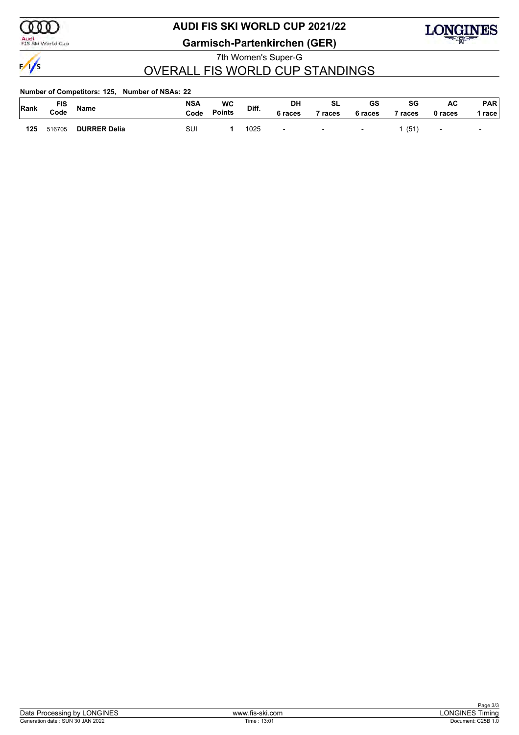

Audi<br>FIS Ski World Cup

## **AUDI FIS SKI WORLD CUP 2021/22**



LONGINES

7th Women's Super-G

## OVERALL FIS WORLD CUP STANDINGS

#### **Number of Competitors: 125, Number of NSAs: 22**

| Rank | FIS<br>Code | Name                | <b>NSA</b><br>Code | <b>WC</b><br>Points | Diff. | DH<br>ة races            | $\mathbf{C}$<br>ื่อ∟<br>races | GS<br>6 races            | SG<br><b>races</b> | AC<br>0 races            | <b>PAR</b><br>$rac{e}{2}$ |
|------|-------------|---------------------|--------------------|---------------------|-------|--------------------------|-------------------------------|--------------------------|--------------------|--------------------------|---------------------------|
| 125  | 516705      | <b>DURRER Delia</b> | SUI                |                     | 1025  | $\overline{\phantom{a}}$ | $\overline{\phantom{0}}$      | $\overline{\phantom{a}}$ | (51)               | $\overline{\phantom{0}}$ |                           |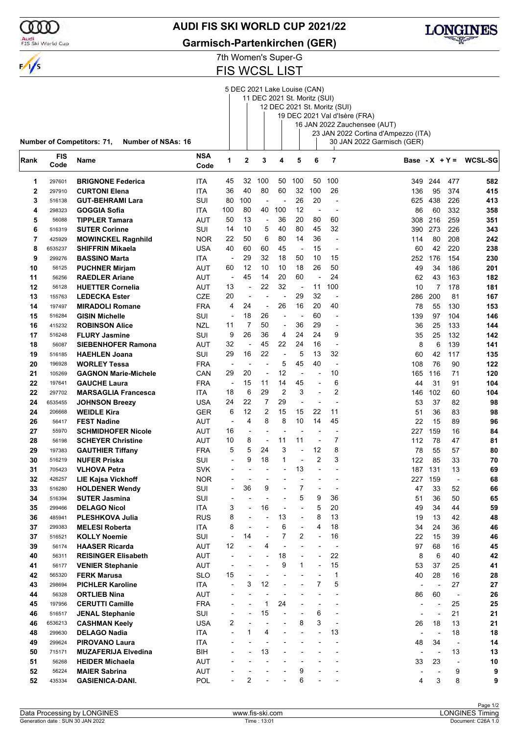### Audi<br>FIS Ski World Cup

### **AUDI FIS SKI WORLD CUP 2021/22**

**Garmisch-Partenkirchen (GER)**



### 7th Women's Super-G FIS WCSL LIST

|      |         |                                                                |            |                          |                          | 5 DEC 2021 Lake Louise (CAN) |                          |                          |                          |                              |                                     |                |                          |                          |
|------|---------|----------------------------------------------------------------|------------|--------------------------|--------------------------|------------------------------|--------------------------|--------------------------|--------------------------|------------------------------|-------------------------------------|----------------|--------------------------|--------------------------|
|      |         |                                                                |            |                          |                          | 11 DEC 2021 St. Moritz (SUI) |                          |                          |                          |                              |                                     |                |                          |                          |
|      |         |                                                                |            |                          |                          |                              |                          |                          |                          | 12 DEC 2021 St. Moritz (SUI) |                                     |                |                          |                          |
|      |         |                                                                |            |                          |                          |                              |                          |                          |                          |                              | 19 DEC 2021 Val d'Isère (FRA)       |                |                          |                          |
|      |         |                                                                |            |                          |                          |                              |                          |                          |                          |                              | 16 JAN 2022 Zauchensee (AUT)        |                |                          |                          |
|      |         |                                                                |            |                          |                          |                              |                          |                          |                          |                              | 23 JAN 2022 Cortina d'Ampezzo (ITA) |                |                          |                          |
|      |         | <b>Number of Competitors: 71,</b><br><b>Number of NSAs: 16</b> |            |                          |                          |                              |                          |                          |                          |                              | 30 JAN 2022 Garmisch (GER)          |                |                          |                          |
|      | FIS     |                                                                | <b>NSA</b> | 1                        |                          |                              |                          |                          |                          |                              |                                     |                |                          |                          |
| Rank | Code    | Name                                                           | Code       |                          | $\overline{2}$           | 3                            | 4                        | 5                        | 6                        | 7                            |                                     |                |                          | Base - $X + Y = WCSL-SG$ |
|      |         |                                                                |            |                          |                          |                              |                          |                          |                          |                              |                                     |                |                          |                          |
| 1    | 297601  | <b>BRIGNONE Federica</b>                                       | <b>ITA</b> | 45                       | 32                       | 100                          | 50                       | 100                      | 50                       | 100                          |                                     | 349 244        | 477                      | 582                      |
| 2    | 297910  | <b>CURTONI Elena</b>                                           | ITA        | 36                       | 40                       | 80                           | 60                       | 32                       | 100                      | 26                           | 136                                 | 95             | 374                      | 415                      |
| 3    | 516138  | GUT-BEHRAMI Lara                                               | SUI        | 80                       | 100                      | ÷,                           | ٠                        | 26                       | 20                       |                              | 625                                 | 438            | 226                      | 413                      |
| 4    | 298323  | GOGGIA Sofia                                                   | <b>ITA</b> | 100                      | 80                       | 40                           | 100                      | 12                       | $\overline{\phantom{a}}$ |                              | 86                                  | 60             | 332                      | 358                      |
| 5    | 56088   | TIPPLER Tamara                                                 | AUT        | 50                       | 13                       | $\overline{\phantom{a}}$     | 36                       | 20                       | 80                       | 60                           | 308                                 | 216            | 259                      | 351                      |
| 6    | 516319  | <b>SUTER Corinne</b>                                           | SUI        | 14                       | 10                       | 5                            | 40                       | 80                       | 45                       | 32                           | 390                                 | 273            | 226                      | 343                      |
| 7    | 425929  | <b>MOWINCKEL Ragnhild</b>                                      | <b>NOR</b> | 22                       | 50                       | 6                            | 80                       | 14                       | 36                       | $\overline{a}$               | 114                                 | 80             | 208                      | 242                      |
| 8    | 6535237 | <b>SHIFFRIN Mikaela</b>                                        | USA        | 40                       | 60                       | 60                           | 45                       | $\overline{\phantom{a}}$ | 15                       | $\overline{a}$               | 60                                  | 42             | 220                      | 238                      |
| 9    | 299276  | <b>BASSINO Marta</b>                                           | ITA        | $\overline{\phantom{a}}$ | 29                       | 32                           | 18                       | 50                       | 10                       | 15                           | 252                                 | 176            | 154                      | 230                      |
| 10   | 56125   | <b>PUCHNER Mirjam</b>                                          | AUT        | 60                       | 12                       | 10                           | 10                       | 18                       | 26                       | 50                           | 49                                  | 34             | 186                      | 201                      |
| 11   | 56256   | <b>RAEDLER Ariane</b>                                          | AUT        | -                        | 45                       | 14                           | 20                       | 60                       | $\overline{a}$           | 24                           | 62                                  | 43             | 163                      | 182                      |
| 12   | 56128   | <b>HUETTER Cornelia</b>                                        | AUT        | 13                       |                          | 22                           | 32                       |                          | 11                       | 100                          | 10                                  | 7              | 178                      | 181                      |
| 13   | 155763  | <b>LEDECKA Ester</b>                                           | <b>CZE</b> | 20                       | $\blacksquare$           | L,                           | $\overline{\phantom{a}}$ | 29                       | 32                       |                              | 286                                 | 200            | 81                       | 167                      |
| 14   | 197497  | <b>MIRADOLI Romane</b>                                         | <b>FRA</b> | 4                        | 24                       | ÷,                           | 26                       | 16                       | 20                       | 40                           | 78                                  | 55             | 130                      | 153                      |
| 15   | 516284  | <b>GISIN Michelle</b>                                          | SUI        | $\overline{\phantom{a}}$ | 18                       | 26                           | ÷,                       | ÷                        | 60                       | $\overline{a}$               | 139                                 | 97             | 104                      | 146                      |
|      |         |                                                                |            |                          | 7                        | 50                           | $\overline{\phantom{a}}$ | 36                       | 29                       | $\overline{\phantom{a}}$     |                                     |                |                          |                          |
| 16   | 415232  | <b>ROBINSON Alice</b>                                          | NZL        | 11                       |                          |                              |                          |                          |                          |                              | 36                                  | 25             | 133                      | 144                      |
| 17   | 516248  | <b>FLURY Jasmine</b>                                           | SUI        | 9                        | 26                       | 36                           | 4                        | 24                       | 24                       | 9                            | 35                                  | 25             | 132                      | 142                      |
| 18   | 56087   | <b>SIEBENHOFER Ramona</b>                                      | AUT        | 32                       | $\overline{\phantom{a}}$ | 45                           | 22                       | 24                       | 16                       |                              | 8                                   | 6              | 139                      | 141                      |
| 19   | 516185  | <b>HAEHLEN Joana</b>                                           | SUI        | 29                       | 16                       | 22                           | $\blacksquare$           | 5                        | 13                       | 32                           | 60                                  | 42             | 117                      | 135                      |
| 20   | 196928  | <b>WORLEY Tessa</b>                                            | <b>FRA</b> | -                        | $\overline{a}$           | ÷                            | 5                        | 45                       | 40                       | $\overline{a}$               | 108                                 | 76             | 90                       | 122                      |
| 21   | 105269  | <b>GAGNON Marie-Michele</b>                                    | CAN        | 29                       | 20                       | ÷,                           | 12                       | ÷,                       | $\overline{a}$           | 10                           | 165                                 | 116            | 71                       | 120                      |
| 22   | 197641  | <b>GAUCHE Laura</b>                                            | <b>FRA</b> | $\overline{\phantom{a}}$ | 15                       | 11                           | 14                       | 45                       | $\overline{\phantom{a}}$ | 6                            | 44                                  | 31             | 91                       | 104                      |
| 22   | 297702  | <b>MARSAGLIA Francesca</b>                                     | ITA        | 18                       | 6                        | 29                           | 2                        | 3                        | $\overline{a}$           | $\overline{2}$               | 146                                 | 102            | 60                       | 104                      |
| 24   | 6535455 | <b>JOHNSON Breezy</b>                                          | USA        | 24                       | 22                       | 7                            | 29                       | Ĭ.                       |                          |                              | 53                                  | 37             | 82                       | 98                       |
| 24   | 206668  | <b>WEIDLE Kira</b>                                             | <b>GER</b> | 6                        | 12                       | 2                            | 15                       | 15                       | 22                       | 11                           | 51                                  | 36             | 83                       | 98                       |
| 26   | 56417   | <b>FEST Nadine</b>                                             | AUT        | ÷,                       | 4                        | 8                            | 8                        | 10                       | 14                       | 45                           | 22                                  | 15             | 89                       | 96                       |
| 27   | 55970   | <b>SCHMIDHOFER Nicole</b>                                      | AUT        | 16                       | $\overline{a}$           | -                            | ÷                        | $\overline{\phantom{a}}$ |                          |                              | 227                                 | 159            | 16                       | 84                       |
| 28   | 56198   | <b>SCHEYER Christine</b>                                       | AUT        | 10                       | 8                        | $\overline{\phantom{a}}$     | 11                       | 11                       | $\overline{\phantom{a}}$ | 7                            | 112                                 | 78             | 47                       | 81                       |
| 29   | 197383  | <b>GAUTHIER Tiffany</b>                                        | <b>FRA</b> | 5                        | 5                        | 24                           | 3                        | ÷                        | 12                       | 8                            | 78                                  | 55             | 57                       | 80                       |
| 30   | 516219  | <b>NUFER Priska</b>                                            | SUI        |                          | 9                        | 18                           | 1                        |                          | 2                        | 3                            | 122                                 | 85             | 33                       | 70                       |
| 31   | 705423  | <b>VLHOVA Petra</b>                                            | <b>SVK</b> |                          | $\overline{a}$           | $\overline{\phantom{a}}$     | $\overline{a}$           | 13                       | $\overline{a}$           |                              |                                     | 187 131        | 13                       | 69                       |
| 32   | 426257  | <b>LIE Kajsa Vickhoff</b>                                      | <b>NOR</b> |                          |                          |                              |                          |                          |                          |                              |                                     | 227 159        |                          | 68                       |
| 33   | 516280  | <b>HOLDENER Wendy</b>                                          | SUI        |                          | 36                       | 9                            |                          | 7                        | $\overline{a}$           |                              | 47                                  | 33             | 52                       | 66                       |
| 34   | 516394  | <b>SUTER Jasmina</b>                                           | SUI        |                          |                          |                              |                          | 5                        | 9                        | 36                           | 51                                  | 36             | 50                       | 65                       |
| 35   | 299466  | <b>DELAGO Nicol</b>                                            | ITA        | 3                        | $\overline{\phantom{0}}$ | 16                           | ÷,                       |                          | 5                        | 20                           | 49                                  | 34             | 44                       | 59                       |
| 36   | 485941  | PLESHKOVA Julia                                                | <b>RUS</b> | 8                        |                          | ÷,                           | 13                       |                          | 8                        | 13                           | 19                                  | 13             | 42                       | 48                       |
| 37   | 299383  | <b>MELESI Roberta</b>                                          | ITA        | 8                        |                          |                              | 6                        | $\overline{a}$           | 4                        | 18                           | 34                                  | 24             | 36                       | 46                       |
| 37   | 516521  | <b>KOLLY Noemie</b>                                            | SUI        | ÷,                       | 14                       |                              | $\overline{7}$           | 2                        | ÷,                       | 16                           | 22                                  | 15             | 39                       | 46                       |
| 39   | 56174   | <b>HAASER Ricarda</b>                                          | <b>AUT</b> | 12                       |                          | 4                            |                          |                          |                          | ÷                            | 97                                  | 68             | 16                       | 45                       |
| 40   | 56311   | <b>REISINGER Elisabeth</b>                                     | <b>AUT</b> |                          |                          | L,                           | 18                       | $\blacksquare$           | $\blacksquare$           | 22                           | 8                                   | 6              | 40                       | 42                       |
| 41   | 56177   | <b>VENIER Stephanie</b>                                        | <b>AUT</b> |                          |                          | ÷                            | 9                        | 1                        | ÷,                       | 15                           | 53                                  | 37             | 25                       | 41                       |
| 42   |         | <b>FERK Marusa</b>                                             | <b>SLO</b> | 15                       |                          |                              |                          |                          |                          | $\mathbf 1$                  | 40                                  | 28             | 16                       | 28                       |
|      | 565320  |                                                                |            | $\overline{a}$           |                          |                              |                          |                          | 7                        |                              |                                     |                |                          |                          |
| 43   | 298694  | <b>PICHLER Karoline</b>                                        | ITA.       |                          | 3                        | 12                           | L,                       |                          |                          | 5                            | $\overline{a}$                      | $\overline{a}$ | 27                       | 27                       |
| 44   | 56328   | <b>ORTLIEB Nina</b>                                            | <b>AUT</b> |                          |                          |                              |                          |                          |                          | ÷,                           | 86                                  | 60             | $\overline{\phantom{a}}$ | 26                       |
| 45   | 197956  | <b>CERUTTI Camille</b>                                         | <b>FRA</b> |                          |                          | 1                            | 24                       |                          |                          |                              |                                     | ÷              | 25                       | 25                       |
| 46   | 516517  | <b>JENAL Stephanie</b>                                         | SUI        |                          |                          | 15                           | ۰                        |                          | 6                        | $\blacksquare$               | $\overline{\phantom{a}}$            | $\overline{a}$ | 21                       | 21                       |
| 46   | 6536213 | <b>CASHMAN Keely</b>                                           | USA        | 2                        |                          | ÷,                           |                          | 8                        | 3                        |                              | 26                                  | 18             | 13                       | 21                       |
| 48   | 299630  | <b>DELAGO Nadia</b>                                            | ITA        |                          | 1                        | 4                            |                          |                          | $\overline{a}$           | 13                           | $\overline{\phantom{a}}$            | ÷,             | 18                       | 18                       |
| 49   | 299624  | <b>PIROVANO Laura</b>                                          | ITA        |                          |                          |                              |                          |                          |                          |                              | 48                                  | 34             | $\overline{\phantom{a}}$ | 14                       |
| 50   | 715171  | <b>MUZAFERIJA Elvedina</b>                                     | BIH        |                          |                          | 13                           |                          |                          |                          |                              |                                     |                | 13                       | 13                       |
| 51   | 56268   | <b>HEIDER Michaela</b>                                         | <b>AUT</b> |                          |                          |                              |                          |                          |                          |                              | 33                                  | 23             | $\overline{\phantom{a}}$ | 10                       |
| 52   | 56224   | <b>MAIER Sabrina</b>                                           | AUT        |                          |                          |                              |                          | 9                        |                          |                              |                                     |                | 9                        | 9                        |
| 52   | 435334  | <b>GASIENICA-DANI.</b>                                         | POL        |                          | 2                        |                              |                          | 6                        |                          |                              | 4                                   | 3              | 8                        | 9                        |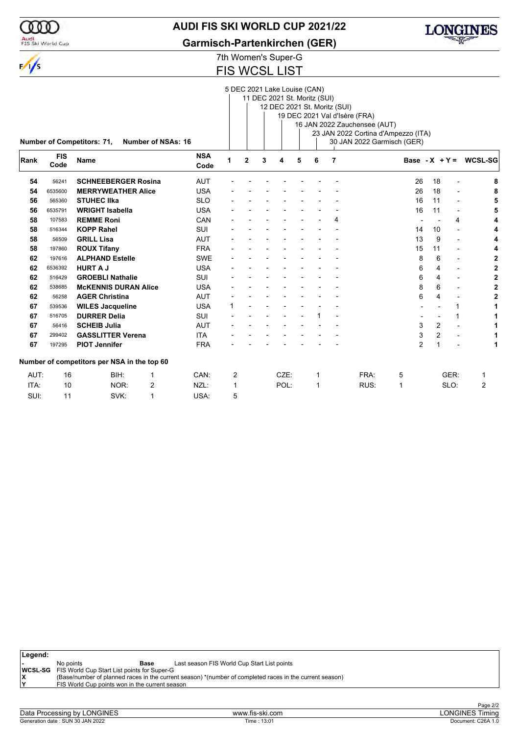### Audi<br>FIS Ski World Cup

### **AUDI FIS SKI WORLD CUP 2021/22**

**Garmisch-Partenkirchen (GER)**



### 7th Women's Super-G FIS WCSL LIST

| <b>FIS</b> |                         |                                                                                                             | <b>NSA</b>                                                                                                                                                        |                                                |   |                     |      |           |   |                                   |                                   |                                                               |                                                                              |                                                            |                                  |
|------------|-------------------------|-------------------------------------------------------------------------------------------------------------|-------------------------------------------------------------------------------------------------------------------------------------------------------------------|------------------------------------------------|---|---------------------|------|-----------|---|-----------------------------------|-----------------------------------|---------------------------------------------------------------|------------------------------------------------------------------------------|------------------------------------------------------------|----------------------------------|
| Code       |                         |                                                                                                             | Code                                                                                                                                                              |                                                |   |                     |      |           |   |                                   |                                   |                                                               |                                                                              |                                                            | <b>WCSL-SG</b>                   |
| 56241      |                         |                                                                                                             | <b>AUT</b>                                                                                                                                                        |                                                |   |                     |      |           |   |                                   |                                   | 26                                                            | 18                                                                           |                                                            | 8                                |
| 6535600    |                         |                                                                                                             | <b>USA</b>                                                                                                                                                        |                                                |   |                     |      |           |   |                                   |                                   | 26                                                            | 18                                                                           |                                                            | 8                                |
| 565360     | <b>STUHEC IIka</b>      |                                                                                                             | <b>SLO</b>                                                                                                                                                        |                                                |   |                     |      |           |   |                                   |                                   | 16                                                            | 11                                                                           |                                                            |                                  |
| 6535791    | <b>WRIGHT Isabella</b>  |                                                                                                             | <b>USA</b>                                                                                                                                                        |                                                |   |                     |      |           |   |                                   |                                   | 16                                                            | 11                                                                           | $\overline{\phantom{a}}$                                   |                                  |
| 107583     | <b>REMME Roni</b>       |                                                                                                             | CAN                                                                                                                                                               |                                                |   |                     |      |           |   | 4                                 |                                   |                                                               |                                                                              | 4                                                          |                                  |
| 516344     | <b>KOPP Rahel</b>       |                                                                                                             | SUI                                                                                                                                                               |                                                |   |                     |      |           |   |                                   |                                   | 14                                                            | 10                                                                           | $\overline{a}$                                             |                                  |
| 56509      | <b>GRILL Lisa</b>       |                                                                                                             | <b>AUT</b>                                                                                                                                                        |                                                |   |                     |      |           |   |                                   |                                   | 13                                                            | 9                                                                            | $\blacksquare$                                             |                                  |
| 197860     | <b>ROUX Tifany</b>      |                                                                                                             | <b>FRA</b>                                                                                                                                                        |                                                |   |                     |      |           |   |                                   |                                   | 15                                                            | 11                                                                           | $\blacksquare$                                             |                                  |
| 197616     | <b>ALPHAND Estelle</b>  |                                                                                                             | <b>SWE</b>                                                                                                                                                        |                                                |   |                     |      |           |   |                                   |                                   | 8                                                             | 6                                                                            |                                                            | 2                                |
| 6536392    | <b>HURT A J</b>         |                                                                                                             | <b>USA</b>                                                                                                                                                        |                                                |   |                     |      |           |   |                                   |                                   | 6                                                             | 4                                                                            | $\blacksquare$                                             | $\mathbf{2}$                     |
| 516429     | <b>GROEBLI Nathalie</b> |                                                                                                             | SUI                                                                                                                                                               |                                                |   |                     |      |           |   |                                   |                                   | 6                                                             | 4                                                                            | $\overline{\phantom{0}}$                                   | $\overline{2}$                   |
| 538685     |                         |                                                                                                             | <b>USA</b>                                                                                                                                                        |                                                |   |                     |      |           |   |                                   |                                   | 8                                                             | 6                                                                            | $\blacksquare$                                             | $\mathbf{2}$                     |
| 56258      | <b>AGER Christina</b>   |                                                                                                             | <b>AUT</b>                                                                                                                                                        |                                                |   |                     |      |           |   |                                   |                                   | 6                                                             | 4                                                                            |                                                            |                                  |
| 539536     | <b>WILES Jacqueline</b> |                                                                                                             | <b>USA</b>                                                                                                                                                        | 1                                              |   |                     |      |           |   |                                   |                                   |                                                               |                                                                              | 1                                                          |                                  |
| 516705     |                         |                                                                                                             |                                                                                                                                                                   |                                                |   |                     |      |           |   |                                   |                                   |                                                               |                                                                              | 1                                                          |                                  |
| 56416      | <b>SCHEIB Julia</b>     |                                                                                                             | <b>AUT</b>                                                                                                                                                        |                                                |   |                     |      |           |   |                                   |                                   | 3                                                             | 2                                                                            |                                                            |                                  |
| 299402     |                         |                                                                                                             | <b>ITA</b>                                                                                                                                                        |                                                |   |                     |      |           |   |                                   |                                   | 3                                                             |                                                                              |                                                            |                                  |
| 197295     |                         |                                                                                                             |                                                                                                                                                                   |                                                |   |                     |      |           |   |                                   |                                   |                                                               |                                                                              |                                                            | 1                                |
|            |                         |                                                                                                             |                                                                                                                                                                   |                                                |   |                     |      |           |   |                                   |                                   |                                                               |                                                                              |                                                            |                                  |
|            | BIH:                    | 1                                                                                                           | CAN:                                                                                                                                                              |                                                |   |                     |      |           | 1 |                                   | FRA:                              | 5                                                             |                                                                              |                                                            | 1                                |
|            | NOR:                    | 2                                                                                                           | NZL:                                                                                                                                                              | 1                                              |   |                     | POL: |           | 1 |                                   | RUS:                              | 1                                                             |                                                                              |                                                            | 2                                |
| 11         | SVK:                    | 1                                                                                                           | USA:                                                                                                                                                              | 5                                              |   |                     |      |           |   |                                   |                                   |                                                               |                                                                              |                                                            |                                  |
|            | AUT:<br>SUI:            | <b>Number of Competitors: 71,</b><br><b>Name</b><br><b>DURRER Delia</b><br><b>PIOT Jennifer</b><br>16<br>10 | <b>SCHNEEBERGER Rosina</b><br><b>MERRYWEATHER Alice</b><br><b>MCKENNIS DURAN Alice</b><br><b>GASSLITTER Verena</b><br>Number of competitors per NSA in the top 60 | <b>Number of NSAs: 16</b><br>SUI<br><b>FRA</b> | 1 | $\overline{2}$<br>2 | 3    | 4<br>CZE: | 5 | 5 DEC 2021 Lake Louise (CAN)<br>6 | 11 DEC 2021 St. Moritz (SUI)<br>7 | 12 DEC 2021 St. Moritz (SUI)<br>19 DEC 2021 Val d'Isère (FRA) | 16 JAN 2022 Zauchensee (AUT)<br>30 JAN 2022 Garmisch (GER)<br>$\overline{2}$ | 23 JAN 2022 Cortina d'Ampezzo (ITA)<br>$\overline{2}$<br>1 | Base - $X + Y =$<br>GER:<br>SLO: |

| Legend: |           |                                                            |                                                                                                         |
|---------|-----------|------------------------------------------------------------|---------------------------------------------------------------------------------------------------------|
|         | No points | <b>Base</b>                                                | Last season FIS World Cup Start List points                                                             |
|         |           | <b>WCSL-SG</b> FIS World Cup Start List points for Super-G |                                                                                                         |
|         |           |                                                            | (Base/number of planned races in the current season) *(number of completed races in the current season) |
|         |           | FIS World Cup points won in the current season             |                                                                                                         |
|         |           |                                                            |                                                                                                         |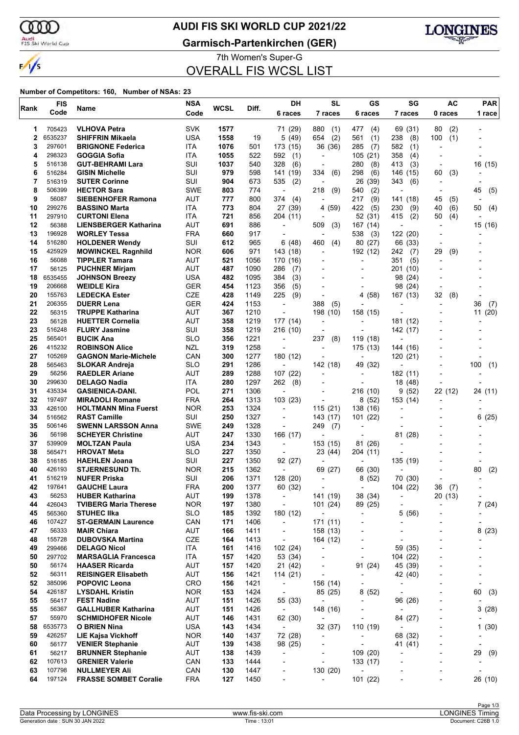ഞ

 $\frac{1}{\sqrt{2}}$ 

### **AUDI FIS SKI WORLD CUP 2021/22**

Audi<br>FIS Ski World Cup

**Garmisch-Partenkirchen (GER)**



7th Women's Super-G OVERALL FIS WCSL LIST

#### **Number of Competitors: 160, Number of NSAs: 23**

| Rank     | <b>FIS</b>       |                                                      | <b>NSA</b>               | <b>WCSL</b> | Diff.        | DH                                                   | <b>SL</b>                            | <b>GS</b>                     | SG                                  | AC                                    | <b>PAR</b>     |
|----------|------------------|------------------------------------------------------|--------------------------|-------------|--------------|------------------------------------------------------|--------------------------------------|-------------------------------|-------------------------------------|---------------------------------------|----------------|
|          | Code             | Name                                                 | Code                     |             |              | 6 races                                              | 7 races                              | 6 races                       | 7 races                             | 0 races                               | 1 race         |
| 1        | 705423           | <b>VLHOVA Petra</b>                                  | <b>SVK</b>               | 1577        |              | 71 (29)                                              | 880<br>(1)                           | 477<br>(4)                    | 69 (31)                             | (2)<br>80                             |                |
| 2        | 6535237          | <b>SHIFFRIN Mikaela</b>                              | USA                      | 1558        | 19           | 5(49)                                                | (2)<br>654                           | 561<br>(1)                    | 238<br>(8)                          | (1)<br>100                            |                |
| 3        | 297601           | <b>BRIGNONE Federica</b>                             | ITA                      | 1076        | 501          | 173 (15)                                             | 36 (36)                              | 285<br>(7)                    | 582<br>(1)                          |                                       |                |
| 4        | 298323           | <b>GOGGIA Sofia</b>                                  | ITA                      | 1055        | 522          | 592<br>(1)                                           | $\overline{\phantom{a}}$             | 105(21)                       | 358<br>(4)                          |                                       |                |
| 5        | 516138           | <b>GUT-BEHRAMI Lara</b>                              | SUI                      | 1037        | 540          | 328<br>(6)                                           |                                      | 280<br>(8)                    | 413<br>(3)                          |                                       | 16 (15)        |
| 6        | 516284           | <b>GISIN Michelle</b>                                | SUI                      | 979         | 598          | 141 (19)                                             | 334<br>(6)                           | 298<br>(6)                    | 146 (15)                            | 60<br>(3)                             |                |
| 7        | 516319           | <b>SUTER Corinne</b>                                 | SUI                      | 904         | 673          | 535<br>(2)                                           |                                      | (39)<br>26                    | 343<br>(6)                          |                                       |                |
| 8        | 506399           | <b>HECTOR Sara</b>                                   | <b>SWE</b>               | 803         | 774          | $\overline{\phantom{a}}$                             | 218<br>(9)                           | (2)<br>540                    |                                     | $\overline{\phantom{a}}$              | 45<br>(5)      |
| 9        | 56087            | <b>SIEBENHOFER Ramona</b>                            | AUT                      | 777         | 800          | 374<br>(4)                                           |                                      | (9)<br>217                    | 141 (18)                            | 45<br>(5)                             |                |
| 10       | 299276           | <b>BASSINO Marta</b>                                 | ITA                      | 773         | 804          | 27 (39)                                              | 4 (59)                               | 422<br>(5)                    | 230<br>(9)                          | 40<br>(6)                             | 50<br>(4)      |
| 11<br>12 | 297910<br>56388  | <b>CURTONI Elena</b><br><b>LIENSBERGER Katharina</b> | ITA<br>AUT               | 721<br>691  | 856<br>886   | 204 (11)                                             | 509                                  | 52 (31)<br>167 (14)           | 415<br>(2)<br>÷                     | 50<br>(4)<br>$\overline{\phantom{a}}$ |                |
| 13       | 196928           | <b>WORLEY Tessa</b>                                  | <b>FRA</b>               | 660         | 917          | $\overline{\phantom{a}}$<br>$\overline{\phantom{a}}$ | (3)                                  | 538<br>(3)                    | 122 (20)                            |                                       | 15 (16)        |
| 14       | 516280           | <b>HOLDENER Wendy</b>                                | SUI                      | 612         | 965          | 6(48)                                                | (4)<br>460                           | 80 (27)                       | 66 (33)                             |                                       |                |
| 15       | 425929           | <b>MOWINCKEL Ragnhild</b>                            | <b>NOR</b>               | 606         | 971          | 143 (18)                                             | $\overline{\phantom{a}}$             | 192 (12)                      | 242<br>(7)                          | 29<br>(9)                             |                |
| 16       | 56088            | <b>TIPPLER Tamara</b>                                | AUT                      | 521         | 1056         | 170 (16)                                             |                                      | $\overline{a}$                | 351<br>(5)                          |                                       |                |
| 17       | 56125            | <b>PUCHNER Mirjam</b>                                | AUT                      | 487         | 1090         | 286<br>(7)                                           |                                      | $\overline{a}$                | 201 (10)                            |                                       |                |
| 18       | 6535455          | <b>JOHNSON Breezy</b>                                | USA                      | 482         | 1095         | (3)<br>384                                           | ÷                                    | $\overline{a}$                | 98 (24)                             |                                       |                |
| 19       | 206668           | <b>WEIDLE Kira</b>                                   | GER                      | 454         | 1123         | (5)<br>356                                           |                                      |                               | 98 (24)                             |                                       |                |
| 20       | 155763           | <b>LEDECKA Ester</b>                                 | <b>CZE</b>               | 428         | 1149         | 225<br>(9)                                           |                                      | (58)<br>4                     | 167 (13)                            | 32<br>(8)                             |                |
| 21       | 206355           | <b>DUERR Lena</b>                                    | GER                      | 424         | 1153         | $\overline{\phantom{a}}$                             | 388<br>(5)                           |                               |                                     |                                       | 36<br>(7)      |
| 22       | 56315            | <b>TRUPPE Katharina</b>                              | AUT                      | 367         | 1210         | $\overline{\phantom{a}}$                             | 198 (10)                             | 158 (15)                      |                                     |                                       | 11(20)         |
| 23       | 56128            | <b>HUETTER Cornelia</b>                              | AUT                      | 358         | 1219         | 177 (14)                                             |                                      | ٠                             | 181 (12)                            |                                       |                |
| 23       | 516248           | <b>FLURY Jasmine</b>                                 | SUI                      | 358         | 1219         | 216 (10)                                             |                                      | ÷,                            | 142 (17)                            |                                       |                |
| 25       | 565401           | <b>BUCIK Ana</b>                                     | <b>SLO</b><br><b>NZL</b> | 356         | 1221         | $\overline{\phantom{a}}$                             | 237<br>(8)                           | 119 (18)                      |                                     |                                       |                |
| 26<br>27 | 415232<br>105269 | <b>ROBINSON Alice</b><br><b>GAGNON Marie-Michele</b> | CAN                      | 319<br>300  | 1258<br>1277 | $\blacksquare$<br>180 (12)                           | $\overline{a}$                       | 175 (13)<br>$\blacksquare$    | 144 (16)<br>120 (21)                |                                       |                |
| 28       | 565463           | <b>SLOKAR Andreja</b>                                | <b>SLO</b>               | 291         | 1286         | $\overline{\phantom{a}}$                             | 142 (18)                             | 49 (32)                       |                                     |                                       | 100<br>(1)     |
| 29       | 56256            | <b>RAEDLER Ariane</b>                                | AUT                      | 289         | 1288         | 107 (22)                                             | ÷,                                   | -                             | 182 (11)                            |                                       |                |
| 30       | 299630           | <b>DELAGO Nadia</b>                                  | ITA                      | 280         | 1297         | 262<br>(8)                                           |                                      | $\overline{a}$                | 18 (48)                             |                                       |                |
| 31       | 435334           | <b>GASIENICA-DANI.</b>                               | POL                      | 271         | 1306         | $\overline{\phantom{a}}$                             |                                      | 216 (10)                      | 9 (52)                              | 22 (12)                               | 24 (11)        |
| 32       | 197497           | <b>MIRADOLI Romane</b>                               | <b>FRA</b>               | 264         | 1313         | 103 (23)                                             | $\blacksquare$                       | (52)<br>8                     | 153 (14)                            |                                       |                |
| 33       | 426100           | <b>HOLTMANN Mina Fuerst</b>                          | <b>NOR</b>               | 253         | 1324         | $\overline{\phantom{a}}$                             | 115 (21)                             | 138 (16)                      |                                     |                                       |                |
| 34       | 516562           | <b>RAST Camille</b>                                  | SUI                      | 250         | 1327         | $\overline{a}$                                       | 143 (17)                             | 101 (22)                      |                                     |                                       | 6(25)          |
| 35       | 506146           | <b>SWENN LARSSON Anna</b>                            | <b>SWE</b>               | 249         | 1328         | ÷,                                                   | 249<br>(7)                           | $\overline{a}$                |                                     |                                       |                |
| 36       | 56198            | <b>SCHEYER Christine</b>                             | AUT                      | 247         | 1330         | 166 (17)                                             | L,                                   | ÷,                            | 81 (28)                             |                                       |                |
| 37       | 539909           | <b>MOLTZAN Paula</b>                                 | USA                      | 234         | 1343         | $\blacksquare$                                       | 153 (15)                             | 81 (26)                       |                                     |                                       |                |
| 38       | 565471           | <b>HROVAT Meta</b>                                   | <b>SLO</b>               | 227         | 1350         | $\overline{\phantom{a}}$                             | 23 (44)                              | 204 (11)                      |                                     |                                       |                |
| 38       | 516185           | <b>HAEHLEN Joana</b>                                 | SUI                      | 227         | 1350         | 92(27)                                               |                                      | ÷                             | 135 (19)                            |                                       |                |
| 40<br>41 | 426193<br>516219 | <b>STJERNESUND Th.</b><br><b>NUFER Priska</b>        | <b>NOR</b><br>SUI        | 215<br>206  | 1362<br>1371 | $\blacksquare$<br>128 (20)                           | 69 (27)<br>$\overline{\phantom{a}}$  | 66 (30)<br>8(52)              | 70 (30)                             |                                       | 80<br>(2)      |
| 42       | 197641           | <b>GAUCHE Laura</b>                                  | <b>FRA</b>               | 200         | 1377         | 60 (32)                                              |                                      |                               | 104 (22)                            | 36<br>(7)                             |                |
| 43       | 56253            | <b>HUBER Katharina</b>                               | AUT                      | 199         | 1378         | $\overline{\phantom{a}}$                             | 141 (19)                             | 38 (34)                       | $\overline{\phantom{a}}$            | 20 (13)                               | $\overline{a}$ |
| 44       | 426043           | <b>TVIBERG Maria Therese</b>                         | <b>NOR</b>               | 197         | 1380         | $\overline{\phantom{a}}$                             | 101 (24)                             | 89 (25)                       |                                     |                                       | 7(24)          |
| 45       | 565360           | <b>STUHEC IIka</b>                                   | <b>SLO</b>               | 185         | 1392         | 180 (12)                                             | $\overline{\phantom{a}}$             | $\overline{\phantom{a}}$      | 5<br>(56)                           |                                       |                |
| 46       | 107427           | <b>ST-GERMAIN Laurence</b>                           | CAN                      | 171         | 1406         | $\overline{\phantom{a}}$                             | 171 (11)                             | -                             | ٠                                   |                                       |                |
| 47       | 56333            | <b>MAIR Chiara</b>                                   | AUT                      | 166         | 1411         | $\overline{\phantom{a}}$                             | 158 (13)                             | $\qquad \qquad \blacksquare$  | -                                   |                                       | 8(23)          |
| 48       | 155728           | <b>DUBOVSKA Martina</b>                              | CZE                      | 164         | 1413         | $\overline{\phantom{a}}$                             | 164 (12)                             | $\overline{\phantom{0}}$      | ÷                                   |                                       |                |
| 49       | 299466           | <b>DELAGO Nicol</b>                                  | <b>ITA</b>               | 161         | 1416         | 102 (24)                                             | $\overline{\phantom{a}}$             |                               | 59 (35)                             |                                       |                |
| 50       | 297702           | <b>MARSAGLIA Francesca</b>                           | <b>ITA</b>               | 157         | 1420         | 53 (34)                                              | $\overline{\phantom{a}}$             | $\overline{\phantom{a}}$      | 104 (22)                            |                                       |                |
| 50       | 56174            | <b>HAASER Ricarda</b>                                | AUT                      | 157         | 1420         | 21 (42)                                              | $\overline{a}$                       | 91 (24)                       | 45 (39)                             |                                       |                |
| 52       | 56311            | <b>REISINGER Elisabeth</b>                           | AUT                      | 156         | 1421         | 114(21)                                              |                                      | $\overline{\phantom{a}}$      | 42 (40)                             |                                       |                |
| 52       | 385096           | <b>POPOVIC Leona</b>                                 | <b>CRO</b>               | 156         | 1421         | $\overline{\phantom{a}}$                             | 156 (14)                             | $\overline{\phantom{0}}$      | $\overline{a}$                      |                                       |                |
| 54       | 426187           | <b>LYSDAHL Kristin</b>                               | NOR.                     | 153         | 1424         | $\overline{\phantom{a}}$                             | 85 (25)                              | 8<br>(52)                     | ÷,                                  |                                       | 60<br>(3)      |
| 55<br>55 | 56417<br>56367   | <b>FEST Nadine</b><br><b>GALLHUBER Katharina</b>     | AUT<br>AUT               | 151<br>151  | 1426<br>1426 | 55 (33)<br>$\overline{\phantom{a}}$                  | $\overline{\phantom{a}}$<br>148 (16) | ٠<br>$\overline{\phantom{0}}$ | 96 (26)<br>$\overline{\phantom{a}}$ |                                       |                |
| 57       | 55970            | <b>SCHMIDHOFER Nicole</b>                            | AUT                      | 146         | 1431         | 62 (30)                                              | $\overline{\phantom{a}}$             | $\overline{\phantom{0}}$      | 84 (27)                             | $\overline{\phantom{a}}$              | 3(28)          |
| 58       | 6535773          | O BRIEN Nina                                         | <b>USA</b>               | 143         | 1434         | $\overline{\phantom{a}}$                             | 32 (37)                              | 110 (19)                      | $\overline{\phantom{a}}$            |                                       | 1(30)          |
| 59       | 426257           | <b>LIE Kajsa Vickhoff</b>                            | <b>NOR</b>               | 140         | 1437         | 72 (28)                                              | $\overline{\phantom{a}}$             | -                             | 68 (32)                             |                                       | -              |
| 60       | 56177            | <b>VENIER Stephanie</b>                              | AUT                      | 139         | 1438         | 98 (25)                                              | ÷,                                   | $\overline{\phantom{a}}$      | 41 (41)                             | $\overline{\phantom{a}}$              | $\overline{a}$ |
| 61       | 56217            | <b>BRUNNER Stephanie</b>                             | AUT                      | 138         | 1439         | $\overline{\phantom{a}}$                             | -                                    | 109 (20)                      | $\overline{\phantom{a}}$            |                                       | 29<br>(9)      |
| 62       | 107613           | <b>GRENIER Valerie</b>                               | CAN                      | 133         | 1444         | $\overline{\phantom{0}}$                             | $\overline{\phantom{a}}$             | 133 (17)                      | $\overline{a}$                      | $\overline{\phantom{a}}$              | ٠              |
| 63       | 107798           | <b>NULLMEYER Ali</b>                                 | CAN                      | 130         | 1447         | $\overline{\phantom{0}}$                             | 130 (20)                             | $\overline{a}$                |                                     |                                       |                |
| 64       | 197124           | <b>FRASSE SOMBET Coralie</b>                         | <b>FRA</b>               | 127         | 1450         |                                                      | ÷                                    | 101 (22)                      |                                     |                                       | 26 (10)        |
|          |                  |                                                      |                          |             |              |                                                      |                                      |                               |                                     |                                       |                |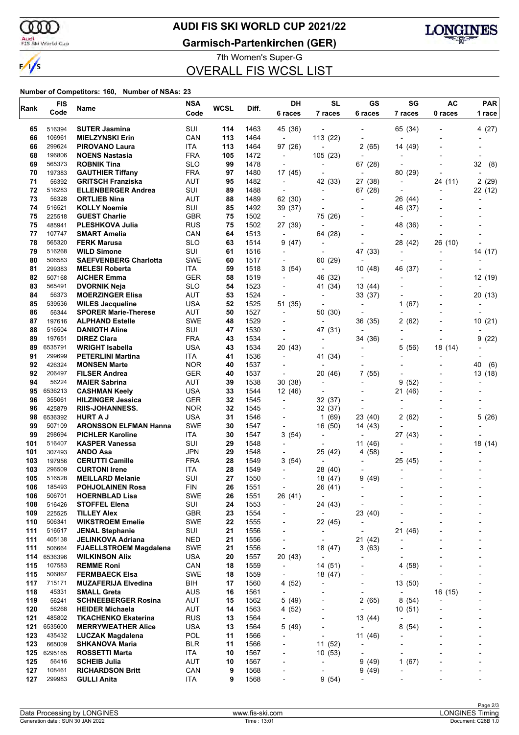ഞ

### **AUDI FIS SKI WORLD CUP 2021/22**

Audi<br>FIS Ski World Cup

 $\frac{1}{\sqrt{2}}$ 

**Garmisch-Partenkirchen (GER)**



7th Women's Super-G OVERALL FIS WCSL LIST

#### **Number of Competitors: 160, Number of NSAs: 23**

| Rank       | <b>FIS</b>       | Name                                           | <b>NSA</b>               | <b>WCSL</b> | Diff.        | DH                                | <b>SL</b>                           | GS                        | SG                                  | AC      | <b>PAR</b>               |
|------------|------------------|------------------------------------------------|--------------------------|-------------|--------------|-----------------------------------|-------------------------------------|---------------------------|-------------------------------------|---------|--------------------------|
|            | Code             |                                                | Code                     |             |              | 6 races                           | 7 races                             | 6 races                   | 7 races                             | 0 races | 1 race                   |
| 65         | 516394           | <b>SUTER Jasmina</b>                           | SUI                      | 114         | 1463         | 45 (36)                           |                                     |                           | 65 (34)                             |         | 4(27)                    |
| 66         | 106961           | <b>MIELZYNSKI Erin</b>                         | CAN                      | 113         | 1464         | $\overline{\phantom{a}}$          | 113 (22)                            |                           |                                     |         |                          |
| 66         | 299624           | <b>PIROVANO Laura</b>                          | ITA                      | 113         | 1464         | 97 (26)                           |                                     | 2<br>(65)                 | 14 (49)                             |         |                          |
| 68         | 196806           | <b>NOENS Nastasia</b>                          | <b>FRA</b>               | 105         | 1472         | $\sim$                            | 105 (23)                            | $\overline{a}$            |                                     |         |                          |
| 69         | 565373           | <b>ROBNIK Tina</b>                             | <b>SLO</b>               | 99          | 1478         | $\overline{\phantom{a}}$          | $\overline{a}$                      | 67 (28)                   |                                     |         | 32<br>(8)                |
| 70         | 197383           | <b>GAUTHIER Tiffany</b>                        | <b>FRA</b>               | 97          | 1480         | 17 (45)                           | ÷                                   | $\overline{\phantom{a}}$  | 80 (29)                             |         | ٠                        |
| 71         | 56392            | <b>GRITSCH Franziska</b>                       | AUT                      | 95          | 1482         | $\overline{\phantom{a}}$          | 42 (33)                             | 27 (38)                   | $\overline{\phantom{a}}$            | 24 (11) | 2(29)                    |
| 72         | 516283           | <b>ELLENBERGER Andrea</b>                      | SUI                      | 89          | 1488         | $\overline{\phantom{a}}$          | ÷,                                  | 67 (28)                   | $\blacksquare$                      |         | 22 (12)                  |
| 73         | 56328            | <b>ORTLIEB Nina</b>                            | AUT                      | 88          | 1489         | 62 (30)                           | ÷                                   | $\overline{a}$            | 26 (44)                             |         |                          |
| 74         | 516521           | <b>KOLLY Noemie</b>                            | SUI                      | 85          | 1492         | 39 (37)                           |                                     |                           | 46 (37)                             |         |                          |
| 75         | 225518           | <b>GUEST Charlie</b>                           | <b>GBR</b>               | 75          | 1502         | $\overline{\phantom{a}}$          | 75 (26)                             | $\overline{a}$            |                                     |         |                          |
| 75<br>77   | 485941<br>107747 | <b>PLESHKOVA Julia</b>                         | <b>RUS</b><br>CAN        | 75<br>64    | 1502<br>1513 | 27 (39)                           | $\overline{a}$                      |                           | 48 (36)                             |         |                          |
| 78         | 565320           | <b>SMART Amelia</b><br><b>FERK Marusa</b>      | <b>SLO</b>               | 63          | 1514         | $\overline{\phantom{a}}$<br>9(47) | 64 (28)                             | $\overline{\phantom{a}}$  | $\overline{\phantom{a}}$<br>28 (42) | 26 (10) |                          |
| 79         | 516268           | <b>WILD Simone</b>                             | SUI                      | 61          | 1516         |                                   | $\overline{\phantom{a}}$            | 47 (33)                   |                                     |         | 14 (17)                  |
| 80         | 506583           | <b>SAEFVENBERG Charlotta</b>                   | <b>SWE</b>               | 60          | 1517         | $\overline{\phantom{a}}$          | 60 (29)                             |                           | $\overline{a}$                      |         |                          |
| 81         | 299383           | <b>MELESI Roberta</b>                          | ITA                      | 59          | 1518         | 3(54)                             | $\overline{a}$                      | 10 (48)                   | 46 (37)                             |         |                          |
| 82         | 507168           | <b>AICHER Emma</b>                             | GER                      | 58          | 1519         | $\overline{\phantom{0}}$          | 46 (32)                             | $\overline{\phantom{a}}$  |                                     |         | 12 (19)                  |
| 83         | 565491           | <b>DVORNIK Neja</b>                            | <b>SLO</b>               | 54          | 1523         | $\blacksquare$                    | 41 (34)                             | 13 (44)                   |                                     |         |                          |
| 84         | 56373            | <b>MOERZINGER Elisa</b>                        | <b>AUT</b>               | 53          | 1524         | $\blacksquare$                    | $\overline{a}$                      | 33 (37)                   |                                     |         | 20 (13)                  |
| 85         | 539536           | <b>WILES Jacqueline</b>                        | USA                      | 52          | 1525         | 51 (35)                           | ÷                                   | ٠                         | 1<br>(67)                           |         |                          |
| 86         | 56344            | <b>SPORER Marie-Therese</b>                    | <b>AUT</b>               | 50          | 1527         | $\overline{\phantom{a}}$          | 50 (30)                             |                           |                                     |         |                          |
| 87         | 197616           | <b>ALPHAND Estelle</b>                         | <b>SWE</b>               | 48          | 1529         | $\overline{\phantom{a}}$          | $\overline{a}$                      | 36 (35)                   | 2<br>(62)                           |         | 10(21)                   |
| 88         | 516504           | <b>DANIOTH Aline</b>                           | SUI                      | 47          | 1530         |                                   | 47 (31)                             | $\overline{a}$            |                                     |         |                          |
| 89         | 197651           | <b>DIREZ Clara</b>                             | <b>FRA</b>               | 43          | 1534         | $\overline{\phantom{a}}$          | $\blacksquare$                      | 34 (36)                   |                                     |         | 9(22)                    |
| 89         | 6535791          | <b>WRIGHT Isabella</b>                         | USA                      | 43          | 1534         | 20 (43)                           |                                     |                           | 5<br>(56)                           | 18 (14) |                          |
| 91         | 299699           | <b>PETERLINI Martina</b>                       | ITA                      | 41          | 1536         | $\overline{\phantom{a}}$          | 41 (34)                             |                           |                                     |         |                          |
| 92         | 426324           | <b>MONSEN Marte</b>                            | <b>NOR</b>               | 40          | 1537         | $\blacksquare$                    |                                     |                           |                                     |         | 40<br>(6)                |
| 92<br>94   | 206497<br>56224  | <b>FILSER Andrea</b>                           | <b>GER</b><br>AUT        | 40          | 1537<br>1538 | $\overline{\phantom{a}}$          | 20 (46)                             | 7(55)                     |                                     |         | 13 (18)                  |
| 95         | 6536213          | <b>MAIER Sabrina</b><br><b>CASHMAN Keely</b>   | USA                      | 39<br>33    | 1544         | 30 (38)<br>12 (46)                | $\overline{\phantom{a}}$            | ٠                         | 9<br>(52)<br>21 (46)                |         |                          |
| 96         | 355061           | <b>HILZINGER Jessica</b>                       | <b>GER</b>               | 32          | 1545         | $\overline{\phantom{a}}$          | 32 (37)                             | $\overline{\phantom{a}}$  |                                     |         |                          |
| 96         | 425879           | <b>RIIS-JOHANNESS.</b>                         | <b>NOR</b>               | 32          | 1545         | $\overline{\phantom{0}}$          | 32 (37)                             | ٠                         |                                     |         |                          |
| 98         | 6536392          | <b>HURT A J</b>                                | <b>USA</b>               | 31          | 1546         | $\overline{\phantom{a}}$          | 1(69)                               | 23 (40)                   | 2 (62)                              |         | 5(26)                    |
| 99         | 507109           | <b>ARONSSON ELFMAN Hanna</b>                   | <b>SWE</b>               | 30          | 1547         | $\overline{\phantom{a}}$          | 16 (50)                             | 14 (43)                   |                                     |         |                          |
| 99         | 298694           | <b>PICHLER Karoline</b>                        | ITA                      | 30          | 1547         | 3 (54)                            | ÷                                   | $\overline{\phantom{a}}$  | 27 (43)                             |         |                          |
| 101        | 516407           | <b>KASPER Vanessa</b>                          | SUI                      | 29          | 1548         | $\overline{\phantom{a}}$          |                                     | 11 (46)                   | $\overline{\phantom{a}}$            |         | 18 (14)                  |
| 101        | 307493           | <b>ANDO Asa</b>                                | JPN                      | 29          | 1548         | $\overline{\phantom{a}}$          | 25 (42)                             | (58)<br>4                 |                                     |         |                          |
| 103        | 197956           | <b>CERUTTI Camille</b>                         | <b>FRA</b>               | 28          | 1549         | 3(54)                             | $\overline{\phantom{a}}$            |                           | 25 (45)                             |         |                          |
| 103        | 296509           | <b>CURTONI Irene</b>                           | ITA                      | 28          | 1549         | $\blacksquare$                    | 28 (40)                             |                           |                                     |         |                          |
| 105        | 516528           | <b>MEILLARD Melanie</b>                        | SUI                      | 27          | 1550         |                                   | 18 (47)                             | 9<br>(49)                 |                                     |         |                          |
| 106        | 185493           | <b>POHJOLAINEN Rosa</b>                        | <b>FIN</b>               | 26          | 1551         |                                   | 26 (41)                             |                           |                                     |         |                          |
| 106        | 506701           | <b>HOERNBLAD Lisa</b>                          | <b>SWE</b>               | 26          | 1551         | 26 (41)                           | $\overline{\phantom{a}}$            |                           |                                     |         |                          |
| 108        | 516426<br>225525 | <b>STOFFEL Elena</b><br><b>TILLEY Alex</b>     | SUI                      | 24          | 1553         | $\overline{\phantom{a}}$          | 24 (43)                             | $\overline{a}$            |                                     |         |                          |
| 109<br>110 | 506341           | <b>WIKSTROEM Emelie</b>                        | <b>GBR</b><br><b>SWE</b> | 23<br>22    | 1554<br>1555 | -<br>$\qquad \qquad \blacksquare$ | $\overline{\phantom{a}}$<br>22 (45) | 23 (40)<br>$\overline{a}$ |                                     |         |                          |
| 111        | 516517           | <b>JENAL Stephanie</b>                         | SUI                      | 21          | 1556         | $\overline{\phantom{a}}$          | $\overline{\phantom{a}}$            | $\overline{\phantom{a}}$  | 21 (46)                             |         |                          |
| 111        | 405138           | <b>JELINKOVA Adriana</b>                       | <b>NED</b>               | 21          | 1556         | $\overline{\phantom{a}}$          | $\overline{\phantom{a}}$            | 21 (42)                   |                                     |         |                          |
| 111        | 506664           | <b>FJAELLSTROEM Magdalena</b>                  | <b>SWE</b>               | 21          | 1556         | $\overline{\phantom{a}}$          | 18 (47)                             | 3(63)                     |                                     |         |                          |
| 114        | 6536396          | <b>WILKINSON Alix</b>                          | <b>USA</b>               | 20          | 1557         | 20 (43)                           | $\overline{\phantom{a}}$            | $\overline{a}$            |                                     |         |                          |
| 115        | 107583           | <b>REMME Roni</b>                              | CAN                      | 18          | 1559         | $\overline{\phantom{a}}$          | 14 (51)                             | -                         | 4 (58)                              |         |                          |
| 115        | 506867           | <b>FERMBAECK Elsa</b>                          | <b>SWE</b>               | 18          | 1559         | -                                 | 18 (47)                             |                           |                                     |         |                          |
| 117        | 715171           | <b>MUZAFERIJA Elvedina</b>                     | BIH                      | 17          | 1560         | 4 (52)                            | $\overline{a}$                      | -                         | 13 (50)                             |         |                          |
| 118        | 45331            | <b>SMALL Greta</b>                             | AUS                      | 16          | 1561         | $\overline{\phantom{a}}$          | ÷                                   | $\overline{\phantom{0}}$  |                                     | 16 (15) |                          |
| 119        | 56241            | <b>SCHNEEBERGER Rosina</b>                     | AUT                      | 15          | 1562         | 5 (49)                            | $\blacksquare$                      | 2(65)                     | 8(54)                               |         |                          |
| 120        | 56268            | <b>HEIDER Michaela</b>                         | AUT                      | 14          | 1563         | 4(52)                             | $\overline{a}$                      | $\overline{a}$            | 10(51)                              |         |                          |
| 121        | 485802           | <b>TKACHENKO Ekaterina</b>                     | <b>RUS</b>               | 13          | 1564         | $\overline{\phantom{a}}$          |                                     | 13 (44)                   |                                     |         |                          |
| 121        | 6535600          | <b>MERRYWEATHER Alice</b>                      | <b>USA</b>               | 13          | 1564         | 5 (49)                            |                                     | $\overline{\phantom{a}}$  | 8(54)                               |         |                          |
| 123        | 435432           | <b>LUCZAK Magdalena</b>                        | POL                      | 11          | 1566         | $\overline{\phantom{a}}$          | ÷,                                  | 11 (46)                   | L,                                  |         | $\overline{\phantom{a}}$ |
| 123        | 665009           | <b>SHKANOVA Maria</b>                          | BLR                      | 11          | 1566         | $\overline{\phantom{a}}$          | 11 (52)                             |                           |                                     |         |                          |
|            | 125 6295165      | ROSSETTI Marta                                 | ITA                      | 10          | 1567         | $\overline{\phantom{a}}$          | 10(53)                              | $\overline{\phantom{a}}$  | $\overline{\phantom{a}}$            |         |                          |
| 125<br>127 | 56416<br>108461  | <b>SCHEIB Julia</b><br><b>RICHARDSON Britt</b> | <b>AUT</b><br>CAN        | 10<br>9     | 1567<br>1568 | $\overline{\phantom{0}}$<br>-     | $\overline{a}$<br>$\overline{a}$    | 9<br>(49)<br>9<br>(49)    | (67)<br>1                           |         | ٠                        |
| 127        | 299983           | <b>GULLI Anita</b>                             | ITA                      | 9           | 1568         | $\overline{\phantom{a}}$          | 9(54)                               |                           |                                     |         |                          |
|            |                  |                                                |                          |             |              |                                   |                                     |                           |                                     |         |                          |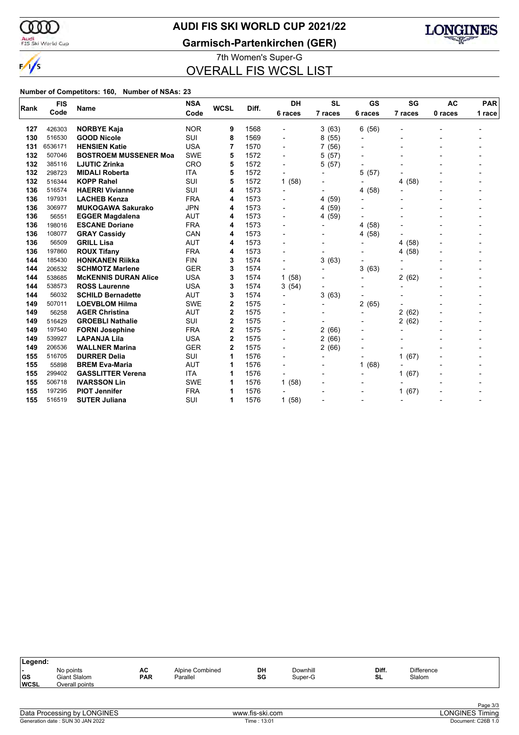

### **AUDI FIS SKI WORLD CUP 2021/22**

Audi<br>FIS Ski World Cup

### **Garmisch-Partenkirchen (GER)**



7th Women's Super-G OVERALL FIS WCSL LIST

#### **Number of Competitors: 160, Number of NSAs: 23**

| Rank | <b>FIS</b> | Name                         | <b>NSA</b> | <b>WCSL</b>    | Diff. | <b>DH</b>                | <b>SL</b>                | GS             | SG                       | <b>AC</b> | <b>PAR</b> |
|------|------------|------------------------------|------------|----------------|-------|--------------------------|--------------------------|----------------|--------------------------|-----------|------------|
|      | Code       |                              | Code       |                |       | 6 races                  | 7 races                  | 6 races        | 7 races                  | 0 races   | 1 race     |
| 127  | 426303     | <b>NORBYE Kaja</b>           | <b>NOR</b> | 9              | 1568  |                          | 3(63)                    | (56)<br>6      |                          |           |            |
| 130  | 516530     | <b>GOOD Nicole</b>           | SUI        | 8              | 1569  | $\overline{\phantom{0}}$ | 8(55)                    | $\overline{a}$ |                          |           |            |
| 131  | 6536171    | <b>HENSIEN Katie</b>         | <b>USA</b> | 7              | 1570  | $\overline{\phantom{0}}$ | 7(56)                    | $\overline{a}$ |                          |           |            |
| 132  | 507046     | <b>BOSTROEM MUSSENER Moa</b> | <b>SWE</b> | 5              | 1572  | $\overline{\phantom{0}}$ | 5(57)                    |                |                          |           |            |
| 132  | 385116     | <b>LJUTIC Zrinka</b>         | CRO        | 5              | 1572  |                          | 5(57)                    |                |                          |           |            |
| 132  | 298723     | <b>MIDALI Roberta</b>        | <b>ITA</b> | 5              | 1572  | $\overline{\phantom{0}}$ | $\overline{\phantom{a}}$ | 5<br>(57)      |                          |           |            |
| 132  | 516344     | <b>KOPP Rahel</b>            | SUI        | 5              | 1572  | 1(58)                    |                          | $\overline{a}$ | (58)<br>4                |           |            |
| 136  | 516574     | <b>HAERRI Vivianne</b>       | <b>SUI</b> | 4              | 1573  | $\blacksquare$           |                          | (58)<br>4      |                          |           |            |
| 136  | 197931     | <b>LACHEB Kenza</b>          | <b>FRA</b> | 4              | 1573  |                          | 4 (59)                   | -              |                          |           |            |
| 136  | 306977     | <b>MUKOGAWA Sakurako</b>     | <b>JPN</b> | 4              | 1573  | $\blacksquare$           | 4 (59)                   | $\overline{a}$ |                          |           |            |
| 136  | 56551      | <b>EGGER Magdalena</b>       | <b>AUT</b> | 4              | 1573  | $\blacksquare$           | 4 (59)                   |                |                          |           |            |
| 136  | 198016     | <b>ESCANE Doriane</b>        | <b>FRA</b> | 4              | 1573  | $\overline{a}$           |                          | (58)<br>4      |                          |           |            |
| 136  | 108077     | <b>GRAY Cassidy</b>          | CAN        | 4              | 1573  |                          |                          | (58)<br>4      |                          |           |            |
| 136  | 56509      | <b>GRILL Lisa</b>            | <b>AUT</b> | 4              | 1573  | $\blacksquare$           |                          | $\overline{a}$ | (58)<br>4                |           |            |
| 136  | 197860     | <b>ROUX Tifany</b>           | <b>FRA</b> | 4              | 1573  |                          | $\overline{\phantom{0}}$ |                | (58)<br>4                |           |            |
| 144  | 185430     | <b>HONKANEN Riikka</b>       | <b>FIN</b> | 3              | 1574  | $\overline{\phantom{a}}$ | 3(63)                    |                |                          |           |            |
| 144  | 206532     | <b>SCHMOTZ Marlene</b>       | <b>GER</b> | 3              | 1574  |                          |                          | 3<br>(63)      |                          |           |            |
| 144  | 538685     | <b>MCKENNIS DURAN Alice</b>  | <b>USA</b> | 3              | 1574  | 1(58)                    |                          | $\overline{a}$ | 2(62)                    |           |            |
| 144  | 538573     | <b>ROSS Laurenne</b>         | <b>USA</b> | 3              | 1574  | 3(54)                    | $\overline{\phantom{a}}$ |                |                          |           |            |
| 144  | 56032      | <b>SCHILD Bernadette</b>     | <b>AUT</b> | 3              | 1574  | $\overline{\phantom{a}}$ | 3(63)                    | -              |                          |           |            |
| 149  | 507011     | <b>LOEVBLOM Hilma</b>        | <b>SWE</b> | $\overline{2}$ | 1575  | $\blacksquare$           | $\overline{\phantom{a}}$ | 2<br>(65)      |                          |           |            |
| 149  | 56258      | <b>AGER Christina</b>        | <b>AUT</b> | 2              | 1575  |                          |                          | $\overline{a}$ | 2<br>(62)                |           |            |
| 149  | 516429     | <b>GROEBLI Nathalie</b>      | SUI        | 2              | 1575  | $\overline{\phantom{0}}$ |                          | -              | 2(62)                    |           |            |
| 149  | 197540     | <b>FORNI Josephine</b>       | <b>FRA</b> | 2              | 1575  | $\overline{\phantom{a}}$ | 2(66)                    | $\overline{a}$ |                          |           |            |
| 149  | 539927     | <b>LAPANJA Lila</b>          | <b>USA</b> | $\overline{2}$ | 1575  | $\blacksquare$           | 2(66)                    | $\overline{a}$ |                          |           |            |
| 149  | 206536     | <b>WALLNER Marina</b>        | <b>GER</b> | $\overline{2}$ | 1575  | $\blacksquare$           | 2(66)                    | $\overline{a}$ |                          |           |            |
| 155  | 516705     | <b>DURRER Delia</b>          | SUI        | 1              | 1576  |                          |                          | -              | (67)<br>1                |           |            |
| 155  | 55898      | <b>BREM Eva-Maria</b>        | <b>AUT</b> | 1              | 1576  | $\overline{\phantom{0}}$ | $\overline{\phantom{0}}$ | (68)<br>1      |                          |           |            |
| 155  | 299402     | <b>GASSLITTER Verena</b>     | <b>ITA</b> | 1              | 1576  | $\overline{\phantom{a}}$ |                          | $\overline{a}$ | (67)<br>1                |           |            |
| 155  | 506718     | <b>IVARSSON Lin</b>          | <b>SWE</b> | 1              | 1576  | 1(58)                    |                          |                |                          |           |            |
| 155  | 197295     | <b>PIOT Jennifer</b>         | <b>FRA</b> | 1              | 1576  |                          |                          |                | (67)<br>1                |           |            |
| 155  | 516519     | <b>SUTER Juliana</b>         | SUI        | 1              | 1576  | 1(58)                    |                          | -              | $\overline{\phantom{a}}$ |           |            |

| ∣Legend:                  |                                             |                  |                             |          |                     |             |                             |  |
|---------------------------|---------------------------------------------|------------------|-----------------------------|----------|---------------------|-------------|-----------------------------|--|
| . .<br> GS<br><b>WCSL</b> | No points<br>Giant Slalom<br>Overall points | AC<br><b>PAR</b> | Alpine Combined<br>Parallel | DH<br>SG | Downhill<br>Super-G | Diff.<br>SL | <b>Difference</b><br>Slalom |  |
|                           |                                             |                  |                             |          |                     |             |                             |  |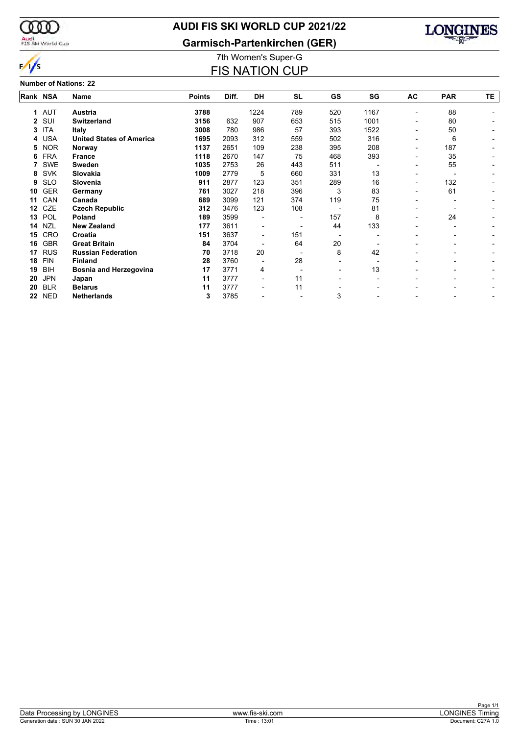

### Audi<br>FIS Ski World Cup

### **AUDI FIS SKI WORLD CUP 2021/22**

7th Women's Super-G **Garmisch-Partenkirchen (GER)**



### FIS NATION CUP

|  | <b>Number of Nations: 22</b> |  |
|--|------------------------------|--|
|  |                              |  |

| Rank NSA     |            | Name                            | <b>Points</b> | Diff. | <b>DH</b> | <b>SL</b> | <b>GS</b> | SG   | <b>AC</b> | <b>PAR</b> | TE. |
|--------------|------------|---------------------------------|---------------|-------|-----------|-----------|-----------|------|-----------|------------|-----|
|              | 1 AUT      | Austria                         | 3788          |       | 1224      | 789       | 520       | 1167 |           | 88         |     |
| $\mathbf{2}$ | SUI        | Switzerland                     | 3156          | 632   | 907       | 653       | 515       | 1001 |           | 80         |     |
| 3            | <b>ITA</b> | <b>Italy</b>                    | 3008          | 780   | 986       | 57        | 393       | 1522 |           | 50         |     |
| 4            | <b>USA</b> | <b>United States of America</b> | 1695          | 2093  | 312       | 559       | 502       | 316  |           | 6          |     |
| 5            | <b>NOR</b> | Norway                          | 1137          | 2651  | 109       | 238       | 395       | 208  |           | 187        |     |
| 6            | <b>FRA</b> | <b>France</b>                   | 1118          | 2670  | 147       | 75        | 468       | 393  |           | 35         |     |
| 7            | <b>SWE</b> | <b>Sweden</b>                   | 1035          | 2753  | 26        | 443       | 511       |      |           | 55         |     |
| 8            | <b>SVK</b> | Slovakia                        | 1009          | 2779  | 5         | 660       | 331       | 13   |           |            |     |
| 9            | <b>SLO</b> | Slovenia                        | 911           | 2877  | 123       | 351       | 289       | 16   |           | 132        |     |
| 10           | <b>GER</b> | Germany                         | 761           | 3027  | 218       | 396       | 3         | 83   |           | 61         |     |
| 11           | CAN        | Canada                          | 689           | 3099  | 121       | 374       | 119       | 75   |           |            |     |
| 12           | CZE        | <b>Czech Republic</b>           | 312           | 3476  | 123       | 108       |           | 81   |           |            |     |
| 13           | POL        | Poland                          | 189           | 3599  |           |           | 157       | 8    |           | 24         |     |
| 14           | <b>NZL</b> | <b>New Zealand</b>              | 177           | 3611  |           |           | 44        | 133  |           |            |     |
| 15           | <b>CRO</b> | Croatia                         | 151           | 3637  |           | 151       |           |      |           |            |     |
| 16           | <b>GBR</b> | <b>Great Britain</b>            | 84            | 3704  |           | 64        | 20        |      |           |            |     |
| 17           | <b>RUS</b> | <b>Russian Federation</b>       | 70            | 3718  | 20        |           | 8         | 42   |           |            |     |
| 18           | <b>FIN</b> | <b>Finland</b>                  | 28            | 3760  |           | 28        |           |      |           |            |     |
| 19           | <b>BIH</b> | Bosnia and Herzegovina          | 17            | 3771  | 4         |           |           | 13   |           |            |     |
| 20           | <b>JPN</b> | Japan                           | 11            | 3777  |           | 11        |           |      |           |            |     |
| 20           | <b>BLR</b> | <b>Belarus</b>                  | 11            | 3777  |           | 11        |           |      |           |            |     |
| 22           | <b>NED</b> | <b>Netherlands</b>              | 3             | 3785  |           |           | 3         |      |           |            |     |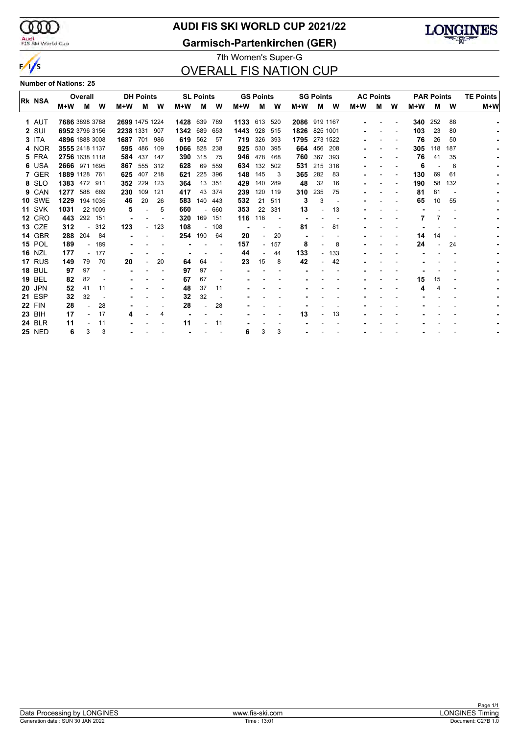$\infty$ Audi<br>FIS Ski World Cup

 $\frac{1}{s}$ 

### **AUDI FIS SKI WORLD CUP 2021/22**

**Garmisch-Partenkirchen (GER)**



### 7th Women's Super-G OVERALL FIS NATION CUP

**Number of Nations: 25**

| <b>RK NSA</b> |               |                | Overall                  |          |                | <b>DH Points</b> |     |      | <b>SL Points</b>         |     |              | <b>GS Points</b> |     |                | <b>SG Points</b> |          |       | <b>AC Points</b> |          |       | <b>PAR Points</b> | <b>TE Points</b> |       |  |
|---------------|---------------|----------------|--------------------------|----------|----------------|------------------|-----|------|--------------------------|-----|--------------|------------------|-----|----------------|------------------|----------|-------|------------------|----------|-------|-------------------|------------------|-------|--|
|               |               | M+W            | М                        | W        | $M+W$          | м                | W   | M+W  | м                        | W   | M+W          | м                | W   | $M+W$          | м                | w        | $M+W$ | М                | W        | $M+W$ | м                 | W                | $M+W$ |  |
|               | 1 AUT         | 7686 3898 3788 |                          |          | 2699 1475 1224 |                  |     | 1428 | 639                      | 789 | 1133 613 520 |                  |     | 2086 919 1167  |                  |          |       |                  |          | 340   | 252               | 88               |       |  |
|               | 2 SUI         | 6952 3796 3156 |                          |          | 2238 1331      |                  | 907 | 1342 | 689                      | 653 | 1443         | 928              | 515 | 1826 825 1001  |                  |          |       |                  |          | 103   | 23                | 80               |       |  |
|               | 3 ITA         | 4896 1888 3008 |                          |          | 1687           | 701              | 986 | 619  | 562                      | 57  | 719          | 326              | 393 | 1795           |                  | 273 1522 |       |                  |          | 76    | 26                | 50               |       |  |
|               | 4 NOR         | 3555 2418 1137 |                          |          |                | 595 486          | 109 | 1066 | 828                      | 238 | 925          | 530              | 395 |                | 664 456 208      |          |       |                  |          | 305   | 118               | 187              |       |  |
|               | 5 FRA         | 2756 1638 1118 |                          |          |                | 584 437          | 147 | 390  | 315                      | -75 | 946          | 478              | 468 | 760            | 367              | 393      |       |                  |          | 76    | 41                | 35               |       |  |
|               | 6 USA         | 2666 971 1695  |                          |          | 867            | 555              | 312 | 628  | 69                       | 559 | 634          | 132              | 502 | 531            | 215              | 316      |       |                  |          | 6     |                   | 6                |       |  |
|               | 7 GER         | 1889 1128 761  |                          |          | 625            | 407              | 218 | 621  | 225                      | 396 | 148          | 145              | 3   | 365            | 282              | 83       |       |                  |          | 130   | 69                | 61               |       |  |
|               | 8 SLO         | 1383 472 911   |                          |          | 352            | 229              | 123 | 364  | 13                       | 351 | 429          | 140              | 289 | 48             | 32               | 16       |       |                  | <b>-</b> | 190   | 58                | 132              |       |  |
|               | 9 CAN         | 1277           | 588 689                  |          | 230            | 109              | 121 | 417  | 43                       | 374 | 239          | 120              | 119 | 310            | 235              | 75       |       |                  |          | 81    | 81                |                  |       |  |
|               | <b>10 SWE</b> | 1229           |                          | 194 1035 | 46             | 20               | 26  | 583  | 140                      | 443 | 532          | 21               | 511 | 3              | 3                |          |       |                  |          | 65    | 10                | 55               |       |  |
|               | <b>11 SVK</b> | 1031           |                          | 22 1009  | 5              |                  | 5   | 660  | $\overline{\phantom{a}}$ | 660 | 353          | 22               | 331 | 13             |                  | 13       |       |                  |          |       |                   |                  |       |  |
|               | <b>12 CRO</b> | 443            |                          | 292 151  |                |                  |     | 320  | 169                      | 151 | 116          | 116              |     |                |                  |          |       |                  |          |       |                   |                  |       |  |
|               | <b>13 CZE</b> | 312            | $\overline{\phantom{a}}$ | 312      | 123            |                  | 123 | 108  | $\overline{\phantom{a}}$ | 108 |              |                  |     | 81             |                  | 81       |       |                  |          |       |                   |                  |       |  |
|               | 14 GBR        | 288            | 204                      | 84       |                |                  |     | 254  | 190                      | 64  | 20           |                  | 20  | $\blacksquare$ |                  |          |       |                  |          | 14    | 14                |                  |       |  |
|               | <b>15 POL</b> | 189            |                          | 189      |                |                  |     |      |                          |     | 157          |                  | 157 | 8              |                  | 8        |       |                  |          | 24    |                   | 24               |       |  |
|               | <b>16 NZL</b> | 177            |                          | $-177$   |                |                  |     |      |                          |     | 44           |                  | 44  | 133            | $\sim$           | 133      |       |                  |          |       |                   |                  |       |  |
|               | 17 RUS        | 149            | 79                       | 70       | 20             |                  | 20  | 64   | 64                       |     | 23           | 15               | 8   | 42             |                  | 42       |       |                  |          |       |                   |                  |       |  |
|               | <b>18 BUL</b> | 97             | 97                       |          |                |                  |     | 97   | 97                       |     |              |                  |     |                |                  |          |       |                  |          |       |                   |                  |       |  |
|               | <b>19 BEL</b> | 82             | 82                       |          |                |                  |     | 67   | 67                       |     |              |                  |     |                |                  |          |       |                  |          | 15    | 15                |                  |       |  |
|               | <b>20 JPN</b> | 52             | 41                       | 11       |                |                  |     | 48   | 37                       | 11  |              |                  |     |                |                  |          |       |                  |          |       |                   |                  |       |  |
|               | <b>21 ESP</b> | 32             | 32                       |          |                |                  |     | 32   | 32                       |     |              |                  |     |                |                  |          |       |                  |          |       |                   |                  |       |  |
|               | <b>22 FIN</b> | 28             |                          | 28       |                |                  |     | 28   |                          | 28  |              |                  |     |                |                  |          |       |                  |          |       |                   |                  |       |  |
|               | 23 BIH        | 17             |                          | 17       | 4              |                  | 4   |      |                          |     |              |                  |     | 13             |                  | 13       |       |                  |          |       |                   |                  |       |  |
|               | <b>24 BLR</b> | 11             |                          | 11       |                |                  |     | 11   |                          | 11  |              |                  |     |                |                  |          |       |                  |          |       |                   |                  |       |  |
|               | <b>25 NED</b> | 6              | 3                        | 3        |                |                  |     |      |                          |     | 6            | 3                | 3   |                |                  |          |       |                  |          |       |                   |                  |       |  |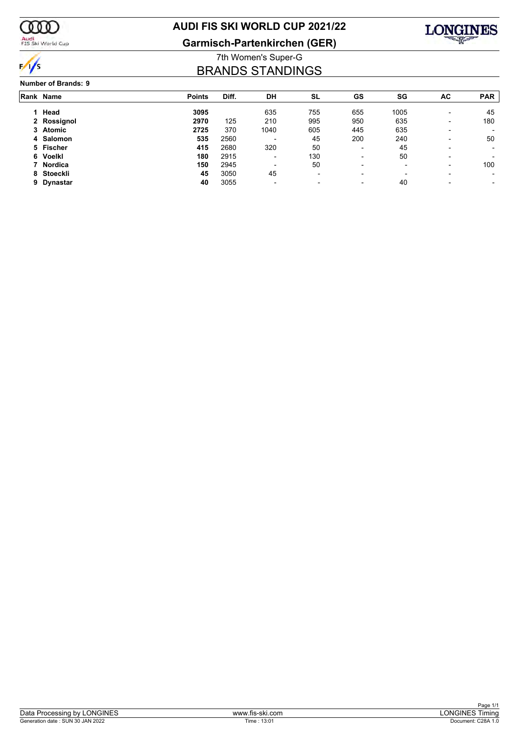

Audi<br>FIS Ski World Cup

### **AUDI FIS SKI WORLD CUP 2021/22**

**Garmisch-Partenkirchen (GER)**



### 7th Women's Super-G BRANDS STANDINGS

#### **Number of Brands: 9**

| Rank Name   | <b>Points</b> | Diff. | DH                       | <b>SL</b>                | GS                       | SG                       | AC                       | <b>PAR</b> |
|-------------|---------------|-------|--------------------------|--------------------------|--------------------------|--------------------------|--------------------------|------------|
| 1 Head      | 3095          |       | 635                      | 755                      | 655                      | 1005                     | $\overline{\phantom{0}}$ | 45         |
| 2 Rossignol | 2970          | 125   | 210                      | 995                      | 950                      | 635                      |                          | 180        |
| 3 Atomic    | 2725          | 370   | 1040                     | 605                      | 445                      | 635                      |                          |            |
| 4 Salomon   | 535           | 2560  | $\overline{\phantom{0}}$ | 45                       | 200                      | 240                      |                          | 50         |
| 5 Fischer   | 415           | 2680  | 320                      | 50                       | $\overline{\phantom{0}}$ | 45                       | -                        |            |
| 6 Voelkl    | 180           | 2915  | $\overline{\phantom{0}}$ | 130                      | $\overline{\phantom{0}}$ | 50                       |                          |            |
| 7 Nordica   | 150           | 2945  | $\overline{\phantom{0}}$ | 50                       | $\overline{\phantom{0}}$ | $\overline{\phantom{a}}$ |                          | 100        |
| 8 Stoeckli  | 45            | 3050  | 45                       | $\overline{\phantom{a}}$ | $\blacksquare$           | $\overline{\phantom{0}}$ |                          |            |
| 9 Dynastar  | 40            | 3055  | $\overline{\phantom{0}}$ | $\overline{\phantom{0}}$ | $\overline{\phantom{0}}$ | 40                       |                          |            |
|             |               |       |                          |                          |                          |                          |                          |            |